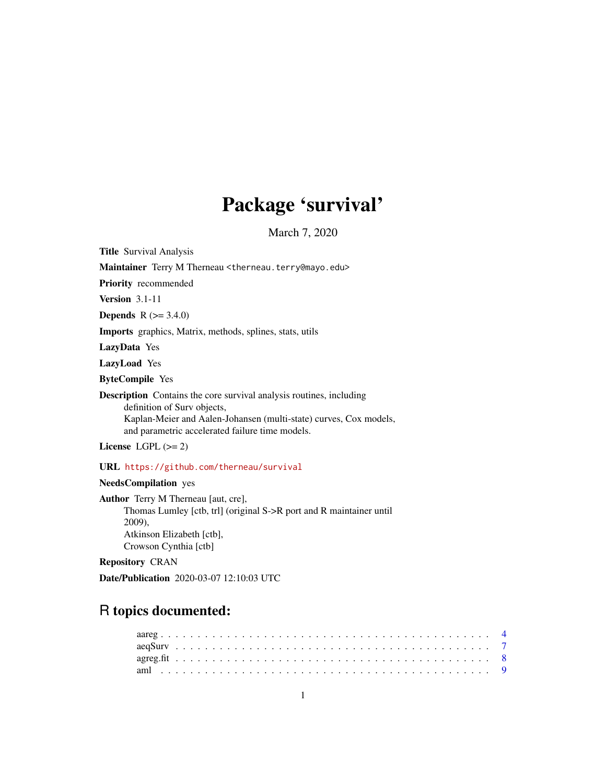# Package 'survival'

March 7, 2020

<span id="page-0-0"></span>Title Survival Analysis

Maintainer Terry M Therneau <therneau.terry@mayo.edu>

Priority recommended

Version 3.1-11

**Depends**  $R (= 3.4.0)$ 

Imports graphics, Matrix, methods, splines, stats, utils

LazyData Yes

LazyLoad Yes

ByteCompile Yes

Description Contains the core survival analysis routines, including definition of Surv objects, Kaplan-Meier and Aalen-Johansen (multi-state) curves, Cox models, and parametric accelerated failure time models.

License LGPL  $(>= 2)$ 

URL <https://github.com/therneau/survival>

# NeedsCompilation yes

Author Terry M Therneau [aut, cre], Thomas Lumley [ctb, trl] (original S->R port and R maintainer until 2009), Atkinson Elizabeth [ctb], Crowson Cynthia [ctb]

Repository CRAN

Date/Publication 2020-03-07 12:10:03 UTC

# R topics documented: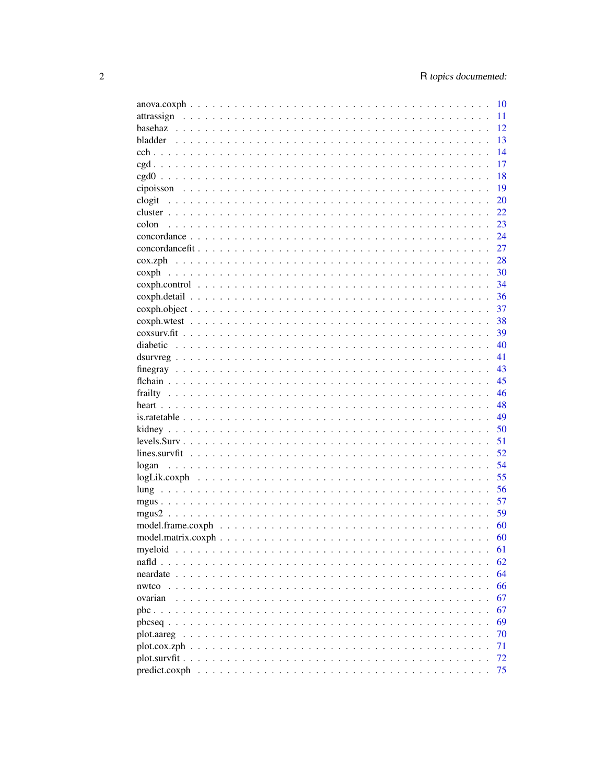|               | 10 |
|---------------|----|
|               | 11 |
|               | 12 |
|               | 13 |
|               | 14 |
|               | 17 |
|               | 18 |
|               | 19 |
| clogit        | 20 |
|               | 22 |
| colon         | 23 |
|               |    |
|               | 24 |
|               | 27 |
|               | 28 |
|               | 30 |
|               | 34 |
|               | 36 |
|               | 37 |
|               | 38 |
|               | 39 |
|               | 40 |
|               | 41 |
|               | 43 |
|               | 45 |
|               | 46 |
|               | 48 |
|               | 49 |
|               | 50 |
|               | 51 |
|               | 52 |
|               | 54 |
|               |    |
|               | 55 |
|               | 56 |
|               | 57 |
|               | 59 |
|               | 60 |
|               | 60 |
| mveloid       | 61 |
|               | 62 |
| neardate      | 64 |
| nwtco         | 66 |
| ovarian       | 67 |
|               | 67 |
|               | 69 |
|               | 70 |
|               | 71 |
|               | 72 |
| predict.coxph | 75 |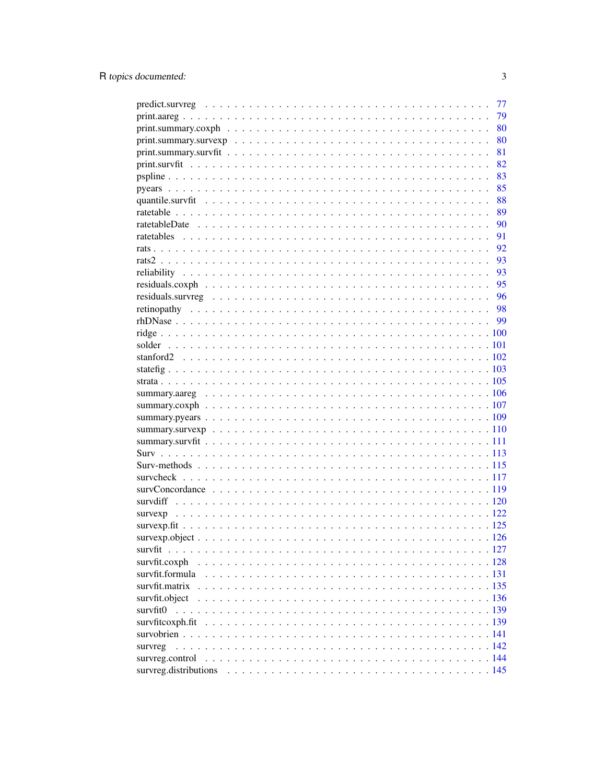|                                                                                                                                            | 77 |
|--------------------------------------------------------------------------------------------------------------------------------------------|----|
|                                                                                                                                            | 79 |
| $print. \text{summary.} \text{cosh} \dots \dots \dots \dots \dots \dots \dots \dots \dots \dots \dots \dots \dots \dots \dots \dots \dots$ | 80 |
|                                                                                                                                            | 80 |
|                                                                                                                                            | 81 |
|                                                                                                                                            | 82 |
|                                                                                                                                            | 83 |
|                                                                                                                                            | 85 |
|                                                                                                                                            | 88 |
|                                                                                                                                            | 89 |
|                                                                                                                                            | 90 |
|                                                                                                                                            | 91 |
|                                                                                                                                            | 92 |
|                                                                                                                                            | 93 |
|                                                                                                                                            | 93 |
|                                                                                                                                            | 95 |
|                                                                                                                                            | 96 |
|                                                                                                                                            | 98 |
|                                                                                                                                            | 99 |
|                                                                                                                                            |    |
|                                                                                                                                            |    |
|                                                                                                                                            |    |
|                                                                                                                                            |    |
|                                                                                                                                            |    |
|                                                                                                                                            |    |
|                                                                                                                                            |    |
|                                                                                                                                            |    |
|                                                                                                                                            |    |
|                                                                                                                                            |    |
|                                                                                                                                            |    |
|                                                                                                                                            |    |
|                                                                                                                                            |    |
|                                                                                                                                            |    |
|                                                                                                                                            |    |
|                                                                                                                                            |    |
|                                                                                                                                            |    |
|                                                                                                                                            |    |
| survfit                                                                                                                                    |    |
| survfit.coxph                                                                                                                              |    |
|                                                                                                                                            |    |
| survfit.matrix                                                                                                                             |    |
| survfit.object                                                                                                                             |    |
| survfit0                                                                                                                                   |    |
|                                                                                                                                            |    |
|                                                                                                                                            |    |
| survreg                                                                                                                                    |    |
|                                                                                                                                            |    |
|                                                                                                                                            |    |
|                                                                                                                                            |    |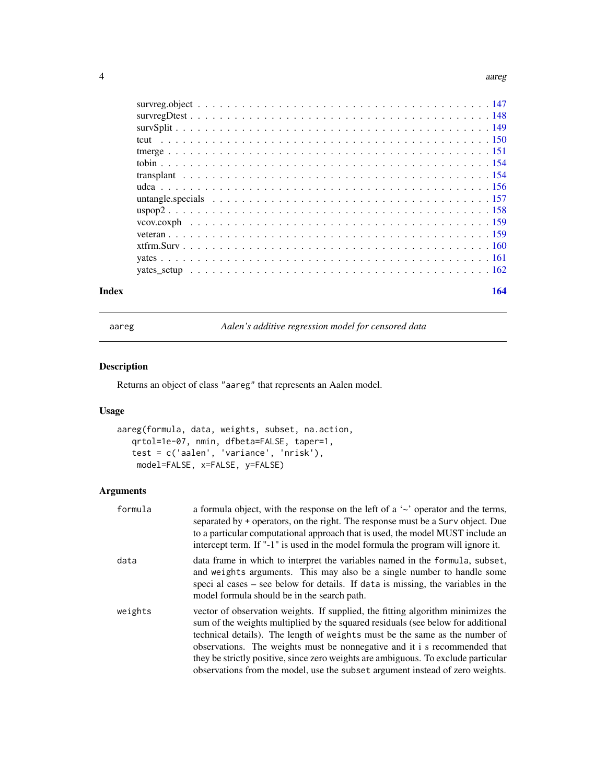#### <span id="page-3-0"></span>4 aareg $\alpha$ aareg $\alpha$ aareg $\alpha$ aareg $\alpha$ aareg $\alpha$

| Index | 164 |
|-------|-----|
|       |     |
|       |     |
|       |     |
|       |     |
|       |     |
|       |     |
|       |     |
|       |     |
|       |     |
|       |     |
|       |     |
|       |     |
|       |     |
|       |     |
|       |     |

aareg *Aalen's additive regression model for censored data*

# Description

Returns an object of class "aareg" that represents an Aalen model.

# Usage

```
aareg(formula, data, weights, subset, na.action,
   qrtol=1e-07, nmin, dfbeta=FALSE, taper=1,
   test = c('aalen', 'variance', 'nrisk'),
    model=FALSE, x=FALSE, y=FALSE)
```
# Arguments

| formula | a formula object, with the response on the left of a $\sim$ operator and the terms,<br>separated by + operators, on the right. The response must be a Surv object. Due<br>to a particular computational approach that is used, the model MUST include an<br>intercept term. If "-1" is used in the model formula the program will ignore it.                                                                                                                                                           |
|---------|--------------------------------------------------------------------------------------------------------------------------------------------------------------------------------------------------------------------------------------------------------------------------------------------------------------------------------------------------------------------------------------------------------------------------------------------------------------------------------------------------------|
| data    | data frame in which to interpret the variables named in the formula, subset,<br>and weights arguments. This may also be a single number to handle some<br>speci al cases – see below for details. If data is missing, the variables in the<br>model formula should be in the search path.                                                                                                                                                                                                              |
| weights | vector of observation weights. If supplied, the fitting algorithm minimizes the<br>sum of the weights multiplied by the squared residuals (see below for additional<br>technical details). The length of weights must be the same as the number of<br>observations. The weights must be nonnegative and it i s recommended that<br>they be strictly positive, since zero weights are ambiguous. To exclude particular<br>observations from the model, use the subset argument instead of zero weights. |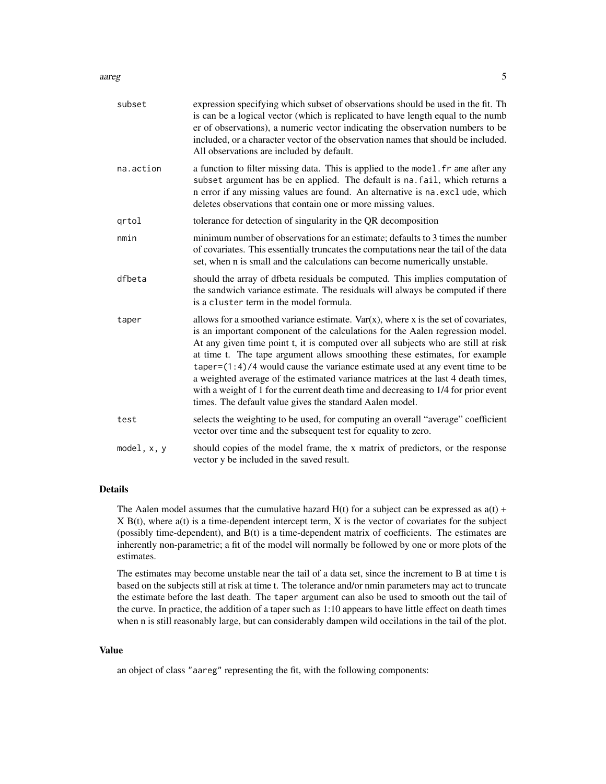#### aareg 50 metatra. Sida keessatti ka mid 1990 metatra. Sida keessatti ka mid 1990 metatra. Sida keessatti ka mi

| subset      | expression specifying which subset of observations should be used in the fit. The<br>is can be a logical vector (which is replicated to have length equal to the numb<br>er of observations), a numeric vector indicating the observation numbers to be<br>included, or a character vector of the observation names that should be included.<br>All observations are included by default.                                                                                                                                                                                                                                                                           |
|-------------|---------------------------------------------------------------------------------------------------------------------------------------------------------------------------------------------------------------------------------------------------------------------------------------------------------------------------------------------------------------------------------------------------------------------------------------------------------------------------------------------------------------------------------------------------------------------------------------------------------------------------------------------------------------------|
| na.action   | a function to filter missing data. This is applied to the model. fr ame after any<br>subset argument has be en applied. The default is na. fail, which returns a<br>n error if any missing values are found. An alternative is na.excl ude, which<br>deletes observations that contain one or more missing values.                                                                                                                                                                                                                                                                                                                                                  |
| qrtol       | tolerance for detection of singularity in the QR decomposition                                                                                                                                                                                                                                                                                                                                                                                                                                                                                                                                                                                                      |
| nmin        | minimum number of observations for an estimate; defaults to 3 times the number<br>of covariates. This essentially truncates the computations near the tail of the data<br>set, when n is small and the calculations can become numerically unstable.                                                                                                                                                                                                                                                                                                                                                                                                                |
| dfbeta      | should the array of dfbeta residuals be computed. This implies computation of<br>the sandwich variance estimate. The residuals will always be computed if there<br>is a cluster term in the model formula.                                                                                                                                                                                                                                                                                                                                                                                                                                                          |
| taper       | allows for a smoothed variance estimate. $Var(x)$ , where x is the set of covariates,<br>is an important component of the calculations for the Aalen regression model.<br>At any given time point t, it is computed over all subjects who are still at risk<br>at time t. The tape argument allows smoothing these estimates, for example<br>taper= $(1:4)/4$ would cause the variance estimate used at any event time to be<br>a weighted average of the estimated variance matrices at the last 4 death times,<br>with a weight of 1 for the current death time and decreasing to 1/4 for prior event<br>times. The default value gives the standard Aalen model. |
| test        | selects the weighting to be used, for computing an overall "average" coefficient<br>vector over time and the subsequent test for equality to zero.                                                                                                                                                                                                                                                                                                                                                                                                                                                                                                                  |
| model, x, y | should copies of the model frame, the x matrix of predictors, or the response<br>vector y be included in the saved result.                                                                                                                                                                                                                                                                                                                                                                                                                                                                                                                                          |

# Details

The Aalen model assumes that the cumulative hazard  $H(t)$  for a subject can be expressed as  $a(t)$  + X B(t), where a(t) is a time-dependent intercept term, X is the vector of covariates for the subject (possibly time-dependent), and B(t) is a time-dependent matrix of coefficients. The estimates are inherently non-parametric; a fit of the model will normally be followed by one or more plots of the estimates.

The estimates may become unstable near the tail of a data set, since the increment to B at time t is based on the subjects still at risk at time t. The tolerance and/or nmin parameters may act to truncate the estimate before the last death. The taper argument can also be used to smooth out the tail of the curve. In practice, the addition of a taper such as 1:10 appears to have little effect on death times when n is still reasonably large, but can considerably dampen wild occilations in the tail of the plot.

#### Value

an object of class "aareg" representing the fit, with the following components: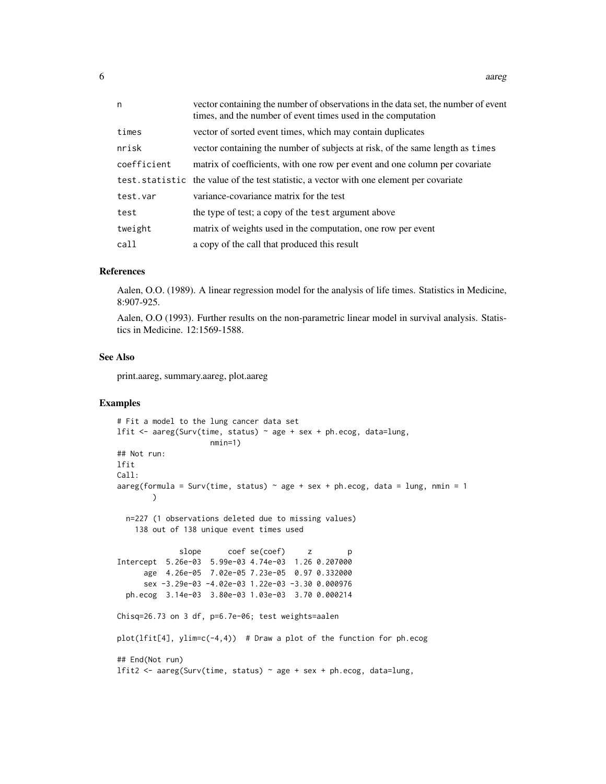| $\sim$<br>v | aareg |
|-------------|-------|
|             |       |

| n           | vector containing the number of observations in the data set, the number of event<br>times, and the number of event times used in the computation |
|-------------|---------------------------------------------------------------------------------------------------------------------------------------------------|
| times       | vector of sorted event times, which may contain duplicates                                                                                        |
| nrisk       | vector containing the number of subjects at risk, of the same length as times                                                                     |
| coefficient | matrix of coefficients, with one row per event and one column per covariate                                                                       |
|             | test. statistic the value of the test statistic, a vector with one element per covariate                                                          |
| test.var    | variance-covariance matrix for the test                                                                                                           |
| test        | the type of test; a copy of the test argument above                                                                                               |
| tweight     | matrix of weights used in the computation, one row per event                                                                                      |
| call        | a copy of the call that produced this result                                                                                                      |

#### References

Aalen, O.O. (1989). A linear regression model for the analysis of life times. Statistics in Medicine, 8:907-925.

Aalen, O.O (1993). Further results on the non-parametric linear model in survival analysis. Statistics in Medicine. 12:1569-1588.

#### See Also

print.aareg, summary.aareg, plot.aareg

#### Examples

```
# Fit a model to the lung cancer data set
lfit <- aareg(Surv(time, status) ~ age + sex + ph.ecog, data=lung,
                    nmin=1)
## Not run:
lfit
Call:
aareg(formula = Surv(time, status) \sim age + sex + ph.ecog, data = lung, nmin = 1
       \lambdan=227 (1 observations deleted due to missing values)
    138 out of 138 unique event times used
              slope coef se(coef) z p
Intercept 5.26e-03 5.99e-03 4.74e-03 1.26 0.207000
     age 4.26e-05 7.02e-05 7.23e-05 0.97 0.332000
     sex -3.29e-03 -4.02e-03 1.22e-03 -3.30 0.000976
 ph.ecog 3.14e-03 3.80e-03 1.03e-03 3.70 0.000214
Chisq=26.73 on 3 df, p=6.7e-06; test weights=aalen
plot(Ifit[4], ylim=c(-4,4)) # Draw a plot of the function for ph.ecog
## End(Not run)
lfit2 <- aareg(Surv(time, status) ~ age + sex + ph.ecog, data=lung,
```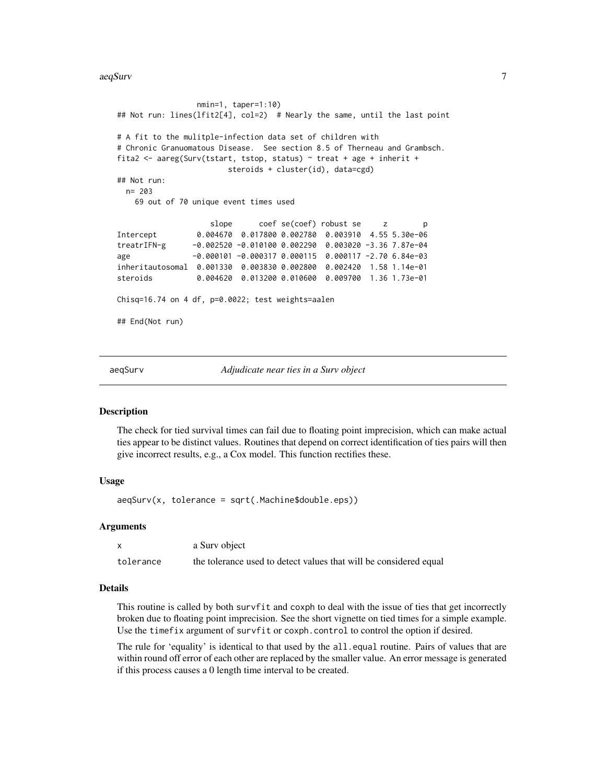<span id="page-6-0"></span>aeqSurv 7

```
nmin=1, taper=1:10)
## Not run: lines(lfit2[4], col=2) # Nearly the same, until the last point
# A fit to the mulitple-infection data set of children with
# Chronic Granuomatous Disease. See section 8.5 of Therneau and Grambsch.
fita2 <- aareg(Surv(tstart, tstop, status) ~ treat + age + inherit +
                       steroids + cluster(id), data=cgd)
## Not run:
 n= 203
   69 out of 70 unique event times used
                   slope coef se(coef) robust se z p
Intercept 0.004670 0.017800 0.002780 0.003910 4.55 5.30e-06
treatrIFN-g -0.002520 -0.010100 0.002290 0.003020 -3.36 7.87e-04
age -0.000101 -0.000317 0.000115 0.000117 -2.70 6.84e-03
inheritautosomal 0.001330 0.003830 0.002800 0.002420 1.58 1.14e-01
steroids 0.004620 0.013200 0.010600 0.009700 1.36 1.73e-01
Chisq=16.74 on 4 df, p=0.0022; test weights=aalen
## End(Not run)
```
aeqSurv *Adjudicate near ties in a Surv object*

#### Description

The check for tied survival times can fail due to floating point imprecision, which can make actual ties appear to be distinct values. Routines that depend on correct identification of ties pairs will then give incorrect results, e.g., a Cox model. This function rectifies these.

# Usage

 $a$ eqSurv(x, tolerance = sqrt(.Machine\$double.eps))

#### Arguments

|           | a Surv object                                                     |
|-----------|-------------------------------------------------------------------|
| tolerance | the tolerance used to detect values that will be considered equal |

#### Details

This routine is called by both survfit and coxph to deal with the issue of ties that get incorrectly broken due to floating point imprecision. See the short vignette on tied times for a simple example. Use the timefix argument of survfit or coxph.control to control the option if desired.

The rule for 'equality' is identical to that used by the all.equal routine. Pairs of values that are within round off error of each other are replaced by the smaller value. An error message is generated if this process causes a 0 length time interval to be created.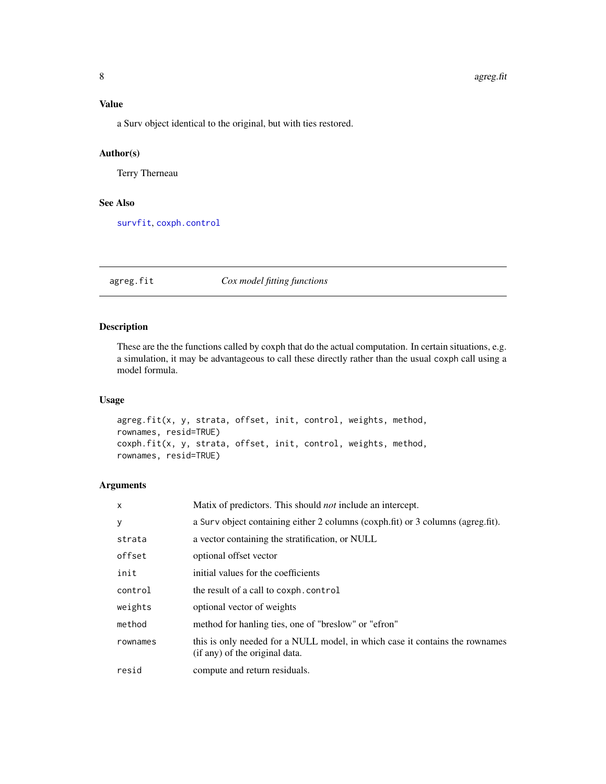# <span id="page-7-0"></span>Value

a Surv object identical to the original, but with ties restored.

# Author(s)

Terry Therneau

### See Also

[survfit](#page-126-1), [coxph.control](#page-33-1)

agreg.fit *Cox model fitting functions*

# Description

These are the the functions called by coxph that do the actual computation. In certain situations, e.g. a simulation, it may be advantageous to call these directly rather than the usual coxph call using a model formula.

# Usage

```
agreg.fit(x, y, strata, offset, init, control, weights, method,
rownames, resid=TRUE)
coxph.fit(x, y, strata, offset, init, control, weights, method,
rownames, resid=TRUE)
```
# Arguments

| x        | Matix of predictors. This should <i>not</i> include an intercept.                                              |
|----------|----------------------------------------------------------------------------------------------------------------|
| У        | a Surv object containing either 2 columns (coxph.fit) or 3 columns (agreg.fit).                                |
| strata   | a vector containing the stratification, or NULL                                                                |
| offset   | optional offset vector                                                                                         |
| init     | initial values for the coefficients                                                                            |
| control  | the result of a call to coxph.control                                                                          |
| weights  | optional vector of weights                                                                                     |
| method   | method for hanling ties, one of "breslow" or "efron"                                                           |
| rownames | this is only needed for a NULL model, in which case it contains the rownames<br>(if any) of the original data. |
| resid    | compute and return residuals.                                                                                  |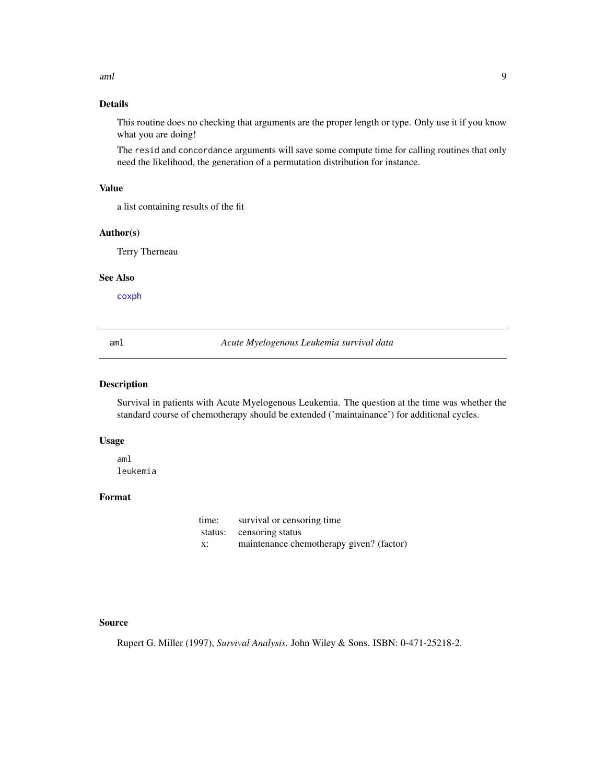<span id="page-8-0"></span>aml 9

# Details

This routine does no checking that arguments are the proper length or type. Only use it if you know what you are doing!

The resid and concordance arguments will save some compute time for calling routines that only need the likelihood, the generation of a permutation distribution for instance.

#### Value

a list containing results of the fit

#### Author(s)

Terry Therneau

# See Also

[coxph](#page-29-1)

aml *Acute Myelogenous Leukemia survival data*

#### Description

Survival in patients with Acute Myelogenous Leukemia. The question at the time was whether the standard course of chemotherapy should be extended ('maintainance') for additional cycles.

#### Usage

aml leukemia

# Format

| time: | survival or censoring time               |
|-------|------------------------------------------|
|       | status: censoring status                 |
| X:    | maintenance chemotherapy given? (factor) |

# Source

Rupert G. Miller (1997), *Survival Analysis*. John Wiley & Sons. ISBN: 0-471-25218-2.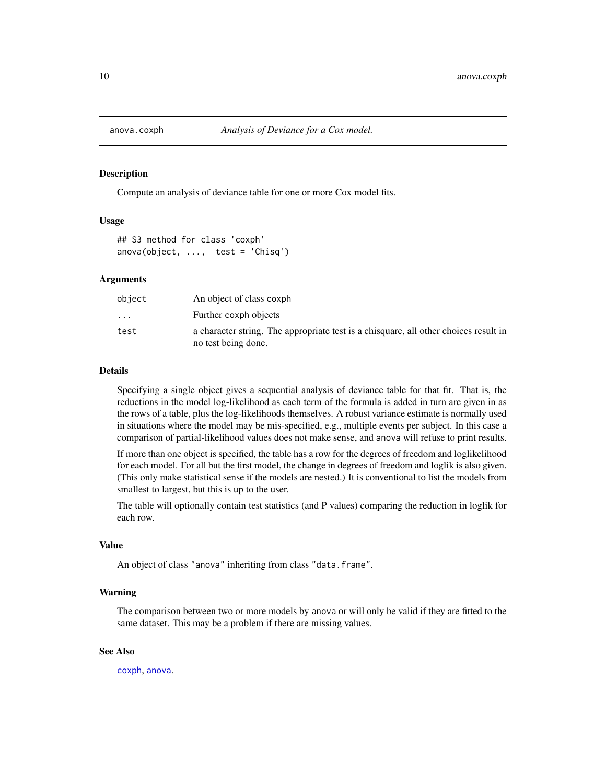<span id="page-9-0"></span>

# Description

Compute an analysis of deviance table for one or more Cox model fits.

#### Usage

```
## S3 method for class 'coxph'
anova(object, ..., test = 'Chisq')
```
#### Arguments

| object                  | An object of class coxph                                                                                    |
|-------------------------|-------------------------------------------------------------------------------------------------------------|
| $\cdot$ $\cdot$ $\cdot$ | Further coxph objects                                                                                       |
| test                    | a character string. The appropriate test is a chisquare, all other choices result in<br>no test being done. |

#### Details

Specifying a single object gives a sequential analysis of deviance table for that fit. That is, the reductions in the model log-likelihood as each term of the formula is added in turn are given in as the rows of a table, plus the log-likelihoods themselves. A robust variance estimate is normally used in situations where the model may be mis-specified, e.g., multiple events per subject. In this case a comparison of partial-likelihood values does not make sense, and anova will refuse to print results.

If more than one object is specified, the table has a row for the degrees of freedom and loglikelihood for each model. For all but the first model, the change in degrees of freedom and loglik is also given. (This only make statistical sense if the models are nested.) It is conventional to list the models from smallest to largest, but this is up to the user.

The table will optionally contain test statistics (and P values) comparing the reduction in loglik for each row.

# Value

An object of class "anova" inheriting from class "data.frame".

#### Warning

The comparison between two or more models by anova or will only be valid if they are fitted to the same dataset. This may be a problem if there are missing values.

# See Also

[coxph](#page-29-1), [anova](#page-0-0).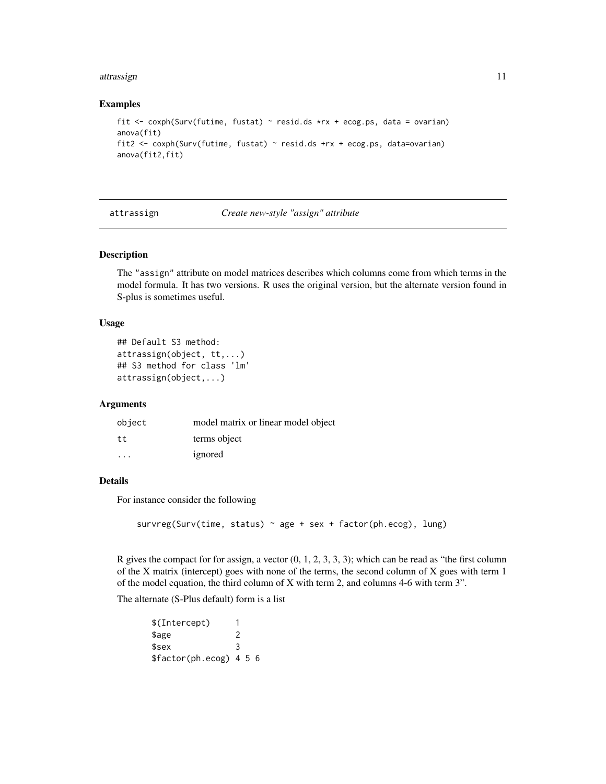#### <span id="page-10-0"></span>attrassign and the contract of the contract of the contract of the contract of the contract of the contract of the contract of the contract of the contract of the contract of the contract of the contract of the contract of

#### Examples

```
fit <- coxph(Surv(futime, fustat) ~ resid.ds *rx + ecog.ps, data = ovarian)
anova(fit)
fit2 <- coxph(Surv(futime, fustat) ~ resid.ds +rx + ecog.ps, data=ovarian)
anova(fit2,fit)
```
attrassign *Create new-style "assign" attribute*

#### Description

The "assign" attribute on model matrices describes which columns come from which terms in the model formula. It has two versions. R uses the original version, but the alternate version found in S-plus is sometimes useful.

#### Usage

```
## Default S3 method:
attrassign(object, tt,...)
## S3 method for class 'lm'
attrassign(object,...)
```
#### Arguments

| object  | model matrix or linear model object |
|---------|-------------------------------------|
| tt      | terms object                        |
| $\cdot$ | ignored                             |

#### Details

For instance consider the following

survreg(Surv(time, status)  $\sim$  age + sex + factor(ph.ecog), lung)

R gives the compact for for assign, a vector  $(0, 1, 2, 3, 3, 3)$ ; which can be read as "the first column of the X matrix (intercept) goes with none of the terms, the second column of X goes with term 1 of the model equation, the third column of X with term 2, and columns 4-6 with term 3".

The alternate (S-Plus default) form is a list

| \$(Intercept)           |   |  |  |
|-------------------------|---|--|--|
| \$age                   | 2 |  |  |
| \$sex                   | 3 |  |  |
| \$factor(ph.ecog) 4 5 6 |   |  |  |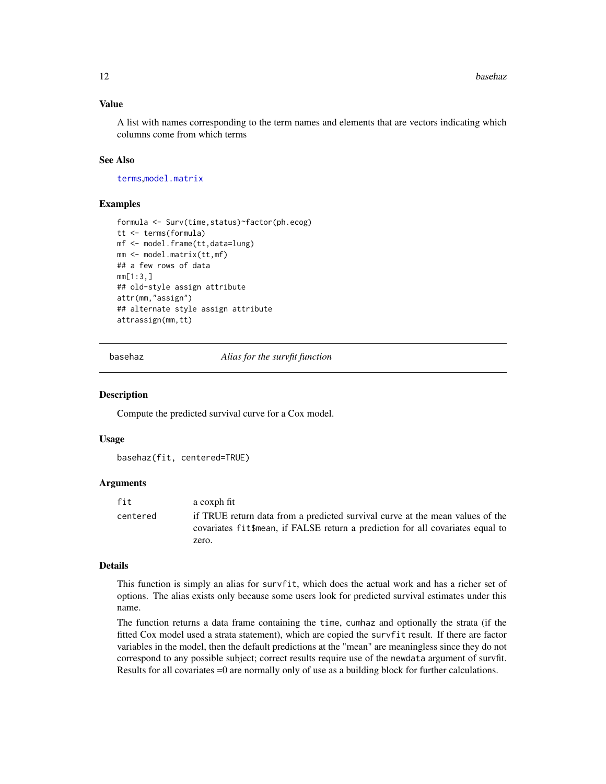# <span id="page-11-0"></span>Value

A list with names corresponding to the term names and elements that are vectors indicating which columns come from which terms

#### See Also

[terms](#page-0-0),[model.matrix](#page-0-0)

#### Examples

```
formula <- Surv(time,status)~factor(ph.ecog)
tt <- terms(formula)
mf <- model.frame(tt,data=lung)
mm <- model.matrix(tt,mf)
## a few rows of data
mm[1:3,]
## old-style assign attribute
attr(mm,"assign")
## alternate style assign attribute
attrassign(mm,tt)
```
basehaz *Alias for the survfit function*

#### **Description**

Compute the predicted survival curve for a Cox model.

#### Usage

basehaz(fit, centered=TRUE)

#### Arguments

| fit      | a coxph fit                                                                                                                                                      |
|----------|------------------------------------------------------------------------------------------------------------------------------------------------------------------|
| centered | if TRUE return data from a predicted survival curve at the mean values of the<br>covariates fit \$mean, if FALSE return a prediction for all covariates equal to |
|          | zero.                                                                                                                                                            |

#### Details

This function is simply an alias for survfit, which does the actual work and has a richer set of options. The alias exists only because some users look for predicted survival estimates under this name.

The function returns a data frame containing the time, cumhaz and optionally the strata (if the fitted Cox model used a strata statement), which are copied the survfit result. If there are factor variables in the model, then the default predictions at the "mean" are meaningless since they do not correspond to any possible subject; correct results require use of the newdata argument of survfit. Results for all covariates =0 are normally only of use as a building block for further calculations.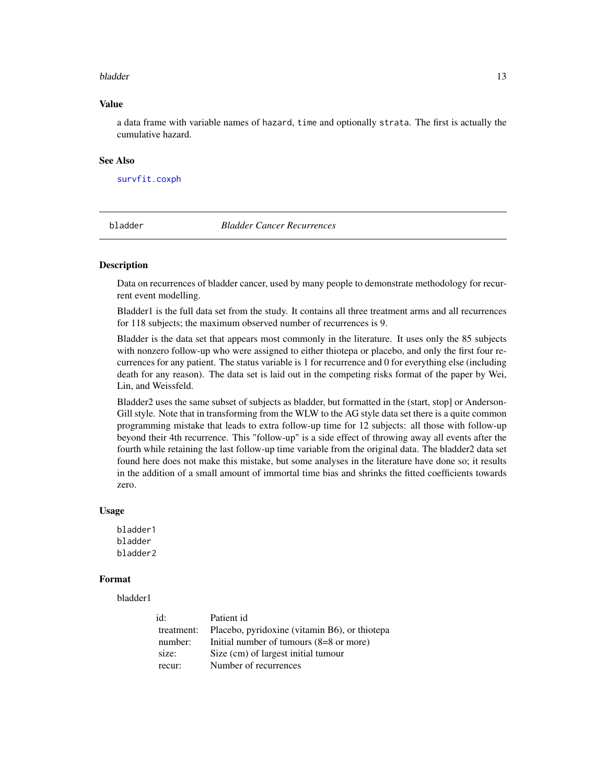#### <span id="page-12-0"></span>bladder and the state of the state of the state of the state of the state of the state of the state of the state of the state of the state of the state of the state of the state of the state of the state of the state of th

# Value

a data frame with variable names of hazard, time and optionally strata. The first is actually the cumulative hazard.

#### See Also

[survfit.coxph](#page-127-1)

bladder *Bladder Cancer Recurrences*

#### Description

Data on recurrences of bladder cancer, used by many people to demonstrate methodology for recurrent event modelling.

Bladder1 is the full data set from the study. It contains all three treatment arms and all recurrences for 118 subjects; the maximum observed number of recurrences is 9.

Bladder is the data set that appears most commonly in the literature. It uses only the 85 subjects with nonzero follow-up who were assigned to either thiotepa or placebo, and only the first four recurrences for any patient. The status variable is 1 for recurrence and 0 for everything else (including death for any reason). The data set is laid out in the competing risks format of the paper by Wei, Lin, and Weissfeld.

Bladder2 uses the same subset of subjects as bladder, but formatted in the (start, stop] or Anderson-Gill style. Note that in transforming from the WLW to the AG style data set there is a quite common programming mistake that leads to extra follow-up time for 12 subjects: all those with follow-up beyond their 4th recurrence. This "follow-up" is a side effect of throwing away all events after the fourth while retaining the last follow-up time variable from the original data. The bladder2 data set found here does not make this mistake, but some analyses in the literature have done so; it results in the addition of a small amount of immortal time bias and shrinks the fitted coefficients towards zero.

#### Usage

bladder1 bladder bladder2

#### Format

bladder1

| id:        | Patient id                                        |
|------------|---------------------------------------------------|
| treatment: | Placebo, pyridoxine (vitamin B6), or thiotepa     |
| number:    | Initial number of tumours $(8=8 \text{ or more})$ |
| size:      | Size (cm) of largest initial tumour               |
| recur:     | Number of recurrences                             |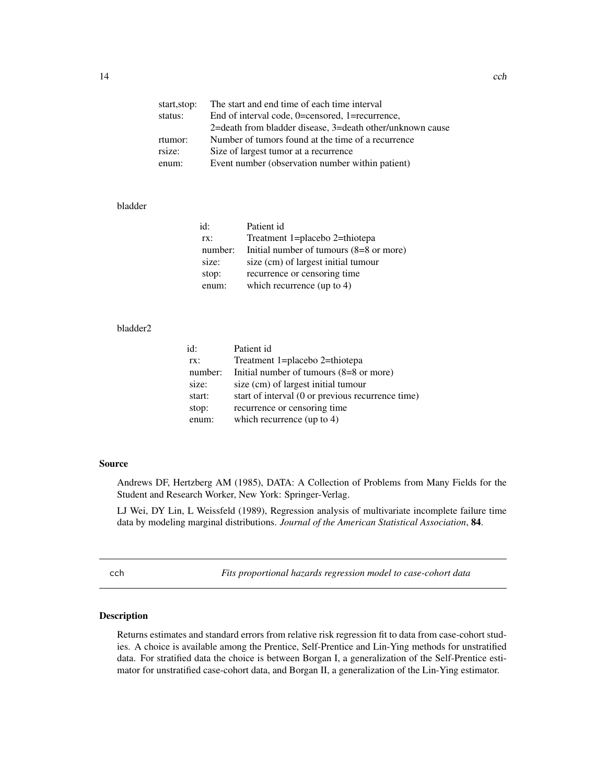<span id="page-13-0"></span>

| start, stop: | The start and end time of each time interval              |
|--------------|-----------------------------------------------------------|
| status:      | End of interval code, 0=censored, 1=recurrence,           |
|              | 2=death from bladder disease, 3=death other/unknown cause |
| rtumor:      | Number of tumors found at the time of a recurrence        |
| rsize:       | Size of largest tumor at a recurrence                     |
| enum:        | Event number (observation number within patient)          |
|              |                                                           |

# bladder

| id:     | Patient id                                        |
|---------|---------------------------------------------------|
| rx:     | Treatment 1=placebo 2=thiotepa                    |
| number: | Initial number of tumours $(8=8 \text{ or more})$ |
| size:   | size (cm) of largest initial tumour               |
| stop:   | recurrence or censoring time                      |
| enum:   | which recurrence (up to 4)                        |

#### bladder2

| id:     | Patient id                                        |
|---------|---------------------------------------------------|
| rx:     | Treatment 1=placebo 2=thiotepa                    |
| number: | Initial number of tumours $(8=8 \text{ or more})$ |
| size:   | size (cm) of largest initial tumour               |
| start:  | start of interval (0 or previous recurrence time) |
| stop:   | recurrence or censoring time                      |
| enum:   | which recurrence (up to $4$ )                     |
|         |                                                   |

# Source

Andrews DF, Hertzberg AM (1985), DATA: A Collection of Problems from Many Fields for the Student and Research Worker, New York: Springer-Verlag.

LJ Wei, DY Lin, L Weissfeld (1989), Regression analysis of multivariate incomplete failure time data by modeling marginal distributions. *Journal of the American Statistical Association*, 84.

cch *Fits proportional hazards regression model to case-cohort data*

#### Description

Returns estimates and standard errors from relative risk regression fit to data from case-cohort studies. A choice is available among the Prentice, Self-Prentice and Lin-Ying methods for unstratified data. For stratified data the choice is between Borgan I, a generalization of the Self-Prentice estimator for unstratified case-cohort data, and Borgan II, a generalization of the Lin-Ying estimator.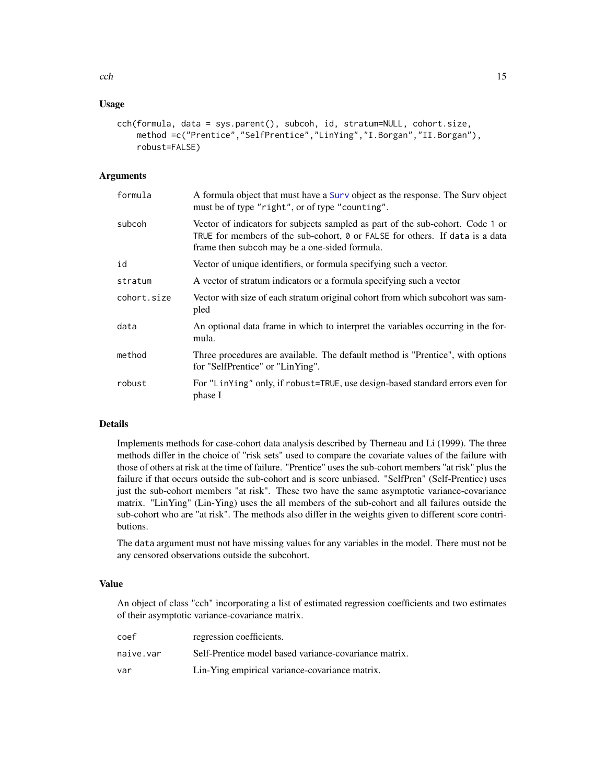# Usage

```
cch(formula, data = sys.parent(), subcoh, id, stratum=NULL, cohort.size,
   method =c("Prentice","SelfPrentice","LinYing","I.Borgan","II.Borgan"),
   robust=FALSE)
```
# Arguments

| formula     | A formula object that must have a Surv object as the response. The Surv object<br>must be of type "right", or of type "counting".                                                                               |
|-------------|-----------------------------------------------------------------------------------------------------------------------------------------------------------------------------------------------------------------|
| subcoh      | Vector of indicators for subjects sampled as part of the sub-cohort. Code 1 or<br>TRUE for members of the sub-cohort, 0 or FALSE for others. If data is a data<br>frame then subcoh may be a one-sided formula. |
| id          | Vector of unique identifiers, or formula specifying such a vector.                                                                                                                                              |
| stratum     | A vector of stratum indicators or a formula specifying such a vector                                                                                                                                            |
| cohort.size | Vector with size of each stratum original cohort from which subcohort was sam-<br>pled                                                                                                                          |
| data        | An optional data frame in which to interpret the variables occurring in the for-<br>mula.                                                                                                                       |
| method      | Three procedures are available. The default method is "Prentice", with options<br>for "SelfPrentice" or "LinYing".                                                                                              |
| robust      | For "LinYing" only, if robust=TRUE, use design-based standard errors even for<br>phase I                                                                                                                        |

# Details

Implements methods for case-cohort data analysis described by Therneau and Li (1999). The three methods differ in the choice of "risk sets" used to compare the covariate values of the failure with those of others at risk at the time of failure. "Prentice" uses the sub-cohort members "at risk" plus the failure if that occurs outside the sub-cohort and is score unbiased. "SelfPren" (Self-Prentice) uses just the sub-cohort members "at risk". These two have the same asymptotic variance-covariance matrix. "LinYing" (Lin-Ying) uses the all members of the sub-cohort and all failures outside the sub-cohort who are "at risk". The methods also differ in the weights given to different score contributions.

The data argument must not have missing values for any variables in the model. There must not be any censored observations outside the subcohort.

# Value

An object of class "cch" incorporating a list of estimated regression coefficients and two estimates of their asymptotic variance-covariance matrix.

| coef      | regression coefficients.                              |
|-----------|-------------------------------------------------------|
| naive.var | Self-Prentice model based variance-covariance matrix. |
| var       | Lin-Ying empirical variance-covariance matrix.        |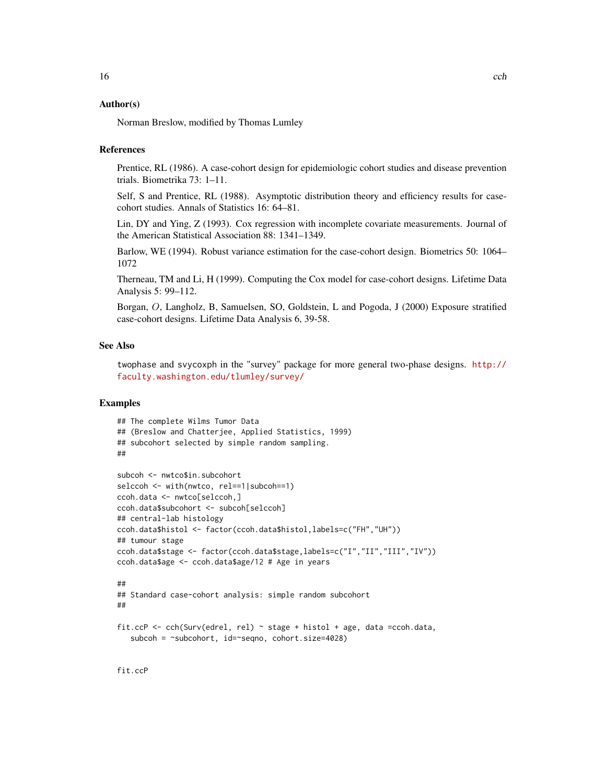# Author(s)

Norman Breslow, modified by Thomas Lumley

#### **References**

Prentice, RL (1986). A case-cohort design for epidemiologic cohort studies and disease prevention trials. Biometrika 73: 1–11.

Self, S and Prentice, RL (1988). Asymptotic distribution theory and efficiency results for casecohort studies. Annals of Statistics 16: 64–81.

Lin, DY and Ying, Z (1993). Cox regression with incomplete covariate measurements. Journal of the American Statistical Association 88: 1341–1349.

Barlow, WE (1994). Robust variance estimation for the case-cohort design. Biometrics 50: 1064– 1072

Therneau, TM and Li, H (1999). Computing the Cox model for case-cohort designs. Lifetime Data Analysis 5: 99–112.

Borgan, O, Langholz, B, Samuelsen, SO, Goldstein, L and Pogoda, J (2000) Exposure stratified case-cohort designs. Lifetime Data Analysis 6, 39-58.

#### See Also

twophase and svycoxph in the "survey" package for more general two-phase designs. [http://](http://faculty.washington.edu/tlumley/survey/) [faculty.washington.edu/tlumley/survey/](http://faculty.washington.edu/tlumley/survey/)

# Examples

```
## The complete Wilms Tumor Data
## (Breslow and Chatterjee, Applied Statistics, 1999)
## subcohort selected by simple random sampling.
##
subcoh <- nwtco$in.subcohort
selccoh <- with(nwtco, rel==1|subcoh==1)
ccoh.data <- nwtco[selccoh,]
ccoh.data$subcohort <- subcoh[selccoh]
## central-lab histology
ccoh.data$histol <- factor(ccoh.data$histol,labels=c("FH","UH"))
## tumour stage
ccoh.data$stage <- factor(ccoh.data$stage,labels=c("I","II","III","IV"))
ccoh.data$age <- ccoh.data$age/12 # Age in years
##
## Standard case-cohort analysis: simple random subcohort
##
fit.ccP <- cch(Surv(edrel, rel) ~ stage + histol + age, data =ccoh.data,
   subcoh = ~subcohort, id=~seqno, cohort.size=4028)
```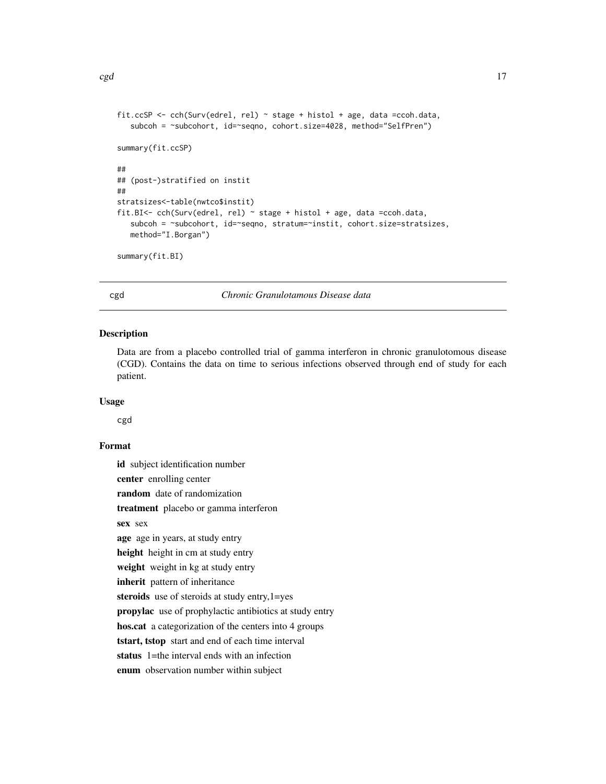```
\c{cgd} and \c{17}
```

```
fit.ccSP <- cch(Surv(edrel, rel) ~ stage + histol + age, data =ccoh.data,
   subcoh = ~subcohort, id=~seqno, cohort.size=4028, method="SelfPren")
summary(fit.ccSP)
##
## (post-)stratified on instit
##
stratsizes<-table(nwtco$instit)
fit.BI<- cch(Surv(edrel, rel) ~ stage + histol + age, data =ccoh.data,
   subcoh = ~subcohort, id=~seqno, stratum=~instit, cohort.size=stratsizes,
  method="I.Borgan")
summary(fit.BI)
```
<span id="page-16-1"></span>cgd *Chronic Granulotamous Disease data*

#### Description

Data are from a placebo controlled trial of gamma interferon in chronic granulotomous disease (CGD). Contains the data on time to serious infections observed through end of study for each patient.

#### Usage

cgd

# Format

id subject identification number center enrolling center random date of randomization treatment placebo or gamma interferon sex sex age age in years, at study entry height height in cm at study entry weight weight in kg at study entry inherit pattern of inheritance steroids use of steroids at study entry,  $1 = yes$ propylac use of prophylactic antibiotics at study entry hos.cat a categorization of the centers into 4 groups tstart, tstop start and end of each time interval status 1=the interval ends with an infection enum observation number within subject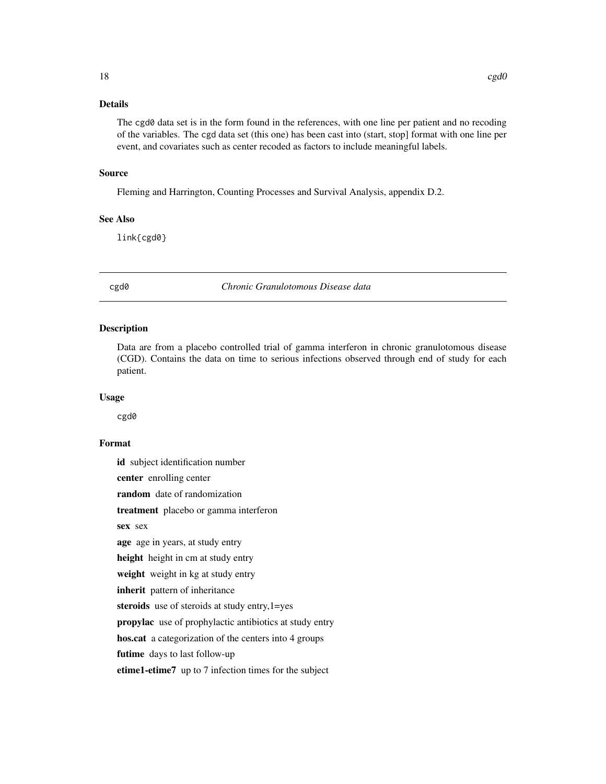# <span id="page-17-0"></span>Details

The cgd0 data set is in the form found in the references, with one line per patient and no recoding of the variables. The cgd data set (this one) has been cast into (start, stop] format with one line per event, and covariates such as center recoded as factors to include meaningful labels.

# Source

Fleming and Harrington, Counting Processes and Survival Analysis, appendix D.2.

# See Also

link{cgd0}

cgd0 *Chronic Granulotomous Disease data*

#### Description

Data are from a placebo controlled trial of gamma interferon in chronic granulotomous disease (CGD). Contains the data on time to serious infections observed through end of study for each patient.

#### Usage

cgd0

# Format

id subject identification number center enrolling center random date of randomization treatment placebo or gamma interferon sex sex age age in years, at study entry height height in cm at study entry weight weight in kg at study entry inherit pattern of inheritance steroids use of steroids at study entry, 1=yes propylac use of prophylactic antibiotics at study entry hos.cat a categorization of the centers into 4 groups futime days to last follow-up etime1-etime7 up to 7 infection times for the subject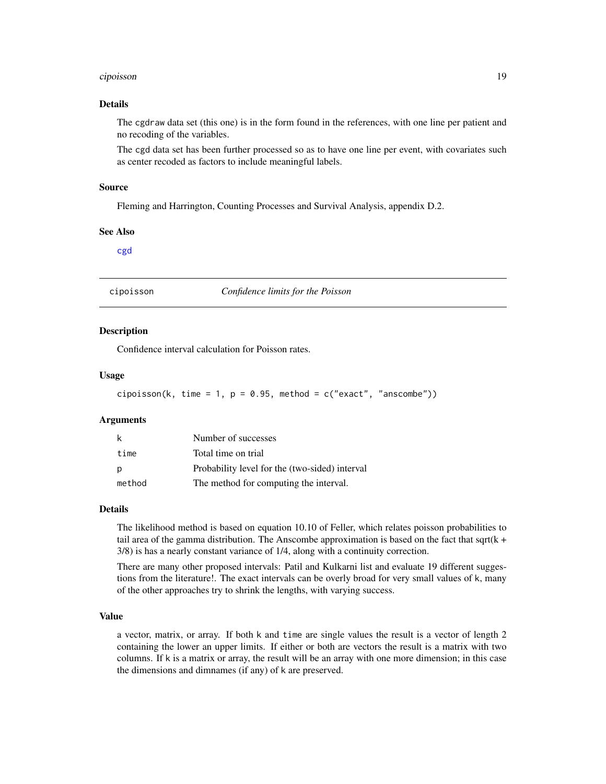#### <span id="page-18-0"></span>cipoisson 19

# Details

The cgdraw data set (this one) is in the form found in the references, with one line per patient and no recoding of the variables.

The cgd data set has been further processed so as to have one line per event, with covariates such as center recoded as factors to include meaningful labels.

#### Source

Fleming and Harrington, Counting Processes and Survival Analysis, appendix D.2.

#### See Also

[cgd](#page-16-1)

cipoisson *Confidence limits for the Poisson*

#### Description

Confidence interval calculation for Poisson rates.

# Usage

```
cipoisson(k, time = 1, p = 0.95, method = c("exact", "anscombe"))
```
#### Arguments

| k      | Number of successes                            |
|--------|------------------------------------------------|
| time   | Total time on trial                            |
|        | Probability level for the (two-sided) interval |
| method | The method for computing the interval.         |

#### Details

The likelihood method is based on equation 10.10 of Feller, which relates poisson probabilities to tail area of the gamma distribution. The Anscombe approximation is based on the fact that sqrt( $k +$ 3/8) is has a nearly constant variance of 1/4, along with a continuity correction.

There are many other proposed intervals: Patil and Kulkarni list and evaluate 19 different suggestions from the literature!. The exact intervals can be overly broad for very small values of k, many of the other approaches try to shrink the lengths, with varying success.

#### Value

a vector, matrix, or array. If both k and time are single values the result is a vector of length 2 containing the lower an upper limits. If either or both are vectors the result is a matrix with two columns. If k is a matrix or array, the result will be an array with one more dimension; in this case the dimensions and dimnames (if any) of k are preserved.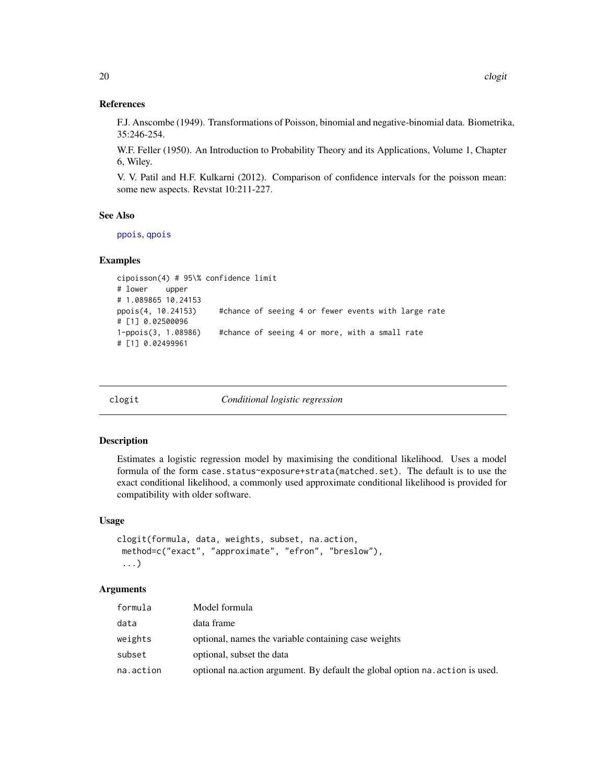#### References

F.J. Anscombe (1949). Transformations of Poisson, binomial and negative-binomial data. Biometrika, 35:246-254.

W.F. Feller (1950). An Introduction to Probability Theory and its Applications, Volume 1, Chapter 6, Wiley.

V. V. Patil and H.F. Kulkarni (2012). Comparison of confidence intervals for the poisson mean: some new aspects. Revstat 10:211-227.

#### See Also

[ppois](#page-0-0), [qpois](#page-0-0)

# Examples

```
cipoisson(4) # 95\% confidence limit
# lower upper
# 1.089865 10.24153
ppois(4, 10.24153) #chance of seeing 4 or fewer events with large rate
# [1] 0.02500096
1-ppois(3, 1.08986) #chance of seeing 4 or more, with a small rate
# [1] 0.02499961
```
clogit *Conditional logistic regression*

#### Description

Estimates a logistic regression model by maximising the conditional likelihood. Uses a model formula of the form case.status~exposure+strata(matched.set). The default is to use the exact conditional likelihood, a commonly used approximate conditional likelihood is provided for compatibility with older software.

#### Usage

```
clogit(formula, data, weights, subset, na.action,
method=c("exact", "approximate", "efron", "breslow"),
 ...)
```
# Arguments

| formula   | Model formula                                                                   |
|-----------|---------------------------------------------------------------------------------|
| data      | data frame                                                                      |
| weights   | optional, names the variable containing case weights                            |
| subset    | optional, subset the data                                                       |
| na.action | optional natural nature argument. By default the global option natural is used. |

<span id="page-19-0"></span>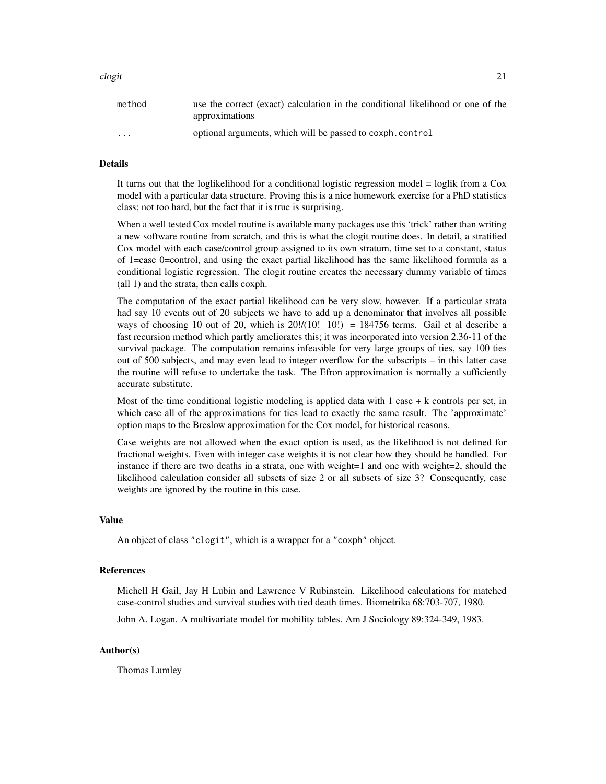#### clogit 21

| method                  | use the correct (exact) calculation in the conditional likelihood or one of the |
|-------------------------|---------------------------------------------------------------------------------|
|                         | approximations                                                                  |
| $\cdot$ $\cdot$ $\cdot$ | optional arguments, which will be passed to coxph.control                       |

#### Details

It turns out that the loglikelihood for a conditional logistic regression model = loglik from a Cox model with a particular data structure. Proving this is a nice homework exercise for a PhD statistics class; not too hard, but the fact that it is true is surprising.

When a well tested Cox model routine is available many packages use this 'trick' rather than writing a new software routine from scratch, and this is what the clogit routine does. In detail, a stratified Cox model with each case/control group assigned to its own stratum, time set to a constant, status of 1=case 0=control, and using the exact partial likelihood has the same likelihood formula as a conditional logistic regression. The clogit routine creates the necessary dummy variable of times (all 1) and the strata, then calls coxph.

The computation of the exact partial likelihood can be very slow, however. If a particular strata had say 10 events out of 20 subjects we have to add up a denominator that involves all possible ways of choosing 10 out of 20, which is  $20!/(10! \cdot 10!) = 184756$  terms. Gail et al describe a fast recursion method which partly ameliorates this; it was incorporated into version 2.36-11 of the survival package. The computation remains infeasible for very large groups of ties, say 100 ties out of 500 subjects, and may even lead to integer overflow for the subscripts – in this latter case the routine will refuse to undertake the task. The Efron approximation is normally a sufficiently accurate substitute.

Most of the time conditional logistic modeling is applied data with  $1$  case  $+ k$  controls per set, in which case all of the approximations for ties lead to exactly the same result. The 'approximate' option maps to the Breslow approximation for the Cox model, for historical reasons.

Case weights are not allowed when the exact option is used, as the likelihood is not defined for fractional weights. Even with integer case weights it is not clear how they should be handled. For instance if there are two deaths in a strata, one with weight=1 and one with weight=2, should the likelihood calculation consider all subsets of size 2 or all subsets of size 3? Consequently, case weights are ignored by the routine in this case.

#### Value

An object of class "clogit", which is a wrapper for a "coxph" object.

# References

Michell H Gail, Jay H Lubin and Lawrence V Rubinstein. Likelihood calculations for matched case-control studies and survival studies with tied death times. Biometrika 68:703-707, 1980.

John A. Logan. A multivariate model for mobility tables. Am J Sociology 89:324-349, 1983.

#### Author(s)

Thomas Lumley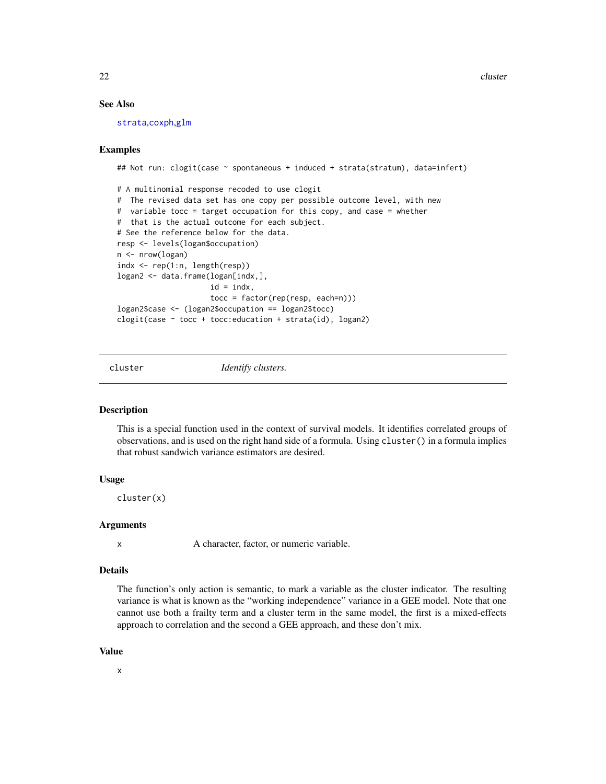22 cluster and the contract of the contract of the contract of the contract of the contract of the contract of the contract of the contract of the contract of the contract of the contract of the contract of the contract of

# See Also

[strata](#page-104-1),[coxph](#page-29-1),[glm](#page-0-0)

# Examples

```
## Not run: clogit(case ~ spontaneous + induced + strata(stratum), data=infert)
# A multinomial response recoded to use clogit
# The revised data set has one copy per possible outcome level, with new
# variable tocc = target occupation for this copy, and case = whether
# that is the actual outcome for each subject.
# See the reference below for the data.
resp <- levels(logan$occupation)
n <- nrow(logan)
indx <- rep(1:n, length(resp))
logan2 <- data.frame(logan[indx,],
                     id = indx,
                     tocc = factor(rep(resp, each=n)))
logan2$case <- (logan2$occupation == logan2$tocc)
clogit(case \sim tocc + tocc:education + strata(id), logan2)
```
<span id="page-21-1"></span>

cluster *Identify clusters.*

#### Description

This is a special function used in the context of survival models. It identifies correlated groups of observations, and is used on the right hand side of a formula. Using cluster() in a formula implies that robust sandwich variance estimators are desired.

# Usage

cluster(x)

#### Arguments

x A character, factor, or numeric variable.

# Details

The function's only action is semantic, to mark a variable as the cluster indicator. The resulting variance is what is known as the "working independence" variance in a GEE model. Note that one cannot use both a frailty term and a cluster term in the same model, the first is a mixed-effects approach to correlation and the second a GEE approach, and these don't mix.

#### Value

x

<span id="page-21-0"></span>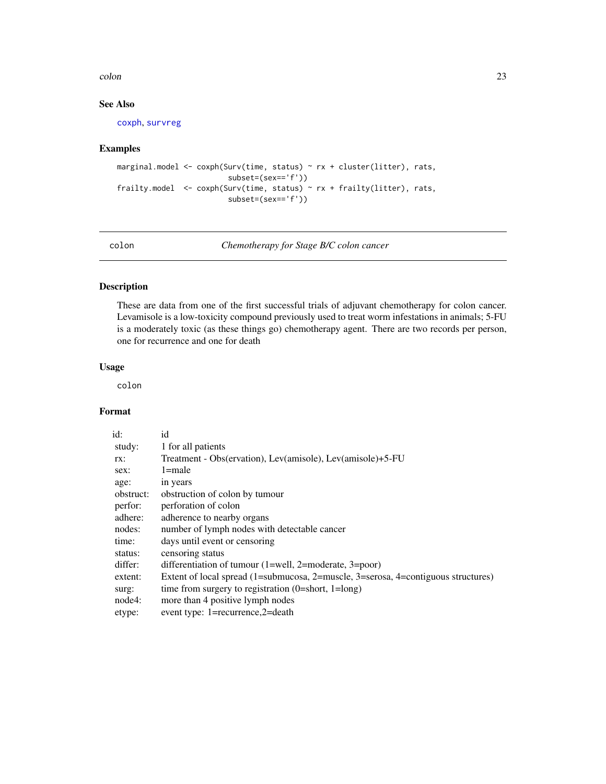#### <span id="page-22-0"></span>colon 23

# See Also

[coxph](#page-29-1), [survreg](#page-141-1)

# Examples

```
marginal.model <- coxph(Surv(time, status) ~ rx + cluster(litter), rats,
                        subset=(sex=='f'))
frailty.model <- coxph(Surv(time, status) ~ rx + frailty(litter), rats,
                        subset=(sex=='f'))
```
colon *Chemotherapy for Stage B/C colon cancer*

# Description

These are data from one of the first successful trials of adjuvant chemotherapy for colon cancer. Levamisole is a low-toxicity compound previously used to treat worm infestations in animals; 5-FU is a moderately toxic (as these things go) chemotherapy agent. There are two records per person, one for recurrence and one for death

# Usage

colon

# Format

| id:       | id                                                                                |
|-----------|-----------------------------------------------------------------------------------|
| study:    | 1 for all patients                                                                |
| TX:       | Treatment - Obs(ervation), Lev(amisole), Lev(amisole)+5-FU                        |
| sex:      | $1 = male$                                                                        |
| age:      | in years                                                                          |
| obstruct: | obstruction of colon by tumour                                                    |
| perfor:   | perforation of colon                                                              |
| adhere:   | adherence to nearby organs                                                        |
| nodes:    | number of lymph nodes with detectable cancer                                      |
| time:     | days until event or censoring                                                     |
| status:   | censoring status                                                                  |
| differ:   | differentiation of tumour $(1=well, 2=moderate, 3=poor)$                          |
| extent:   | Extent of local spread (1=submucosa, 2=muscle, 3=serosa, 4=contiguous structures) |
| surg:     | time from surgery to registration $(0=short, 1=long)$                             |
| node4:    | more than 4 positive lymph nodes                                                  |
| etype:    | event type: 1=recurrence,2=death                                                  |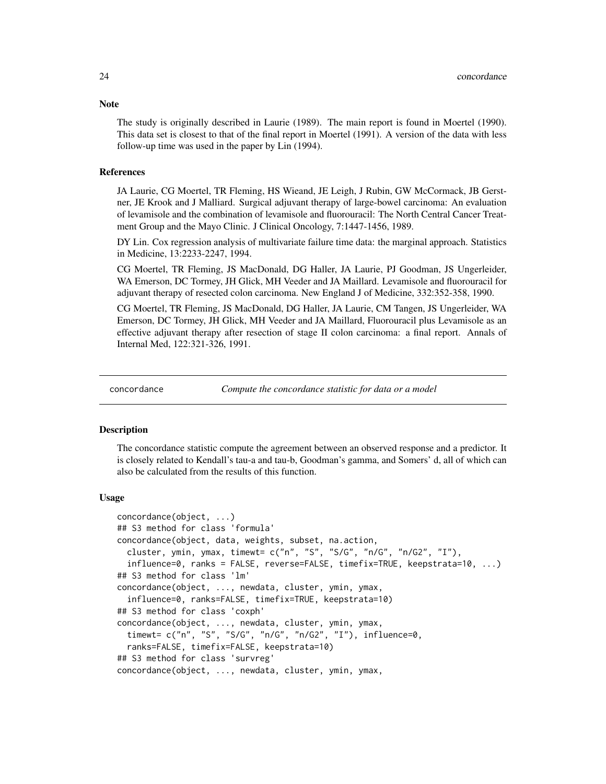The study is originally described in Laurie (1989). The main report is found in Moertel (1990). This data set is closest to that of the final report in Moertel (1991). A version of the data with less follow-up time was used in the paper by Lin (1994).

#### **References**

JA Laurie, CG Moertel, TR Fleming, HS Wieand, JE Leigh, J Rubin, GW McCormack, JB Gerstner, JE Krook and J Malliard. Surgical adjuvant therapy of large-bowel carcinoma: An evaluation of levamisole and the combination of levamisole and fluorouracil: The North Central Cancer Treatment Group and the Mayo Clinic. J Clinical Oncology, 7:1447-1456, 1989.

DY Lin. Cox regression analysis of multivariate failure time data: the marginal approach. Statistics in Medicine, 13:2233-2247, 1994.

CG Moertel, TR Fleming, JS MacDonald, DG Haller, JA Laurie, PJ Goodman, JS Ungerleider, WA Emerson, DC Tormey, JH Glick, MH Veeder and JA Maillard. Levamisole and fluorouracil for adjuvant therapy of resected colon carcinoma. New England J of Medicine, 332:352-358, 1990.

CG Moertel, TR Fleming, JS MacDonald, DG Haller, JA Laurie, CM Tangen, JS Ungerleider, WA Emerson, DC Tormey, JH Glick, MH Veeder and JA Maillard, Fluorouracil plus Levamisole as an effective adjuvant therapy after resection of stage II colon carcinoma: a final report. Annals of Internal Med, 122:321-326, 1991.

<span id="page-23-1"></span>

concordance *Compute the concordance statistic for data or a model*

#### Description

The concordance statistic compute the agreement between an observed response and a predictor. It is closely related to Kendall's tau-a and tau-b, Goodman's gamma, and Somers' d, all of which can also be calculated from the results of this function.

#### Usage

```
concordance(object, ...)
## S3 method for class 'formula'
concordance(object, data, weights, subset, na.action,
  cluster, ymin, ymax, timewt= c("n", "S", "S/G", "n/G", "n/G2", "I"),
  influence=0, ranks = FALSE, reverse=FALSE, timefix=TRUE, keepstrata=10, ...)
## S3 method for class 'lm'
concordance(object, ..., newdata, cluster, ymin, ymax,
  influence=0, ranks=FALSE, timefix=TRUE, keepstrata=10)
## S3 method for class 'coxph'
concordance(object, ..., newdata, cluster, ymin, ymax,
  timewt= c("n", "S", "S/G", "n/G", "n/G2", "I"), influence=0,
  ranks=FALSE, timefix=FALSE, keepstrata=10)
## S3 method for class 'survreg'
concordance(object, ..., newdata, cluster, ymin, ymax,
```
# <span id="page-23-0"></span>**Note**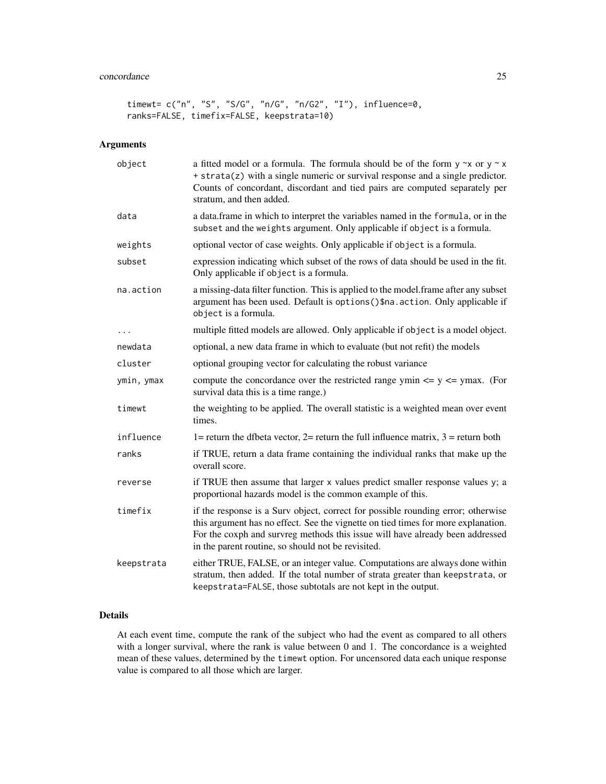# concordance 25

```
timewt= c("n", "S", "S/G", "n/G", "n/G2", "I"), influence=0,
ranks=FALSE, timefix=FALSE, keepstrata=10)
```
# Arguments

| object     | a fitted model or a formula. The formula should be of the form $y \sim x$ or $y \sim x$<br>+ strata(z) with a single numeric or survival response and a single predictor.<br>Counts of concordant, discordant and tied pairs are computed separately per<br>stratum, and then added.                         |
|------------|--------------------------------------------------------------------------------------------------------------------------------------------------------------------------------------------------------------------------------------------------------------------------------------------------------------|
| data       | a data.frame in which to interpret the variables named in the formula, or in the<br>subset and the weights argument. Only applicable if object is a formula.                                                                                                                                                 |
| weights    | optional vector of case weights. Only applicable if object is a formula.                                                                                                                                                                                                                                     |
| subset     | expression indicating which subset of the rows of data should be used in the fit.<br>Only applicable if object is a formula.                                                                                                                                                                                 |
| na.action  | a missing-data filter function. This is applied to the model.frame after any subset<br>argument has been used. Default is options()\$na.action. Only applicable if<br>object is a formula.                                                                                                                   |
| $\cdots$   | multiple fitted models are allowed. Only applicable if object is a model object.                                                                                                                                                                                                                             |
| newdata    | optional, a new data frame in which to evaluate (but not refit) the models                                                                                                                                                                                                                                   |
| cluster    | optional grouping vector for calculating the robust variance                                                                                                                                                                                                                                                 |
| ymin, ymax | compute the concordance over the restricted range ymin $\leq$ y $\leq$ ymax. (For<br>survival data this is a time range.)                                                                                                                                                                                    |
| timewt     | the weighting to be applied. The overall statistic is a weighted mean over event<br>times.                                                                                                                                                                                                                   |
| influence  | 1= return the dfbeta vector, 2= return the full influence matrix, $3 =$ return both                                                                                                                                                                                                                          |
| ranks      | if TRUE, return a data frame containing the individual ranks that make up the<br>overall score.                                                                                                                                                                                                              |
| reverse    | if TRUE then assume that larger x values predict smaller response values y; a<br>proportional hazards model is the common example of this.                                                                                                                                                                   |
| timefix    | if the response is a Surv object, correct for possible rounding error; otherwise<br>this argument has no effect. See the vignette on tied times for more explanation.<br>For the coxph and survreg methods this issue will have already been addressed<br>in the parent routine, so should not be revisited. |
| keepstrata | either TRUE, FALSE, or an integer value. Computations are always done within<br>stratum, then added. If the total number of strata greater than keepstrata, or<br>keepstrata=FALSE, those subtotals are not kept in the output.                                                                              |

# Details

At each event time, compute the rank of the subject who had the event as compared to all others with a longer survival, where the rank is value between 0 and 1. The concordance is a weighted mean of these values, determined by the timewt option. For uncensored data each unique response value is compared to all those which are larger.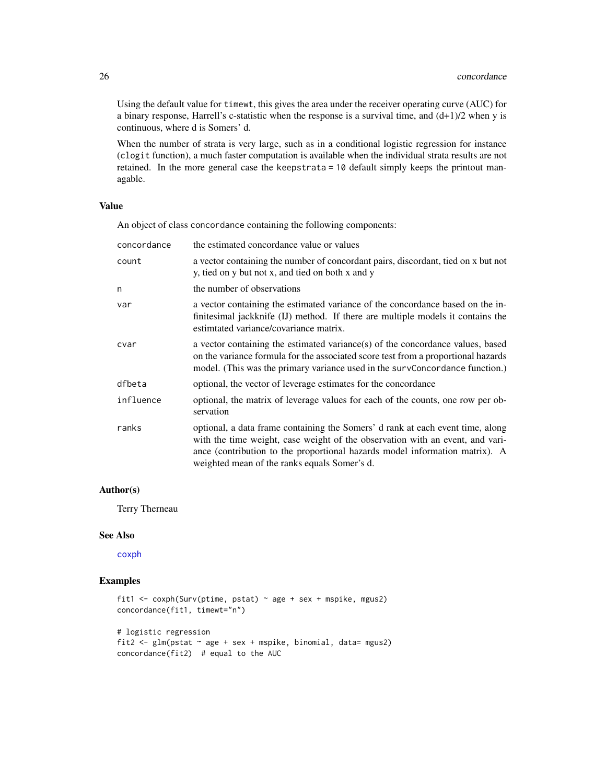Using the default value for timewt, this gives the area under the receiver operating curve (AUC) for a binary response, Harrell's c-statistic when the response is a survival time, and  $(d+1)/2$  when y is continuous, where d is Somers' d.

When the number of strata is very large, such as in a conditional logistic regression for instance (clogit function), a much faster computation is available when the individual strata results are not retained. In the more general case the keepstrata = 10 default simply keeps the printout managable.

#### Value

An object of class concordance containing the following components:

| concordance | the estimated concordance value or values                                                                                                                                                                                                                                                      |
|-------------|------------------------------------------------------------------------------------------------------------------------------------------------------------------------------------------------------------------------------------------------------------------------------------------------|
| count       | a vector containing the number of concordant pairs, discordant, tied on x but not<br>y, tied on y but not x, and tied on both x and y                                                                                                                                                          |
| n           | the number of observations                                                                                                                                                                                                                                                                     |
| var         | a vector containing the estimated variance of the concordance based on the in-<br>finitesimal jackknife (IJ) method. If there are multiple models it contains the<br>estimtated variance/covariance matrix.                                                                                    |
| cvar        | a vector containing the estimated variance(s) of the concordance values, based<br>on the variance formula for the associated score test from a proportional hazards<br>model. (This was the primary variance used in the survConcordance function.)                                            |
| dfbeta      | optional, the vector of leverage estimates for the concordance                                                                                                                                                                                                                                 |
| influence   | optional, the matrix of leverage values for each of the counts, one row per ob-<br>servation                                                                                                                                                                                                   |
| ranks       | optional, a data frame containing the Somers' d rank at each event time, along<br>with the time weight, case weight of the observation with an event, and vari-<br>ance (contribution to the proportional hazards model information matrix). A<br>weighted mean of the ranks equals Somer's d. |

# Author(s)

Terry Therneau

#### See Also

[coxph](#page-29-1)

#### Examples

```
fit1 <- coxph(Surv(ptime, pstat) ~ age + sex + mspike, mgus2)
concordance(fit1, timewt="n")
# logistic regression
fit2 <- glm(pstat ~ age + sex + mspike, binomial, data= mgus2)
concordance(fit2) # equal to the AUC
```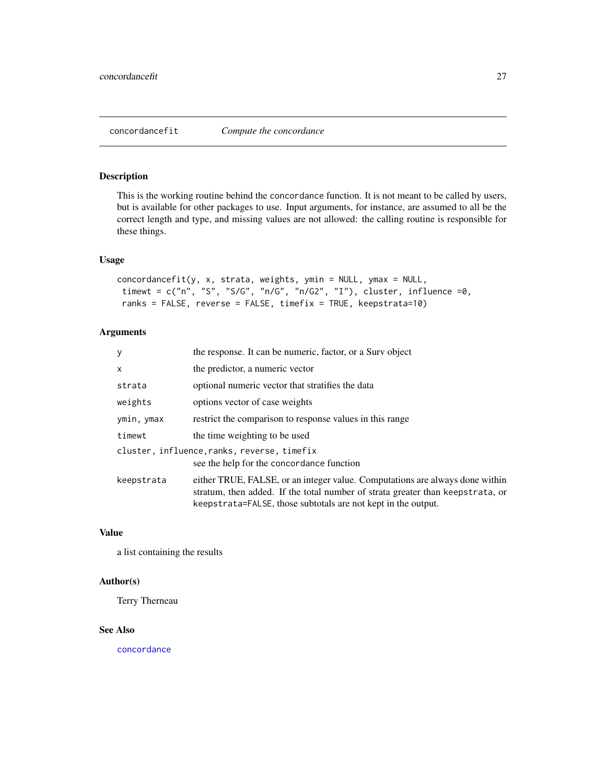# <span id="page-26-0"></span>Description

This is the working routine behind the concordance function. It is not meant to be called by users, but is available for other packages to use. Input arguments, for instance, are assumed to all be the correct length and type, and missing values are not allowed: the calling routine is responsible for these things.

# Usage

```
concordancefit(y, x, strata, weights, ymin = NULL, ymax = NULL,
timewt = c("n", "S", "S/G", "n/G", "n/G2", "I"), cluster, influence =0,
 ranks = FALSE, reverse = FALSE, timefix = TRUE, keepstrata=10)
```
# Arguments

| У          | the response. It can be numeric, factor, or a Surv object                                                                                                                                                                       |
|------------|---------------------------------------------------------------------------------------------------------------------------------------------------------------------------------------------------------------------------------|
| x          | the predictor, a numeric vector                                                                                                                                                                                                 |
| strata     | optional numeric vector that stratifies the data                                                                                                                                                                                |
| weights    | options vector of case weights                                                                                                                                                                                                  |
| ymin, ymax | restrict the comparison to response values in this range                                                                                                                                                                        |
| timewt     | the time weighting to be used                                                                                                                                                                                                   |
|            | cluster, influence, ranks, reverse, timefix<br>see the help for the concordance function                                                                                                                                        |
| keepstrata | either TRUE, FALSE, or an integer value. Computations are always done within<br>stratum, then added. If the total number of strata greater than keepstrata, or<br>keepstrata=FALSE, those subtotals are not kept in the output. |

#### Value

a list containing the results

#### Author(s)

Terry Therneau

#### See Also

[concordance](#page-23-1)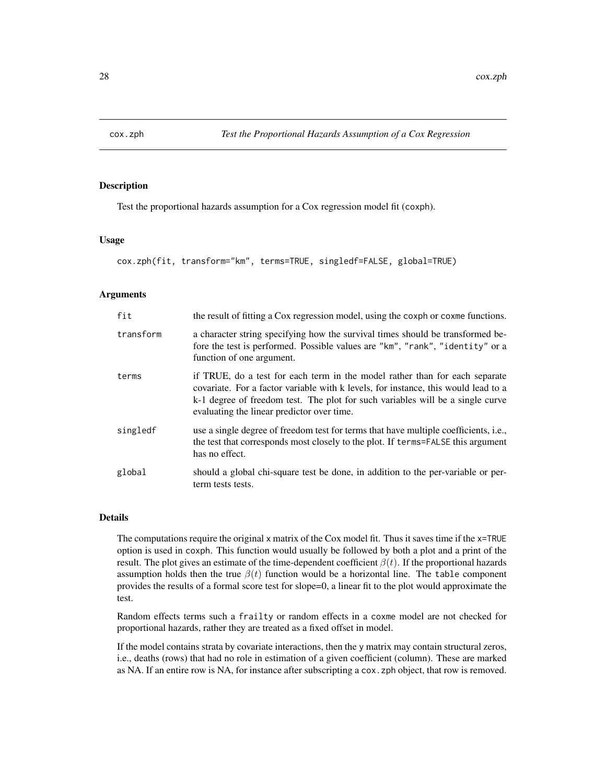<span id="page-27-0"></span>

#### Description

Test the proportional hazards assumption for a Cox regression model fit (coxph).

#### Usage

cox.zph(fit, transform="km", terms=TRUE, singledf=FALSE, global=TRUE)

#### Arguments

| fit       | the result of fitting a Cox regression model, using the coxph or coxme functions.                                                                                                                                                                                                                 |
|-----------|---------------------------------------------------------------------------------------------------------------------------------------------------------------------------------------------------------------------------------------------------------------------------------------------------|
| transform | a character string specifying how the survival times should be transformed be-<br>fore the test is performed. Possible values are "km", "rank", "identity" or a<br>function of one argument.                                                                                                      |
| terms     | if TRUE, do a test for each term in the model rather than for each separate<br>covariate. For a factor variable with k levels, for instance, this would lead to a<br>k-1 degree of freedom test. The plot for such variables will be a single curve<br>evaluating the linear predictor over time. |
| singledf  | use a single degree of freedom test for terms that have multiple coefficients, <i>i.e.</i> ,<br>the test that corresponds most closely to the plot. If terms=FALSE this argument<br>has no effect.                                                                                                |
| global    | should a global chi-square test be done, in addition to the per-variable or per-<br>term tests tests.                                                                                                                                                                                             |

#### Details

The computations require the original x matrix of the Cox model fit. Thus it saves time if the x=TRUE option is used in coxph. This function would usually be followed by both a plot and a print of the result. The plot gives an estimate of the time-dependent coefficient  $\beta(t)$ . If the proportional hazards assumption holds then the true  $\beta(t)$  function would be a horizontal line. The table component provides the results of a formal score test for slope=0, a linear fit to the plot would approximate the test.

Random effects terms such a frailty or random effects in a coxme model are not checked for proportional hazards, rather they are treated as a fixed offset in model.

If the model contains strata by covariate interactions, then the y matrix may contain structural zeros, i.e., deaths (rows) that had no role in estimation of a given coefficient (column). These are marked as NA. If an entire row is NA, for instance after subscripting a cox.zph object, that row is removed.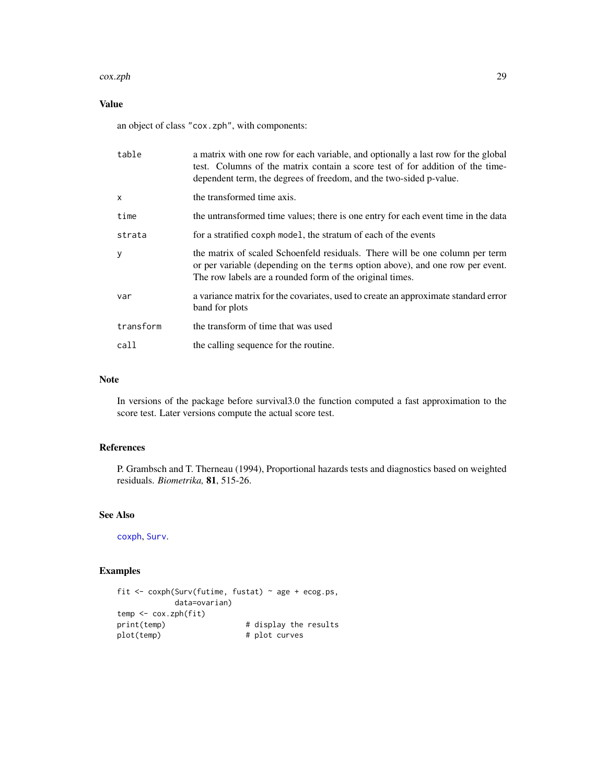#### cox.zph 29

# Value

an object of class "cox.zph", with components:

| table        | a matrix with one row for each variable, and optionally a last row for the global<br>test. Columns of the matrix contain a score test of for addition of the time-<br>dependent term, the degrees of freedom, and the two-sided p-value. |
|--------------|------------------------------------------------------------------------------------------------------------------------------------------------------------------------------------------------------------------------------------------|
| $\mathsf{x}$ | the transformed time axis.                                                                                                                                                                                                               |
| time         | the untransformed time values; there is one entry for each event time in the data                                                                                                                                                        |
| strata       | for a stratified coxph model, the stratum of each of the events                                                                                                                                                                          |
| y            | the matrix of scaled Schoenfeld residuals. There will be one column per term<br>or per variable (depending on the terms option above), and one row per event.<br>The row labels are a rounded form of the original times.                |
| var          | a variance matrix for the covariates, used to create an approximate standard error<br>band for plots                                                                                                                                     |
| transform    | the transform of time that was used                                                                                                                                                                                                      |
| call         | the calling sequence for the routine.                                                                                                                                                                                                    |

# Note

In versions of the package before survival3.0 the function computed a fast approximation to the score test. Later versions compute the actual score test.

# References

P. Grambsch and T. Therneau (1994), Proportional hazards tests and diagnostics based on weighted residuals. *Biometrika,* 81, 515-26.

#### See Also

[coxph](#page-29-1), [Surv](#page-112-1).

# Examples

```
fit <- coxph(Surv(futime, fustat) ~ age + ecog.ps,
          data=ovarian)
temp <- cox.zph(fit)
print(temp) \qquad # display the results
plot(temp) # plot curves
```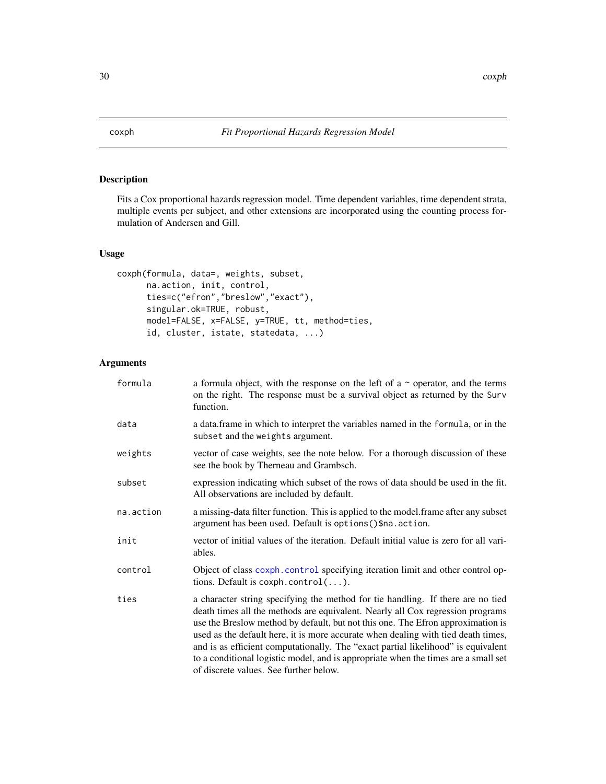<span id="page-29-1"></span><span id="page-29-0"></span>

# Description

Fits a Cox proportional hazards regression model. Time dependent variables, time dependent strata, multiple events per subject, and other extensions are incorporated using the counting process formulation of Andersen and Gill.

# Usage

```
coxph(formula, data=, weights, subset,
      na.action, init, control,
     ties=c("efron","breslow","exact"),
      singular.ok=TRUE, robust,
     model=FALSE, x=FALSE, y=TRUE, tt, method=ties,
      id, cluster, istate, statedata, ...)
```
# Arguments

| formula   | a formula object, with the response on the left of a $\sim$ operator, and the terms<br>on the right. The response must be a survival object as returned by the Surv<br>function.                                                                                                                                                                                                                                                                                                                                                                               |
|-----------|----------------------------------------------------------------------------------------------------------------------------------------------------------------------------------------------------------------------------------------------------------------------------------------------------------------------------------------------------------------------------------------------------------------------------------------------------------------------------------------------------------------------------------------------------------------|
| data      | a data. frame in which to interpret the variables named in the formula, or in the<br>subset and the weights argument.                                                                                                                                                                                                                                                                                                                                                                                                                                          |
| weights   | vector of case weights, see the note below. For a thorough discussion of these<br>see the book by Therneau and Grambsch.                                                                                                                                                                                                                                                                                                                                                                                                                                       |
| subset    | expression indicating which subset of the rows of data should be used in the fit.<br>All observations are included by default.                                                                                                                                                                                                                                                                                                                                                                                                                                 |
| na.action | a missing-data filter function. This is applied to the model.frame after any subset<br>argument has been used. Default is options () \$na. action.                                                                                                                                                                                                                                                                                                                                                                                                             |
| init      | vector of initial values of the iteration. Default initial value is zero for all vari-<br>ables.                                                                                                                                                                                                                                                                                                                                                                                                                                                               |
| control   | Object of class coxph.control specifying iteration limit and other control op-<br>tions. Default is $cosh.control().$                                                                                                                                                                                                                                                                                                                                                                                                                                          |
| ties      | a character string specifying the method for tie handling. If there are no tied<br>death times all the methods are equivalent. Nearly all Cox regression programs<br>use the Breslow method by default, but not this one. The Efron approximation is<br>used as the default here, it is more accurate when dealing with tied death times,<br>and is as efficient computationally. The "exact partial likelihood" is equivalent<br>to a conditional logistic model, and is appropriate when the times are a small set<br>of discrete values. See further below. |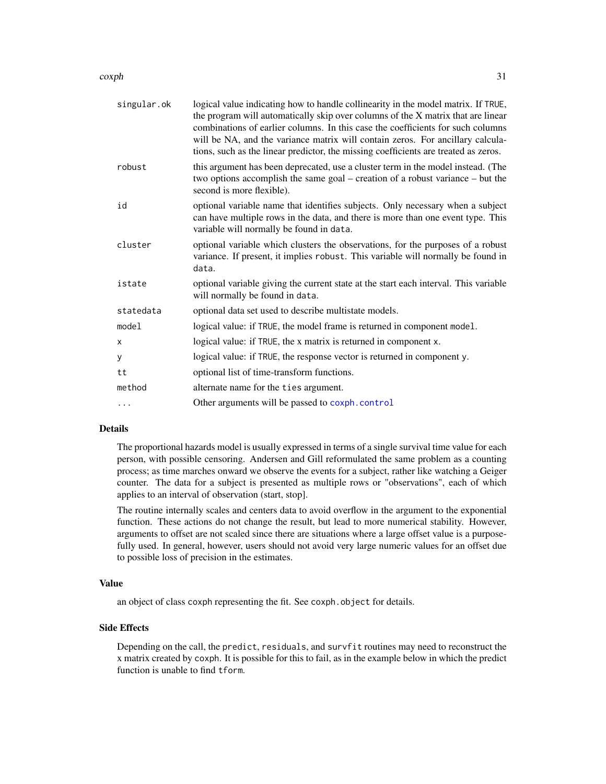$\cosh 31$ 

| singular.ok | logical value indicating how to handle collinearity in the model matrix. If TRUE,<br>the program will automatically skip over columns of the X matrix that are linear<br>combinations of earlier columns. In this case the coefficients for such columns<br>will be NA, and the variance matrix will contain zeros. For ancillary calcula-<br>tions, such as the linear predictor, the missing coefficients are treated as zeros. |
|-------------|-----------------------------------------------------------------------------------------------------------------------------------------------------------------------------------------------------------------------------------------------------------------------------------------------------------------------------------------------------------------------------------------------------------------------------------|
| robust      | this argument has been deprecated, use a cluster term in the model instead. (The<br>two options accomplish the same goal – creation of a robust variance – but the<br>second is more flexible).                                                                                                                                                                                                                                   |
| id          | optional variable name that identifies subjects. Only necessary when a subject<br>can have multiple rows in the data, and there is more than one event type. This<br>variable will normally be found in data.                                                                                                                                                                                                                     |
| cluster     | optional variable which clusters the observations, for the purposes of a robust<br>variance. If present, it implies robust. This variable will normally be found in<br>data.                                                                                                                                                                                                                                                      |
| istate      | optional variable giving the current state at the start each interval. This variable<br>will normally be found in data.                                                                                                                                                                                                                                                                                                           |
| statedata   | optional data set used to describe multistate models.                                                                                                                                                                                                                                                                                                                                                                             |
| model       | logical value: if TRUE, the model frame is returned in component model.                                                                                                                                                                                                                                                                                                                                                           |
| X           | logical value: if TRUE, the x matrix is returned in component x.                                                                                                                                                                                                                                                                                                                                                                  |
| У           | logical value: if TRUE, the response vector is returned in component y.                                                                                                                                                                                                                                                                                                                                                           |
| tt          | optional list of time-transform functions.                                                                                                                                                                                                                                                                                                                                                                                        |
| method      | alternate name for the ties argument.                                                                                                                                                                                                                                                                                                                                                                                             |
| $\cdots$    | Other arguments will be passed to coxph.control                                                                                                                                                                                                                                                                                                                                                                                   |
|             |                                                                                                                                                                                                                                                                                                                                                                                                                                   |

# Details

The proportional hazards model is usually expressed in terms of a single survival time value for each person, with possible censoring. Andersen and Gill reformulated the same problem as a counting process; as time marches onward we observe the events for a subject, rather like watching a Geiger counter. The data for a subject is presented as multiple rows or "observations", each of which applies to an interval of observation (start, stop].

The routine internally scales and centers data to avoid overflow in the argument to the exponential function. These actions do not change the result, but lead to more numerical stability. However, arguments to offset are not scaled since there are situations where a large offset value is a purposefully used. In general, however, users should not avoid very large numeric values for an offset due to possible loss of precision in the estimates.

# Value

an object of class coxph representing the fit. See coxph.object for details.

# Side Effects

Depending on the call, the predict, residuals, and survfit routines may need to reconstruct the x matrix created by coxph. It is possible for this to fail, as in the example below in which the predict function is unable to find tform.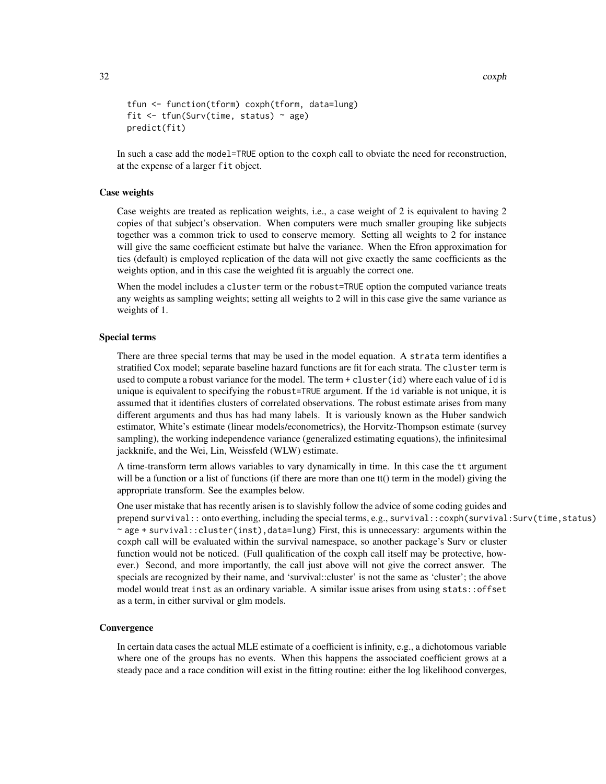```
tfun <- function(tform) coxph(tform, data=lung)
fit \le tfun(Surv(time, status) \sim age)
predict(fit)
```
In such a case add the model=TRUE option to the coxph call to obviate the need for reconstruction, at the expense of a larger fit object.

#### Case weights

Case weights are treated as replication weights, i.e., a case weight of 2 is equivalent to having 2 copies of that subject's observation. When computers were much smaller grouping like subjects together was a common trick to used to conserve memory. Setting all weights to 2 for instance will give the same coefficient estimate but halve the variance. When the Efron approximation for ties (default) is employed replication of the data will not give exactly the same coefficients as the weights option, and in this case the weighted fit is arguably the correct one.

When the model includes a cluster term or the robust=TRUE option the computed variance treats any weights as sampling weights; setting all weights to 2 will in this case give the same variance as weights of 1.

#### Special terms

There are three special terms that may be used in the model equation. A strata term identifies a stratified Cox model; separate baseline hazard functions are fit for each strata. The cluster term is used to compute a robust variance for the model. The term + cluster(id) where each value of id is unique is equivalent to specifying the robust=TRUE argument. If the id variable is not unique, it is assumed that it identifies clusters of correlated observations. The robust estimate arises from many different arguments and thus has had many labels. It is variously known as the Huber sandwich estimator, White's estimate (linear models/econometrics), the Horvitz-Thompson estimate (survey sampling), the working independence variance (generalized estimating equations), the infinitesimal jackknife, and the Wei, Lin, Weissfeld (WLW) estimate.

A time-transform term allows variables to vary dynamically in time. In this case the tt argument will be a function or a list of functions (if there are more than one tt() term in the model) giving the appropriate transform. See the examples below.

One user mistake that has recently arisen is to slavishly follow the advice of some coding guides and prepend survival:: onto everthing, including the special terms, e.g., survival:: coxph(survival: Surv(time, status)  $\sim$  age + survival:: cluster(inst), data=lung) First, this is unnecessary: arguments within the coxph call will be evaluated within the survival namespace, so another package's Surv or cluster function would not be noticed. (Full qualification of the coxph call itself may be protective, however.) Second, and more importantly, the call just above will not give the correct answer. The specials are recognized by their name, and 'survival::cluster' is not the same as 'cluster'; the above model would treat inst as an ordinary variable. A similar issue arises from using stats::offset as a term, in either survival or glm models.

#### **Convergence**

In certain data cases the actual MLE estimate of a coefficient is infinity, e.g., a dichotomous variable where one of the groups has no events. When this happens the associated coefficient grows at a steady pace and a race condition will exist in the fitting routine: either the log likelihood converges,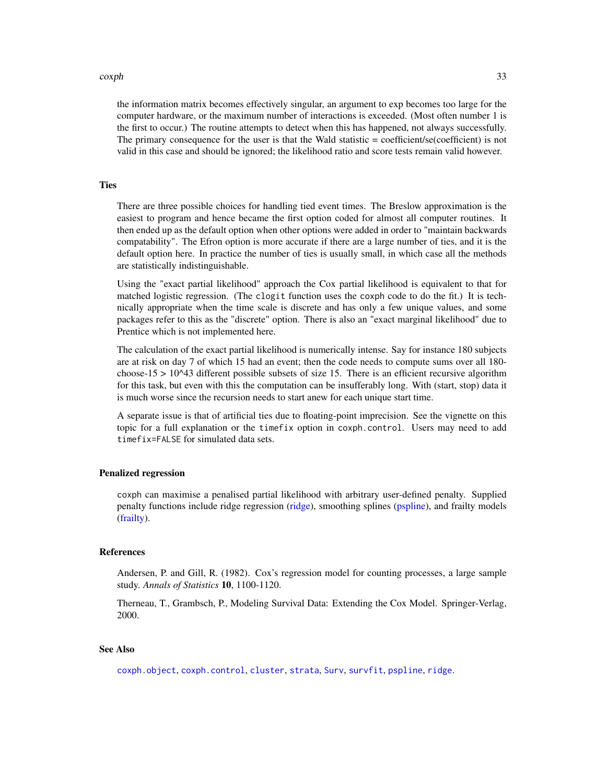#### coxph 33

the information matrix becomes effectively singular, an argument to exp becomes too large for the computer hardware, or the maximum number of interactions is exceeded. (Most often number 1 is the first to occur.) The routine attempts to detect when this has happened, not always successfully. The primary consequence for the user is that the Wald statistic = coefficient/se(coefficient) is not valid in this case and should be ignored; the likelihood ratio and score tests remain valid however.

#### **Ties**

There are three possible choices for handling tied event times. The Breslow approximation is the easiest to program and hence became the first option coded for almost all computer routines. It then ended up as the default option when other options were added in order to "maintain backwards compatability". The Efron option is more accurate if there are a large number of ties, and it is the default option here. In practice the number of ties is usually small, in which case all the methods are statistically indistinguishable.

Using the "exact partial likelihood" approach the Cox partial likelihood is equivalent to that for matched logistic regression. (The clogit function uses the coxph code to do the fit.) It is technically appropriate when the time scale is discrete and has only a few unique values, and some packages refer to this as the "discrete" option. There is also an "exact marginal likelihood" due to Prentice which is not implemented here.

The calculation of the exact partial likelihood is numerically intense. Say for instance 180 subjects are at risk on day 7 of which 15 had an event; then the code needs to compute sums over all 180 choose-15  $> 10^{\text{4}}3$  different possible subsets of size 15. There is an efficient recursive algorithm for this task, but even with this the computation can be insufferably long. With (start, stop) data it is much worse since the recursion needs to start anew for each unique start time.

A separate issue is that of artificial ties due to floating-point imprecision. See the vignette on this topic for a full explanation or the timefix option in coxph.control. Users may need to add timefix=FALSE for simulated data sets.

#### Penalized regression

coxph can maximise a penalised partial likelihood with arbitrary user-defined penalty. Supplied penalty functions include ridge regression [\(ridge\)](#page-99-1), smoothing splines [\(pspline\)](#page-82-1), and frailty models [\(frailty\)](#page-45-1).

#### References

Andersen, P. and Gill, R. (1982). Cox's regression model for counting processes, a large sample study. *Annals of Statistics* 10, 1100-1120.

Therneau, T., Grambsch, P., Modeling Survival Data: Extending the Cox Model. Springer-Verlag, 2000.

#### See Also

[coxph.object](#page-36-1), [coxph.control](#page-33-1), [cluster](#page-21-1), [strata](#page-104-1), [Surv](#page-112-1), [survfit](#page-126-1), [pspline](#page-82-1), [ridge](#page-99-1).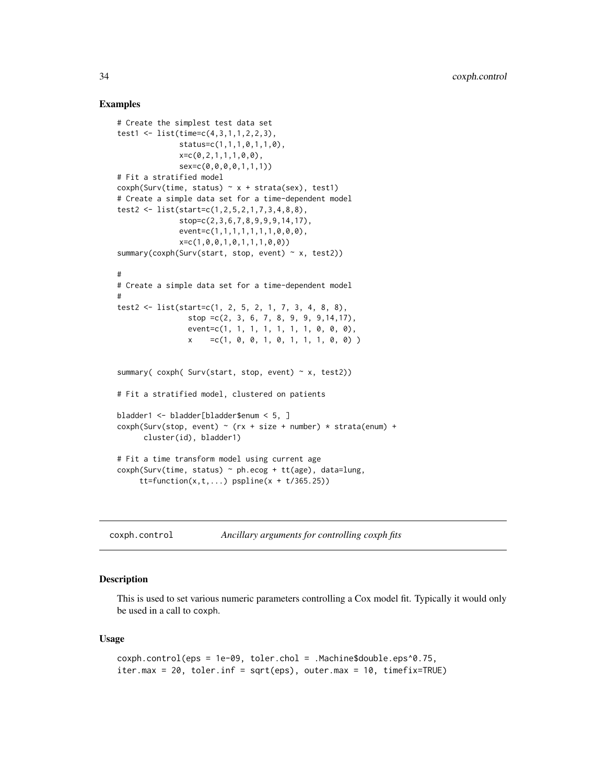#### Examples

```
# Create the simplest test data set
test1 <- list(time=c(4,3,1,1,2,2,3),
              status=c(1,1,1,0,1,1,0),
              x=c(0, 2, 1, 1, 1, 0, 0),
              sex=c(0,0,0,0,1,1,1))
# Fit a stratified model
cosh(Surv(time, status) \sim x + strata(sex), test1)# Create a simple data set for a time-dependent model
test2 <- list(start=c(1,2,5,2,1,7,3,4,8,8),
              stop=c(2,3,6,7,8,9,9,9,14,17),
              event=c(1,1,1,1,1,1,1,0,0,0),
              x=c(1,0,0,1,0,1,1,1,0,0))
summary(coxph(Surv(start, stop, event) \sim x, test2))
#
# Create a simple data set for a time-dependent model
#
test2 <- list(start=c(1, 2, 5, 2, 1, 7, 3, 4, 8, 8),
                stop =c(2, 3, 6, 7, 8, 9, 9, 9,14,17),
                event=c(1, 1, 1, 1, 1, 1, 1, 0, 0, 0),
                x = c(1, 0, 0, 1, 0, 1, 1, 1, 0, 0)summary( cosh( Surv(start, stop, event) \sim x, test2))
# Fit a stratified model, clustered on patients
bladder1 <- bladder[bladder$enum < 5, ]
cosh(Surv(stop, event) \sim (rx + size + number) \times strata(enum) +cluster(id), bladder1)
# Fit a time transform model using current age
cosh(Surv(time, status) \sim ph.ecog + tt(age), data=lung,tt = function(x, t, ...) pspline(x + t/365.25)
```
<span id="page-33-1"></span>coxph.control *Ancillary arguments for controlling coxph fits*

# Description

This is used to set various numeric parameters controlling a Cox model fit. Typically it would only be used in a call to coxph.

#### Usage

```
coxph.control(eps = 1e-09, toler.chol = .Machine$double.eps^0.75,
iter.max = 20, toler.inf = sqrt(eps), outer.max = 10, timefix=TRUE)
```
<span id="page-33-0"></span>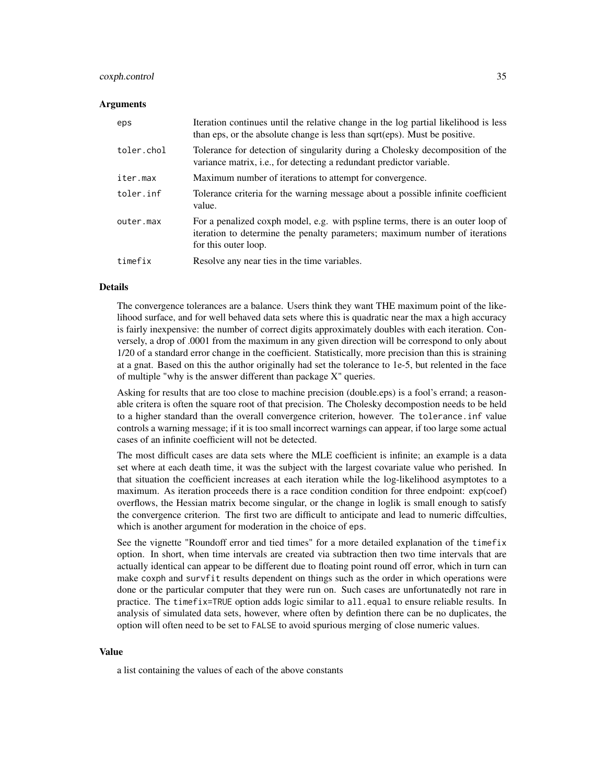#### coxph.control 35

# Arguments

| eps        | Iteration continues until the relative change in the log partial likelihood is less<br>than eps, or the absolute change is less than sqrt(eps). Must be positive.                      |
|------------|----------------------------------------------------------------------------------------------------------------------------------------------------------------------------------------|
| toler.chol | Tolerance for detection of singularity during a Cholesky decomposition of the<br>variance matrix, i.e., for detecting a redundant predictor variable.                                  |
| iter.max   | Maximum number of iterations to attempt for convergence.                                                                                                                               |
| toler.inf  | Tolerance criteria for the warning message about a possible infinite coefficient<br>value.                                                                                             |
| outer.max  | For a penalized coxph model, e.g. with pspline terms, there is an outer loop of<br>iteration to determine the penalty parameters; maximum number of iterations<br>for this outer loop. |
| timefix    | Resolve any near ties in the time variables.                                                                                                                                           |

#### Details

The convergence tolerances are a balance. Users think they want THE maximum point of the likelihood surface, and for well behaved data sets where this is quadratic near the max a high accuracy is fairly inexpensive: the number of correct digits approximately doubles with each iteration. Conversely, a drop of .0001 from the maximum in any given direction will be correspond to only about 1/20 of a standard error change in the coefficient. Statistically, more precision than this is straining at a gnat. Based on this the author originally had set the tolerance to 1e-5, but relented in the face of multiple "why is the answer different than package X" queries.

Asking for results that are too close to machine precision (double.eps) is a fool's errand; a reasonable critera is often the square root of that precision. The Cholesky decompostion needs to be held to a higher standard than the overall convergence criterion, however. The tolerance.inf value controls a warning message; if it is too small incorrect warnings can appear, if too large some actual cases of an infinite coefficient will not be detected.

The most difficult cases are data sets where the MLE coefficient is infinite; an example is a data set where at each death time, it was the subject with the largest covariate value who perished. In that situation the coefficient increases at each iteration while the log-likelihood asymptotes to a maximum. As iteration proceeds there is a race condition condition for three endpoint: exp(coef) overflows, the Hessian matrix become singular, or the change in loglik is small enough to satisfy the convergence criterion. The first two are difficult to anticipate and lead to numeric diffculties, which is another argument for moderation in the choice of eps.

See the vignette "Roundoff error and tied times" for a more detailed explanation of the timefix option. In short, when time intervals are created via subtraction then two time intervals that are actually identical can appear to be different due to floating point round off error, which in turn can make coxph and survfit results dependent on things such as the order in which operations were done or the particular computer that they were run on. Such cases are unfortunatedly not rare in practice. The timefix=TRUE option adds logic similar to all.equal to ensure reliable results. In analysis of simulated data sets, however, where often by defintion there can be no duplicates, the option will often need to be set to FALSE to avoid spurious merging of close numeric values.

#### Value

a list containing the values of each of the above constants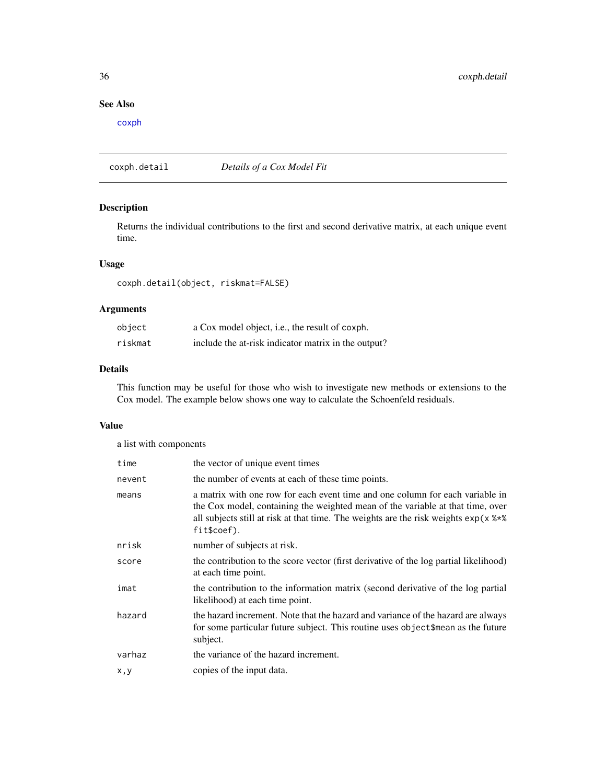# See Also

[coxph](#page-29-1)

coxph.detail *Details of a Cox Model Fit*

# Description

Returns the individual contributions to the first and second derivative matrix, at each unique event time.

#### Usage

coxph.detail(object, riskmat=FALSE)

# Arguments

| object  | a Cox model object, i.e., the result of coxph.      |
|---------|-----------------------------------------------------|
| riskmat | include the at-risk indicator matrix in the output? |

## Details

This function may be useful for those who wish to investigate new methods or extensions to the Cox model. The example below shows one way to calculate the Schoenfeld residuals.

# Value

a list with components

| time   | the vector of unique event times                                                                                                                                                                                                                                                  |
|--------|-----------------------------------------------------------------------------------------------------------------------------------------------------------------------------------------------------------------------------------------------------------------------------------|
| nevent | the number of events at each of these time points.                                                                                                                                                                                                                                |
| means  | a matrix with one row for each event time and one column for each variable in<br>the Cox model, containing the weighted mean of the variable at that time, over<br>all subjects still at risk at that time. The weights are the risk weights $exp(x \frac{8t}{8})$<br>fit\$coef). |
| nrisk  | number of subjects at risk.                                                                                                                                                                                                                                                       |
| score  | the contribution to the score vector (first derivative of the log partial likelihood)<br>at each time point.                                                                                                                                                                      |
| imat   | the contribution to the information matrix (second derivative of the log partial<br>likelihood) at each time point.                                                                                                                                                               |
| hazard | the hazard increment. Note that the hazard and variance of the hazard are always<br>for some particular future subject. This routine uses object \$mean as the future<br>subject.                                                                                                 |
| varhaz | the variance of the hazard increment.                                                                                                                                                                                                                                             |
| x,y    | copies of the input data.                                                                                                                                                                                                                                                         |

<span id="page-35-0"></span>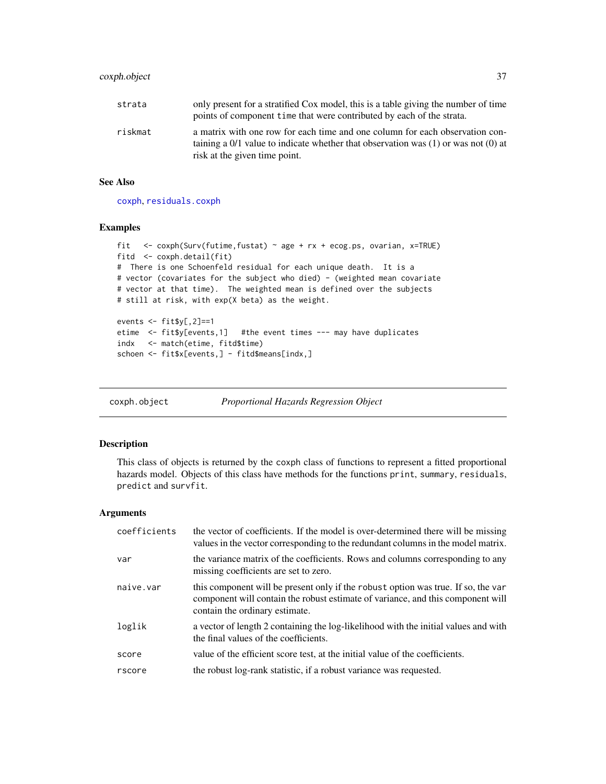| strata  | only present for a stratified Cox model, this is a table giving the number of time       |
|---------|------------------------------------------------------------------------------------------|
|         | points of component time that were contributed by each of the strata.                    |
| riskmat | a matrix with one row for each time and one column for each observation con-             |
|         | taining a $0/1$ value to indicate whether that observation was $(1)$ or was not $(0)$ at |
|         | risk at the given time point.                                                            |

#### See Also

[coxph](#page-29-0), [residuals.coxph](#page-94-0)

## Examples

```
fit <- coxph(Surv(futime,fustat) ~ age + rx + ecog.ps, ovarian, x=TRUE)
fitd <- coxph.detail(fit)
# There is one Schoenfeld residual for each unique death. It is a
# vector (covariates for the subject who died) - (weighted mean covariate
# vector at that time). The weighted mean is defined over the subjects
# still at risk, with exp(X beta) as the weight.
events <- fit$y[,2]==1
etime <- fit$y[events,1] #the event times --- may have duplicates
indx <- match(etime, fitd$time)
schoen <- fit$x[events,] - fitd$means[indx,]
```
coxph.object *Proportional Hazards Regression Object*

#### Description

This class of objects is returned by the coxph class of functions to represent a fitted proportional hazards model. Objects of this class have methods for the functions print, summary, residuals, predict and survfit.

## Arguments

| coefficients | the vector of coefficients. If the model is over-determined there will be missing<br>values in the vector corresponding to the redundant columns in the model matrix.                                  |
|--------------|--------------------------------------------------------------------------------------------------------------------------------------------------------------------------------------------------------|
| var          | the variance matrix of the coefficients. Rows and columns corresponding to any<br>missing coefficients are set to zero.                                                                                |
| naive.var    | this component will be present only if the robust option was true. If so, the var<br>component will contain the robust estimate of variance, and this component will<br>contain the ordinary estimate. |
| loglik       | a vector of length 2 containing the log-likelihood with the initial values and with<br>the final values of the coefficients.                                                                           |
| score        | value of the efficient score test, at the initial value of the coefficients.                                                                                                                           |
| rscore       | the robust log-rank statistic, if a robust variance was requested.                                                                                                                                     |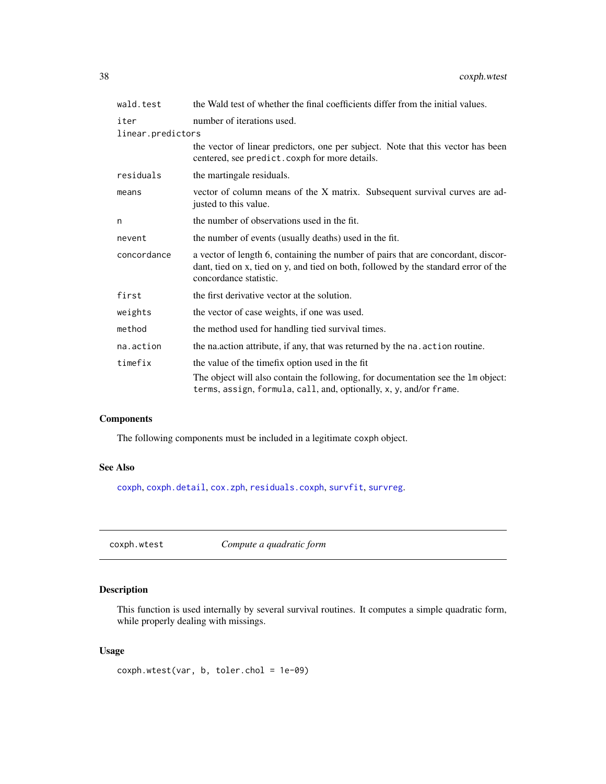| wald.test         | the Wald test of whether the final coefficients differ from the initial values.                                                                                                                    |  |
|-------------------|----------------------------------------------------------------------------------------------------------------------------------------------------------------------------------------------------|--|
| iter              | number of iterations used.                                                                                                                                                                         |  |
| linear.predictors |                                                                                                                                                                                                    |  |
|                   | the vector of linear predictors, one per subject. Note that this vector has been<br>centered, see predict.coxph for more details.                                                                  |  |
| residuals         | the martingale residuals.                                                                                                                                                                          |  |
| means             | vector of column means of the X matrix. Subsequent survival curves are ad-<br>justed to this value.                                                                                                |  |
| n                 | the number of observations used in the fit.                                                                                                                                                        |  |
| nevent            | the number of events (usually deaths) used in the fit.                                                                                                                                             |  |
| concordance       | a vector of length 6, containing the number of pairs that are concordant, discor-<br>dant, tied on x, tied on y, and tied on both, followed by the standard error of the<br>concordance statistic. |  |
| first             | the first derivative vector at the solution.                                                                                                                                                       |  |
| weights           | the vector of case weights, if one was used.                                                                                                                                                       |  |
| method            | the method used for handling tied survival times.                                                                                                                                                  |  |
| na.action         | the nation attribute, if any, that was returned by the nation routine.                                                                                                                             |  |
| timefix           | the value of the time fix option used in the fit                                                                                                                                                   |  |
|                   | The object will also contain the following, for documentation see the 1m object:<br>terms, assign, formula, call, and, optionally, x, y, and/or frame.                                             |  |

## Components

The following components must be included in a legitimate coxph object.

## See Also

[coxph](#page-29-0), [coxph.detail](#page-35-0), [cox.zph](#page-27-0), [residuals.coxph](#page-94-0), [survfit](#page-126-0), [survreg](#page-141-0).

coxph.wtest *Compute a quadratic form*

# Description

This function is used internally by several survival routines. It computes a simple quadratic form, while properly dealing with missings.

## Usage

coxph.wtest(var, b, toler.chol = 1e-09)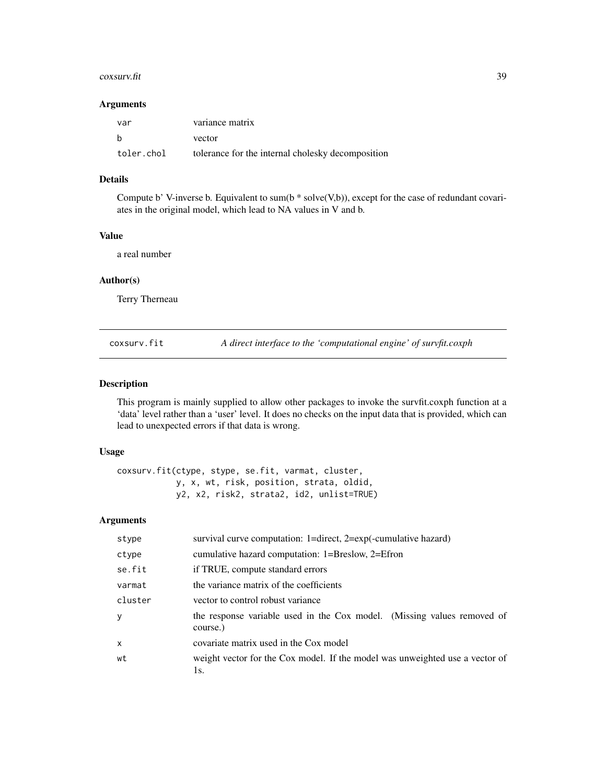#### $\cos$ surv.fit  $\frac{39}{2}$

#### Arguments

| var        | variance matrix                                   |
|------------|---------------------------------------------------|
| b          | vector                                            |
| toler.chol | tolerance for the internal cholesky decomposition |

# Details

Compute b' V-inverse b. Equivalent to sum(b  $*$  solve(V,b)), except for the case of redundant covariates in the original model, which lead to NA values in V and b.

## Value

a real number

## Author(s)

Terry Therneau

coxsurv.fit *A direct interface to the 'computational engine' of survfit.coxph*

## Description

This program is mainly supplied to allow other packages to invoke the survfit.coxph function at a 'data' level rather than a 'user' level. It does no checks on the input data that is provided, which can lead to unexpected errors if that data is wrong.

## Usage

coxsurv.fit(ctype, stype, se.fit, varmat, cluster, y, x, wt, risk, position, strata, oldid, y2, x2, risk2, strata2, id2, unlist=TRUE)

## Arguments

| stype    | survival curve computation: $1 =$ direct, $2 = exp(-$ cumulative hazard)            |  |
|----------|-------------------------------------------------------------------------------------|--|
| ctype    | cumulative hazard computation: 1=Breslow, 2=Efron                                   |  |
| se.fit   | if TRUE, compute standard errors                                                    |  |
| varmat   | the variance matrix of the coefficients                                             |  |
| cluster  | vector to control robust variance                                                   |  |
| y        | the response variable used in the Cox model. (Missing values removed of<br>course.) |  |
| $\times$ | covariate matrix used in the Cox model                                              |  |
| wt       | weight vector for the Cox model. If the model was unweighted use a vector of<br>ls. |  |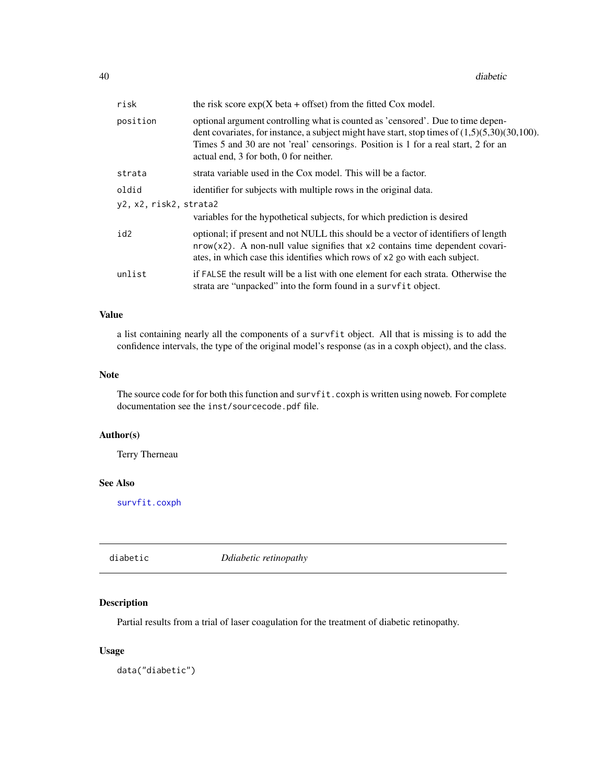| risk                   | the risk score $exp(X \text{ beta} + \text{ offset})$ from the fitted Cox model.                                                                                                                                                                                                                                    |  |
|------------------------|---------------------------------------------------------------------------------------------------------------------------------------------------------------------------------------------------------------------------------------------------------------------------------------------------------------------|--|
| position               | optional argument controlling what is counted as 'censored'. Due to time depen-<br>dent covariates, for instance, a subject might have start, stop times of $(1,5)(5,30)(30,100)$ .<br>Times 5 and 30 are not 'real' censorings. Position is 1 for a real start, 2 for an<br>actual end, 3 for both, 0 for neither. |  |
| strata                 | strata variable used in the Cox model. This will be a factor.                                                                                                                                                                                                                                                       |  |
| oldid                  | identifier for subjects with multiple rows in the original data.                                                                                                                                                                                                                                                    |  |
| y2, x2, risk2, strata2 | variables for the hypothetical subjects, for which prediction is desired                                                                                                                                                                                                                                            |  |
| id2                    | optional; if present and not NULL this should be a vector of identifiers of length<br>$nrow(x2)$ . A non-null value signifies that x2 contains time dependent covari-<br>ates, in which case this identifies which rows of x2 go with each subject.                                                                 |  |
| unlist                 | if FALSE the result will be a list with one element for each strata. Otherwise the<br>strata are "unpacked" into the form found in a survfit object.                                                                                                                                                                |  |

## Value

a list containing nearly all the components of a survfit object. All that is missing is to add the confidence intervals, the type of the original model's response (as in a coxph object), and the class.

### Note

The source code for for both this function and survfit.coxph is written using noweb. For complete documentation see the inst/sourcecode.pdf file.

## Author(s)

Terry Therneau

#### See Also

[survfit.coxph](#page-127-0)

diabetic *Ddiabetic retinopathy*

## Description

Partial results from a trial of laser coagulation for the treatment of diabetic retinopathy.

#### Usage

data("diabetic")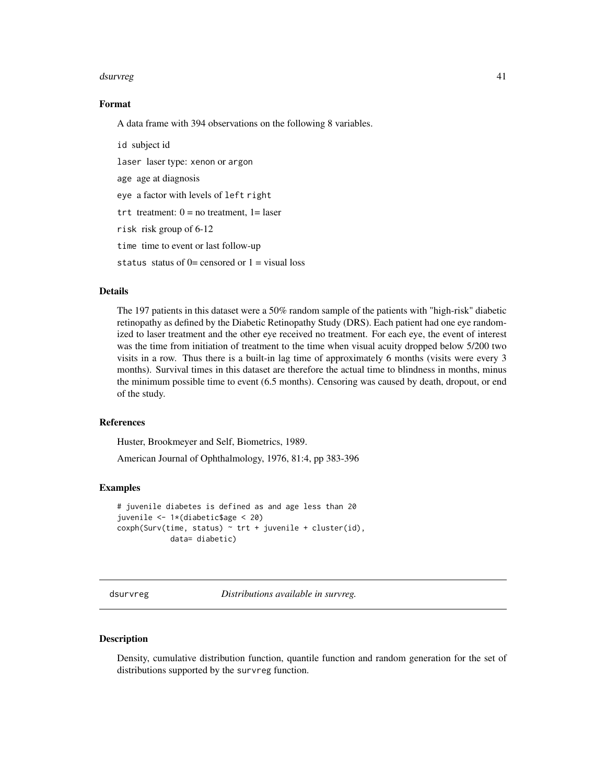#### dsurvreg the contract of the contract of the contract of the contract of the contract of the contract of the contract of the contract of the contract of the contract of the contract of the contract of the contract of the c

## Format

A data frame with 394 observations on the following 8 variables.

id subject id laser laser type: xenon or argon age age at diagnosis eye a factor with levels of left right trt treatment:  $0 = no$  treatment,  $1 = laser$ risk risk group of 6-12 time time to event or last follow-up

status status of  $0=$  censored or  $1=$  visual loss

## Details

The 197 patients in this dataset were a 50% random sample of the patients with "high-risk" diabetic retinopathy as defined by the Diabetic Retinopathy Study (DRS). Each patient had one eye randomized to laser treatment and the other eye received no treatment. For each eye, the event of interest was the time from initiation of treatment to the time when visual acuity dropped below 5/200 two visits in a row. Thus there is a built-in lag time of approximately 6 months (visits were every 3 months). Survival times in this dataset are therefore the actual time to blindness in months, minus the minimum possible time to event (6.5 months). Censoring was caused by death, dropout, or end of the study.

## References

Huster, Brookmeyer and Self, Biometrics, 1989.

American Journal of Ophthalmology, 1976, 81:4, pp 383-396

#### Examples

```
# juvenile diabetes is defined as and age less than 20
juvenile <- 1*(diabetic$age < 20)
cosh(Surv(time, status) \sim trt + juvenile + cluster(id),data= diabetic)
```
dsurvreg *Distributions available in survreg.*

#### **Description**

Density, cumulative distribution function, quantile function and random generation for the set of distributions supported by the survreg function.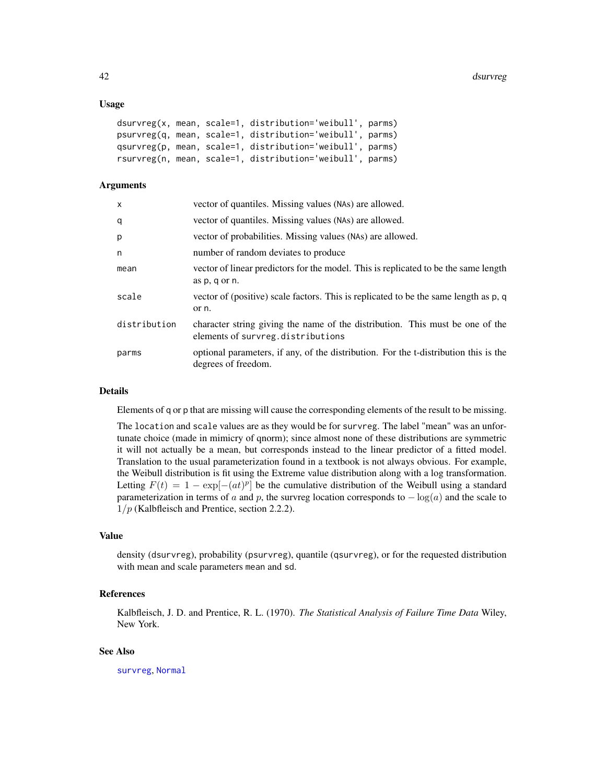#### Usage

```
dsurvreg(x, mean, scale=1, distribution='weibull', parms)
psurvreg(q, mean, scale=1, distribution='weibull', parms)
qsurvreg(p, mean, scale=1, distribution='weibull', parms)
rsurvreg(n, mean, scale=1, distribution='weibull', parms)
```
## Arguments

| X            | vector of quantiles. Missing values (NAs) are allowed.                                                             |
|--------------|--------------------------------------------------------------------------------------------------------------------|
| q            | vector of quantiles. Missing values (NAs) are allowed.                                                             |
| p            | vector of probabilities. Missing values (NAs) are allowed.                                                         |
| n            | number of random deviates to produce                                                                               |
| mean         | vector of linear predictors for the model. This is replicated to be the same length<br>as p, q or n.               |
| scale        | vector of (positive) scale factors. This is replicated to be the same length as p, q<br>or n.                      |
| distribution | character string giving the name of the distribution. This must be one of the<br>elements of survreg.distributions |
| parms        | optional parameters, if any, of the distribution. For the t-distribution this is the<br>degrees of freedom.        |

#### Details

Elements of q or p that are missing will cause the corresponding elements of the result to be missing.

The location and scale values are as they would be for survreg. The label "mean" was an unfortunate choice (made in mimicry of qnorm); since almost none of these distributions are symmetric it will not actually be a mean, but corresponds instead to the linear predictor of a fitted model. Translation to the usual parameterization found in a textbook is not always obvious. For example, the Weibull distribution is fit using the Extreme value distribution along with a log transformation. Letting  $F(t) = 1 - \exp[-(at)^p]$  be the cumulative distribution of the Weibull using a standard parameterization in terms of a and p, the survreg location corresponds to  $-\log(a)$  and the scale to  $1/p$  (Kalbfleisch and Prentice, section 2.2.2).

#### Value

density (dsurvreg), probability (psurvreg), quantile (qsurvreg), or for the requested distribution with mean and scale parameters mean and sd.

# References

Kalbfleisch, J. D. and Prentice, R. L. (1970). *The Statistical Analysis of Failure Time Data* Wiley, New York.

#### See Also

[survreg](#page-141-0), [Normal](#page-0-0)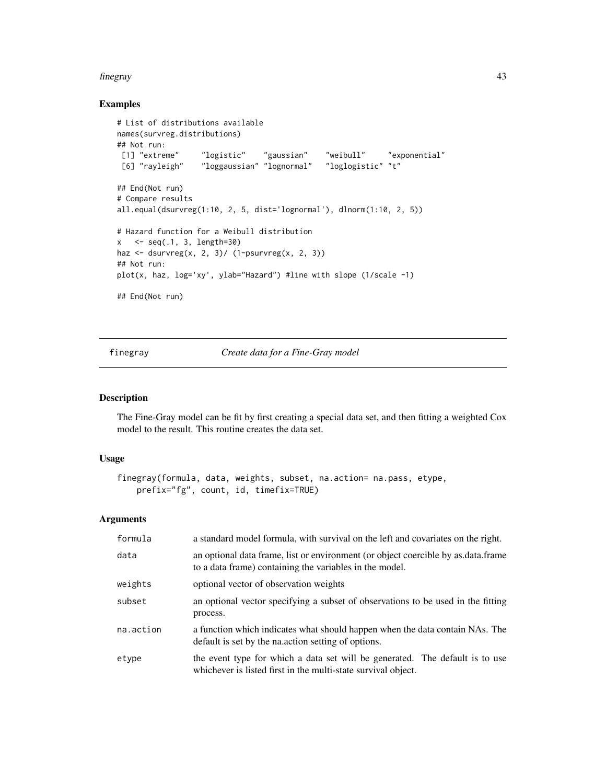#### finegray and the state of the state of the state of the state of the state of the state of the state of the state of the state of the state of the state of the state of the state of the state of the state of the state of t

## Examples

```
# List of distributions available
names(survreg.distributions)
## Not run:
[1] "extreme" "logistic" "gaussian" "weibull" "exponential"
[6] "rayleigh" "loggaussian" "lognormal" "loglogistic" "t"
## End(Not run)
# Compare results
all.equal(dsurvreg(1:10, 2, 5, dist='lognormal'), dlnorm(1:10, 2, 5))
# Hazard function for a Weibull distribution
x < -seq(.1, 3, length=30)haz \leq dsurvreg(x, 2, 3)/ (1-psurvreg(x, 2, 3))
## Not run:
plot(x, haz, log='xy', ylab="Hazard") #line with slope (1/scale -1)
## End(Not run)
```
finegray *Create data for a Fine-Gray model*

## Description

The Fine-Gray model can be fit by first creating a special data set, and then fitting a weighted Cox model to the result. This routine creates the data set.

## Usage

```
finegray(formula, data, weights, subset, na.action= na.pass, etype,
   prefix="fg", count, id, timefix=TRUE)
```
## Arguments

| formula   | a standard model formula, with survival on the left and covariates on the right.                                                              |  |
|-----------|-----------------------------------------------------------------------------------------------------------------------------------------------|--|
| data      | an optional data frame, list or environment (or object coercible by as data frame<br>to a data frame) containing the variables in the model.  |  |
| weights   | optional vector of observation weights                                                                                                        |  |
| subset    | an optional vector specifying a subset of observations to be used in the fitting<br>process.                                                  |  |
| na.action | a function which indicates what should happen when the data contain NAs. The<br>default is set by the nation setting of options.              |  |
| etype     | the event type for which a data set will be generated. The default is to use<br>whichever is listed first in the multi-state survival object. |  |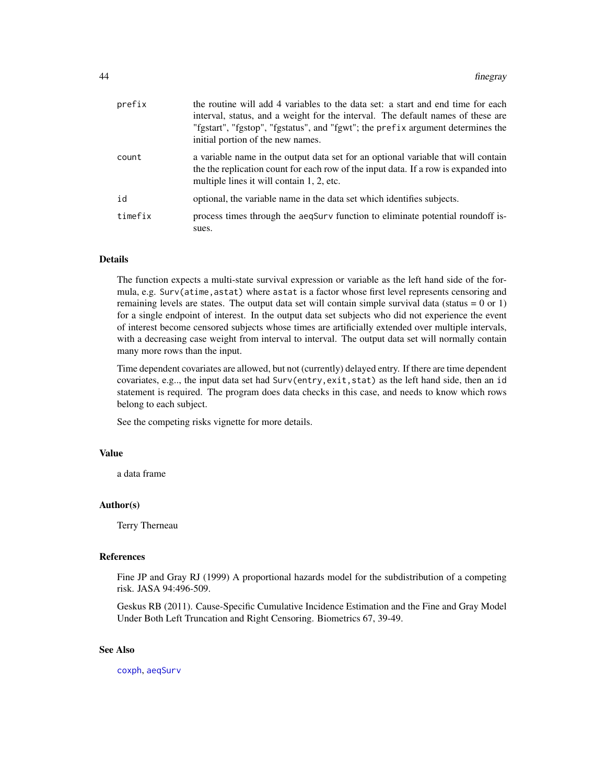| prefix  | the routine will add 4 variables to the data set: a start and end time for each<br>interval, status, and a weight for the interval. The default names of these are<br>"fgstart", "fgstop", "fgstatus", and "fgwt"; the prefix argument determines the<br>initial portion of the new names. |
|---------|--------------------------------------------------------------------------------------------------------------------------------------------------------------------------------------------------------------------------------------------------------------------------------------------|
| count   | a variable name in the output data set for an optional variable that will contain<br>the the replication count for each row of the input data. If a row is expanded into<br>multiple lines it will contain 1, 2, etc.                                                                      |
| id      | optional, the variable name in the data set which identifies subjects.                                                                                                                                                                                                                     |
| timefix | process times through the aeqSurv function to eliminate potential roundoff is-<br>sues.                                                                                                                                                                                                    |

## **Details**

The function expects a multi-state survival expression or variable as the left hand side of the formula, e.g. Surv(atime,astat) where astat is a factor whose first level represents censoring and remaining levels are states. The output data set will contain simple survival data (status  $= 0$  or 1) for a single endpoint of interest. In the output data set subjects who did not experience the event of interest become censored subjects whose times are artificially extended over multiple intervals, with a decreasing case weight from interval to interval. The output data set will normally contain many more rows than the input.

Time dependent covariates are allowed, but not (currently) delayed entry. If there are time dependent covariates, e.g.., the input data set had Surv(entry,exit,stat) as the left hand side, then an id statement is required. The program does data checks in this case, and needs to know which rows belong to each subject.

See the competing risks vignette for more details.

## Value

a data frame

## Author(s)

Terry Therneau

#### References

Fine JP and Gray RJ (1999) A proportional hazards model for the subdistribution of a competing risk. JASA 94:496-509.

Geskus RB (2011). Cause-Specific Cumulative Incidence Estimation and the Fine and Gray Model Under Both Left Truncation and Right Censoring. Biometrics 67, 39-49.

#### See Also

[coxph](#page-29-0), [aeqSurv](#page-6-0)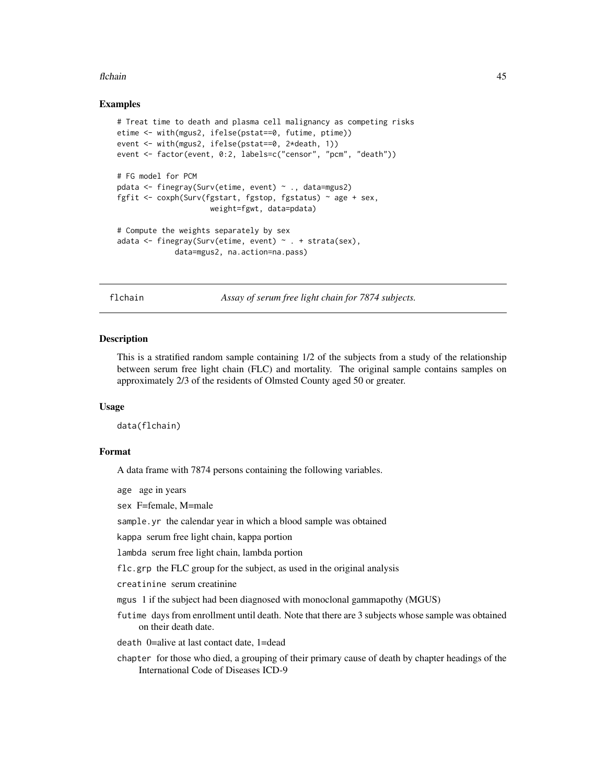#### flchain and the state of the state of the state of the state of the state of the state of the state of the state of the state of the state of the state of the state of the state of the state of the state of the state of th

## Examples

```
# Treat time to death and plasma cell malignancy as competing risks
etime <- with(mgus2, ifelse(pstat==0, futime, ptime))
event <- with(mgus2, ifelse(pstat==0, 2*death, 1))
event <- factor(event, 0:2, labels=c("censor", "pcm", "death"))
# FG model for PCM
pdata <- finegray(Surv(etime, event) ~ ., data=mgus2)
fgfit <- coxph(Surv(fgstart, fgstop, fgstatus) ~ age + sex,
                     weight=fgwt, data=pdata)
# Compute the weights separately by sex
adata <- finegray(Surv(etime, event) ~ . + strata(sex),
             data=mgus2, na.action=na.pass)
```
flchain *Assay of serum free light chain for 7874 subjects.*

#### Description

This is a stratified random sample containing 1/2 of the subjects from a study of the relationship between serum free light chain (FLC) and mortality. The original sample contains samples on approximately 2/3 of the residents of Olmsted County aged 50 or greater.

#### Usage

data(flchain)

#### Format

A data frame with 7874 persons containing the following variables.

age age in years

sex F=female, M=male

sample.yr the calendar year in which a blood sample was obtained

kappa serum free light chain, kappa portion

lambda serum free light chain, lambda portion

flc.grp the FLC group for the subject, as used in the original analysis

creatinine serum creatinine

mgus 1 if the subject had been diagnosed with monoclonal gammapothy (MGUS)

futime days from enrollment until death. Note that there are 3 subjects whose sample was obtained on their death date.

death 0=alive at last contact date, 1=dead

chapter for those who died, a grouping of their primary cause of death by chapter headings of the International Code of Diseases ICD-9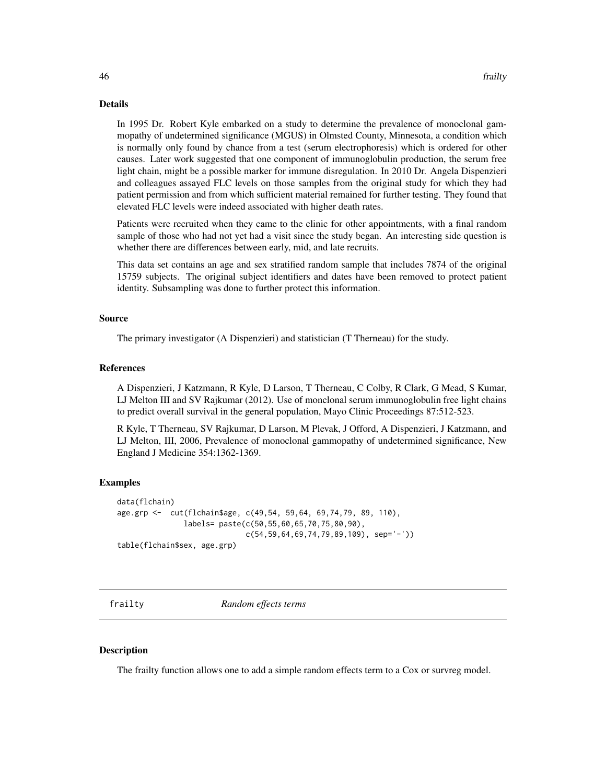### Details

In 1995 Dr. Robert Kyle embarked on a study to determine the prevalence of monoclonal gammopathy of undetermined significance (MGUS) in Olmsted County, Minnesota, a condition which is normally only found by chance from a test (serum electrophoresis) which is ordered for other causes. Later work suggested that one component of immunoglobulin production, the serum free light chain, might be a possible marker for immune disregulation. In 2010 Dr. Angela Dispenzieri and colleagues assayed FLC levels on those samples from the original study for which they had patient permission and from which sufficient material remained for further testing. They found that elevated FLC levels were indeed associated with higher death rates.

Patients were recruited when they came to the clinic for other appointments, with a final random sample of those who had not yet had a visit since the study began. An interesting side question is whether there are differences between early, mid, and late recruits.

This data set contains an age and sex stratified random sample that includes 7874 of the original 15759 subjects. The original subject identifiers and dates have been removed to protect patient identity. Subsampling was done to further protect this information.

#### Source

The primary investigator (A Dispenzieri) and statistician (T Therneau) for the study.

#### **References**

A Dispenzieri, J Katzmann, R Kyle, D Larson, T Therneau, C Colby, R Clark, G Mead, S Kumar, LJ Melton III and SV Rajkumar (2012). Use of monclonal serum immunoglobulin free light chains to predict overall survival in the general population, Mayo Clinic Proceedings 87:512-523.

R Kyle, T Therneau, SV Rajkumar, D Larson, M Plevak, J Offord, A Dispenzieri, J Katzmann, and LJ Melton, III, 2006, Prevalence of monoclonal gammopathy of undetermined significance, New England J Medicine 354:1362-1369.

#### Examples

```
data(flchain)
age.grp <- cut(flchain$age, c(49,54, 59,64, 69,74,79, 89, 110),
               labels= paste(c(50,55,60,65,70,75,80,90),
                             c(54,59,64,69,74,79,89,109), sep='-'))
table(flchain$sex, age.grp)
```
frailty *Random effects terms*

#### **Description**

The frailty function allows one to add a simple random effects term to a Cox or survreg model.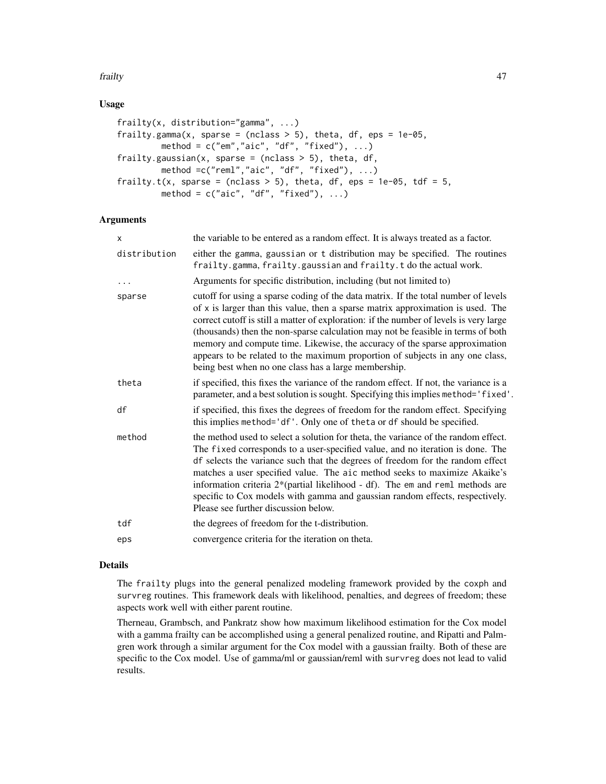#### frailty 47

## Usage

```
frailty(x, distribution="gamma", ...)
frailty.gamma(x, sparse = (nclass > 5), theta, df, eps = 1e-05,
        method = c("em", "aic", "df", "fixed"), ...frailty.gaussian(x, sparse = (nclass > 5), theta, df,
        method =c("reml","aic", "df", "fixed"), ...)
frailty.t(x, sparse = (nclass > 5), theta, df, eps = 1e-05, tdf = 5,
        method = c("aic", "df", "fixed"), ...
```
## Arguments

| X            | the variable to be entered as a random effect. It is always treated as a factor.                                                                                                                                                                                                                                                                                                                                                                                                                                                                                            |  |
|--------------|-----------------------------------------------------------------------------------------------------------------------------------------------------------------------------------------------------------------------------------------------------------------------------------------------------------------------------------------------------------------------------------------------------------------------------------------------------------------------------------------------------------------------------------------------------------------------------|--|
| distribution | either the gamma, gaussian or t distribution may be specified. The routines<br>frailty.gamma, frailty.gaussian and frailty.t do the actual work.                                                                                                                                                                                                                                                                                                                                                                                                                            |  |
| .            | Arguments for specific distribution, including (but not limited to)                                                                                                                                                                                                                                                                                                                                                                                                                                                                                                         |  |
| sparse       | cutoff for using a sparse coding of the data matrix. If the total number of levels<br>of x is larger than this value, then a sparse matrix approximation is used. The<br>correct cutoff is still a matter of exploration: if the number of levels is very large<br>(thousands) then the non-sparse calculation may not be feasible in terms of both<br>memory and compute time. Likewise, the accuracy of the sparse approximation<br>appears to be related to the maximum proportion of subjects in any one class,<br>being best when no one class has a large membership. |  |
| theta        | if specified, this fixes the variance of the random effect. If not, the variance is a<br>parameter, and a best solution is sought. Specifying this implies method='fixed'.                                                                                                                                                                                                                                                                                                                                                                                                  |  |
| df           | if specified, this fixes the degrees of freedom for the random effect. Specifying<br>this implies method='df'. Only one of theta or df should be specified.                                                                                                                                                                                                                                                                                                                                                                                                                 |  |
| method       | the method used to select a solution for theta, the variance of the random effect.<br>The fixed corresponds to a user-specified value, and no iteration is done. The<br>df selects the variance such that the degrees of freedom for the random effect<br>matches a user specified value. The aic method seeks to maximize Akaike's<br>information criteria 2*(partial likelihood - df). The em and reml methods are<br>specific to Cox models with gamma and gaussian random effects, respectively.<br>Please see further discussion below.                                |  |
| tdf          | the degrees of freedom for the t-distribution.                                                                                                                                                                                                                                                                                                                                                                                                                                                                                                                              |  |
| eps          | convergence criteria for the iteration on theta.                                                                                                                                                                                                                                                                                                                                                                                                                                                                                                                            |  |
|              |                                                                                                                                                                                                                                                                                                                                                                                                                                                                                                                                                                             |  |

#### Details

The frailty plugs into the general penalized modeling framework provided by the coxph and survreg routines. This framework deals with likelihood, penalties, and degrees of freedom; these aspects work well with either parent routine.

Therneau, Grambsch, and Pankratz show how maximum likelihood estimation for the Cox model with a gamma frailty can be accomplished using a general penalized routine, and Ripatti and Palmgren work through a similar argument for the Cox model with a gaussian frailty. Both of these are specific to the Cox model. Use of gamma/ml or gaussian/reml with survreg does not lead to valid results.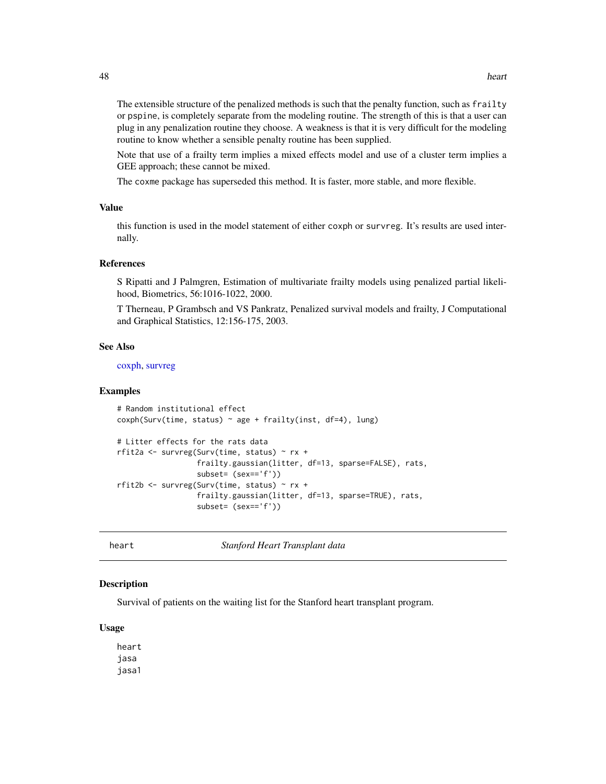The extensible structure of the penalized methods is such that the penalty function, such as frailty or pspine, is completely separate from the modeling routine. The strength of this is that a user can plug in any penalization routine they choose. A weakness is that it is very difficult for the modeling routine to know whether a sensible penalty routine has been supplied.

Note that use of a frailty term implies a mixed effects model and use of a cluster term implies a GEE approach; these cannot be mixed.

The coxme package has superseded this method. It is faster, more stable, and more flexible.

## Value

this function is used in the model statement of either coxph or survreg. It's results are used internally.

#### References

S Ripatti and J Palmgren, Estimation of multivariate frailty models using penalized partial likelihood, Biometrics, 56:1016-1022, 2000.

T Therneau, P Grambsch and VS Pankratz, Penalized survival models and frailty, J Computational and Graphical Statistics, 12:156-175, 2003.

#### See Also

[coxph,](#page-29-0) [survreg](#page-141-0)

#### Examples

```
# Random institutional effect
coxph(Surv(time, status) ~ age + frailty(inst, df=4), lung)
# Litter effects for the rats data
rfit2a <- survreg(Surv(time, status) ~ rx +
                  frailty.gaussian(litter, df=13, sparse=FALSE), rats,
                  subset= (sex=='f'))
rfit2b <- survreg(Surv(time, status) ~ rx +
                  frailty.gaussian(litter, df=13, sparse=TRUE), rats,
                  subset= (sex=='f'))
```
heart *Stanford Heart Transplant data*

#### Description

Survival of patients on the waiting list for the Stanford heart transplant program.

#### Usage

heart jasa jasa1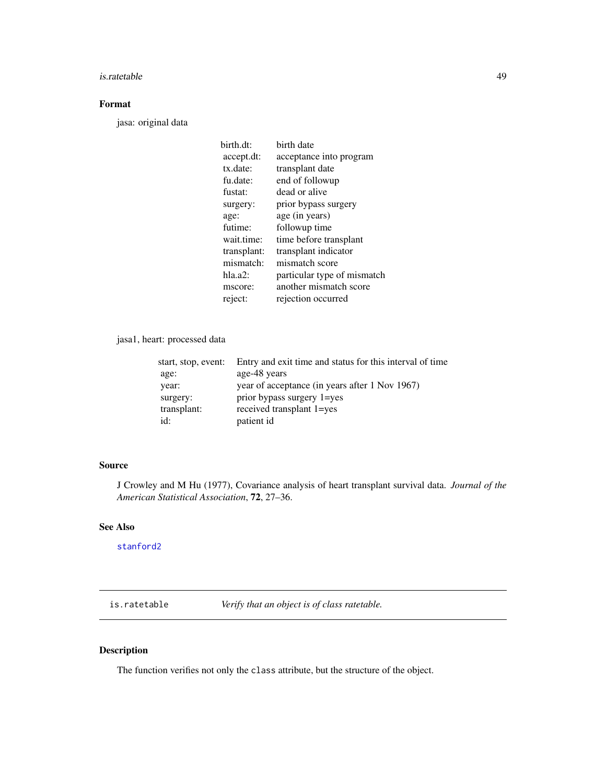#### is.ratetable 49

# Format

jasa: original data

| birth.dt:   | birth date                  |
|-------------|-----------------------------|
| accept.dt:  | acceptance into program     |
| tx.date:    | transplant date             |
| fu.date:    | end of followup             |
| fustat:     | dead or alive               |
| surgery:    | prior bypass surgery        |
| age:        | age (in years)              |
| futime:     | followup time               |
| wait.time:  | time before transplant      |
| transplant: | transplant indicator        |
| mismatch:   | mismatch score              |
| hla.a2:     | particular type of mismatch |
| mscore:     | another mismatch score      |
| reject:     | rejection occurred          |
|             |                             |

## jasa1, heart: processed data

| start, stop, event: | Entry and exit time and status for this interval of time |
|---------------------|----------------------------------------------------------|
| age:                | age-48 years                                             |
| year:               | year of acceptance (in years after 1 Nov 1967)           |
| surgery:            | prior bypass surgery 1=yes                               |
| transplant:         | received transplant 1=yes                                |
| id:                 | patient id                                               |

## Source

J Crowley and M Hu (1977), Covariance analysis of heart transplant survival data. *Journal of the American Statistical Association*, 72, 27–36.

# See Also

[stanford2](#page-101-0)

is.ratetable *Verify that an object is of class ratetable.*

## Description

The function verifies not only the class attribute, but the structure of the object.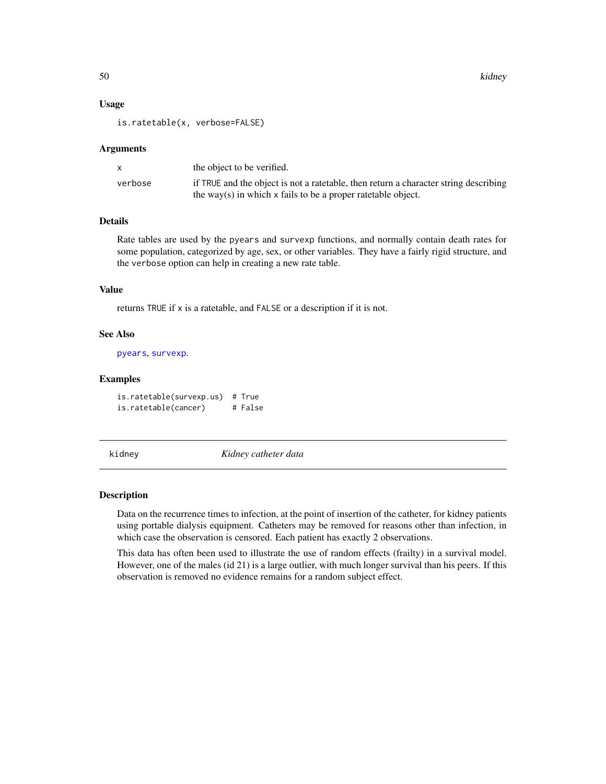50 kidney katalog ang kabupatèn Kabupatèn Kabupatèn Kabupatèn Kabupatèn Kabupatèn Kabupatèn Kabupatèn Kabupatèn

#### Usage

is.ratetable(x, verbose=FALSE)

#### Arguments

|         | the object to be verified.                                                           |
|---------|--------------------------------------------------------------------------------------|
| verbose | if TRUE and the object is not a ratetable, then return a character string describing |
|         | the way(s) in which $x$ fails to be a proper rate table object.                      |

## Details

Rate tables are used by the pyears and survexp functions, and normally contain death rates for some population, categorized by age, sex, or other variables. They have a fairly rigid structure, and the verbose option can help in creating a new rate table.

## Value

returns TRUE if x is a ratetable, and FALSE or a description if it is not.

#### See Also

[pyears](#page-84-0), [survexp](#page-121-0).

#### Examples

is.ratetable(survexp.us) # True is.ratetable(cancer) # False

kidney *Kidney catheter data*

### Description

Data on the recurrence times to infection, at the point of insertion of the catheter, for kidney patients using portable dialysis equipment. Catheters may be removed for reasons other than infection, in which case the observation is censored. Each patient has exactly 2 observations.

This data has often been used to illustrate the use of random effects (frailty) in a survival model. However, one of the males (id 21) is a large outlier, with much longer survival than his peers. If this observation is removed no evidence remains for a random subject effect.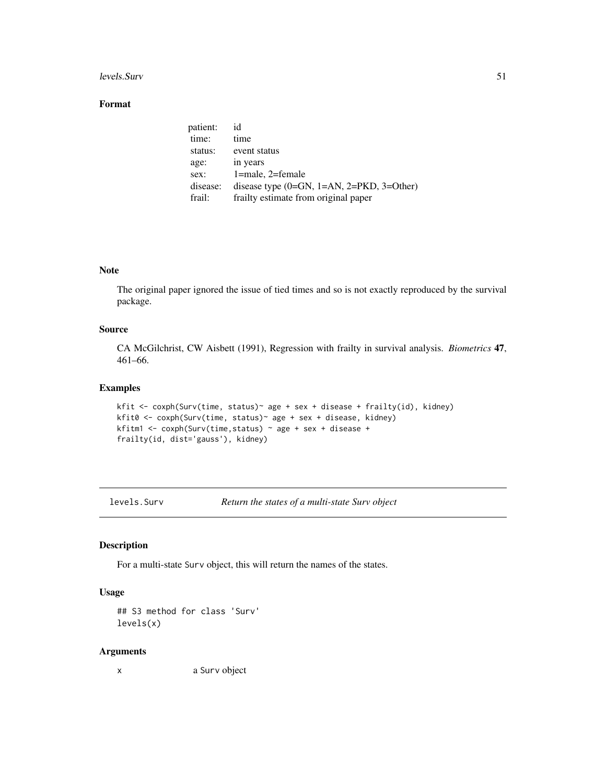#### levels.Surv 51

# Format

| patient: | id                                          |
|----------|---------------------------------------------|
| time:    | time                                        |
| status:  | event status                                |
| age:     | in years                                    |
| sex:     | $1$ =male, $2$ =female                      |
| disease: | disease type $(0=GN, 1=AN, 2=PKD, 3=Other)$ |
| frail:   | frailty estimate from original paper        |

## Note

The original paper ignored the issue of tied times and so is not exactly reproduced by the survival package.

#### Source

CA McGilchrist, CW Aisbett (1991), Regression with frailty in survival analysis. *Biometrics* 47, 461–66.

## Examples

```
kfit <- coxph(Surv(time, status)~ age + sex + disease + frailty(id), kidney)
kfit0 <- coxph(Surv(time, status)~ age + sex + disease, kidney)
kfitm1 <- coxph(Surv(time,status) ~ age + sex + disease +
frailty(id, dist='gauss'), kidney)
```
levels.Surv *Return the states of a multi-state Surv object*

## Description

For a multi-state Surv object, this will return the names of the states.

## Usage

```
## S3 method for class 'Surv'
levels(x)
```
#### Arguments

x a Surv object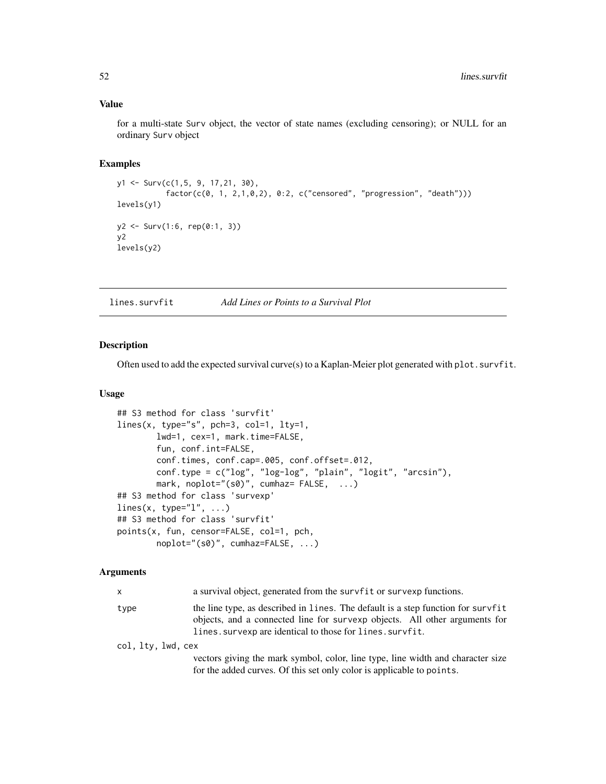## Value

for a multi-state Surv object, the vector of state names (excluding censoring); or NULL for an ordinary Surv object

## Examples

```
y1 <- Surv(c(1,5, 9, 17,21, 30),
           factor(c(0, 1, 2,1,0,2), 0:2, c("censored", "progression", "death")))
levels(y1)
y2 \le - Surv(1:6, rep(0:1, 3))
y2
levels(y2)
```
lines.survfit *Add Lines or Points to a Survival Plot*

## Description

Often used to add the expected survival curve(s) to a Kaplan-Meier plot generated with plot.survfit.

#### Usage

```
## S3 method for class 'survfit'
lines(x, type="s", pch=3, col=1, lty=1,
       lwd=1, cex=1, mark.time=FALSE,
       fun, conf.int=FALSE,
       conf.times, conf.cap=.005, conf.offset=.012,
       conf.type = c("log", "log-log", "plain", "logit", "arcsin"),
       mark, noplot="(s0)", cumhaz= FALSE, ...)
## S3 method for class 'survexp'
lines(x, type="l", ...)
## S3 method for class 'survfit'
points(x, fun, censor=FALSE, col=1, pch,
       noplot="(s0)", cumhaz=FALSE, ...)
```
## Arguments

| x                  | a survival object, generated from the survfit or survexp functions.                                                                                                                                                         |  |
|--------------------|-----------------------------------------------------------------------------------------------------------------------------------------------------------------------------------------------------------------------------|--|
| type               | the line type, as described in lines. The default is a step function for survfit<br>objects, and a connected line for survexp objects. All other arguments for<br>lines. survexp are identical to those for lines. survfit. |  |
| col, lty, lwd, cex |                                                                                                                                                                                                                             |  |
|                    | vectors giving the mark symbol, color, line type, line width and character size<br>for the added curves. Of this set only color is applicable to points.                                                                    |  |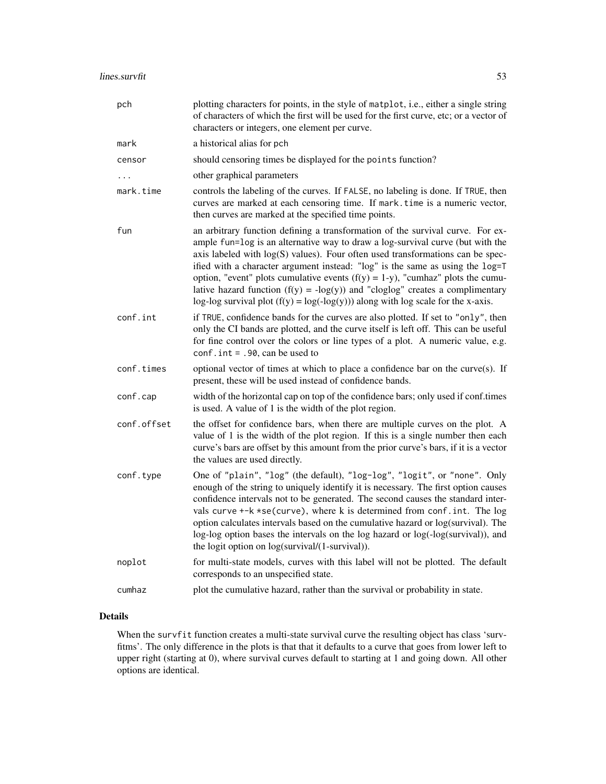| pch         | plotting characters for points, in the style of matplot, i.e., either a single string<br>of characters of which the first will be used for the first curve, etc; or a vector of<br>characters or integers, one element per curve.                                                                                                                                                                                                                                                                                                                                                                  |
|-------------|----------------------------------------------------------------------------------------------------------------------------------------------------------------------------------------------------------------------------------------------------------------------------------------------------------------------------------------------------------------------------------------------------------------------------------------------------------------------------------------------------------------------------------------------------------------------------------------------------|
| mark        | a historical alias for pch                                                                                                                                                                                                                                                                                                                                                                                                                                                                                                                                                                         |
| censor      | should censoring times be displayed for the points function?                                                                                                                                                                                                                                                                                                                                                                                                                                                                                                                                       |
|             | other graphical parameters                                                                                                                                                                                                                                                                                                                                                                                                                                                                                                                                                                         |
| mark.time   | controls the labeling of the curves. If FALSE, no labeling is done. If TRUE, then<br>curves are marked at each censoring time. If mark. time is a numeric vector,<br>then curves are marked at the specified time points.                                                                                                                                                                                                                                                                                                                                                                          |
| fun         | an arbitrary function defining a transformation of the survival curve. For ex-<br>ample fun=log is an alternative way to draw a log-survival curve (but with the<br>axis labeled with log(S) values). Four often used transformations can be spec-<br>ified with a character argument instead: "log" is the same as using the log=T<br>option, "event" plots cumulative events $(f(y) = 1-y)$ , "cumhaz" plots the cumu-<br>lative hazard function $(f(y) = -\log(y))$ and "cloglog" creates a complimentary<br>log-log survival plot $(f(y) = log(-log(y)))$ along with log scale for the x-axis. |
| conf.int    | if TRUE, confidence bands for the curves are also plotted. If set to "only", then<br>only the CI bands are plotted, and the curve itself is left off. This can be useful<br>for fine control over the colors or line types of a plot. A numeric value, e.g.<br>conf.int = $.90$ , can be used to                                                                                                                                                                                                                                                                                                   |
| conf.times  | optional vector of times at which to place a confidence bar on the curve(s). If<br>present, these will be used instead of confidence bands.                                                                                                                                                                                                                                                                                                                                                                                                                                                        |
| conf.cap    | width of the horizontal cap on top of the confidence bars; only used if conf.times<br>is used. A value of 1 is the width of the plot region.                                                                                                                                                                                                                                                                                                                                                                                                                                                       |
| conf.offset | the offset for confidence bars, when there are multiple curves on the plot. A<br>value of 1 is the width of the plot region. If this is a single number then each<br>curve's bars are offset by this amount from the prior curve's bars, if it is a vector<br>the values are used directly.                                                                                                                                                                                                                                                                                                        |
| conf.type   | One of "plain", "log" (the default), "log-log", "logit", or "none". Only<br>enough of the string to uniquely identify it is necessary. The first option causes<br>confidence intervals not to be generated. The second causes the standard inter-<br>vals curve +-k *se(curve), where k is determined from conf. int. The log<br>option calculates intervals based on the cumulative hazard or log(survival). The<br>log-log option bases the intervals on the log hazard or log(-log(survival)), and<br>the logit option on log(survival/(1-survival)).                                           |
| noplot      | for multi-state models, curves with this label will not be plotted. The default<br>corresponds to an unspecified state.                                                                                                                                                                                                                                                                                                                                                                                                                                                                            |
| cumhaz      | plot the cumulative hazard, rather than the survival or probability in state.                                                                                                                                                                                                                                                                                                                                                                                                                                                                                                                      |

# Details

When the survfit function creates a multi-state survival curve the resulting object has class 'survfitms'. The only difference in the plots is that that it defaults to a curve that goes from lower left to upper right (starting at 0), where survival curves default to starting at 1 and going down. All other options are identical.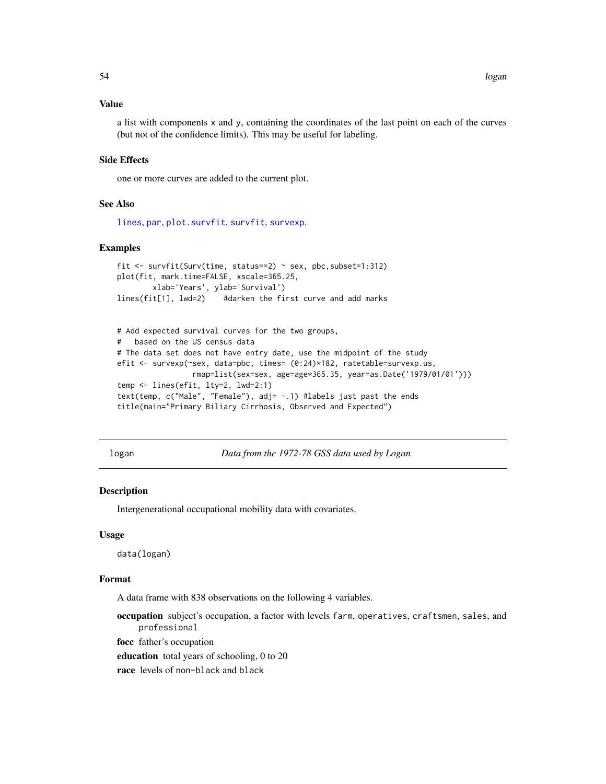## Value

a list with components x and y, containing the coordinates of the last point on each of the curves (but not of the confidence limits). This may be useful for labeling.

## Side Effects

one or more curves are added to the current plot.

#### See Also

[lines](#page-0-0), [par](#page-0-0), [plot.survfit](#page-71-0), [survfit](#page-126-0), [survexp](#page-121-0).

#### Examples

```
fit <- survfit(Surv(time, status==2) ~ sex, pbc,subset=1:312)
plot(fit, mark.time=FALSE, xscale=365.25,
        xlab='Years', ylab='Survival')
lines(fit[1], lwd=2) #darken the first curve and add marks
```

```
# Add expected survival curves for the two groups,
# based on the US census data
# The data set does not have entry date, use the midpoint of the study
efit <- survexp(~sex, data=pbc, times= (0:24)*182, ratetable=survexp.us,
                 rmap=list(sex=sex, age=age*365.35, year=as.Date('1979/01/01')))
temp <- lines(efit, lty=2, lwd=2:1)
text(temp, c("Male", "Female"), adj= -.1) #labels just past the ends
title(main="Primary Biliary Cirrhosis, Observed and Expected")
```
logan *Data from the 1972-78 GSS data used by Logan*

#### Description

Intergenerational occupational mobility data with covariates.

#### Usage

data(logan)

#### Format

A data frame with 838 observations on the following 4 variables.

occupation subject's occupation, a factor with levels farm, operatives, craftsmen, sales, and professional

focc father's occupation

education total years of schooling, 0 to 20

race levels of non-black and black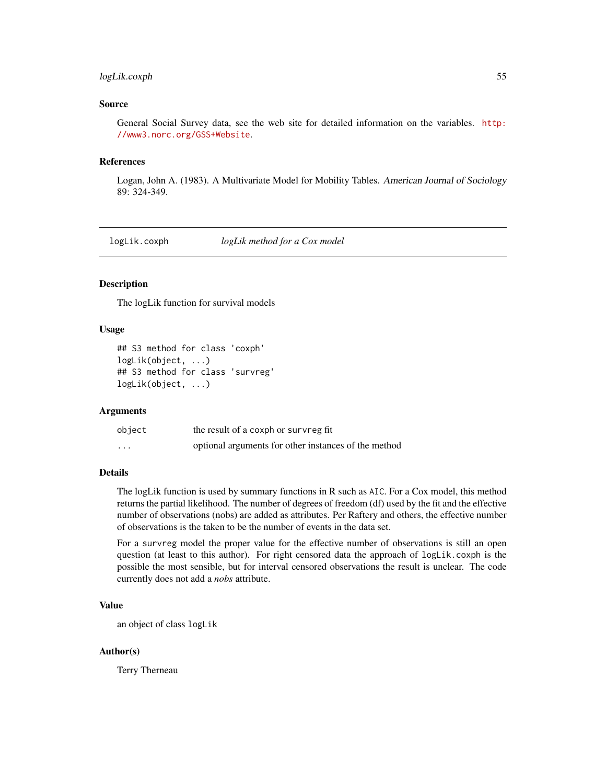## logLik.coxph 55

#### Source

General Social Survey data, see the web site for detailed information on the variables. [http:](http://www3.norc.org/GSS+Website) [//www3.norc.org/GSS+Website](http://www3.norc.org/GSS+Website).

#### References

Logan, John A. (1983). A Multivariate Model for Mobility Tables. American Journal of Sociology 89: 324-349.

logLik.coxph *logLik method for a Cox model*

## Description

The logLik function for survival models

## Usage

```
## S3 method for class 'coxph'
logLik(object, ...)
## S3 method for class 'survreg'
logLik(object, ...)
```
### Arguments

| object   | the result of a coxph or survreg fit                 |
|----------|------------------------------------------------------|
| $\cdots$ | optional arguments for other instances of the method |

#### Details

The logLik function is used by summary functions in R such as AIC. For a Cox model, this method returns the partial likelihood. The number of degrees of freedom (df) used by the fit and the effective number of observations (nobs) are added as attributes. Per Raftery and others, the effective number of observations is the taken to be the number of events in the data set.

For a survreg model the proper value for the effective number of observations is still an open question (at least to this author). For right censored data the approach of logLik.coxph is the possible the most sensible, but for interval censored observations the result is unclear. The code currently does not add a *nobs* attribute.

### Value

an object of class logLik

## Author(s)

Terry Therneau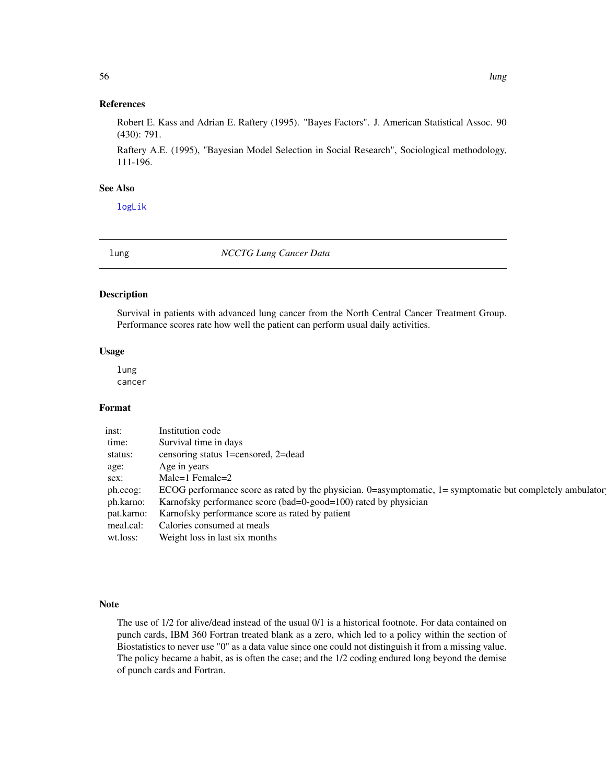## References

Robert E. Kass and Adrian E. Raftery (1995). "Bayes Factors". J. American Statistical Assoc. 90 (430): 791.

Raftery A.E. (1995), "Bayesian Model Selection in Social Research", Sociological methodology, 111-196.

## See Also

[logLik](#page-0-0)

lung *NCCTG Lung Cancer Data*

#### Description

Survival in patients with advanced lung cancer from the North Central Cancer Treatment Group. Performance scores rate how well the patient can perform usual daily activities.

## Usage

lung cancer

#### Format

| inst:      | Institution code                                                                                          |
|------------|-----------------------------------------------------------------------------------------------------------|
| time:      | Survival time in days                                                                                     |
| status:    | censoring status 1=censored, 2=dead                                                                       |
| age:       | Age in years                                                                                              |
| sex:       | Male=1 Female= $2$                                                                                        |
| ph.ecog:   | ECOG performance score as rated by the physician. 0=asymptomatic, 1= symptomatic but completely ambulator |
| ph.karno:  | Karnofsky performance score (bad=0-good=100) rated by physician                                           |
| pat.karno: | Karnofsky performance score as rated by patient                                                           |
| meal.cal:  | Calories consumed at meals                                                                                |
| wt.loss:   | Weight loss in last six months                                                                            |

## Note

The use of 1/2 for alive/dead instead of the usual 0/1 is a historical footnote. For data contained on punch cards, IBM 360 Fortran treated blank as a zero, which led to a policy within the section of Biostatistics to never use "0" as a data value since one could not distinguish it from a missing value. The policy became a habit, as is often the case; and the 1/2 coding endured long beyond the demise of punch cards and Fortran.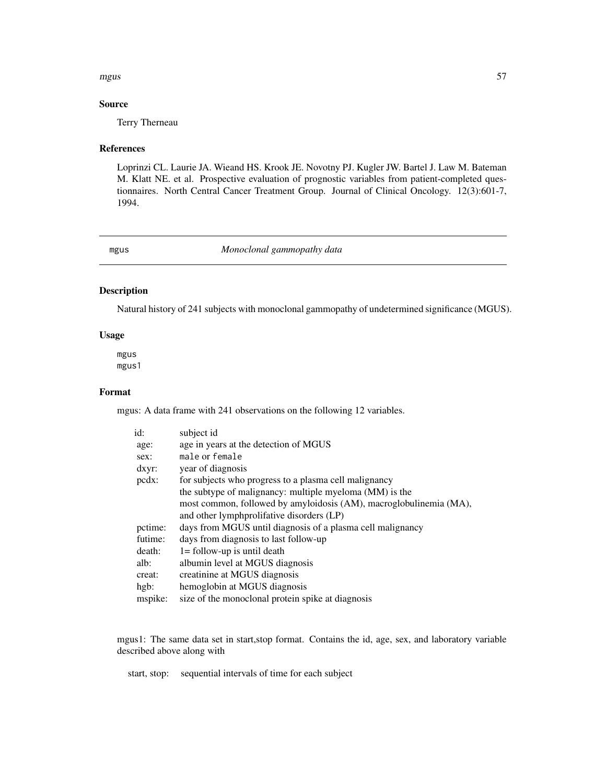#### mgus 57 mga kalendaryon ng mga kalendaryon ng mga kalendaryon ng mga kalendaryon ng mga kalendaryon ng mga kalendaryon ng mga kalendaryon ng mga kalendaryon ng mga kalendaryon ng mga kalendaryon ng mga kalendaryon ng mga k

## Source

Terry Therneau

#### References

Loprinzi CL. Laurie JA. Wieand HS. Krook JE. Novotny PJ. Kugler JW. Bartel J. Law M. Bateman M. Klatt NE. et al. Prospective evaluation of prognostic variables from patient-completed questionnaires. North Central Cancer Treatment Group. Journal of Clinical Oncology. 12(3):601-7, 1994.

### mgus *Monoclonal gammopathy data*

## Description

Natural history of 241 subjects with monoclonal gammopathy of undetermined significance (MGUS).

#### Usage

mgus mgus1

## Format

mgus: A data frame with 241 observations on the following 12 variables.

| id:            | subject id                                                         |
|----------------|--------------------------------------------------------------------|
| age:           | age in years at the detection of MGUS                              |
| sex:           | male or female                                                     |
| $dxyr$ :       | year of diagnosis                                                  |
| $\text{pcdx}:$ | for subjects who progress to a plasma cell malignancy              |
|                | the subtype of malignancy: multiple myeloma (MM) is the            |
|                | most common, followed by amyloidosis (AM), macroglobulinemia (MA), |
|                | and other lymphprolifative disorders (LP)                          |
| pctime:        | days from MGUS until diagnosis of a plasma cell malignancy         |
| futime:        | days from diagnosis to last follow-up                              |
| death:         | $l =$ follow-up is until death                                     |
| alb:           | albumin level at MGUS diagnosis                                    |
| creat:         | creatinine at MGUS diagnosis                                       |
| hgb:           | hemoglobin at MGUS diagnosis                                       |
| mspike:        | size of the monoclonal protein spike at diagnosis                  |

mgus1: The same data set in start,stop format. Contains the id, age, sex, and laboratory variable described above along with

start, stop: sequential intervals of time for each subject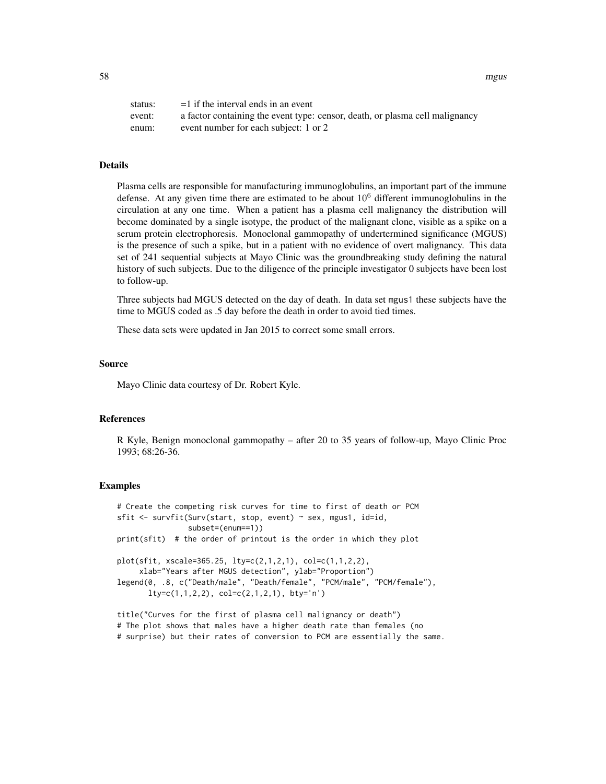58 mgus

| status: | $=1$ if the interval ends in an event                                        |
|---------|------------------------------------------------------------------------------|
| event:  | a factor containing the event type: censor, death, or plasma cell malignancy |
| enum:   | event number for each subject: 1 or 2                                        |

## Details

Plasma cells are responsible for manufacturing immunoglobulins, an important part of the immune defense. At any given time there are estimated to be about  $10<sup>6</sup>$  different immunoglobulins in the circulation at any one time. When a patient has a plasma cell malignancy the distribution will become dominated by a single isotype, the product of the malignant clone, visible as a spike on a serum protein electrophoresis. Monoclonal gammopathy of undertermined significance (MGUS) is the presence of such a spike, but in a patient with no evidence of overt malignancy. This data set of 241 sequential subjects at Mayo Clinic was the groundbreaking study defining the natural history of such subjects. Due to the diligence of the principle investigator 0 subjects have been lost to follow-up.

Three subjects had MGUS detected on the day of death. In data set mgus1 these subjects have the time to MGUS coded as .5 day before the death in order to avoid tied times.

These data sets were updated in Jan 2015 to correct some small errors.

#### Source

Mayo Clinic data courtesy of Dr. Robert Kyle.

## References

R Kyle, Benign monoclonal gammopathy – after 20 to 35 years of follow-up, Mayo Clinic Proc 1993; 68:26-36.

#### Examples

# Create the competing risk curves for time to first of death or PCM sfit <- survfit(Surv(start, stop, event) ~ sex, mgus1, id=id, subset=(enum==1)) print(sfit) # the order of printout is the order in which they plot plot(sfit, xscale=365.25, lty=c(2,1,2,1), col=c(1,1,2,2), xlab="Years after MGUS detection", ylab="Proportion") legend(0, .8, c("Death/male", "Death/female", "PCM/male", "PCM/female"), lty=c(1,1,2,2), col=c(2,1,2,1), bty='n')

title("Curves for the first of plasma cell malignancy or death") # The plot shows that males have a higher death rate than females (no # surprise) but their rates of conversion to PCM are essentially the same.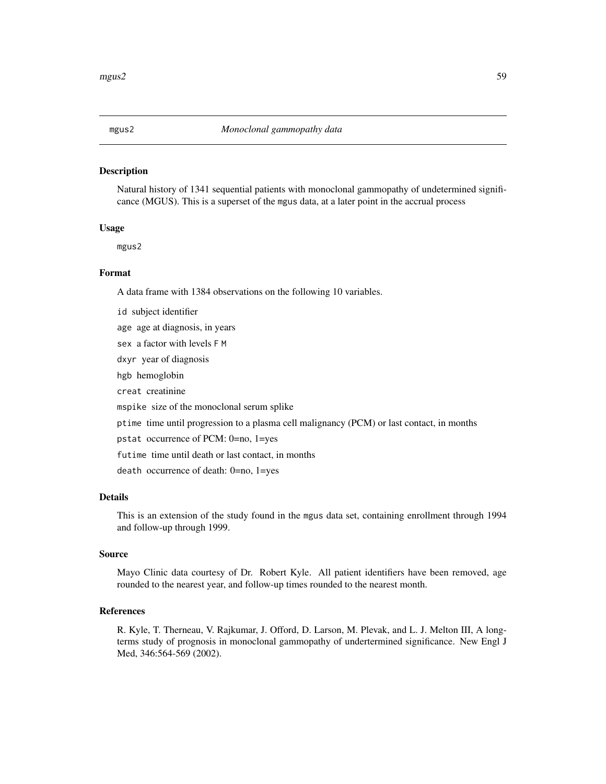#### Description

Natural history of 1341 sequential patients with monoclonal gammopathy of undetermined significance (MGUS). This is a superset of the mgus data, at a later point in the accrual process

## Usage

mgus2

## Format

A data frame with 1384 observations on the following 10 variables.

id subject identifier

age age at diagnosis, in years

sex a factor with levels F M

dxyr year of diagnosis

hgb hemoglobin

creat creatinine

mspike size of the monoclonal serum splike

ptime time until progression to a plasma cell malignancy (PCM) or last contact, in months

pstat occurrence of PCM: 0=no, 1=yes

futime time until death or last contact, in months

death occurrence of death: 0=no, 1=yes

## Details

This is an extension of the study found in the mgus data set, containing enrollment through 1994 and follow-up through 1999.

## Source

Mayo Clinic data courtesy of Dr. Robert Kyle. All patient identifiers have been removed, age rounded to the nearest year, and follow-up times rounded to the nearest month.

#### References

R. Kyle, T. Therneau, V. Rajkumar, J. Offord, D. Larson, M. Plevak, and L. J. Melton III, A longterms study of prognosis in monoclonal gammopathy of undertermined significance. New Engl J Med, 346:564-569 (2002).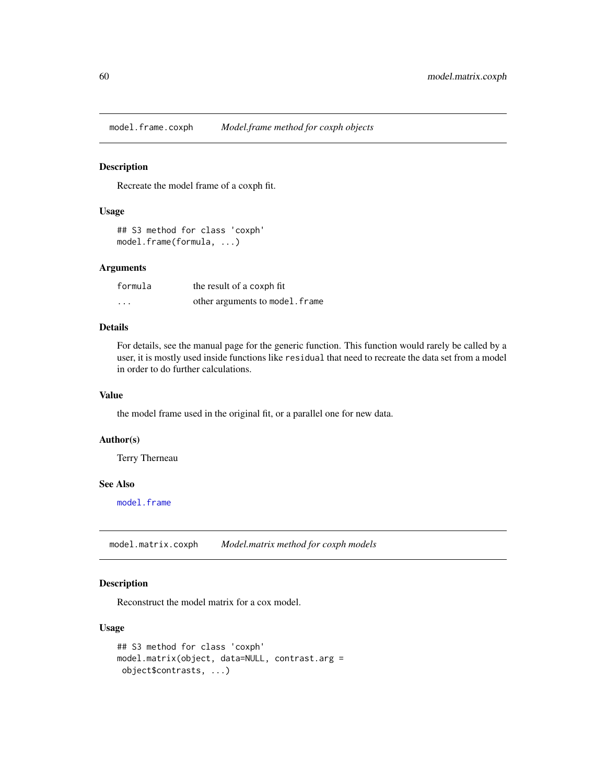model.frame.coxph *Model.frame method for coxph objects*

#### Description

Recreate the model frame of a coxph fit.

#### Usage

```
## S3 method for class 'coxph'
model.frame(formula, ...)
```
## Arguments

| formula  | the result of a coxph fit       |
|----------|---------------------------------|
| $\cdots$ | other arguments to model. frame |

## Details

For details, see the manual page for the generic function. This function would rarely be called by a user, it is mostly used inside functions like residual that need to recreate the data set from a model in order to do further calculations.

## Value

the model frame used in the original fit, or a parallel one for new data.

## Author(s)

Terry Therneau

## See Also

[model.frame](#page-0-0)

model.matrix.coxph *Model.matrix method for coxph models*

## Description

Reconstruct the model matrix for a cox model.

#### Usage

```
## S3 method for class 'coxph'
model.matrix(object, data=NULL, contrast.arg =
object$contrasts, ...)
```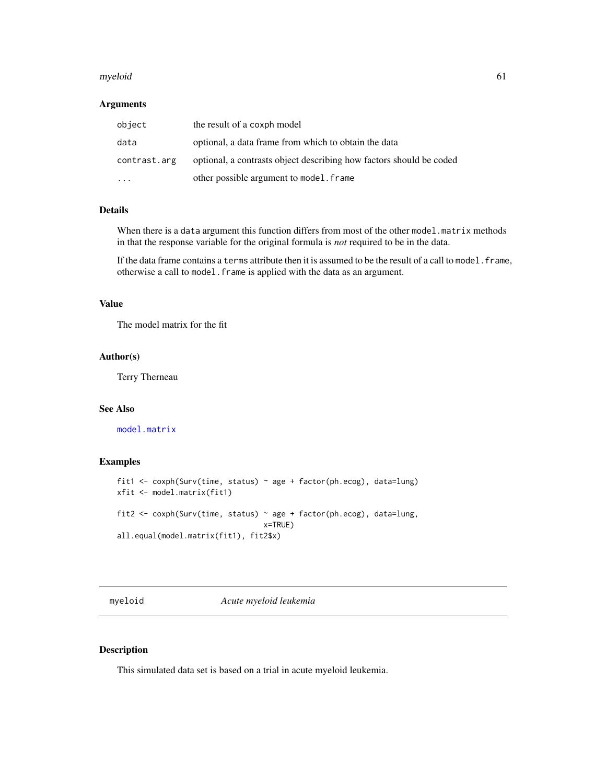#### myeloid 61

## Arguments

| object       | the result of a coxph model                                         |
|--------------|---------------------------------------------------------------------|
| data         | optional, a data frame from which to obtain the data                |
| contrast.arg | optional, a contrasts object describing how factors should be coded |
|              | other possible argument to model. frame                             |

## Details

When there is a data argument this function differs from most of the other model.matrix methods in that the response variable for the original formula is *not* required to be in the data.

If the data frame contains a terms attribute then it is assumed to be the result of a call to model. frame, otherwise a call to model.frame is applied with the data as an argument.

## Value

The model matrix for the fit

#### Author(s)

Terry Therneau

#### See Also

[model.matrix](#page-0-0)

### Examples

```
fit1 <- coxph(Surv(time, status) ~ age + factor(ph.ecog), data=lung)
xfit <- model.matrix(fit1)
fit2 <- coxph(Surv(time, status) ~ age + factor(ph.ecog), data=lung,
                                 x=TRUE)
all.equal(model.matrix(fit1), fit2$x)
```
myeloid *Acute myeloid leukemia*

#### Description

This simulated data set is based on a trial in acute myeloid leukemia.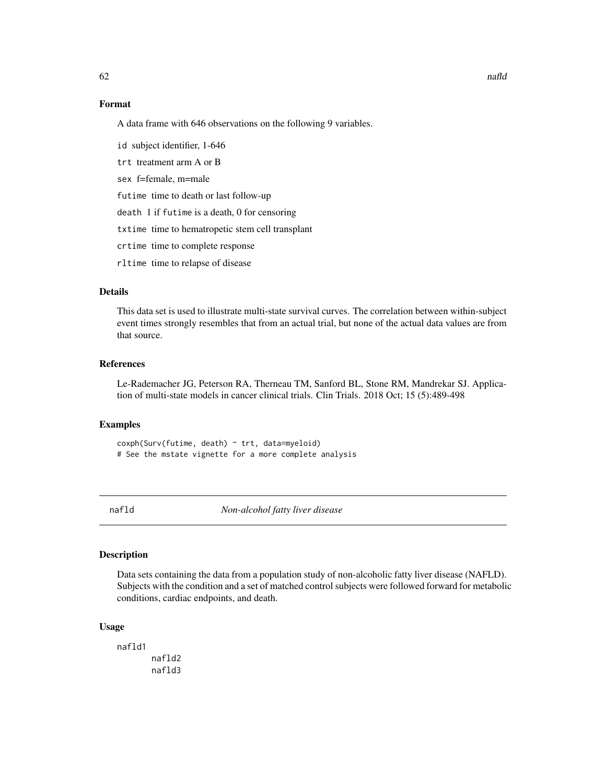## Format

A data frame with 646 observations on the following 9 variables.

id subject identifier, 1-646

trt treatment arm A or B

sex f=female, m=male

futime time to death or last follow-up

death 1 if futime is a death, 0 for censoring

txtime time to hematropetic stem cell transplant

crtime time to complete response

rltime time to relapse of disease

#### Details

This data set is used to illustrate multi-state survival curves. The correlation between within-subject event times strongly resembles that from an actual trial, but none of the actual data values are from that source.

## References

Le-Rademacher JG, Peterson RA, Therneau TM, Sanford BL, Stone RM, Mandrekar SJ. Application of multi-state models in cancer clinical trials. Clin Trials. 2018 Oct; 15 (5):489-498

## Examples

coxph(Surv(futime, death) ~ trt, data=myeloid) # See the mstate vignette for a more complete analysis

nafld *Non-alcohol fatty liver disease*

## Description

Data sets containing the data from a population study of non-alcoholic fatty liver disease (NAFLD). Subjects with the condition and a set of matched control subjects were followed forward for metabolic conditions, cardiac endpoints, and death.

#### Usage

nafld1 nafld2 nafld3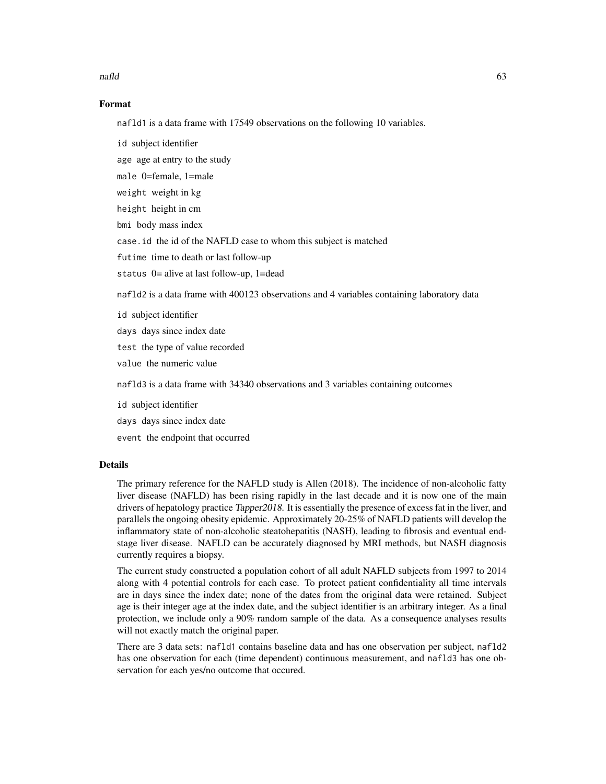#### nafld 63

### Format

nafld1 is a data frame with 17549 observations on the following 10 variables.

id subject identifier

age age at entry to the study

male 0=female, 1=male

weight weight in kg

height height in cm

bmi body mass index

case.id the id of the NAFLD case to whom this subject is matched

futime time to death or last follow-up

status 0= alive at last follow-up, 1=dead

nafld2 is a data frame with 400123 observations and 4 variables containing laboratory data

id subject identifier

days days since index date

test the type of value recorded

value the numeric value

nafld3 is a data frame with 34340 observations and 3 variables containing outcomes

id subject identifier

days days since index date

event the endpoint that occurred

## Details

The primary reference for the NAFLD study is Allen (2018). The incidence of non-alcoholic fatty liver disease (NAFLD) has been rising rapidly in the last decade and it is now one of the main drivers of hepatology practice Tapper2018. It is essentially the presence of excess fat in the liver, and parallels the ongoing obesity epidemic. Approximately 20-25% of NAFLD patients will develop the inflammatory state of non-alcoholic steatohepatitis (NASH), leading to fibrosis and eventual endstage liver disease. NAFLD can be accurately diagnosed by MRI methods, but NASH diagnosis currently requires a biopsy.

The current study constructed a population cohort of all adult NAFLD subjects from 1997 to 2014 along with 4 potential controls for each case. To protect patient confidentiality all time intervals are in days since the index date; none of the dates from the original data were retained. Subject age is their integer age at the index date, and the subject identifier is an arbitrary integer. As a final protection, we include only a 90% random sample of the data. As a consequence analyses results will not exactly match the original paper.

There are 3 data sets: nafld1 contains baseline data and has one observation per subject, nafld2 has one observation for each (time dependent) continuous measurement, and nafld3 has one observation for each yes/no outcome that occured.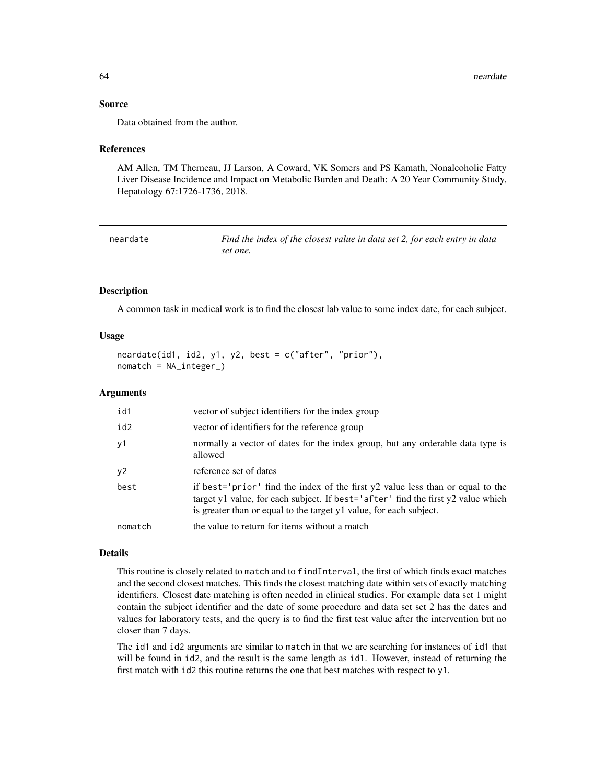#### Source

Data obtained from the author.

#### References

AM Allen, TM Therneau, JJ Larson, A Coward, VK Somers and PS Kamath, Nonalcoholic Fatty Liver Disease Incidence and Impact on Metabolic Burden and Death: A 20 Year Community Study, Hepatology 67:1726-1736, 2018.

neardate *Find the index of the closest value in data set 2, for each entry in data set one.*

#### **Description**

A common task in medical work is to find the closest lab value to some index date, for each subject.

## Usage

```
neardate(id1, id2, y1, y2, best = c("after", "prior"),
nomatch = NA_integer_)
```
## Arguments

| id1     | vector of subject identifiers for the index group                                                                                                                                                                                        |
|---------|------------------------------------------------------------------------------------------------------------------------------------------------------------------------------------------------------------------------------------------|
| id2     | vector of identifiers for the reference group                                                                                                                                                                                            |
| y1      | normally a vector of dates for the index group, but any orderable data type is<br>allowed                                                                                                                                                |
| y2      | reference set of dates                                                                                                                                                                                                                   |
| best    | if best='prior' find the index of the first y2 value less than or equal to the<br>target y1 value, for each subject. If best='after' find the first y2 value which<br>is greater than or equal to the target y1 value, for each subject. |
| nomatch | the value to return for items without a match                                                                                                                                                                                            |

## Details

This routine is closely related to match and to findInterval, the first of which finds exact matches and the second closest matches. This finds the closest matching date within sets of exactly matching identifiers. Closest date matching is often needed in clinical studies. For example data set 1 might contain the subject identifier and the date of some procedure and data set set 2 has the dates and values for laboratory tests, and the query is to find the first test value after the intervention but no closer than 7 days.

The id1 and id2 arguments are similar to match in that we are searching for instances of id1 that will be found in id2, and the result is the same length as id1. However, instead of returning the first match with id2 this routine returns the one that best matches with respect to y1.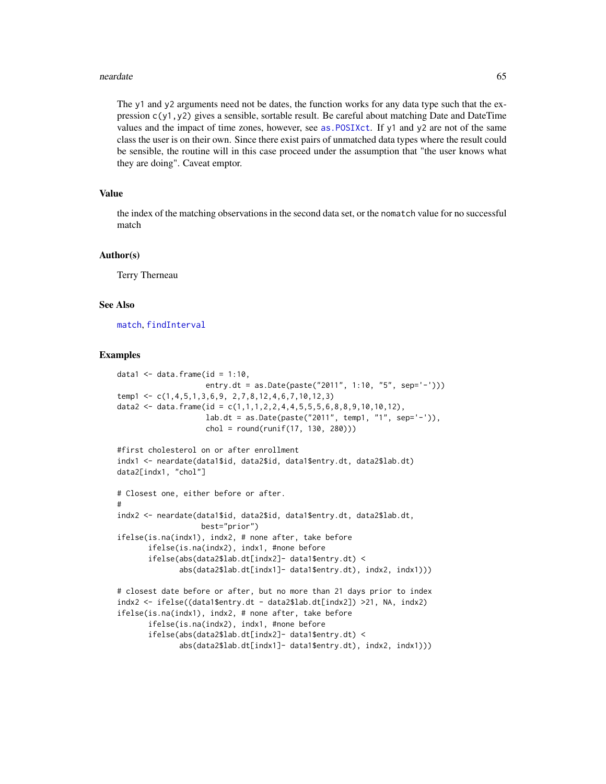#### neardate 65

The y1 and y2 arguments need not be dates, the function works for any data type such that the expression  $c(y1, y2)$  gives a sensible, sortable result. Be careful about matching Date and DateTime values and the impact of time zones, however, see as. POSIXct. If  $y1$  and  $y2$  are not of the same class the user is on their own. Since there exist pairs of unmatched data types where the result could be sensible, the routine will in this case proceed under the assumption that "the user knows what they are doing". Caveat emptor.

## Value

the index of the matching observations in the second data set, or the nomatch value for no successful match

#### Author(s)

Terry Therneau

## See Also

[match](#page-0-0), [findInterval](#page-0-0)

#### Examples

```
data1 \leq data.frame(id = 1:10,
                    entry.dt = as.Date(paste("2011", 1:10, "5", sep='-')))
temp1 <- c(1,4,5,1,3,6,9, 2,7,8,12,4,6,7,10,12,3)
data2 <- data.frame(id = c(1,1,1,2,2,4,4,5,5,5,6,8,8,9,10,10,12),
                    lab.dt = as.Date(paste("2011", temp1, "1", sep='-')),
                    chol = round(runif(17, 130, 280)))
#first cholesterol on or after enrollment
indx1 <- neardate(data1$id, data2$id, data1$entry.dt, data2$lab.dt)
data2[indx1, "chol"]
# Closest one, either before or after.
#
indx2 <- neardate(data1$id, data2$id, data1$entry.dt, data2$lab.dt,
                   best="prior")
ifelse(is.na(indx1), indx2, # none after, take before
      ifelse(is.na(indx2), indx1, #none before
      ifelse(abs(data2$lab.dt[indx2]- data1$entry.dt) <
              abs(data2$lab.dt[indx1]- data1$entry.dt), indx2, indx1)))
# closest date before or after, but no more than 21 days prior to index
indx2 <- ifelse((data1$entry.dt - data2$lab.dt[indx2]) >21, NA, indx2)
ifelse(is.na(indx1), indx2, # none after, take before
      ifelse(is.na(indx2), indx1, #none before
      ifelse(abs(data2$lab.dt[indx2]- data1$entry.dt) <
              abs(data2$lab.dt[indx1]- data1$entry.dt), indx2, indx1)))
```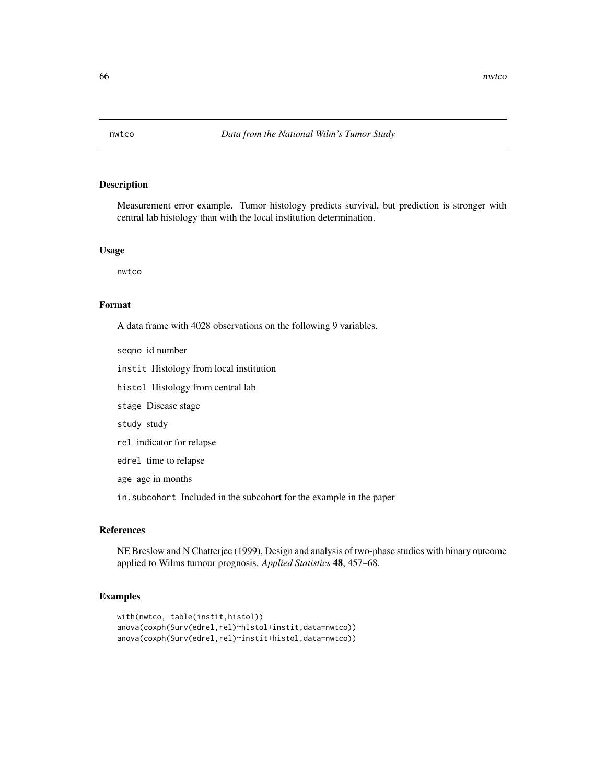## Description

Measurement error example. Tumor histology predicts survival, but prediction is stronger with central lab histology than with the local institution determination.

#### Usage

nwtco

#### Format

A data frame with 4028 observations on the following 9 variables.

seqno id number

instit Histology from local institution

histol Histology from central lab

stage Disease stage

study study

rel indicator for relapse

edrel time to relapse

age age in months

in.subcohort Included in the subcohort for the example in the paper

#### References

NE Breslow and N Chatterjee (1999), Design and analysis of two-phase studies with binary outcome applied to Wilms tumour prognosis. *Applied Statistics* 48, 457–68.

## Examples

```
with(nwtco, table(instit,histol))
anova(coxph(Surv(edrel,rel)~histol+instit,data=nwtco))
anova(coxph(Surv(edrel,rel)~instit+histol,data=nwtco))
```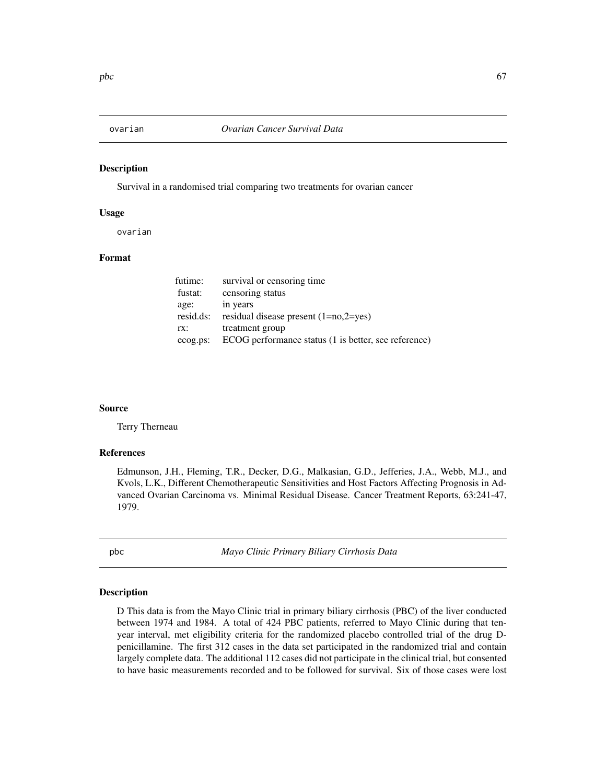## Description

Survival in a randomised trial comparing two treatments for ovarian cancer

#### Usage

ovarian

## Format

| futime:   | survival or censoring time                           |
|-----------|------------------------------------------------------|
| fustat:   | censoring status                                     |
| age:      | in years                                             |
| resid.ds: | residual disease present $(1=no,2=yes)$              |
| rx:       | treatment group                                      |
| ecog.ps:  | ECOG performance status (1 is better, see reference) |

#### Source

Terry Therneau

## References

Edmunson, J.H., Fleming, T.R., Decker, D.G., Malkasian, G.D., Jefferies, J.A., Webb, M.J., and Kvols, L.K., Different Chemotherapeutic Sensitivities and Host Factors Affecting Prognosis in Advanced Ovarian Carcinoma vs. Minimal Residual Disease. Cancer Treatment Reports, 63:241-47, 1979.

<span id="page-66-0"></span>pbc *Mayo Clinic Primary Biliary Cirrhosis Data*

#### Description

D This data is from the Mayo Clinic trial in primary biliary cirrhosis (PBC) of the liver conducted between 1974 and 1984. A total of 424 PBC patients, referred to Mayo Clinic during that tenyear interval, met eligibility criteria for the randomized placebo controlled trial of the drug Dpenicillamine. The first 312 cases in the data set participated in the randomized trial and contain largely complete data. The additional 112 cases did not participate in the clinical trial, but consented to have basic measurements recorded and to be followed for survival. Six of those cases were lost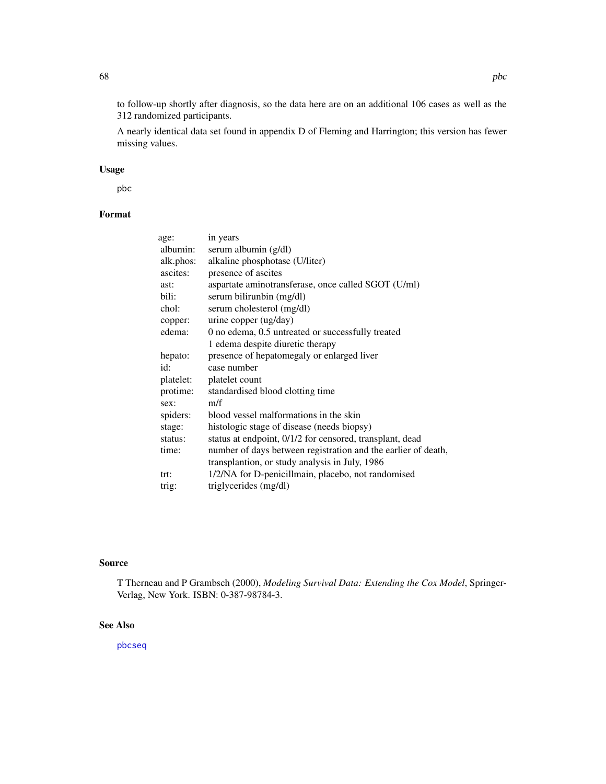to follow-up shortly after diagnosis, so the data here are on an additional 106 cases as well as the 312 randomized participants.

A nearly identical data set found in appendix D of Fleming and Harrington; this version has fewer missing values.

## Usage

pbc

## Format

| age:      | in years                                                      |
|-----------|---------------------------------------------------------------|
| albumin:  | serum albumin (g/dl)                                          |
| alk.phos: | alkaline phosphotase (U/liter)                                |
| ascites:  | presence of ascites                                           |
| ast:      | aspartate aminotransferase, once called SGOT (U/ml)           |
| bili:     | serum bilirunbin (mg/dl)                                      |
| chol:     | serum cholesterol (mg/dl)                                     |
| copper:   | urine copper (ug/day)                                         |
| edema:    | 0 no edema, 0.5 untreated or successfully treated             |
|           | 1 edema despite diuretic therapy                              |
| hepato:   | presence of hepatomegaly or enlarged liver                    |
| id:       | case number                                                   |
| platelet: | platelet count                                                |
| protime:  | standardised blood clotting time                              |
| sex:      | m/f                                                           |
| spiders:  | blood vessel malformations in the skin                        |
| stage:    | histologic stage of disease (needs biopsy)                    |
| status:   | status at endpoint, 0/1/2 for censored, transplant, dead      |
| time:     | number of days between registration and the earlier of death, |
|           | transplantion, or study analysis in July, 1986                |
| trt:      | 1/2/NA for D-penicillmain, placebo, not randomised            |
| trig:     | triglycerides (mg/dl)                                         |

## Source

T Therneau and P Grambsch (2000), *Modeling Survival Data: Extending the Cox Model*, Springer-Verlag, New York. ISBN: 0-387-98784-3.

## See Also

[pbcseq](#page-68-0)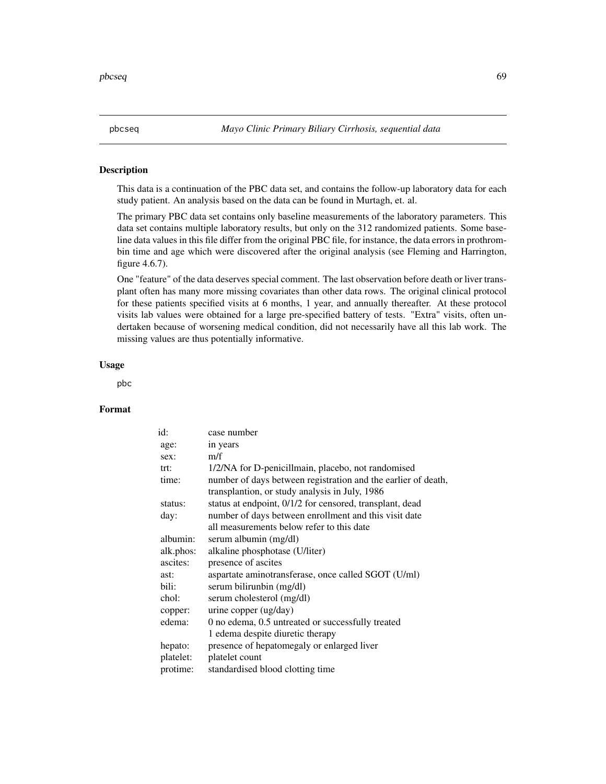<span id="page-68-0"></span>

#### Description

This data is a continuation of the PBC data set, and contains the follow-up laboratory data for each study patient. An analysis based on the data can be found in Murtagh, et. al.

The primary PBC data set contains only baseline measurements of the laboratory parameters. This data set contains multiple laboratory results, but only on the 312 randomized patients. Some baseline data values in this file differ from the original PBC file, for instance, the data errors in prothrombin time and age which were discovered after the original analysis (see Fleming and Harrington, figure 4.6.7).

One "feature" of the data deserves special comment. The last observation before death or liver transplant often has many more missing covariates than other data rows. The original clinical protocol for these patients specified visits at 6 months, 1 year, and annually thereafter. At these protocol visits lab values were obtained for a large pre-specified battery of tests. "Extra" visits, often undertaken because of worsening medical condition, did not necessarily have all this lab work. The missing values are thus potentially informative.

#### Usage

pbc

#### Format

| id:       | case number                                                   |
|-----------|---------------------------------------------------------------|
| age:      | in years                                                      |
| sex:      | m/f                                                           |
| trt:      | 1/2/NA for D-penicillmain, placebo, not randomised            |
| time:     | number of days between registration and the earlier of death, |
|           | transplantion, or study analysis in July, 1986                |
| status:   | status at endpoint, 0/1/2 for censored, transplant, dead      |
| day:      | number of days between enrollment and this visit date         |
|           | all measurements below refer to this date                     |
| albumin:  | serum albumin (mg/dl)                                         |
| alk.phos: | alkaline phosphotase (U/liter)                                |
| ascites:  | presence of ascites                                           |
| ast:      | aspartate aminotransferase, once called SGOT (U/ml)           |
| bili:     | serum bilirunbin (mg/dl)                                      |
| chol:     | serum cholesterol (mg/dl)                                     |
| copper:   | urine copper (ug/day)                                         |
| edema:    | 0 no edema, 0.5 untreated or successfully treated             |
|           | 1 edema despite diuretic therapy                              |
| hepato:   | presence of hepatomegaly or enlarged liver                    |
| platelet: | platelet count                                                |
| protime:  | standardised blood clotting time                              |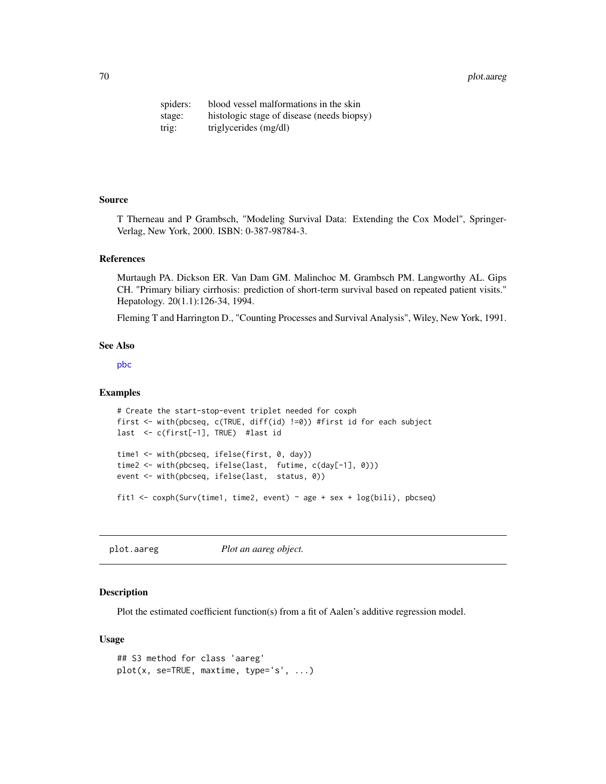70 plot.aareg

spiders: blood vessel malformations in the skin stage: histologic stage of disease (needs biopsy) trig: triglycerides (mg/dl)

## Source

T Therneau and P Grambsch, "Modeling Survival Data: Extending the Cox Model", Springer-Verlag, New York, 2000. ISBN: 0-387-98784-3.

#### References

Murtaugh PA. Dickson ER. Van Dam GM. Malinchoc M. Grambsch PM. Langworthy AL. Gips CH. "Primary biliary cirrhosis: prediction of short-term survival based on repeated patient visits." Hepatology. 20(1.1):126-34, 1994.

Fleming T and Harrington D., "Counting Processes and Survival Analysis", Wiley, New York, 1991.

#### See Also

[pbc](#page-66-0)

### Examples

```
# Create the start-stop-event triplet needed for coxph
first <- with(pbcseq, c(TRUE, diff(id) !=0)) #first id for each subject
last <- c(first[-1], TRUE) #last id
time1 <- with(pbcseq, ifelse(first, 0, day))
time2 <- with(pbcseq, ifelse(last, futime, c(day[-1], 0)))
event <- with(pbcseq, ifelse(last, status, 0))
fit1 <- coxph(Surv(time1, time2, event) ~ age + sex + log(bili), pbcseq)
```
plot.aareg *Plot an aareg object.*

#### Description

Plot the estimated coefficient function(s) from a fit of Aalen's additive regression model.

#### Usage

```
## S3 method for class 'aareg'
plot(x, se=TRUE, maxtime, type='s', ...)
```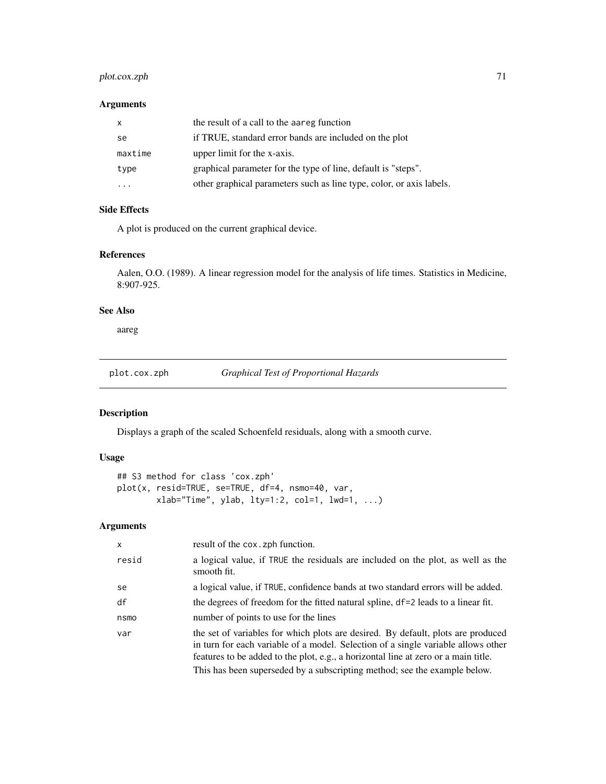## plot.cox.zph 71

# Arguments

| $\mathsf{x}$ | the result of a call to the aareg function                           |
|--------------|----------------------------------------------------------------------|
| se           | if TRUE, standard error bands are included on the plot               |
| maxtime      | upper limit for the x-axis.                                          |
| type         | graphical parameter for the type of line, default is "steps".        |
|              | other graphical parameters such as line type, color, or axis labels. |

## Side Effects

A plot is produced on the current graphical device.

## References

Aalen, O.O. (1989). A linear regression model for the analysis of life times. Statistics in Medicine, 8:907-925.

## See Also

aareg

plot.cox.zph *Graphical Test of Proportional Hazards*

## Description

Displays a graph of the scaled Schoenfeld residuals, along with a smooth curve.

## Usage

```
## S3 method for class 'cox.zph'
plot(x, resid=TRUE, se=TRUE, df=4, nsmo=40, var,
        xlab="Time", ylab, lty=1:2, col=1, lwd=1, ...)
```
## Arguments

| $\mathsf{x}$ | result of the cox. zph function.                                                                                                                                                                                                                                                                                                         |
|--------------|------------------------------------------------------------------------------------------------------------------------------------------------------------------------------------------------------------------------------------------------------------------------------------------------------------------------------------------|
| resid        | a logical value, if TRUE the residuals are included on the plot, as well as the<br>smooth fit.                                                                                                                                                                                                                                           |
| se           | a logical value, if TRUE, confidence bands at two standard errors will be added.                                                                                                                                                                                                                                                         |
| df           | the degrees of freedom for the fitted natural spline, df=2 leads to a linear fit.                                                                                                                                                                                                                                                        |
| nsmo         | number of points to use for the lines                                                                                                                                                                                                                                                                                                    |
| var          | the set of variables for which plots are desired. By default, plots are produced<br>in turn for each variable of a model. Selection of a single variable allows other<br>features to be added to the plot, e.g., a horizontal line at zero or a main title.<br>This has been superseded by a subscripting method; see the example below. |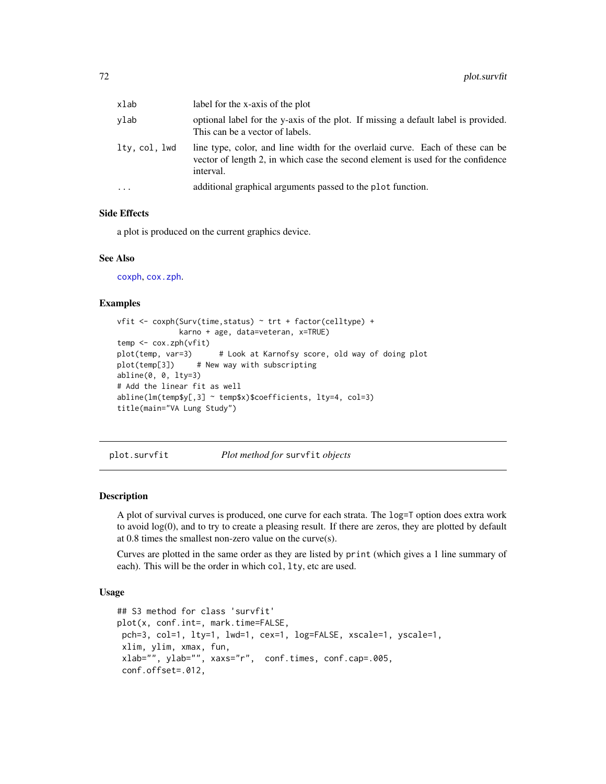| xlab          | label for the x-axis of the plot                                                                                                                                              |
|---------------|-------------------------------------------------------------------------------------------------------------------------------------------------------------------------------|
| vlab          | optional label for the y-axis of the plot. If missing a default label is provided.<br>This can be a vector of labels.                                                         |
| ltv. col. lwd | line type, color, and line width for the overlaid curve. Each of these can be<br>vector of length 2, in which case the second element is used for the confidence<br>interval. |
| .             | additional graphical arguments passed to the plot function.                                                                                                                   |

## Side Effects

a plot is produced on the current graphics device.

#### See Also

[coxph](#page-29-0), [cox.zph](#page-27-0).

#### Examples

```
vfit <- coxph(Surv(time,status) ~ trt + factor(celltype) +
             karno + age, data=veteran, x=TRUE)
temp <- cox.zph(vfit)
plot(temp, var=3) # Look at Karnofsy score, old way of doing plot
plot(temp[3]) # New way with subscripting
abline(0, 0, lty=3)
# Add the linear fit as well
abline(lm(temp$y[,3] ~ temp$x)$coefficients, lty=4, col=3)
title(main="VA Lung Study")
```
<span id="page-71-0"></span>plot.survfit *Plot method for* survfit *objects*

### Description

A plot of survival curves is produced, one curve for each strata. The log=T option does extra work to avoid log(0), and to try to create a pleasing result. If there are zeros, they are plotted by default at 0.8 times the smallest non-zero value on the curve(s).

Curves are plotted in the same order as they are listed by print (which gives a 1 line summary of each). This will be the order in which col, lty, etc are used.

#### Usage

```
## S3 method for class 'survfit'
plot(x, conf.int=, mark.time=FALSE,
pch=3, col=1, lty=1, lwd=1, cex=1, log=FALSE, xscale=1, yscale=1,
xlim, ylim, xmax, fun,
 xlab="", ylab="", xaxs="r", conf.times, conf.cap=.005,
 conf.offset=.012,
```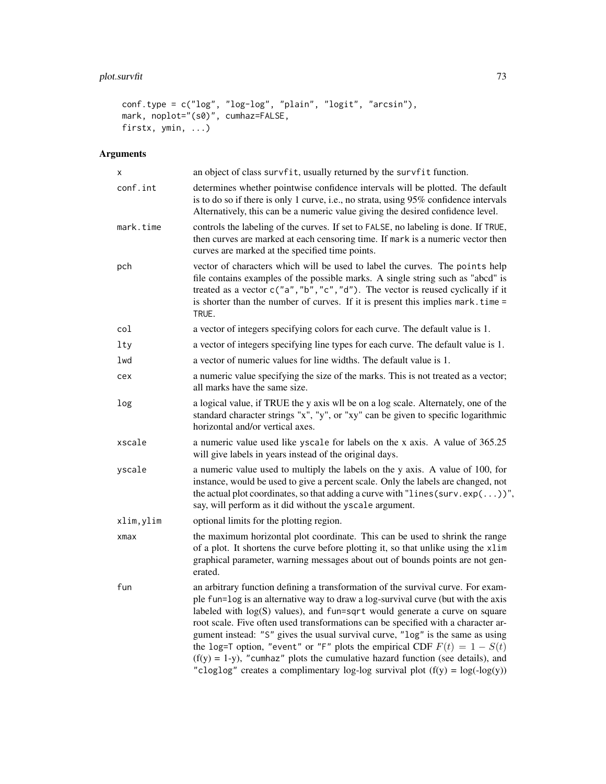# plot.survfit 73

```
conf.type = c("log", "log-log", "plain", "logit", "arcsin"),
mark, noplot="(s0)", cumhaz=FALSE,
firstx, ymin, ...)
```
# Arguments

| x          | an object of class survfit, usually returned by the survfit function.                                                                                                                                                                                                                                                                                                                                                                                                                                                                                                                                                                                                              |
|------------|------------------------------------------------------------------------------------------------------------------------------------------------------------------------------------------------------------------------------------------------------------------------------------------------------------------------------------------------------------------------------------------------------------------------------------------------------------------------------------------------------------------------------------------------------------------------------------------------------------------------------------------------------------------------------------|
| conf.int   | determines whether pointwise confidence intervals will be plotted. The default<br>is to do so if there is only 1 curve, i.e., no strata, using 95% confidence intervals<br>Alternatively, this can be a numeric value giving the desired confidence level.                                                                                                                                                                                                                                                                                                                                                                                                                         |
| mark.time  | controls the labeling of the curves. If set to FALSE, no labeling is done. If TRUE,<br>then curves are marked at each censoring time. If mark is a numeric vector then<br>curves are marked at the specified time points.                                                                                                                                                                                                                                                                                                                                                                                                                                                          |
| pch        | vector of characters which will be used to label the curves. The points help<br>file contains examples of the possible marks. A single string such as "abcd" is<br>treated as a vector c("a", "b", "c", "d"). The vector is reused cyclically if it<br>is shorter than the number of curves. If it is present this implies mark. time =<br>TRUE.                                                                                                                                                                                                                                                                                                                                   |
| col        | a vector of integers specifying colors for each curve. The default value is 1.                                                                                                                                                                                                                                                                                                                                                                                                                                                                                                                                                                                                     |
| lty        | a vector of integers specifying line types for each curve. The default value is 1.                                                                                                                                                                                                                                                                                                                                                                                                                                                                                                                                                                                                 |
| lwd        | a vector of numeric values for line widths. The default value is 1.                                                                                                                                                                                                                                                                                                                                                                                                                                                                                                                                                                                                                |
| cex        | a numeric value specifying the size of the marks. This is not treated as a vector;<br>all marks have the same size.                                                                                                                                                                                                                                                                                                                                                                                                                                                                                                                                                                |
| log        | a logical value, if TRUE the y axis wll be on a log scale. Alternately, one of the<br>standard character strings "x", "y", or "xy" can be given to specific logarithmic<br>horizontal and/or vertical axes.                                                                                                                                                                                                                                                                                                                                                                                                                                                                        |
| xscale     | a numeric value used like yscale for labels on the x axis. A value of 365.25<br>will give labels in years instead of the original days.                                                                                                                                                                                                                                                                                                                                                                                                                                                                                                                                            |
| yscale     | a numeric value used to multiply the labels on the y axis. A value of 100, for<br>instance, would be used to give a percent scale. Only the labels are changed, not<br>the actual plot coordinates, so that adding a curve with "lines (surv.exp $(\dots)$ )",<br>say, will perform as it did without the yscale argument.                                                                                                                                                                                                                                                                                                                                                         |
| xlim,ylim  | optional limits for the plotting region.                                                                                                                                                                                                                                                                                                                                                                                                                                                                                                                                                                                                                                           |
| $x$ ma $x$ | the maximum horizontal plot coordinate. This can be used to shrink the range<br>of a plot. It shortens the curve before plotting it, so that unlike using the xlim<br>graphical parameter, warning messages about out of bounds points are not gen-<br>erated.                                                                                                                                                                                                                                                                                                                                                                                                                     |
| fun        | an arbitrary function defining a transformation of the survival curve. For exam-<br>ple fun=log is an alternative way to draw a log-survival curve (but with the axis<br>labeled with $log(S)$ values), and fun=sqrt would generate a curve on square<br>root scale. Five often used transformations can be specified with a character ar-<br>gument instead: "S" gives the usual survival curve, "log" is the same as using<br>the log=T option, "event" or "F" plots the empirical CDF $F(t) = 1 - S(t)$<br>$(f(y) = 1-y)$ , "cumhaz" plots the cumulative hazard function (see details), and<br>"cloglog" creates a complimentary log-log survival plot $(f(y) = log(-log(y)))$ |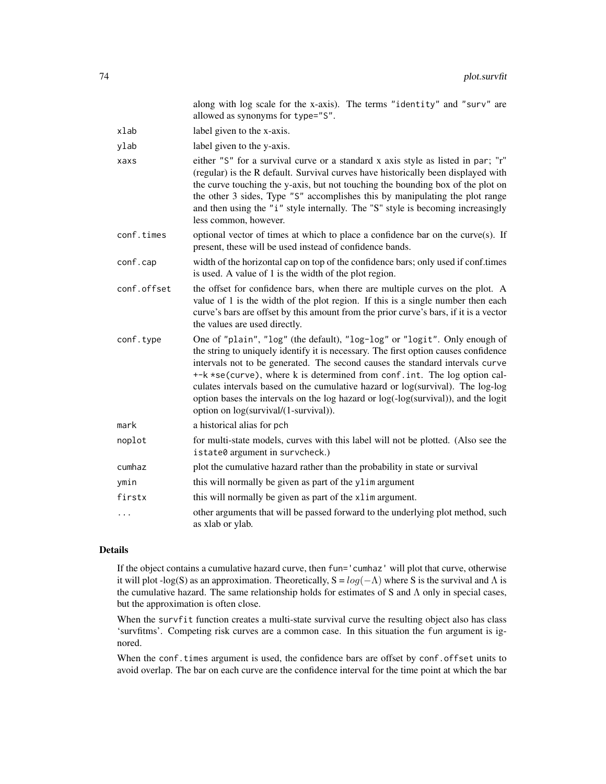|             | along with log scale for the x-axis). The terms "identity" and "surv" are<br>allowed as synonyms for type="S".                                                                                                                                                                                                                                                                                                                                                                                                                                  |
|-------------|-------------------------------------------------------------------------------------------------------------------------------------------------------------------------------------------------------------------------------------------------------------------------------------------------------------------------------------------------------------------------------------------------------------------------------------------------------------------------------------------------------------------------------------------------|
| xlab        | label given to the x-axis.                                                                                                                                                                                                                                                                                                                                                                                                                                                                                                                      |
| ylab        | label given to the y-axis.                                                                                                                                                                                                                                                                                                                                                                                                                                                                                                                      |
| xaxs        | either "S" for a survival curve or a standard x axis style as listed in par; "r"<br>(regular) is the R default. Survival curves have historically been displayed with<br>the curve touching the y-axis, but not touching the bounding box of the plot on<br>the other 3 sides, Type "S" accomplishes this by manipulating the plot range<br>and then using the "i" style internally. The "S" style is becoming increasingly<br>less common, however.                                                                                            |
| conf.times  | optional vector of times at which to place a confidence bar on the curve(s). If<br>present, these will be used instead of confidence bands.                                                                                                                                                                                                                                                                                                                                                                                                     |
| conf.cap    | width of the horizontal cap on top of the confidence bars; only used if conf.times<br>is used. A value of 1 is the width of the plot region.                                                                                                                                                                                                                                                                                                                                                                                                    |
| conf.offset | the offset for confidence bars, when there are multiple curves on the plot. A<br>value of 1 is the width of the plot region. If this is a single number then each<br>curve's bars are offset by this amount from the prior curve's bars, if it is a vector<br>the values are used directly.                                                                                                                                                                                                                                                     |
| conf.type   | One of "plain", "log" (the default), "log-log" or "logit". Only enough of<br>the string to uniquely identify it is necessary. The first option causes confidence<br>intervals not to be generated. The second causes the standard intervals curve<br>+-k *se(curve), where k is determined from conf. int. The log option cal-<br>culates intervals based on the cumulative hazard or log(survival). The log-log<br>option bases the intervals on the log hazard or log(-log(survival)), and the logit<br>option on log(survival/(1-survival)). |
| mark        | a historical alias for pch                                                                                                                                                                                                                                                                                                                                                                                                                                                                                                                      |
| noplot      | for multi-state models, curves with this label will not be plotted. (Also see the<br>istate0 argument in survcheck.)                                                                                                                                                                                                                                                                                                                                                                                                                            |
| cumhaz      | plot the cumulative hazard rather than the probability in state or survival                                                                                                                                                                                                                                                                                                                                                                                                                                                                     |
| ymin        | this will normally be given as part of the ylim argument                                                                                                                                                                                                                                                                                                                                                                                                                                                                                        |
| firstx      | this will normally be given as part of the xlim argument.                                                                                                                                                                                                                                                                                                                                                                                                                                                                                       |
| .           | other arguments that will be passed forward to the underlying plot method, such<br>as xlab or ylab.                                                                                                                                                                                                                                                                                                                                                                                                                                             |

# Details

If the object contains a cumulative hazard curve, then fun='cumhaz' will plot that curve, otherwise it will plot -log(S) as an approximation. Theoretically,  $S = log(-\Lambda)$  where S is the survival and  $\Lambda$  is the cumulative hazard. The same relationship holds for estimates of S and Λ only in special cases, but the approximation is often close.

When the survfit function creates a multi-state survival curve the resulting object also has class 'survfitms'. Competing risk curves are a common case. In this situation the fun argument is ignored.

When the conf.times argument is used, the confidence bars are offset by conf.offset units to avoid overlap. The bar on each curve are the confidence interval for the time point at which the bar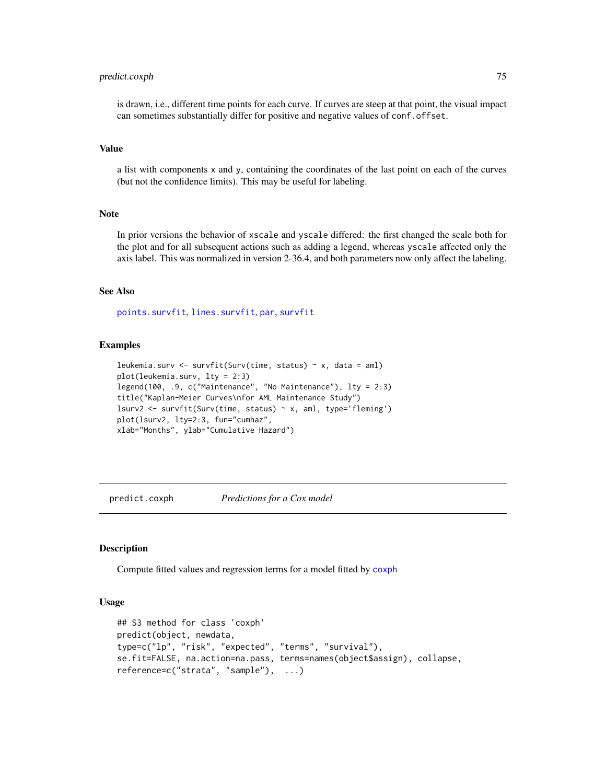# predict.coxph 75

is drawn, i.e., different time points for each curve. If curves are steep at that point, the visual impact can sometimes substantially differ for positive and negative values of conf.offset.

#### Value

a list with components x and y, containing the coordinates of the last point on each of the curves (but not the confidence limits). This may be useful for labeling.

### **Note**

In prior versions the behavior of xscale and yscale differed: the first changed the scale both for the plot and for all subsequent actions such as adding a legend, whereas yscale affected only the axis label. This was normalized in version 2-36.4, and both parameters now only affect the labeling.

# See Also

[points.survfit](#page-51-0), [lines.survfit](#page-51-1), [par](#page-0-0), [survfit](#page-126-0)

### Examples

```
leukemia.surv <- survfit(Surv(time, status) \sim x, data = aml)
plot(leukemia.surv, lty = 2:3)
legend(100, .9, c("Maintenance", "No Maintenance"), lty = 2:3)
title("Kaplan-Meier Curves\nfor AML Maintenance Study")
lsurv2 <- survfit(Surv(time, status) ~ x, aml, type='fleming')
plot(lsurv2, lty=2:3, fun="cumhaz",
xlab="Months", ylab="Cumulative Hazard")
```
predict.coxph *Predictions for a Cox model*

### Description

Compute fitted values and regression terms for a model fitted by [coxph](#page-29-0)

### Usage

```
## S3 method for class 'coxph'
predict(object, newdata,
type=c("lp", "risk", "expected", "terms", "survival"),
se.fit=FALSE, na.action=na.pass, terms=names(object$assign), collapse,
reference=c("strata", "sample"), ...)
```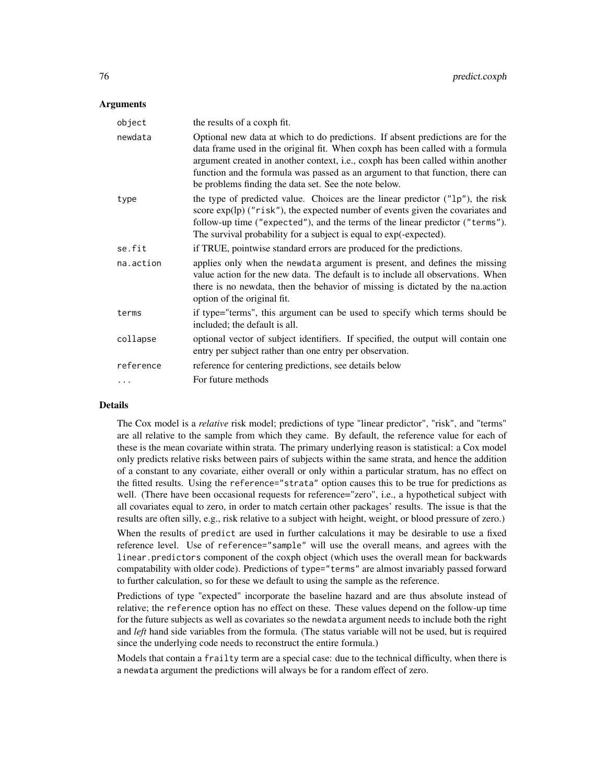# **Arguments**

| object    | the results of a coxph fit.                                                                                                                                                                                                                                                                                                                                                                     |
|-----------|-------------------------------------------------------------------------------------------------------------------------------------------------------------------------------------------------------------------------------------------------------------------------------------------------------------------------------------------------------------------------------------------------|
| newdata   | Optional new data at which to do predictions. If absent predictions are for the<br>data frame used in the original fit. When coxph has been called with a formula<br>argument created in another context, i.e., coxph has been called within another<br>function and the formula was passed as an argument to that function, there can<br>be problems finding the data set. See the note below. |
| type      | the type of predicted value. Choices are the linear predictor ("1p"), the risk<br>score $exp(\ln(\theta)$ ("risk"), the expected number of events given the covariates and<br>follow-up time ("expected"), and the terms of the linear predictor ("terms").<br>The survival probability for a subject is equal to exp(-expected).                                                               |
| se.fit    | if TRUE, pointwise standard errors are produced for the predictions.                                                                                                                                                                                                                                                                                                                            |
| na.action | applies only when the newdata argument is present, and defines the missing<br>value action for the new data. The default is to include all observations. When<br>there is no newdata, then the behavior of missing is dictated by the na.action<br>option of the original fit.                                                                                                                  |
| terms     | if type="terms", this argument can be used to specify which terms should be<br>included; the default is all.                                                                                                                                                                                                                                                                                    |
| collapse  | optional vector of subject identifiers. If specified, the output will contain one<br>entry per subject rather than one entry per observation.                                                                                                                                                                                                                                                   |
| reference | reference for centering predictions, see details below                                                                                                                                                                                                                                                                                                                                          |
|           | For future methods                                                                                                                                                                                                                                                                                                                                                                              |
|           |                                                                                                                                                                                                                                                                                                                                                                                                 |

### Details

The Cox model is a *relative* risk model; predictions of type "linear predictor", "risk", and "terms" are all relative to the sample from which they came. By default, the reference value for each of these is the mean covariate within strata. The primary underlying reason is statistical: a Cox model only predicts relative risks between pairs of subjects within the same strata, and hence the addition of a constant to any covariate, either overall or only within a particular stratum, has no effect on the fitted results. Using the reference="strata" option causes this to be true for predictions as well. (There have been occasional requests for reference="zero", i.e., a hypothetical subject with all covariates equal to zero, in order to match certain other packages' results. The issue is that the results are often silly, e.g., risk relative to a subject with height, weight, or blood pressure of zero.)

When the results of predict are used in further calculations it may be desirable to use a fixed reference level. Use of reference="sample" will use the overall means, and agrees with the linear.predictors component of the coxph object (which uses the overall mean for backwards compatability with older code). Predictions of type="terms" are almost invariably passed forward to further calculation, so for these we default to using the sample as the reference.

Predictions of type "expected" incorporate the baseline hazard and are thus absolute instead of relative; the reference option has no effect on these. These values depend on the follow-up time for the future subjects as well as covariates so the newdata argument needs to include both the right and *left* hand side variables from the formula. (The status variable will not be used, but is required since the underlying code needs to reconstruct the entire formula.)

Models that contain a frailty term are a special case: due to the technical difficulty, when there is a newdata argument the predictions will always be for a random effect of zero.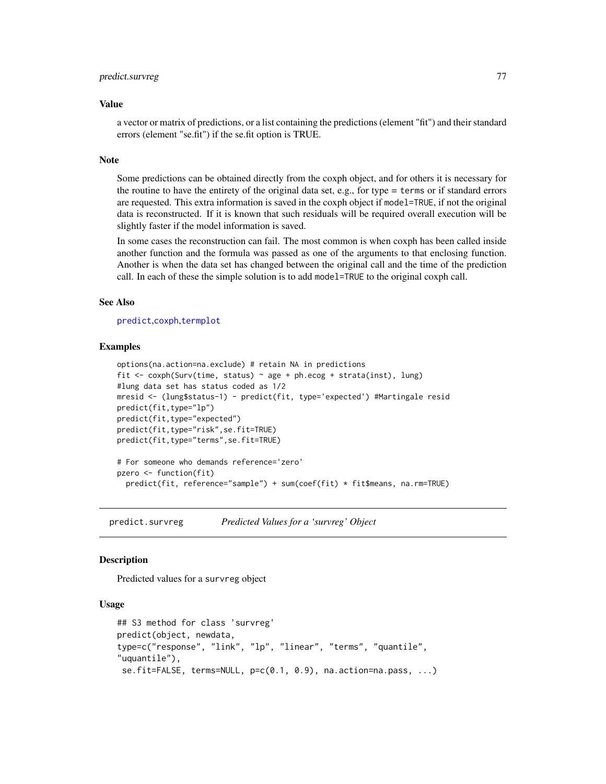### predict.survreg 277

#### Value

a vector or matrix of predictions, or a list containing the predictions (element "fit") and their standard errors (element "se.fit") if the se.fit option is TRUE.

#### Note

Some predictions can be obtained directly from the coxph object, and for others it is necessary for the routine to have the entirety of the original data set, e.g., for type = terms or if standard errors are requested. This extra information is saved in the coxph object if model=TRUE, if not the original data is reconstructed. If it is known that such residuals will be required overall execution will be slightly faster if the model information is saved.

In some cases the reconstruction can fail. The most common is when coxph has been called inside another function and the formula was passed as one of the arguments to that enclosing function. Another is when the data set has changed between the original call and the time of the prediction call. In each of these the simple solution is to add model=TRUE to the original coxph call.

# See Also

[predict](#page-0-0),[coxph](#page-29-0),[termplot](#page-0-0)

# Examples

```
options(na.action=na.exclude) # retain NA in predictions
fit <- coxph(Surv(time, status) ~ age + ph.ecog + strata(inst), lung)
#lung data set has status coded as 1/2
mresid <- (lung$status-1) - predict(fit, type='expected') #Martingale resid
predict(fit,type="lp")
predict(fit,type="expected")
predict(fit,type="risk",se.fit=TRUE)
predict(fit,type="terms",se.fit=TRUE)
# For someone who demands reference='zero'
pzero <- function(fit)
 predict(fit, reference="sample") + sum(coef(fit) * fit$means, na.rm=TRUE)
```
<span id="page-76-0"></span>predict.survreg *Predicted Values for a 'survreg' Object*

### Description

Predicted values for a survreg object

### Usage

```
## S3 method for class 'survreg'
predict(object, newdata,
type=c("response", "link", "lp", "linear", "terms", "quantile",
"uquantile"),
se.fit=FALSE, terms=NULL, p=c(0.1, 0.9), na.action=na.pass, ...)
```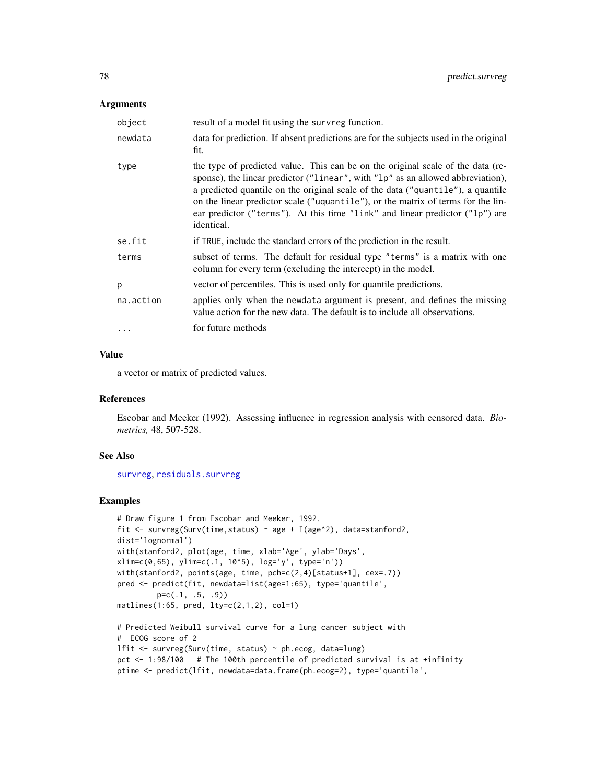# **Arguments**

| object    | result of a model fit using the survreg function.                                                                                                                                                                                                                                                                                                                                                                                       |
|-----------|-----------------------------------------------------------------------------------------------------------------------------------------------------------------------------------------------------------------------------------------------------------------------------------------------------------------------------------------------------------------------------------------------------------------------------------------|
| newdata   | data for prediction. If absent predictions are for the subjects used in the original<br>fit.                                                                                                                                                                                                                                                                                                                                            |
| type      | the type of predicted value. This can be on the original scale of the data (re-<br>sponse), the linear predictor ("linear", with "lp" as an allowed abbreviation),<br>a predicted quantile on the original scale of the data ("quantile"), a quantile<br>on the linear predictor scale ("uquantile"), or the matrix of terms for the lin-<br>ear predictor ("terms"). At this time "link" and linear predictor ("lp") are<br>identical. |
| se.fit    | if TRUE, include the standard errors of the prediction in the result.                                                                                                                                                                                                                                                                                                                                                                   |
| terms     | subset of terms. The default for residual type "terms" is a matrix with one<br>column for every term (excluding the intercept) in the model.                                                                                                                                                                                                                                                                                            |
| p         | vector of percentiles. This is used only for quantile predictions.                                                                                                                                                                                                                                                                                                                                                                      |
| na.action | applies only when the newdata argument is present, and defines the missing<br>value action for the new data. The default is to include all observations.                                                                                                                                                                                                                                                                                |
| $\ddots$  | for future methods                                                                                                                                                                                                                                                                                                                                                                                                                      |

### Value

a vector or matrix of predicted values.

#### References

Escobar and Meeker (1992). Assessing influence in regression analysis with censored data. *Biometrics,* 48, 507-528.

#### See Also

[survreg](#page-141-0), [residuals.survreg](#page-95-0)

### Examples

```
# Draw figure 1 from Escobar and Meeker, 1992.
fit <- survreg(Surv(time, status) \sim age + I(age^2), data=stanford2,
dist='lognormal')
with(stanford2, plot(age, time, xlab='Age', ylab='Days',
xlim=c(0,65), ylim=c(.1, 10^5), log='y', type='n'))
with(stanford2, points(age, time, pch=c(2,4)[status+1], cex=.7))
pred <- predict(fit, newdata=list(age=1:65), type='quantile',
         p=c(.1, .5, .9))
matlines(1:65, pred, lty=c(2,1,2), col=1)
# Predicted Weibull survival curve for a lung cancer subject with
# ECOG score of 2
lfit <- survreg(Surv(time, status) ~ ph.ecog, data=lung)
pct <- 1:98/100 # The 100th percentile of predicted survival is at +infinity
```
ptime <- predict(lfit, newdata=data.frame(ph.ecog=2), type='quantile',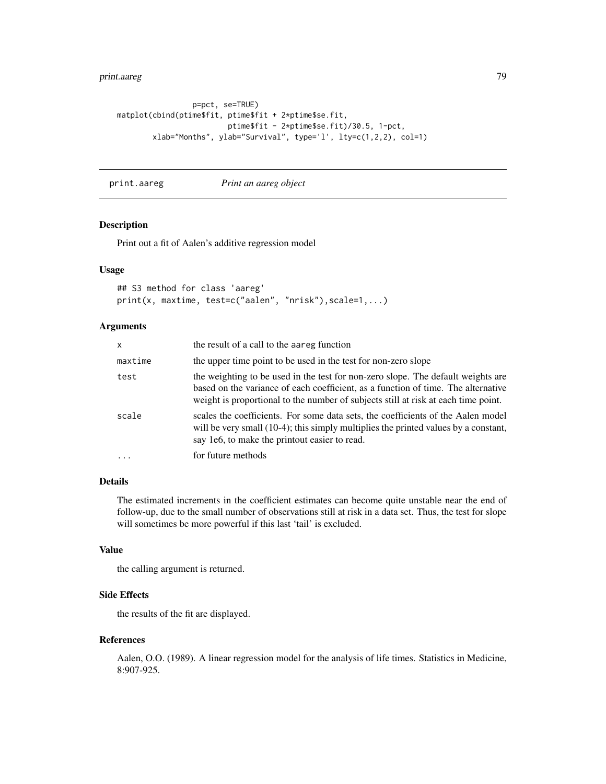# print.aareg 79

```
p=pct, se=TRUE)
matplot(cbind(ptime$fit, ptime$fit + 2*ptime$se.fit,
                         ptime$fit - 2*ptime$se.fit)/30.5, 1-pct,
        xlab="Months", ylab="Survival", type='l', lty=c(1,2,2), col=1)
```
print.aareg *Print an aareg object*

# Description

Print out a fit of Aalen's additive regression model

# Usage

```
## S3 method for class 'aareg'
print(x, maxtime, test=c("aalen", "nrisk"),scale=1,...)
```
# Arguments

| x        | the result of a call to the aareg function                                                                                                                                                                                                                  |
|----------|-------------------------------------------------------------------------------------------------------------------------------------------------------------------------------------------------------------------------------------------------------------|
| maxtime  | the upper time point to be used in the test for non-zero slope                                                                                                                                                                                              |
| test     | the weighting to be used in the test for non-zero slope. The default weights are<br>based on the variance of each coefficient, as a function of time. The alternative<br>weight is proportional to the number of subjects still at risk at each time point. |
| scale    | scales the coefficients. For some data sets, the coefficients of the Aalen model<br>will be very small (10-4); this simply multiplies the printed values by a constant,<br>say 1e6, to make the printout easier to read.                                    |
| $\ddots$ | for future methods                                                                                                                                                                                                                                          |

# Details

The estimated increments in the coefficient estimates can become quite unstable near the end of follow-up, due to the small number of observations still at risk in a data set. Thus, the test for slope will sometimes be more powerful if this last 'tail' is excluded.

# Value

the calling argument is returned.

# Side Effects

the results of the fit are displayed.

### References

Aalen, O.O. (1989). A linear regression model for the analysis of life times. Statistics in Medicine, 8:907-925.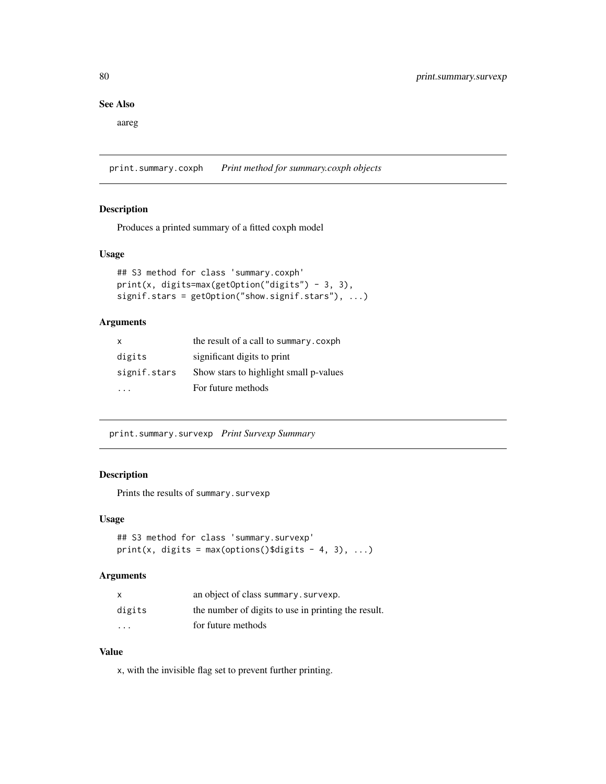# See Also

aareg

print.summary.coxph *Print method for summary.coxph objects*

# Description

Produces a printed summary of a fitted coxph model

### Usage

```
## S3 method for class 'summary.coxph'
print(x, digits=max(getOption("digits") - 3, 3),
signif.stars = getOption("show.signif.stars"), ...)
```
# Arguments

| $\mathsf{x}$ | the result of a call to summary.coxph  |
|--------------|----------------------------------------|
| digits       | significant digits to print            |
| signif.stars | Show stars to highlight small p-values |
|              | For future methods                     |

print.summary.survexp *Print Survexp Summary*

# Description

Prints the results of summary.survexp

### Usage

```
## S3 method for class 'summary.survexp'
print(x, digits = max(options()$digits - 4, 3), \dots)
```
# Arguments

|                         | an object of class summary. survexp.                |
|-------------------------|-----------------------------------------------------|
| digits                  | the number of digits to use in printing the result. |
| $\cdot$ $\cdot$ $\cdot$ | for future methods                                  |

# Value

x, with the invisible flag set to prevent further printing.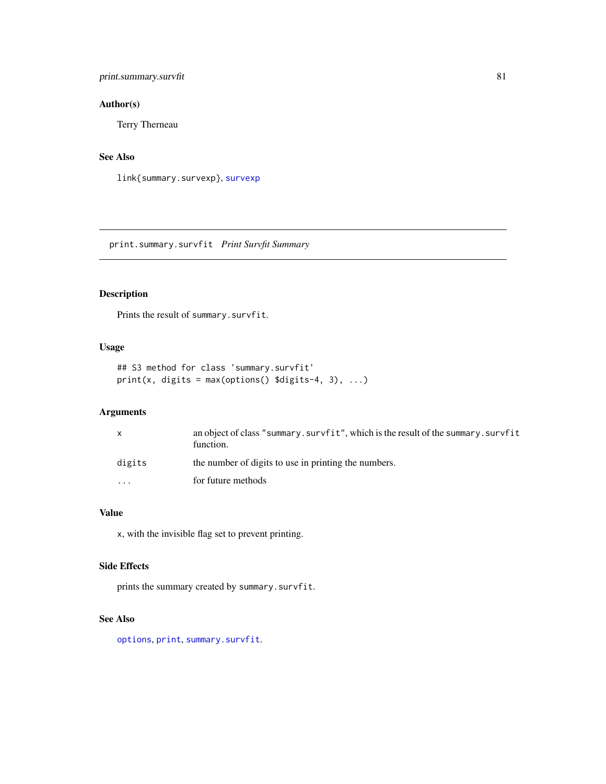# print.summary.survfit 81

# Author(s)

Terry Therneau

# See Also

link{summary.survexp}, [survexp](#page-121-0)

print.summary.survfit *Print Survfit Summary*

# Description

Prints the result of summary.survfit.

# Usage

```
## S3 method for class 'summary.survfit'
print(x, digits = max(options() \deltadigits-4, 3), ...)
```
# Arguments

| X       | an object of class "summary. survfit", which is the result of the summary. survfit<br>function. |
|---------|-------------------------------------------------------------------------------------------------|
| digits  | the number of digits to use in printing the numbers.                                            |
| $\cdot$ | for future methods                                                                              |

# Value

x, with the invisible flag set to prevent printing.

# Side Effects

prints the summary created by summary.survfit.

# See Also

[options](#page-0-0), [print](#page-0-0), [summary.survfit](#page-110-0).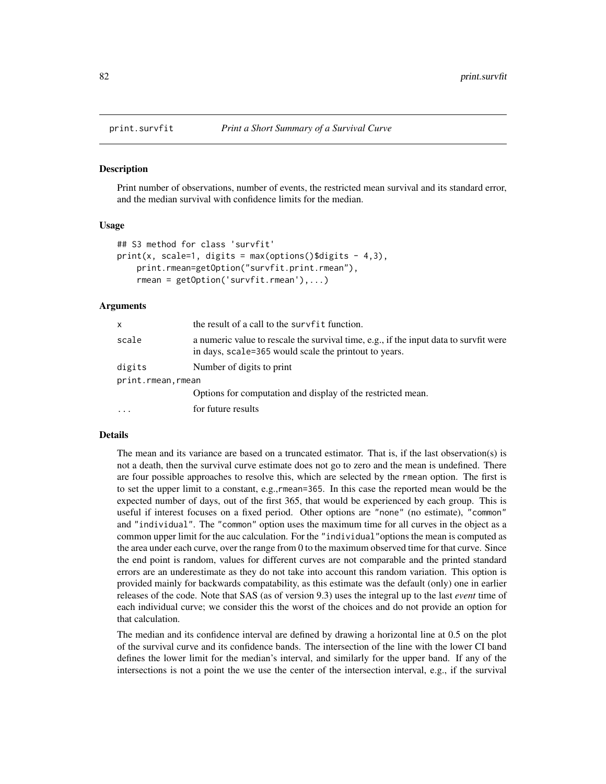<span id="page-81-0"></span>

#### Description

Print number of observations, number of events, the restricted mean survival and its standard error, and the median survival with confidence limits for the median.

### Usage

```
## S3 method for class 'survfit'
print(x, scale=1, digits = max(options()$digits - 4,3),
   print.rmean=getOption("survfit.print.rmean"),
   rmean = getOption('survfit.rmean'),...)
```
### Arguments

| X                 | the result of a call to the survfit function.                                                                                                  |
|-------------------|------------------------------------------------------------------------------------------------------------------------------------------------|
| scale             | a numeric value to rescale the survival time, e.g., if the input data to survfit were<br>in days, scale=365 would scale the printout to years. |
| digits            | Number of digits to print                                                                                                                      |
| print.rmean.rmean |                                                                                                                                                |
|                   | Options for computation and display of the restricted mean.                                                                                    |
| $\ddots$ .        | for future results                                                                                                                             |

### Details

The mean and its variance are based on a truncated estimator. That is, if the last observation(s) is not a death, then the survival curve estimate does not go to zero and the mean is undefined. There are four possible approaches to resolve this, which are selected by the rmean option. The first is to set the upper limit to a constant, e.g.,rmean=365. In this case the reported mean would be the expected number of days, out of the first 365, that would be experienced by each group. This is useful if interest focuses on a fixed period. Other options are "none" (no estimate), "common" and "individual". The "common" option uses the maximum time for all curves in the object as a common upper limit for the auc calculation. For the "individual"options the mean is computed as the area under each curve, over the range from 0 to the maximum observed time for that curve. Since the end point is random, values for different curves are not comparable and the printed standard errors are an underestimate as they do not take into account this random variation. This option is provided mainly for backwards compatability, as this estimate was the default (only) one in earlier releases of the code. Note that SAS (as of version 9.3) uses the integral up to the last *event* time of each individual curve; we consider this the worst of the choices and do not provide an option for that calculation.

The median and its confidence interval are defined by drawing a horizontal line at 0.5 on the plot of the survival curve and its confidence bands. The intersection of the line with the lower CI band defines the lower limit for the median's interval, and similarly for the upper band. If any of the intersections is not a point the we use the center of the intersection interval, e.g., if the survival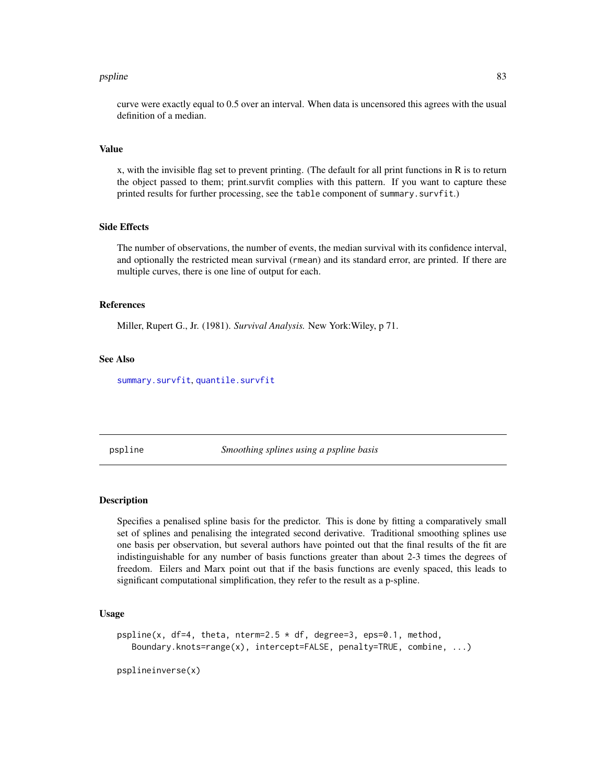#### pspline 83

curve were exactly equal to 0.5 over an interval. When data is uncensored this agrees with the usual definition of a median.

#### Value

x, with the invisible flag set to prevent printing. (The default for all print functions in R is to return the object passed to them; print.survfit complies with this pattern. If you want to capture these printed results for further processing, see the table component of summary.survfit.)

## Side Effects

The number of observations, the number of events, the median survival with its confidence interval, and optionally the restricted mean survival (rmean) and its standard error, are printed. If there are multiple curves, there is one line of output for each.

### References

Miller, Rupert G., Jr. (1981). *Survival Analysis.* New York:Wiley, p 71.

# See Also

[summary.survfit](#page-110-0), [quantile.survfit](#page-87-0)

<span id="page-82-0"></span>pspline *Smoothing splines using a pspline basis*

### Description

Specifies a penalised spline basis for the predictor. This is done by fitting a comparatively small set of splines and penalising the integrated second derivative. Traditional smoothing splines use one basis per observation, but several authors have pointed out that the final results of the fit are indistinguishable for any number of basis functions greater than about 2-3 times the degrees of freedom. Eilers and Marx point out that if the basis functions are evenly spaced, this leads to significant computational simplification, they refer to the result as a p-spline.

# Usage

```
pspline(x, df=4, theta, nterm=2.5 * df, degree=3, eps=0.1, method,
   Boundary.knots=range(x), intercept=FALSE, penalty=TRUE, combine, ...)
```
psplineinverse(x)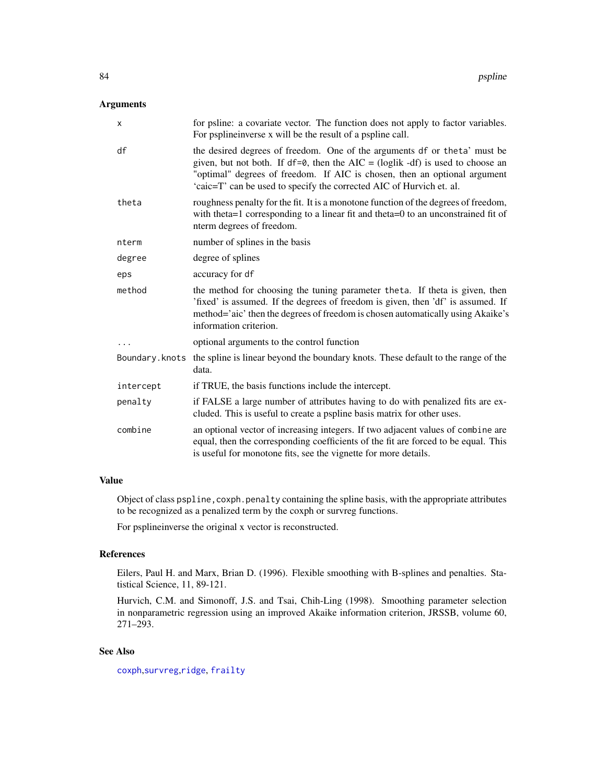# Arguments

| X         | for psline: a covariate vector. The function does not apply to factor variables.<br>For pspline inverse x will be the result of a pspline call.                                                                                                                                                                       |
|-----------|-----------------------------------------------------------------------------------------------------------------------------------------------------------------------------------------------------------------------------------------------------------------------------------------------------------------------|
| df        | the desired degrees of freedom. One of the arguments df or theta' must be<br>given, but not both. If $df = 0$ , then the AIC = (loglik -df) is used to choose an<br>"optimal" degrees of freedom. If AIC is chosen, then an optional argument<br>'caic=T' can be used to specify the corrected AIC of Hurvich et. al. |
| theta     | roughness penalty for the fit. It is a monotone function of the degrees of freedom,<br>with theta=1 corresponding to a linear fit and theta=0 to an unconstrained fit of<br>nterm degrees of freedom.                                                                                                                 |
| nterm     | number of splines in the basis                                                                                                                                                                                                                                                                                        |
| degree    | degree of splines                                                                                                                                                                                                                                                                                                     |
| eps       | accuracy for df                                                                                                                                                                                                                                                                                                       |
| method    | the method for choosing the tuning parameter theta. If theta is given, then<br>'fixed' is assumed. If the degrees of freedom is given, then 'df' is assumed. If<br>method='aic' then the degrees of freedom is chosen automatically using Akaike's<br>information criterion.                                          |
|           | optional arguments to the control function                                                                                                                                                                                                                                                                            |
|           | Boundary. knots the spline is linear beyond the boundary knots. These default to the range of the<br>data.                                                                                                                                                                                                            |
| intercept | if TRUE, the basis functions include the intercept.                                                                                                                                                                                                                                                                   |
| penalty   | if FALSE a large number of attributes having to do with penalized fits are ex-<br>cluded. This is useful to create a pspline basis matrix for other uses.                                                                                                                                                             |
| combine   | an optional vector of increasing integers. If two adjacent values of combine are<br>equal, then the corresponding coefficients of the fit are forced to be equal. This<br>is useful for monotone fits, see the vignette for more details.                                                                             |

# Value

Object of class pspline, coxph.penalty containing the spline basis, with the appropriate attributes to be recognized as a penalized term by the coxph or survreg functions.

For psplineinverse the original x vector is reconstructed.

# References

Eilers, Paul H. and Marx, Brian D. (1996). Flexible smoothing with B-splines and penalties. Statistical Science, 11, 89-121.

Hurvich, C.M. and Simonoff, J.S. and Tsai, Chih-Ling (1998). Smoothing parameter selection in nonparametric regression using an improved Akaike information criterion, JRSSB, volume 60, 271–293.

# See Also

[coxph](#page-29-0),[survreg](#page-141-0),[ridge](#page-99-0), [frailty](#page-45-0)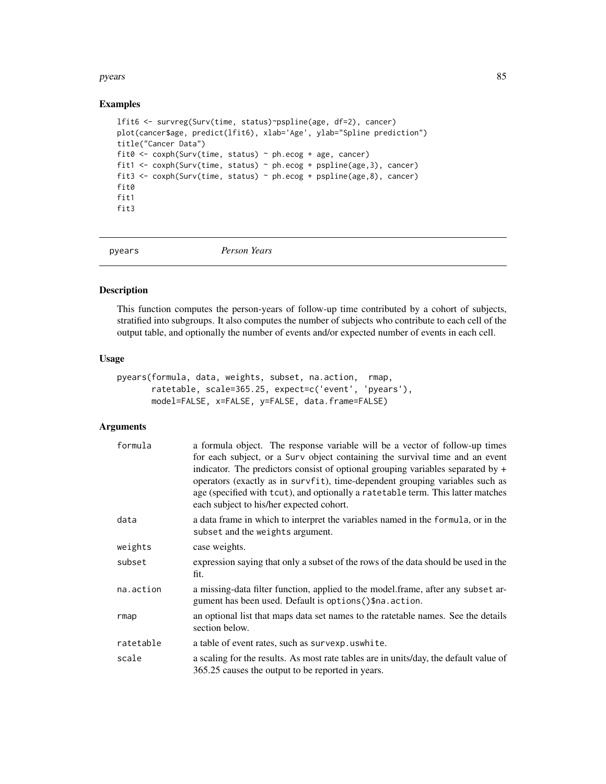#### pyears and the set of the set of the set of the set of the set of the set of the set of the set of the set of the set of the set of the set of the set of the set of the set of the set of the set of the set of the set of th

# Examples

```
lfit6 <- survreg(Surv(time, status)~pspline(age, df=2), cancer)
plot(cancer$age, predict(lfit6), xlab='Age', ylab="Spline prediction")
title("Cancer Data")
fit0 <- coxph(Surv(time, status) ~ ph.ecog + age, cancer)
fit1 <- coxph(Surv(time, status) ~ ph.ecog + pspline(age, 3), cancer)
fit3 <- coxph(Surv(time, status) ~ ph.ecog + pspline(age,8), cancer)
fit0
fit1
fit3
```
<span id="page-84-0"></span>pyears *Person Years*

### Description

This function computes the person-years of follow-up time contributed by a cohort of subjects, stratified into subgroups. It also computes the number of subjects who contribute to each cell of the output table, and optionally the number of events and/or expected number of events in each cell.

# Usage

```
pyears(formula, data, weights, subset, na.action, rmap,
       ratetable, scale=365.25, expect=c('event', 'pyears'),
      model=FALSE, x=FALSE, y=FALSE, data.frame=FALSE)
```
# Arguments

| formula   | a formula object. The response variable will be a vector of follow-up times<br>for each subject, or a Surv object containing the survival time and an event<br>indicator. The predictors consist of optional grouping variables separated by $+$<br>operators (exactly as in survfit), time-dependent grouping variables such as<br>age (specified with tcut), and optionally a ratetable term. This latter matches<br>each subject to his/her expected cohort. |
|-----------|-----------------------------------------------------------------------------------------------------------------------------------------------------------------------------------------------------------------------------------------------------------------------------------------------------------------------------------------------------------------------------------------------------------------------------------------------------------------|
| data      | a data frame in which to interpret the variables named in the formula, or in the<br>subset and the weights argument.                                                                                                                                                                                                                                                                                                                                            |
| weights   | case weights.                                                                                                                                                                                                                                                                                                                                                                                                                                                   |
| subset    | expression saying that only a subset of the rows of the data should be used in the<br>fit.                                                                                                                                                                                                                                                                                                                                                                      |
| na.action | a missing-data filter function, applied to the model.frame, after any subset ar-<br>gument has been used. Default is options () \$na. action.                                                                                                                                                                                                                                                                                                                   |
| rmap      | an optional list that maps data set names to the rate table names. See the details<br>section below.                                                                                                                                                                                                                                                                                                                                                            |
| ratetable | a table of event rates, such as survexp. uswhite.                                                                                                                                                                                                                                                                                                                                                                                                               |
| scale     | a scaling for the results. As most rate tables are in units/day, the default value of<br>365.25 causes the output to be reported in years.                                                                                                                                                                                                                                                                                                                      |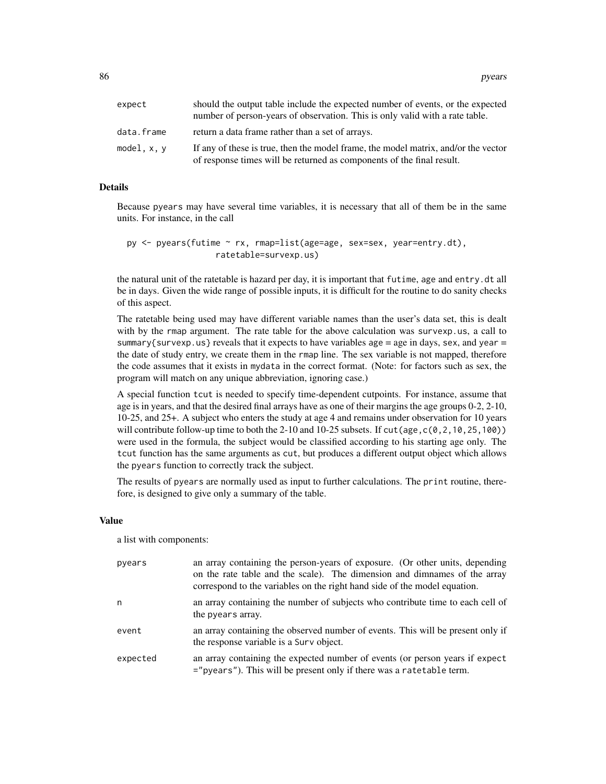86 pyears and the set of the set of the set of the set of the set of the set of the set of the set of the set of the set of the set of the set of the set of the set of the set of the set of the set of the set of the set of

| expect      | should the output table include the expected number of events, or the expected<br>number of person-years of observation. This is only valid with a rate table. |
|-------------|----------------------------------------------------------------------------------------------------------------------------------------------------------------|
| data.frame  | return a data frame rather than a set of arrays.                                                                                                               |
| model, x, y | If any of these is true, then the model frame, the model matrix, and/or the vector<br>of response times will be returned as components of the final result.    |

# Details

Because pyears may have several time variables, it is necessary that all of them be in the same units. For instance, in the call

```
py \leq pyears(futime \leq rx, rmap=list(age=age, sex=sex, year=entry.dt),
                   ratetable=survexp.us)
```
the natural unit of the ratetable is hazard per day, it is important that futime, age and entry, dt all be in days. Given the wide range of possible inputs, it is difficult for the routine to do sanity checks of this aspect.

The ratetable being used may have different variable names than the user's data set, this is dealt with by the rmap argument. The rate table for the above calculation was survexp.us, a call to summary{survexp.us} reveals that it expects to have variables age = age in days, sex, and year = the date of study entry, we create them in the rmap line. The sex variable is not mapped, therefore the code assumes that it exists in mydata in the correct format. (Note: for factors such as sex, the program will match on any unique abbreviation, ignoring case.)

A special function tcut is needed to specify time-dependent cutpoints. For instance, assume that age is in years, and that the desired final arrays have as one of their margins the age groups 0-2, 2-10, 10-25, and 25+. A subject who enters the study at age 4 and remains under observation for 10 years will contribute follow-up time to both the 2-10 and 10-25 subsets. If  $cut(age, c(0, 2, 10, 25, 100))$ were used in the formula, the subject would be classified according to his starting age only. The tcut function has the same arguments as cut, but produces a different output object which allows the pyears function to correctly track the subject.

The results of pyears are normally used as input to further calculations. The print routine, therefore, is designed to give only a summary of the table.

#### Value

a list with components:

| pyears   | an array containing the person-years of exposure. (Or other units, depending<br>on the rate table and the scale). The dimension and dimnames of the array<br>correspond to the variables on the right hand side of the model equation. |
|----------|----------------------------------------------------------------------------------------------------------------------------------------------------------------------------------------------------------------------------------------|
| n        | an array containing the number of subjects who contribute time to each cell of<br>the pyears array.                                                                                                                                    |
| event    | an array containing the observed number of events. This will be present only if<br>the response variable is a Surv object.                                                                                                             |
| expected | an array containing the expected number of events (or person years if expect<br>="pyears"). This will be present only if there was a ratetable term.                                                                                   |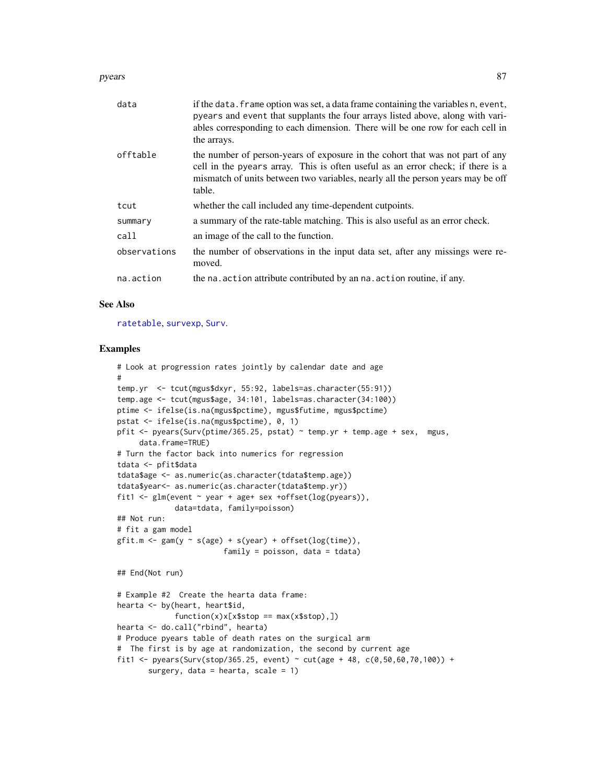#### pyears 87

| data         | if the data. frame option was set, a data frame containing the variables n, event,<br>pyears and event that supplants the four arrays listed above, along with vari-<br>ables corresponding to each dimension. There will be one row for each cell in<br>the arrays. |
|--------------|----------------------------------------------------------------------------------------------------------------------------------------------------------------------------------------------------------------------------------------------------------------------|
| offtable     | the number of person-years of exposure in the cohort that was not part of any<br>cell in the pyears array. This is often useful as an error check; if there is a<br>mismatch of units between two variables, nearly all the person years may be off<br>table.        |
| tcut         | whether the call included any time-dependent cutpoints.                                                                                                                                                                                                              |
| summary      | a summary of the rate-table matching. This is also useful as an error check.                                                                                                                                                                                         |
| call         | an image of the call to the function.                                                                                                                                                                                                                                |
| observations | the number of observations in the input data set, after any missings were re-<br>moved.                                                                                                                                                                              |
| na.action    | the na. action attribute contributed by an na. action routine, if any.                                                                                                                                                                                               |

# See Also

[ratetable](#page-88-0), [survexp](#page-121-0), [Surv](#page-112-0).

### Examples

```
# Look at progression rates jointly by calendar date and age
#
temp.yr <- tcut(mgus$dxyr, 55:92, labels=as.character(55:91))
temp.age <- tcut(mgus$age, 34:101, labels=as.character(34:100))
ptime <- ifelse(is.na(mgus$pctime), mgus$futime, mgus$pctime)
pstat <- ifelse(is.na(mgus$pctime), 0, 1)
pfit <- pyears(Surv(ptime/365.25, pstat) ~ temp.yr + temp.age + sex, mgus,
     data.frame=TRUE)
# Turn the factor back into numerics for regression
tdata <- pfit$data
tdata$age <- as.numeric(as.character(tdata$temp.age))
tdata$year<- as.numeric(as.character(tdata$temp.yr))
fit1 <- glm(event ~ year + age+ sex +offset(log(pyears)),
             data=tdata, family=poisson)
## Not run:
# fit a gam model
gfit.m \leftarrow gam(y \sim s(age) + s(year) + offset(log(time)),family = poisson, data = tdata)
## End(Not run)
# Example #2 Create the hearta data frame:
hearta <- by(heart, heart$id,
             function(x)x[x$stop == max(x$stop),])hearta <- do.call("rbind", hearta)
# Produce pyears table of death rates on the surgical arm
# The first is by age at randomization, the second by current age
fit1 <- pyears(Surv(stop/365.25, event) ~ cut(age + 48, c(0,50,60,70,100)) +
       surgery, data = hearta, scale = 1)
```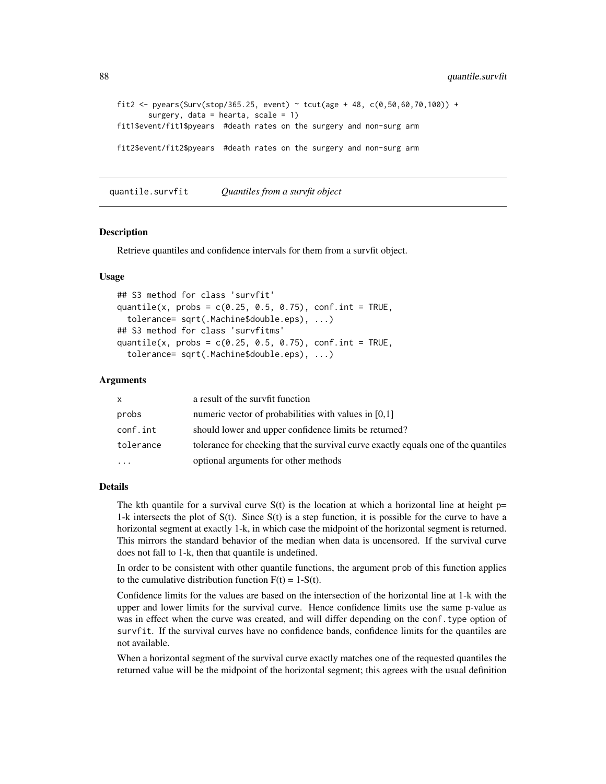```
fit2 <- pyears(Surv(stop/365.25, event) ~ tcut(age + 48, c(0,50,60,70,100)) +
      surgery, data = hearta, scale = 1)
fit1$event/fit1$pyears #death rates on the surgery and non-surg arm
fit2$event/fit2$pyears #death rates on the surgery and non-surg arm
```
<span id="page-87-0"></span>quantile.survfit *Quantiles from a survfit object*

#### Description

Retrieve quantiles and confidence intervals for them from a survfit object.

### Usage

```
## S3 method for class 'survfit'
quantile(x, probs = c(0.25, 0.5, 0.75), conf.int = TRUE,
  tolerance= sqrt(.Machine$double.eps), ...)
## S3 method for class 'survfitms'
quantile(x, probs = c(0.25, 0.5, 0.75), conf.int = TRUE,
  tolerance= sqrt(.Machine$double.eps), ...)
```
# Arguments

| x.        | a result of the survfit function                                                   |
|-----------|------------------------------------------------------------------------------------|
| probs     | numeric vector of probabilities with values in $[0,1]$                             |
| conf.int  | should lower and upper confidence limits be returned?                              |
| tolerance | tolerance for checking that the survival curve exactly equals one of the quantiles |
| $\ddots$  | optional arguments for other methods                                               |

# Details

The kth quantile for a survival curve  $S(t)$  is the location at which a horizontal line at height p= 1-k intersects the plot of S(t). Since S(t) is a step function, it is possible for the curve to have a horizontal segment at exactly 1-k, in which case the midpoint of the horizontal segment is returned. This mirrors the standard behavior of the median when data is uncensored. If the survival curve does not fall to 1-k, then that quantile is undefined.

In order to be consistent with other quantile functions, the argument prob of this function applies to the cumulative distribution function  $F(t) = 1-S(t)$ .

Confidence limits for the values are based on the intersection of the horizontal line at 1-k with the upper and lower limits for the survival curve. Hence confidence limits use the same p-value as was in effect when the curve was created, and will differ depending on the conf.type option of survfit. If the survival curves have no confidence bands, confidence limits for the quantiles are not available.

When a horizontal segment of the survival curve exactly matches one of the requested quantiles the returned value will be the midpoint of the horizontal segment; this agrees with the usual definition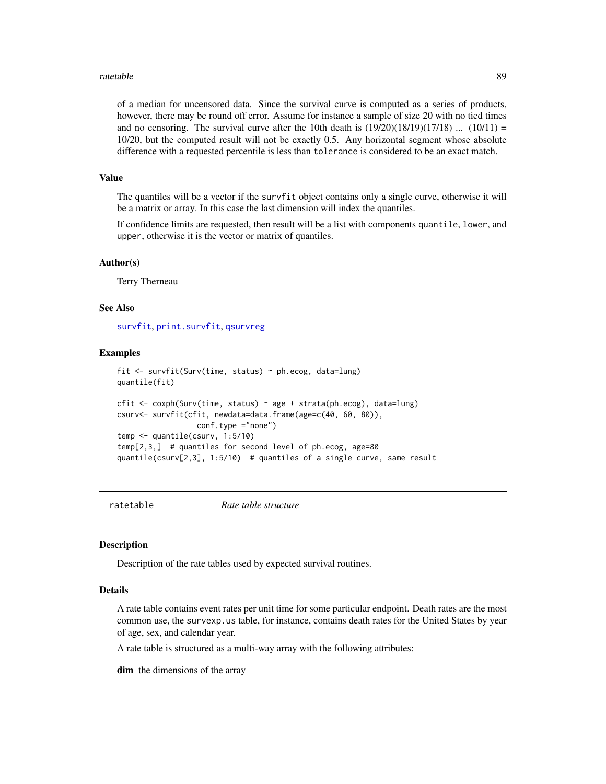#### ratetable 89

of a median for uncensored data. Since the survival curve is computed as a series of products, however, there may be round off error. Assume for instance a sample of size 20 with no tied times and no censoring. The survival curve after the 10th death is  $(19/20)(18/19)(17/18)$  ...  $(10/11)$  = 10/20, but the computed result will not be exactly 0.5. Any horizontal segment whose absolute difference with a requested percentile is less than tolerance is considered to be an exact match.

### Value

The quantiles will be a vector if the survfit object contains only a single curve, otherwise it will be a matrix or array. In this case the last dimension will index the quantiles.

If confidence limits are requested, then result will be a list with components quantile, lower, and upper, otherwise it is the vector or matrix of quantiles.

### Author(s)

Terry Therneau

#### See Also

[survfit](#page-126-0), [print.survfit](#page-81-0), [qsurvreg](#page-40-0)

### Examples

```
fit <- survfit(Surv(time, status) ~ ph.ecog, data=lung)
quantile(fit)
cfit \leq coxph(Surv(time, status) \sim age + strata(ph.ecog), data=lung)
csurv<- survfit(cfit, newdata=data.frame(age=c(40, 60, 80)),
                  conf.type ="none")
temp <- quantile(csurv, 1:5/10)
temp[2,3,] # quantiles for second level of ph.ecog, age=80
quantile(csurv[2,3], 1:5/10) # quantiles of a single curve, same result
```
<span id="page-88-0"></span>ratetable *Rate table structure*

### Description

Description of the rate tables used by expected survival routines.

# Details

A rate table contains event rates per unit time for some particular endpoint. Death rates are the most common use, the survexp.us table, for instance, contains death rates for the United States by year of age, sex, and calendar year.

A rate table is structured as a multi-way array with the following attributes:

dim the dimensions of the array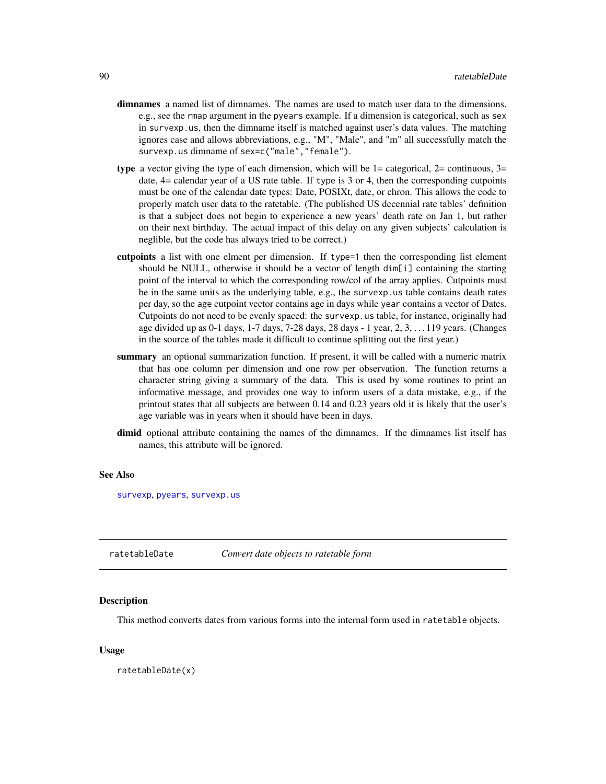- dimnames a named list of dimnames. The names are used to match user data to the dimensions, e.g., see the rmap argument in the pyears example. If a dimension is categorical, such as sex in survexp.us, then the dimname itself is matched against user's data values. The matching ignores case and allows abbreviations, e.g., "M", "Male", and "m" all successfully match the survexp.us dimname of sex=c("male","female").
- type a vector giving the type of each dimension, which will be  $1=$  categorical,  $2=$  continuous,  $3=$ date,  $4=$  calendar year of a US rate table. If type is 3 or 4, then the corresponding cutpoints must be one of the calendar date types: Date, POSIXt, date, or chron. This allows the code to properly match user data to the ratetable. (The published US decennial rate tables' definition is that a subject does not begin to experience a new years' death rate on Jan 1, but rather on their next birthday. The actual impact of this delay on any given subjects' calculation is neglible, but the code has always tried to be correct.)
- cutpoints a list with one elment per dimension. If type=1 then the corresponding list element should be NULL, otherwise it should be a vector of length dim[i] containing the starting point of the interval to which the corresponding row/col of the array applies. Cutpoints must be in the same units as the underlying table, e.g., the survexp.us table contains death rates per day, so the age cutpoint vector contains age in days while year contains a vector of Dates. Cutpoints do not need to be evenly spaced: the survexp.us table, for instance, originally had age divided up as 0-1 days, 1-7 days, 7-28 days, 28 days - 1 year, 2, 3, . . . 119 years. (Changes in the source of the tables made it difficult to continue splitting out the first year.)
- summary an optional summarization function. If present, it will be called with a numeric matrix that has one column per dimension and one row per observation. The function returns a character string giving a summary of the data. This is used by some routines to print an informative message, and provides one way to inform users of a data mistake, e.g., if the printout states that all subjects are between 0.14 and 0.23 years old it is likely that the user's age variable was in years when it should have been in days.
- dimid optional attribute containing the names of the dimnames. If the dimnames list itself has names, this attribute will be ignored.

#### See Also

[survexp](#page-121-0), [pyears](#page-84-0), [survexp.us](#page-90-0)

ratetableDate *Convert date objects to ratetable form*

#### **Description**

This method converts dates from various forms into the internal form used in ratetable objects.

#### Usage

ratetableDate(x)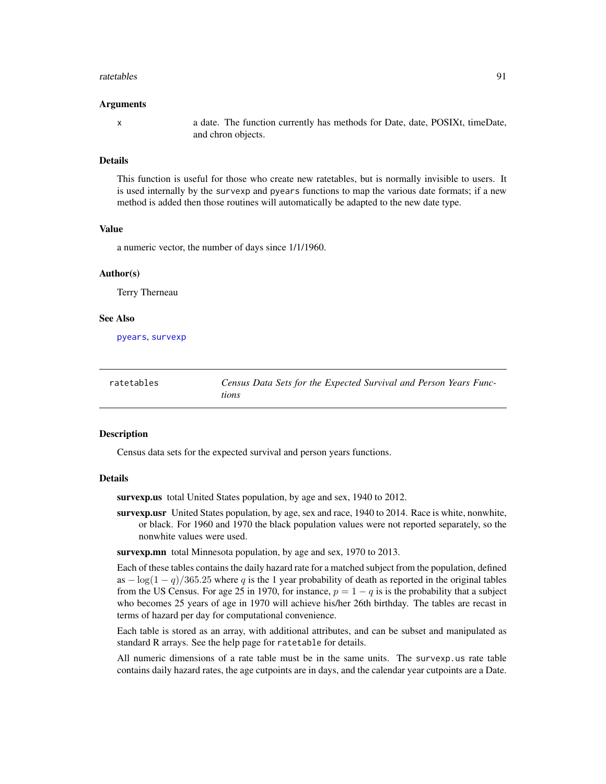#### ratetables 91

#### Arguments

x a date. The function currently has methods for Date, date, POSIXt, timeDate, and chron objects.

#### Details

This function is useful for those who create new ratetables, but is normally invisible to users. It is used internally by the survexp and pyears functions to map the various date formats; if a new method is added then those routines will automatically be adapted to the new date type.

# Value

a numeric vector, the number of days since 1/1/1960.

#### Author(s)

Terry Therneau

#### See Also

[pyears](#page-84-0), [survexp](#page-121-0)

| ratetables | Census Data Sets for the Expected Survival and Person Years Func- |
|------------|-------------------------------------------------------------------|
|            | tions                                                             |

### <span id="page-90-0"></span>Description

Census data sets for the expected survival and person years functions.

# Details

survexp.us total United States population, by age and sex, 1940 to 2012.

survexp.usr United States population, by age, sex and race, 1940 to 2014. Race is white, nonwhite, or black. For 1960 and 1970 the black population values were not reported separately, so the nonwhite values were used.

survexp.mn total Minnesota population, by age and sex, 1970 to 2013.

Each of these tables contains the daily hazard rate for a matched subject from the population, defined as  $-\log(1-q)/365.25$  where q is the 1 year probability of death as reported in the original tables from the US Census. For age 25 in 1970, for instance,  $p = 1 - q$  is is the probability that a subject who becomes 25 years of age in 1970 will achieve his/her 26th birthday. The tables are recast in terms of hazard per day for computational convenience.

Each table is stored as an array, with additional attributes, and can be subset and manipulated as standard R arrays. See the help page for ratetable for details.

All numeric dimensions of a rate table must be in the same units. The survexp.us rate table contains daily hazard rates, the age cutpoints are in days, and the calendar year cutpoints are a Date.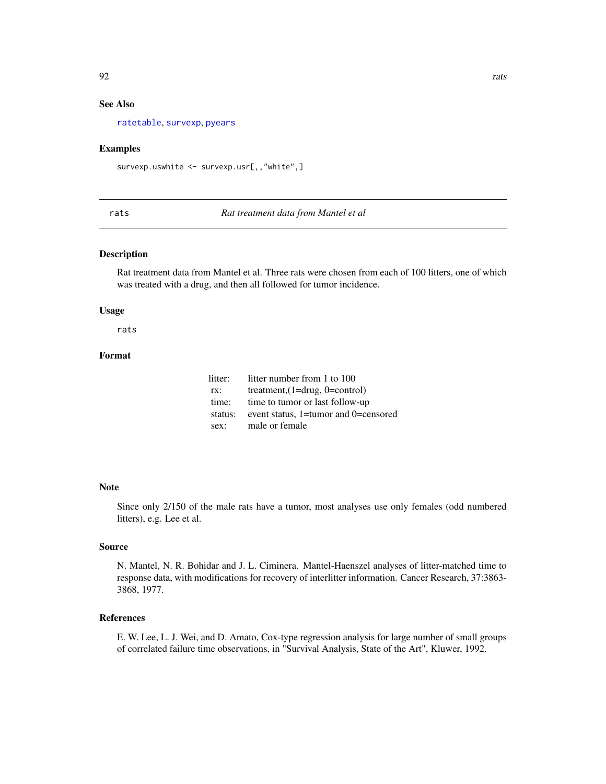# See Also

[ratetable](#page-88-0), [survexp](#page-121-0), [pyears](#page-84-0)

### Examples

survexp.uswhite <- survexp.usr[,,"white",]

rats *Rat treatment data from Mantel et al*

# Description

Rat treatment data from Mantel et al. Three rats were chosen from each of 100 litters, one of which was treated with a drug, and then all followed for tumor incidence.

### Usage

rats

# Format

| litter: | litter number from 1 to 100          |
|---------|--------------------------------------|
| TX:     | treatment, $(1=drug, 0=control)$     |
| time:   | time to tumor or last follow-up      |
| status: | event status, 1=tumor and 0=censored |
| sex:    | male or female                       |

### Note

Since only 2/150 of the male rats have a tumor, most analyses use only females (odd numbered litters), e.g. Lee et al.

# Source

N. Mantel, N. R. Bohidar and J. L. Ciminera. Mantel-Haenszel analyses of litter-matched time to response data, with modifications for recovery of interlitter information. Cancer Research, 37:3863- 3868, 1977.

# References

E. W. Lee, L. J. Wei, and D. Amato, Cox-type regression analysis for large number of small groups of correlated failure time observations, in "Survival Analysis, State of the Art", Kluwer, 1992.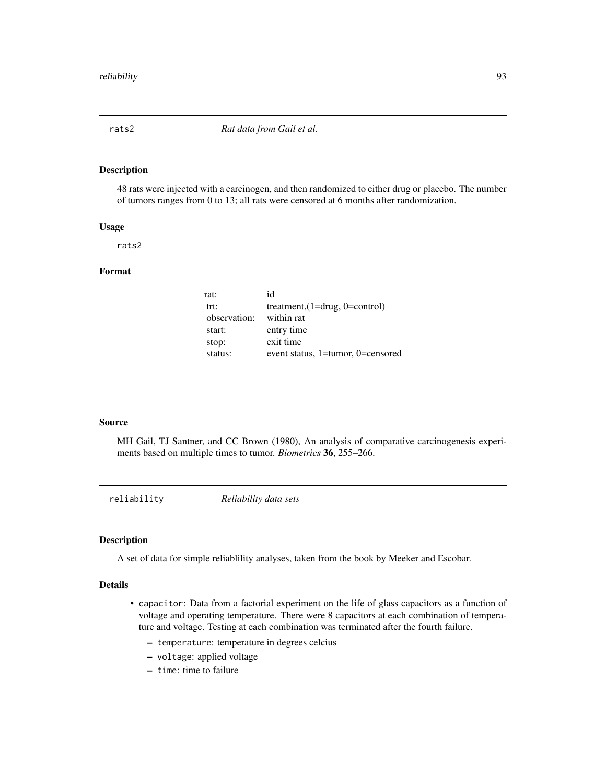# Description

48 rats were injected with a carcinogen, and then randomized to either drug or placebo. The number of tumors ranges from 0 to 13; all rats were censored at 6 months after randomization.

### Usage

rats2

# Format

| rat:         | id                                   |
|--------------|--------------------------------------|
| trt:         | treatment, $(1=$ drug, $0=$ control) |
| observation: | within rat                           |
| start:       | entry time                           |
| stop:        | exit time                            |
| status:      | event status, 1=tumor, 0=censored    |

#### Source

MH Gail, TJ Santner, and CC Brown (1980), An analysis of comparative carcinogenesis experiments based on multiple times to tumor. *Biometrics* 36, 255–266.

reliability *Reliability data sets*

#### Description

A set of data for simple reliablility analyses, taken from the book by Meeker and Escobar.

# Details

- capacitor: Data from a factorial experiment on the life of glass capacitors as a function of voltage and operating temperature. There were 8 capacitors at each combination of temperature and voltage. Testing at each combination was terminated after the fourth failure.
	- temperature: temperature in degrees celcius
	- voltage: applied voltage
	- time: time to failure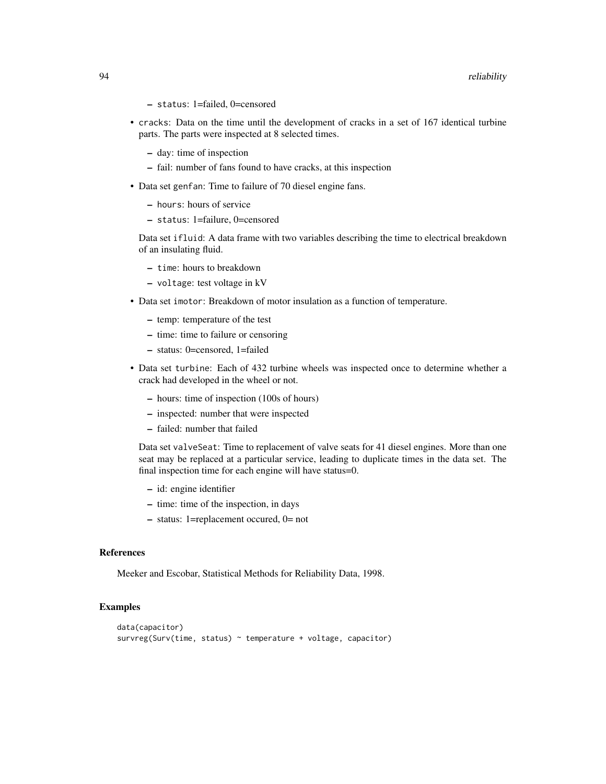#### 94 reliability

- status: 1=failed, 0=censored
- cracks: Data on the time until the development of cracks in a set of 167 identical turbine parts. The parts were inspected at 8 selected times.
	- day: time of inspection
	- fail: number of fans found to have cracks, at this inspection
- Data set genfan: Time to failure of 70 diesel engine fans.
	- hours: hours of service
	- status: 1=failure, 0=censored

Data set ifluid: A data frame with two variables describing the time to electrical breakdown of an insulating fluid.

- time: hours to breakdown
- voltage: test voltage in kV
- Data set imotor: Breakdown of motor insulation as a function of temperature.
	- temp: temperature of the test
	- time: time to failure or censoring
	- status: 0=censored, 1=failed
- Data set turbine: Each of 432 turbine wheels was inspected once to determine whether a crack had developed in the wheel or not.
	- hours: time of inspection (100s of hours)
	- inspected: number that were inspected
	- failed: number that failed

Data set valveSeat: Time to replacement of valve seats for 41 diesel engines. More than one seat may be replaced at a particular service, leading to duplicate times in the data set. The final inspection time for each engine will have status=0.

- id: engine identifier
- time: time of the inspection, in days
- status: 1=replacement occured, 0= not

# References

Meeker and Escobar, Statistical Methods for Reliability Data, 1998.

# Examples

```
data(capacitor)
survreg(Surv(time, status) ~ temperature + voltage, capacitor)
```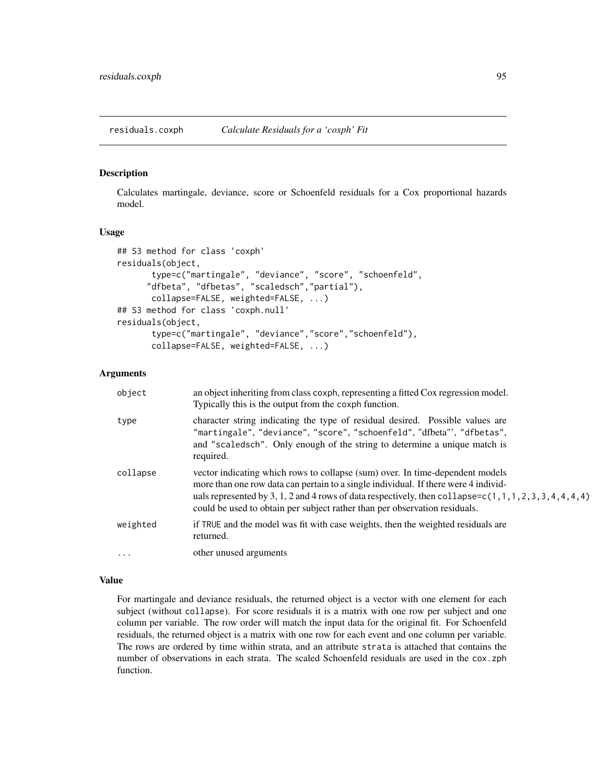residuals.coxph *Calculate Residuals for a 'coxph' Fit*

# Description

Calculates martingale, deviance, score or Schoenfeld residuals for a Cox proportional hazards model.

#### Usage

```
## S3 method for class 'coxph'
residuals(object,
       type=c("martingale", "deviance", "score", "schoenfeld",
      "dfbeta", "dfbetas", "scaledsch","partial"),
       collapse=FALSE, weighted=FALSE, ...)
## S3 method for class 'coxph.null'
residuals(object,
       type=c("martingale", "deviance","score","schoenfeld"),
       collapse=FALSE, weighted=FALSE, ...)
```
# Arguments

| object     | an object inheriting from class coxph, representing a fitted Cox regression model.<br>Typically this is the output from the coxph function.                                                                                                                                                                                                                      |
|------------|------------------------------------------------------------------------------------------------------------------------------------------------------------------------------------------------------------------------------------------------------------------------------------------------------------------------------------------------------------------|
| type       | character string indicating the type of residual desired. Possible values are<br>"martingale", "deviance", "score", "schoenfeld", "dfbeta"', "dfbetas",<br>and "scaledsch". Only enough of the string to determine a unique match is<br>required.                                                                                                                |
| collapse   | vector indicating which rows to collapse (sum) over. In time-dependent models<br>more than one row data can pertain to a single individual. If there were 4 individ-<br>uals represented by 3, 1, 2 and 4 rows of data respectively, then collapse=c(1, 1, 1, 2, 3, 3, 4, 4, 4, 4)<br>could be used to obtain per subject rather than per observation residuals. |
| weighted   | if TRUE and the model was fit with case weights, then the weighted residuals are<br>returned.                                                                                                                                                                                                                                                                    |
| $\ddots$ . | other unused arguments                                                                                                                                                                                                                                                                                                                                           |

### Value

For martingale and deviance residuals, the returned object is a vector with one element for each subject (without collapse). For score residuals it is a matrix with one row per subject and one column per variable. The row order will match the input data for the original fit. For Schoenfeld residuals, the returned object is a matrix with one row for each event and one column per variable. The rows are ordered by time within strata, and an attribute strata is attached that contains the number of observations in each strata. The scaled Schoenfeld residuals are used in the cox.zph function.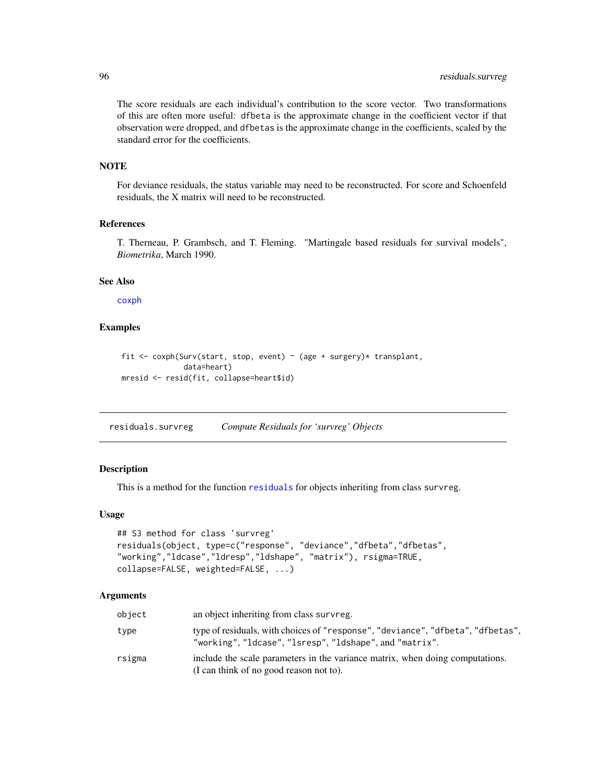The score residuals are each individual's contribution to the score vector. Two transformations of this are often more useful: dfbeta is the approximate change in the coefficient vector if that observation were dropped, and dfbetas is the approximate change in the coefficients, scaled by the standard error for the coefficients.

# **NOTE**

For deviance residuals, the status variable may need to be reconstructed. For score and Schoenfeld residuals, the X matrix will need to be reconstructed.

### References

T. Therneau, P. Grambsch, and T. Fleming. "Martingale based residuals for survival models", *Biometrika*, March 1990.

### See Also

[coxph](#page-29-0)

# Examples

```
fit <- coxph(Surv(start, stop, event) ~ (age + surgery)* transplant,
              data=heart)
mresid <- resid(fit, collapse=heart$id)
```
<span id="page-95-0"></span>residuals.survreg *Compute Residuals for 'survreg' Objects*

# Description

This is a method for the function [residuals](#page-0-0) for objects inheriting from class survreg.

#### Usage

```
## S3 method for class 'survreg'
residuals(object, type=c("response", "deviance","dfbeta","dfbetas",
"working","ldcase","ldresp","ldshape", "matrix"), rsigma=TRUE,
collapse=FALSE, weighted=FALSE, ...)
```
### Arguments

| object | an object inheriting from class survreg.                                                                                              |
|--------|---------------------------------------------------------------------------------------------------------------------------------------|
| type   | type of residuals, with choices of "response", "deviance", "dfbeta", "dfbetas",<br>"working","ldcase","lsresp","ldshape",and"matrix". |
| rsigma | include the scale parameters in the variance matrix, when doing computations.<br>(I can think of no good reason not to).              |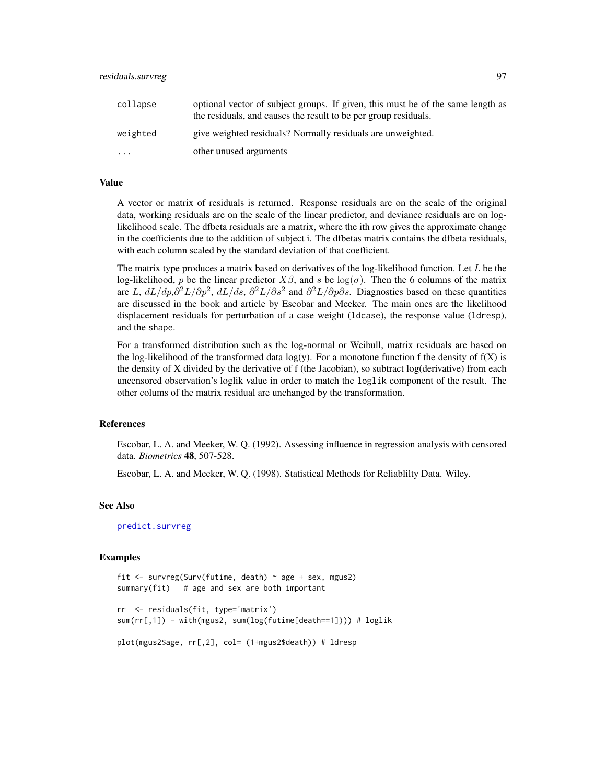| collapse | optional vector of subject groups. If given, this must be of the same length as<br>the residuals, and causes the result to be per group residuals. |
|----------|----------------------------------------------------------------------------------------------------------------------------------------------------|
| weighted | give weighted residuals? Normally residuals are unweighted.                                                                                        |
| $\cdots$ | other unused arguments                                                                                                                             |

### Value

A vector or matrix of residuals is returned. Response residuals are on the scale of the original data, working residuals are on the scale of the linear predictor, and deviance residuals are on loglikelihood scale. The dfbeta residuals are a matrix, where the ith row gives the approximate change in the coefficients due to the addition of subject i. The dfbetas matrix contains the dfbeta residuals, with each column scaled by the standard deviation of that coefficient.

The matrix type produces a matrix based on derivatives of the log-likelihood function. Let  $L$  be the log-likelihood, p be the linear predictor  $X\beta$ , and s be log( $\sigma$ ). Then the 6 columns of the matrix are L,  $dL/dp$ , $\partial^2 L/\partial p^2$ ,  $dL/ds$ ,  $\partial^2 L/\partial s^2$  and  $\partial^2 L/\partial p\partial s$ . Diagnostics based on these quantities are discussed in the book and article by Escobar and Meeker. The main ones are the likelihood displacement residuals for perturbation of a case weight (ldcase), the response value (ldresp), and the shape.

For a transformed distribution such as the log-normal or Weibull, matrix residuals are based on the log-likelihood of the transformed data  $log(y)$ . For a monotone function f the density of  $f(X)$  is the density of X divided by the derivative of f (the Jacobian), so subtract log(derivative) from each uncensored observation's loglik value in order to match the loglik component of the result. The other colums of the matrix residual are unchanged by the transformation.

# References

Escobar, L. A. and Meeker, W. Q. (1992). Assessing influence in regression analysis with censored data. *Biometrics* 48, 507-528.

Escobar, L. A. and Meeker, W. Q. (1998). Statistical Methods for Reliablilty Data. Wiley.

# See Also

[predict.survreg](#page-76-0)

#### Examples

```
fit <- survreg(Surv(futime, death) ~ age + sex, mgus2)
summary(fit) # age and sex are both important
rr <- residuals(fit, type='matrix')
sum(rr[,1]) - with(mgus2, sum(log(futime[death==1]))) # loglik
plot(mgus2$age, rr[,2], col= (1+mgus2$death)) # ldresp
```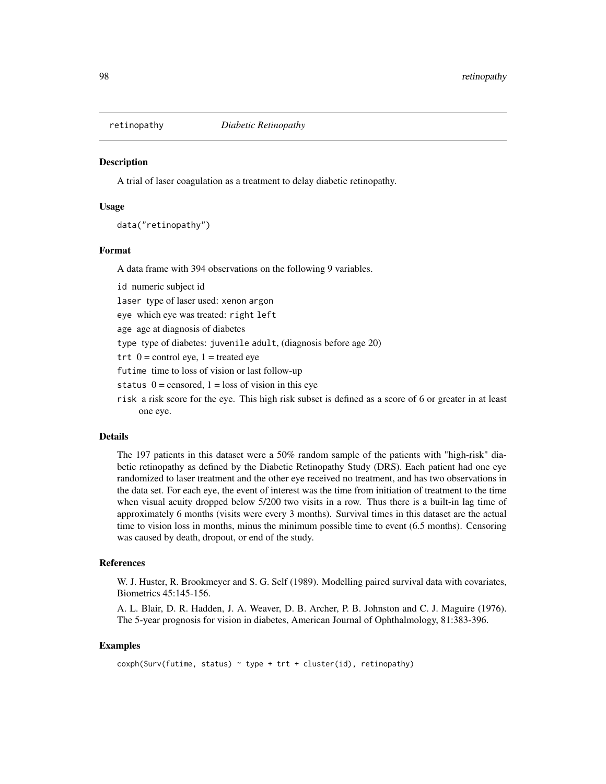# **Description**

A trial of laser coagulation as a treatment to delay diabetic retinopathy.

# Usage

data("retinopathy")

### Format

A data frame with 394 observations on the following 9 variables.

id numeric subject id

laser type of laser used: xenon argon

eye which eye was treated: right left

age age at diagnosis of diabetes

type type of diabetes: juvenile adult, (diagnosis before age 20)

trt  $0 =$  control eye,  $1 =$  treated eye

futime time to loss of vision or last follow-up

- status  $0 =$  censored,  $1 =$  loss of vision in this eye
- risk a risk score for the eye. This high risk subset is defined as a score of 6 or greater in at least one eye.

### Details

The 197 patients in this dataset were a 50% random sample of the patients with "high-risk" diabetic retinopathy as defined by the Diabetic Retinopathy Study (DRS). Each patient had one eye randomized to laser treatment and the other eye received no treatment, and has two observations in the data set. For each eye, the event of interest was the time from initiation of treatment to the time when visual acuity dropped below 5/200 two visits in a row. Thus there is a built-in lag time of approximately 6 months (visits were every 3 months). Survival times in this dataset are the actual time to vision loss in months, minus the minimum possible time to event (6.5 months). Censoring was caused by death, dropout, or end of the study.

#### References

W. J. Huster, R. Brookmeyer and S. G. Self (1989). Modelling paired survival data with covariates, Biometrics 45:145-156.

A. L. Blair, D. R. Hadden, J. A. Weaver, D. B. Archer, P. B. Johnston and C. J. Maguire (1976). The 5-year prognosis for vision in diabetes, American Journal of Ophthalmology, 81:383-396.

#### Examples

```
cosh(Surv(futime, status) ~ type + trt + cluster(id), retinopathy)
```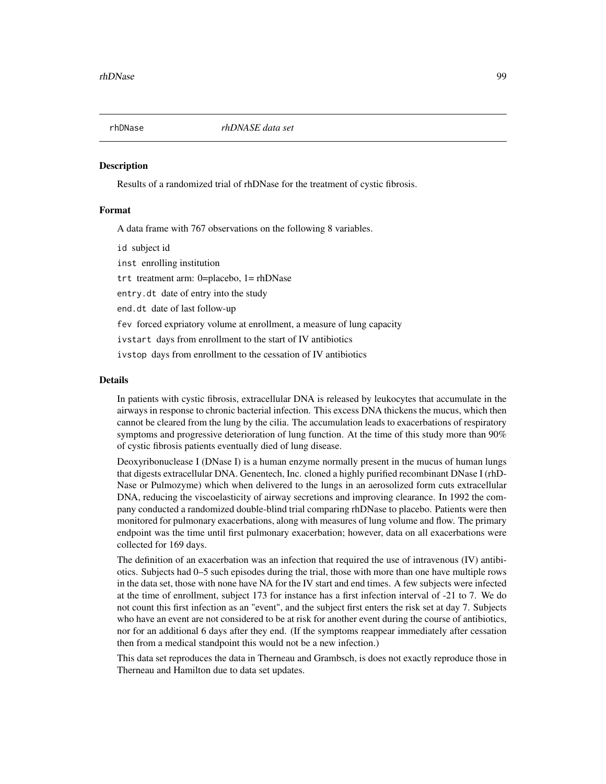#### **Description**

Results of a randomized trial of rhDNase for the treatment of cystic fibrosis.

# Format

A data frame with 767 observations on the following 8 variables.

id subject id

inst enrolling institution

trt treatment arm: 0=placebo, 1= rhDNase

entry.dt date of entry into the study

end.dt date of last follow-up

fev forced expriatory volume at enrollment, a measure of lung capacity

ivstart days from enrollment to the start of IV antibiotics

ivstop days from enrollment to the cessation of IV antibiotics

# Details

In patients with cystic fibrosis, extracellular DNA is released by leukocytes that accumulate in the airways in response to chronic bacterial infection. This excess DNA thickens the mucus, which then cannot be cleared from the lung by the cilia. The accumulation leads to exacerbations of respiratory symptoms and progressive deterioration of lung function. At the time of this study more than 90% of cystic fibrosis patients eventually died of lung disease.

Deoxyribonuclease I (DNase I) is a human enzyme normally present in the mucus of human lungs that digests extracellular DNA. Genentech, Inc. cloned a highly purified recombinant DNase I (rhD-Nase or Pulmozyme) which when delivered to the lungs in an aerosolized form cuts extracellular DNA, reducing the viscoelasticity of airway secretions and improving clearance. In 1992 the company conducted a randomized double-blind trial comparing rhDNase to placebo. Patients were then monitored for pulmonary exacerbations, along with measures of lung volume and flow. The primary endpoint was the time until first pulmonary exacerbation; however, data on all exacerbations were collected for 169 days.

The definition of an exacerbation was an infection that required the use of intravenous (IV) antibiotics. Subjects had 0–5 such episodes during the trial, those with more than one have multiple rows in the data set, those with none have NA for the IV start and end times. A few subjects were infected at the time of enrollment, subject 173 for instance has a first infection interval of -21 to 7. We do not count this first infection as an "event", and the subject first enters the risk set at day 7. Subjects who have an event are not considered to be at risk for another event during the course of antibiotics, nor for an additional 6 days after they end. (If the symptoms reappear immediately after cessation then from a medical standpoint this would not be a new infection.)

This data set reproduces the data in Therneau and Grambsch, is does not exactly reproduce those in Therneau and Hamilton due to data set updates.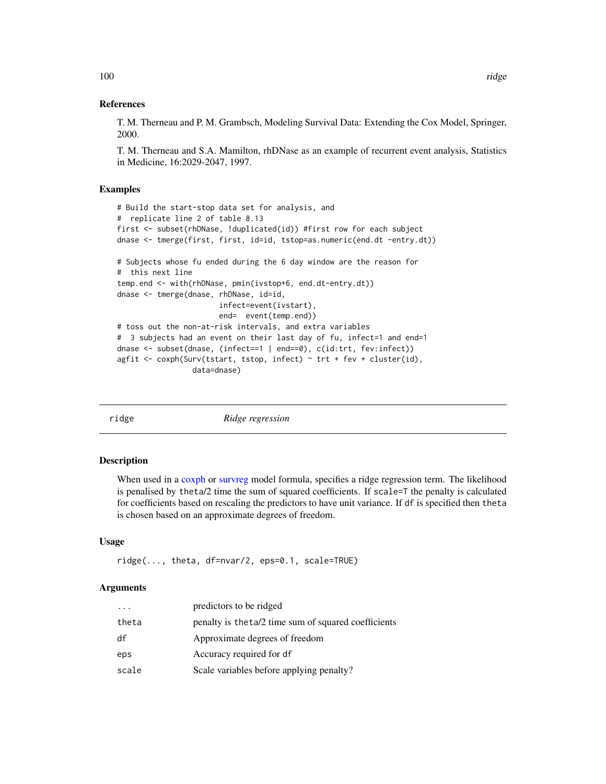T. M. Therneau and P. M. Grambsch, Modeling Survival Data: Extending the Cox Model, Springer, 2000.

T. M. Therneau and S.A. Mamilton, rhDNase as an example of recurrent event analysis, Statistics in Medicine, 16:2029-2047, 1997.

### Examples

```
# Build the start-stop data set for analysis, and
# replicate line 2 of table 8.13
first <- subset(rhDNase, !duplicated(id)) #first row for each subject
dnase <- tmerge(first, first, id=id, tstop=as.numeric(end.dt -entry.dt))
# Subjects whose fu ended during the 6 day window are the reason for
# this next line
temp.end <- with(rhDNase, pmin(ivstop+6, end.dt-entry.dt))
dnase <- tmerge(dnase, rhDNase, id=id,
                       infect=event(ivstart),
                       end= event(temp.end))
# toss out the non-at-risk intervals, and extra variables
# 3 subjects had an event on their last day of fu, infect=1 and end=1
dnase <- subset(dnase, (infect==1 | end==0), c(id:trt, fev:infect))
agfit <- coxph(Surv(tstart, tstop, infect) \sim trt + fev + cluster(id),
                 data=dnase)
```
<span id="page-99-0"></span>ridge *Ridge regression*

# Description

When used in a [coxph](#page-29-0) or [survreg](#page-141-0) model formula, specifies a ridge regression term. The likelihood is penalised by theta/2 time the sum of squared coefficients. If scale=T the penalty is calculated for coefficients based on rescaling the predictors to have unit variance. If df is specified then theta is chosen based on an approximate degrees of freedom.

### Usage

```
ridge(..., theta, df=nvar/2, eps=0.1, scale=TRUE)
```
#### Arguments

| $\cdots$ | predictors to be ridged                              |
|----------|------------------------------------------------------|
| theta    | penalty is the ta/2 time sum of squared coefficients |
| df       | Approximate degrees of freedom                       |
| eps      | Accuracy required for df                             |
| scale    | Scale variables before applying penalty?             |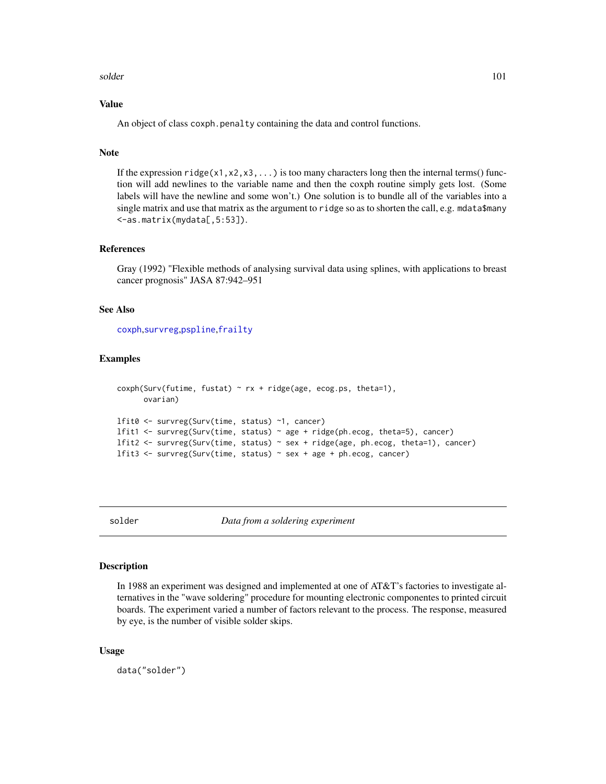#### solder the contract of the contract of the contract of the contract of the contract of the contract of the contract of the contract of the contract of the contract of the contract of the contract of the contract of the con

# Value

An object of class coxph.penalty containing the data and control functions.

# Note

If the expression  $ridge(x1, x2, x3, ...)$  is too many characters long then the internal terms() function will add newlines to the variable name and then the coxph routine simply gets lost. (Some labels will have the newline and some won't.) One solution is to bundle all of the variables into a single matrix and use that matrix as the argument to ridge so as to shorten the call, e.g. mdata\$many <-as.matrix(mydata[,5:53]).

### References

Gray (1992) "Flexible methods of analysing survival data using splines, with applications to breast cancer prognosis" JASA 87:942–951

### See Also

[coxph](#page-29-0),[survreg](#page-141-0),[pspline](#page-82-0),[frailty](#page-45-0)

# Examples

```
cosh(Surv(futime, fustat) \sim rx + ridge(age, ecos.ps, theta=1),ovarian)
lfit0 <- survreg(Surv(time, status) ~1, cancer)
lfit1 <- survreg(Surv(time, status) ~ age + ridge(ph.ecog, theta=5), cancer)
lfit2 <- survreg(Surv(time, status) ~ sex + ridge(age, ph.ecog, theta=1), cancer)
lfit3 <- survreg(Surv(time, status) ~ sex + age + ph.ecog, cancer)
```
solder *Data from a soldering experiment*

### Description

In 1988 an experiment was designed and implemented at one of AT&T's factories to investigate alternatives in the "wave soldering" procedure for mounting electronic componentes to printed circuit boards. The experiment varied a number of factors relevant to the process. The response, measured by eye, is the number of visible solder skips.

### Usage

data("solder")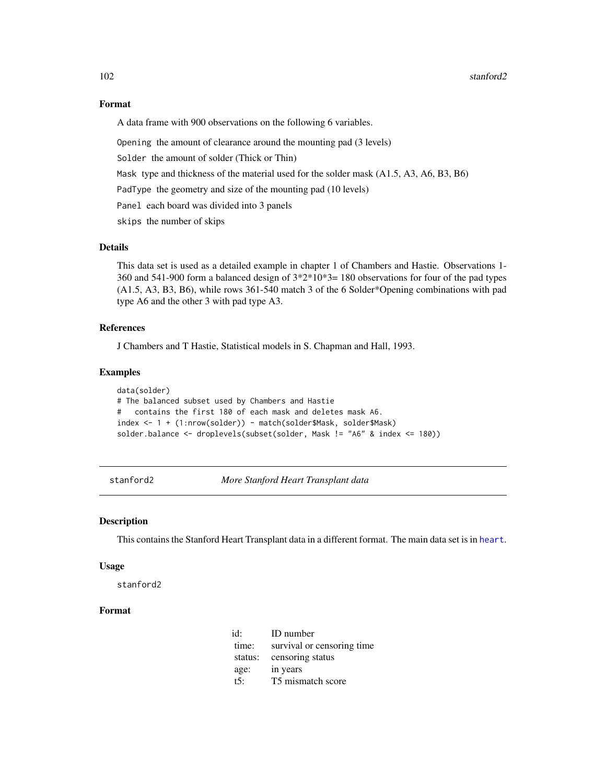# Format

A data frame with 900 observations on the following 6 variables.

Opening the amount of clearance around the mounting pad (3 levels)

Solder the amount of solder (Thick or Thin)

Mask type and thickness of the material used for the solder mask (A1.5, A3, A6, B3, B6)

PadType the geometry and size of the mounting pad (10 levels)

Panel each board was divided into 3 panels

skips the number of skips

# Details

This data set is used as a detailed example in chapter 1 of Chambers and Hastie. Observations 1- 360 and 541-900 form a balanced design of 3\*2\*10\*3= 180 observations for four of the pad types (A1.5, A3, B3, B6), while rows 361-540 match 3 of the 6 Solder\*Opening combinations with pad type A6 and the other 3 with pad type A3.

# References

J Chambers and T Hastie, Statistical models in S. Chapman and Hall, 1993.

### Examples

```
data(solder)
# The balanced subset used by Chambers and Hastie
# contains the first 180 of each mask and deletes mask A6.
index <- 1 + (1:nrow(solder)) - match(solder$Mask, solder$Mask)
solder.balance <- droplevels(subset(solder, Mask != "A6" & index <= 180))
```
stanford2 *More Stanford Heart Transplant data*

### Description

This contains the Stanford Heart Transplant data in a different format. The main data set is in [heart](#page-47-0).

#### Usage

stanford2

# Format

| id:     | ID number                   |
|---------|-----------------------------|
| time:   | survival or censoring time. |
| status: | censoring status            |
| age:    | in years                    |
| t5:     | T5 mismatch score           |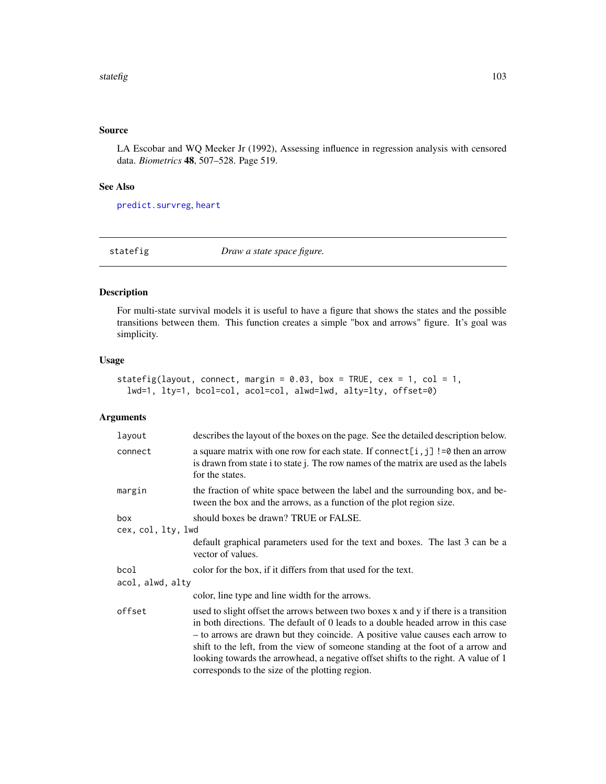# Source

LA Escobar and WQ Meeker Jr (1992), Assessing influence in regression analysis with censored data. *Biometrics* 48, 507–528. Page 519.

# See Also

[predict.survreg](#page-76-0), [heart](#page-47-0)

statefig *Draw a state space figure.*

# Description

For multi-state survival models it is useful to have a figure that shows the states and the possible transitions between them. This function creates a simple "box and arrows" figure. It's goal was simplicity.

# Usage

```
statefig(layout, connect, margin = 0.03, box = TRUE, cex = 1, col = 1,
  lwd=1, lty=1, bcol=col, acol=col, alwd=lwd, alty=lty, offset=0)
```
# Arguments

| layout             | describes the layout of the boxes on the page. See the detailed description below.                                                                                                                                                                                                                                                                                                                                                                                                    |  |
|--------------------|---------------------------------------------------------------------------------------------------------------------------------------------------------------------------------------------------------------------------------------------------------------------------------------------------------------------------------------------------------------------------------------------------------------------------------------------------------------------------------------|--|
| connect            | a square matrix with one row for each state. If connect [i, j] !=0 then an arrow<br>is drawn from state i to state j. The row names of the matrix are used as the labels<br>for the states.                                                                                                                                                                                                                                                                                           |  |
| margin             | the fraction of white space between the label and the surrounding box, and be-<br>tween the box and the arrows, as a function of the plot region size.                                                                                                                                                                                                                                                                                                                                |  |
| box                | should boxes be drawn? TRUE or FALSE.                                                                                                                                                                                                                                                                                                                                                                                                                                                 |  |
| cex, col, lty, lwd |                                                                                                                                                                                                                                                                                                                                                                                                                                                                                       |  |
|                    | default graphical parameters used for the text and boxes. The last 3 can be a<br>vector of values.                                                                                                                                                                                                                                                                                                                                                                                    |  |
| bcol               | color for the box, if it differs from that used for the text.                                                                                                                                                                                                                                                                                                                                                                                                                         |  |
| acol, alwd, alty   |                                                                                                                                                                                                                                                                                                                                                                                                                                                                                       |  |
|                    | color, line type and line width for the arrows.                                                                                                                                                                                                                                                                                                                                                                                                                                       |  |
| offset             | used to slight offset the arrows between two boxes x and y if there is a transition<br>in both directions. The default of 0 leads to a double headed arrow in this case<br>- to arrows are drawn but they coincide. A positive value causes each arrow to<br>shift to the left, from the view of someone standing at the foot of a arrow and<br>looking towards the arrowhead, a negative offset shifts to the right. A value of 1<br>corresponds to the size of the plotting region. |  |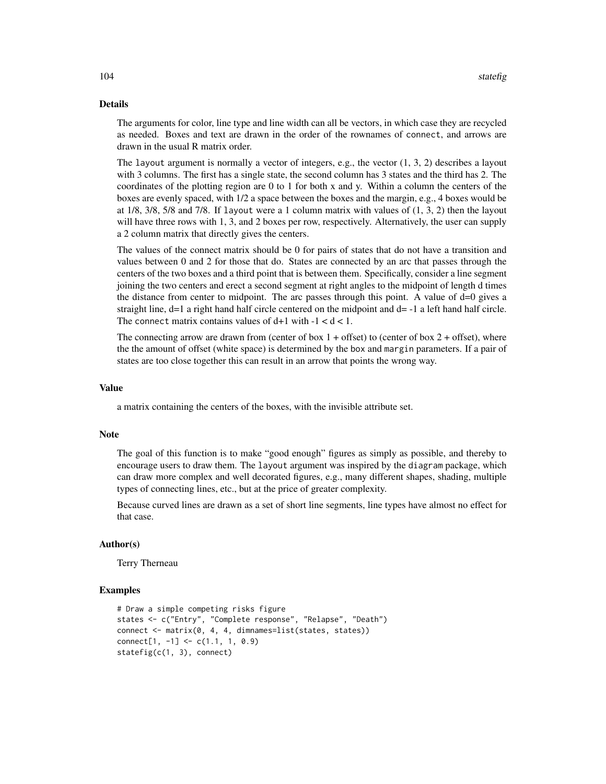# Details

The arguments for color, line type and line width can all be vectors, in which case they are recycled as needed. Boxes and text are drawn in the order of the rownames of connect, and arrows are drawn in the usual R matrix order.

The layout argument is normally a vector of integers, e.g., the vector  $(1, 3, 2)$  describes a layout with 3 columns. The first has a single state, the second column has 3 states and the third has 2. The coordinates of the plotting region are 0 to 1 for both x and y. Within a column the centers of the boxes are evenly spaced, with 1/2 a space between the boxes and the margin, e.g., 4 boxes would be at 1/8, 3/8, 5/8 and 7/8. If layout were a 1 column matrix with values of (1, 3, 2) then the layout will have three rows with 1, 3, and 2 boxes per row, respectively. Alternatively, the user can supply a 2 column matrix that directly gives the centers.

The values of the connect matrix should be 0 for pairs of states that do not have a transition and values between 0 and 2 for those that do. States are connected by an arc that passes through the centers of the two boxes and a third point that is between them. Specifically, consider a line segment joining the two centers and erect a second segment at right angles to the midpoint of length d times the distance from center to midpoint. The arc passes through this point. A value of  $d=0$  gives a straight line, d=1 a right hand half circle centered on the midpoint and d= -1 a left hand half circle. The connect matrix contains values of  $d+1$  with  $-1 < d < 1$ .

The connecting arrow are drawn from (center of box  $1 +$  offset) to (center of box  $2 +$  offset), where the the amount of offset (white space) is determined by the box and margin parameters. If a pair of states are too close together this can result in an arrow that points the wrong way.

# Value

a matrix containing the centers of the boxes, with the invisible attribute set.

### **Note**

The goal of this function is to make "good enough" figures as simply as possible, and thereby to encourage users to draw them. The layout argument was inspired by the diagram package, which can draw more complex and well decorated figures, e.g., many different shapes, shading, multiple types of connecting lines, etc., but at the price of greater complexity.

Because curved lines are drawn as a set of short line segments, line types have almost no effect for that case.

### Author(s)

Terry Therneau

# Examples

```
# Draw a simple competing risks figure
states <- c("Entry", "Complete response", "Relapse", "Death")
connect <- matrix(0, 4, 4, dimnames=list(states, states))
connect[1, -1] <- c(1.1, 1, 0.9)
statefig(c(1, 3), connect)
```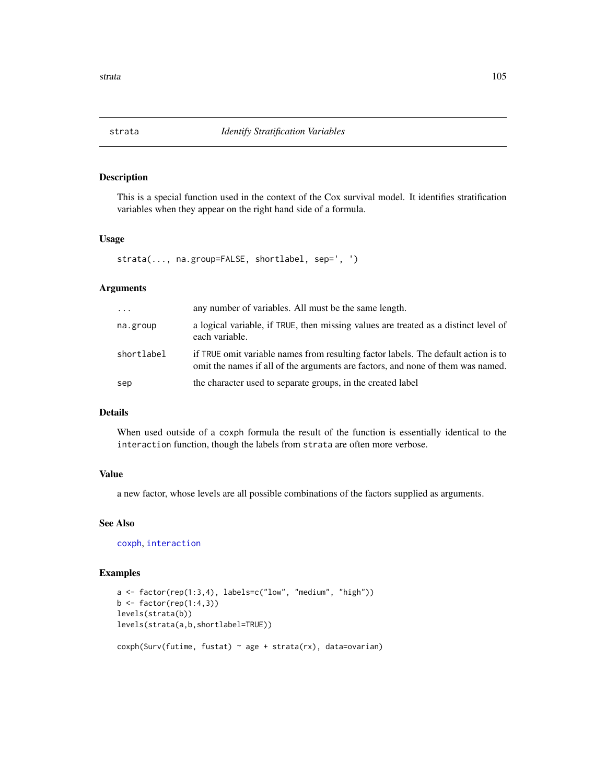# Description

This is a special function used in the context of the Cox survival model. It identifies stratification variables when they appear on the right hand side of a formula.

# Usage

```
strata(..., na.group=FALSE, shortlabel, sep=', ')
```
# Arguments

| $\cdots$   | any number of variables. All must be the same length.                                                                                                                 |
|------------|-----------------------------------------------------------------------------------------------------------------------------------------------------------------------|
| na.group   | a logical variable, if TRUE, then missing values are treated as a distinct level of<br>each variable.                                                                 |
| shortlabel | if TRUE omit variable names from resulting factor labels. The default action is to<br>omit the names if all of the arguments are factors, and none of them was named. |
| sep        | the character used to separate groups, in the created label                                                                                                           |

### Details

When used outside of a coxph formula the result of the function is essentially identical to the interaction function, though the labels from strata are often more verbose.

# Value

a new factor, whose levels are all possible combinations of the factors supplied as arguments.

### See Also

[coxph](#page-29-0), [interaction](#page-0-0)

# Examples

```
a \leftarrow factor(rep(1:3,4), labels=c("low", "medium", "high"))b \leftarrow factor(rep(1:4,3))levels(strata(b))
levels(strata(a,b,shortlabel=TRUE))
coxph(Surv(futime, fustat) ~ age + strata(rx), data=ovarian)
```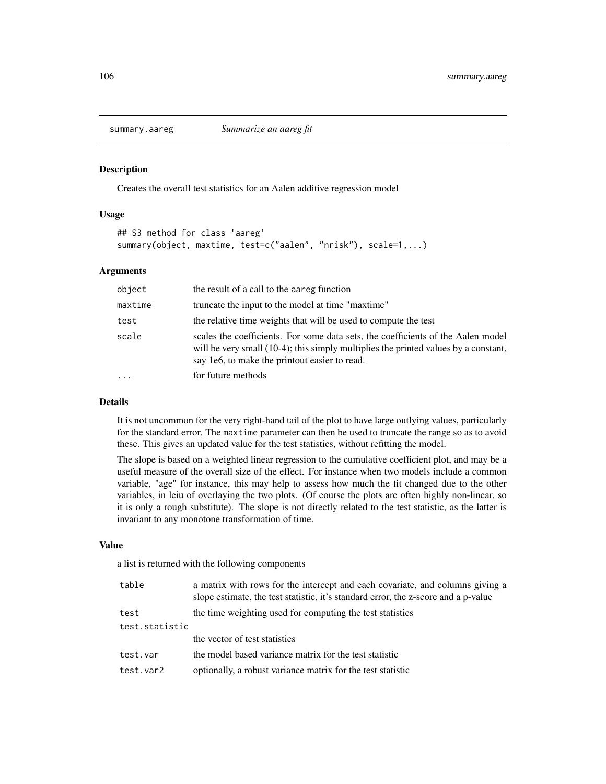### Description

Creates the overall test statistics for an Aalen additive regression model

### Usage

```
## S3 method for class 'aareg'
summary(object, maxtime, test=c("aalen", "nrisk"), scale=1,...)
```
### Arguments

| object                  | the result of a call to the aareg function                                                                                                                                                                               |
|-------------------------|--------------------------------------------------------------------------------------------------------------------------------------------------------------------------------------------------------------------------|
| maxtime                 | truncate the input to the model at time "maxtime"                                                                                                                                                                        |
| test                    | the relative time weights that will be used to compute the test                                                                                                                                                          |
| scale                   | scales the coefficients. For some data sets, the coefficients of the Aalen model<br>will be very small (10-4); this simply multiplies the printed values by a constant,<br>say 1e6, to make the printout easier to read. |
| $\cdot$ $\cdot$ $\cdot$ | for future methods                                                                                                                                                                                                       |

# Details

It is not uncommon for the very right-hand tail of the plot to have large outlying values, particularly for the standard error. The maxtime parameter can then be used to truncate the range so as to avoid these. This gives an updated value for the test statistics, without refitting the model.

The slope is based on a weighted linear regression to the cumulative coefficient plot, and may be a useful measure of the overall size of the effect. For instance when two models include a common variable, "age" for instance, this may help to assess how much the fit changed due to the other variables, in leiu of overlaying the two plots. (Of course the plots are often highly non-linear, so it is only a rough substitute). The slope is not directly related to the test statistic, as the latter is invariant to any monotone transformation of time.

### Value

a list is returned with the following components

| table          | a matrix with rows for the intercept and each covariate, and columns giving a<br>slope estimate, the test statistic, it's standard error, the z-score and a p-value |
|----------------|---------------------------------------------------------------------------------------------------------------------------------------------------------------------|
| test           | the time weighting used for computing the test statistics                                                                                                           |
| test.statistic |                                                                                                                                                                     |
|                | the vector of test statistics                                                                                                                                       |
| test.var       | the model based variance matrix for the test statistic                                                                                                              |
| test.var2      | optionally, a robust variance matrix for the test statistic                                                                                                         |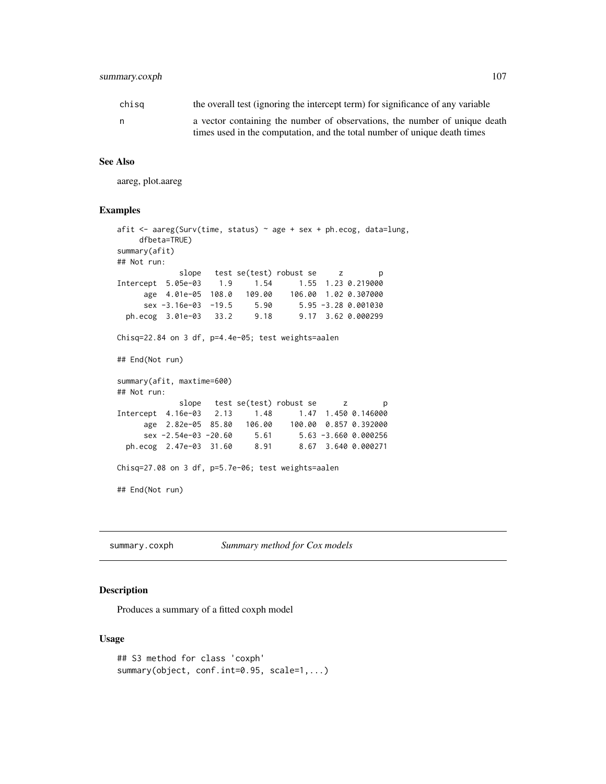# summary.coxph 107

| chisa | the overall test (ignoring the intercept term) for significance of any variable |
|-------|---------------------------------------------------------------------------------|
| n     | a vector containing the number of observations, the number of unique death      |
|       | times used in the computation, and the total number of unique death times       |

### See Also

aareg, plot.aareg

### Examples

```
afit \leq aareg(Surv(time, status) \sim age + sex + ph.ecog, data=lung,
    dfbeta=TRUE)
summary(afit)
## Not run:
             slope test se(test) robust se z p
Intercept 5.05e-03 1.9 1.54 1.55 1.23 0.219000
     age 4.01e-05 108.0 109.00 106.00 1.02 0.307000
     sex -3.16e-03 -19.5 5.90 5.95 -3.28 0.001030
 ph.ecog 3.01e-03 33.2 9.18 9.17 3.62 0.000299
Chisq=22.84 on 3 df, p=4.4e-05; test weights=aalen
## End(Not run)
summary(afit, maxtime=600)
## Not run:
             slope test se(test) robust se z p
Intercept 4.16e-03 2.13 1.48 1.47 1.450 0.146000
     age 2.82e-05 85.80 106.00 100.00 0.857 0.392000<br>sex -2.54e-03 -20.60 5.61 5.63 -3.660 0.000256
     sex -2.54e-03 -20.60 5.61ph.ecog 2.47e-03 31.60 8.91 8.67 3.640 0.000271
Chisq=27.08 on 3 df, p=5.7e-06; test weights=aalen
## End(Not run)
```
summary.coxph *Summary method for Cox models*

# Description

Produces a summary of a fitted coxph model

# Usage

```
## S3 method for class 'coxph'
summary(object, conf.int=0.95, scale=1,...)
```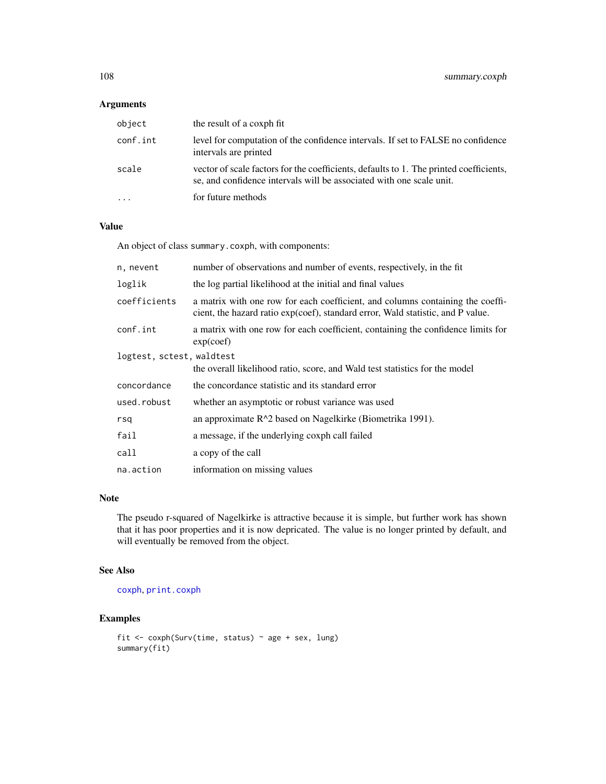# Arguments

| object   | the result of a coxph fit                                                                                                                                      |
|----------|----------------------------------------------------------------------------------------------------------------------------------------------------------------|
| conf.int | level for computation of the confidence intervals. If set to FALSE no confidence<br>intervals are printed                                                      |
| scale    | vector of scale factors for the coefficients, defaults to 1. The printed coefficients,<br>se, and confidence intervals will be associated with one scale unit. |
|          | for future methods                                                                                                                                             |

# Value

An object of class summary.coxph, with components:

| n, nevent                 | number of observations and number of events, respectively, in the fit                                                                                             |
|---------------------------|-------------------------------------------------------------------------------------------------------------------------------------------------------------------|
| loglik                    | the log partial likelihood at the initial and final values                                                                                                        |
| coefficients              | a matrix with one row for each coefficient, and columns containing the coeffi-<br>cient, the hazard ratio exp(coef), standard error, Wald statistic, and P value. |
| conf.int                  | a matrix with one row for each coefficient, containing the confidence limits for<br>exp(coef)                                                                     |
| logtest, sctest, waldtest |                                                                                                                                                                   |
|                           | the overall likelihood ratio, score, and Wald test statistics for the model                                                                                       |
| concordance               | the concordance statistic and its standard error                                                                                                                  |
| used.robust               | whether an asymptotic or robust variance was used                                                                                                                 |
| rsq                       | an approximate $R^2$ based on Nagelkirke (Biometrika 1991).                                                                                                       |
| fail                      | a message, if the underlying coxph call failed                                                                                                                    |
| call                      | a copy of the call                                                                                                                                                |
| na.action                 | information on missing values                                                                                                                                     |

# Note

The pseudo r-squared of Nagelkirke is attractive because it is simple, but further work has shown that it has poor properties and it is now depricated. The value is no longer printed by default, and will eventually be removed from the object.

# See Also

[coxph](#page-29-0), [print.coxph](#page-36-0)

# Examples

```
fit <- coxph(Surv(time, status) ~ age + sex, lung)
summary(fit)
```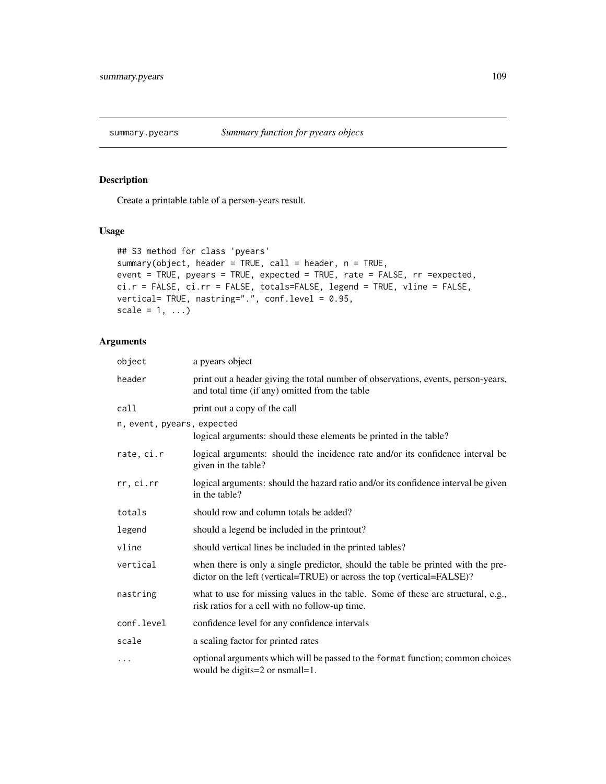# Description

Create a printable table of a person-years result.

# Usage

```
## S3 method for class 'pyears'
summary(object, header = TRUE, call = header, n = TRUE,
event = TRUE, pyears = TRUE, expected = TRUE, rate = FALSE, rr =expected,
ci.r = FALSE, ci.rr = FALSE, totals=FALSE, legend = TRUE, vline = FALSE,
vertical= TRUE, nastring=".", conf.level = 0.95,
scale = 1, ...)
```

| object                     | a pyears object                                                                                                                                            |
|----------------------------|------------------------------------------------------------------------------------------------------------------------------------------------------------|
| header                     | print out a header giving the total number of observations, events, person-years,<br>and total time (if any) omitted from the table                        |
| call                       | print out a copy of the call                                                                                                                               |
| n, event, pyears, expected |                                                                                                                                                            |
|                            | logical arguments: should these elements be printed in the table?                                                                                          |
| rate, ci.r                 | logical arguments: should the incidence rate and/or its confidence interval be<br>given in the table?                                                      |
| rr, ci.rr                  | logical arguments: should the hazard ratio and/or its confidence interval be given<br>in the table?                                                        |
| totals                     | should row and column totals be added?                                                                                                                     |
| legend                     | should a legend be included in the printout?                                                                                                               |
| vline                      | should vertical lines be included in the printed tables?                                                                                                   |
| vertical                   | when there is only a single predictor, should the table be printed with the pre-<br>dictor on the left (vertical=TRUE) or across the top (vertical=FALSE)? |
| nastring                   | what to use for missing values in the table. Some of these are structural, e.g.,<br>risk ratios for a cell with no follow-up time.                         |
| conf.level                 | confidence level for any confidence intervals                                                                                                              |
| scale                      | a scaling factor for printed rates                                                                                                                         |
| $\ddots$                   | optional arguments which will be passed to the format function; common choices<br>would be digits=2 or nsmall=1.                                           |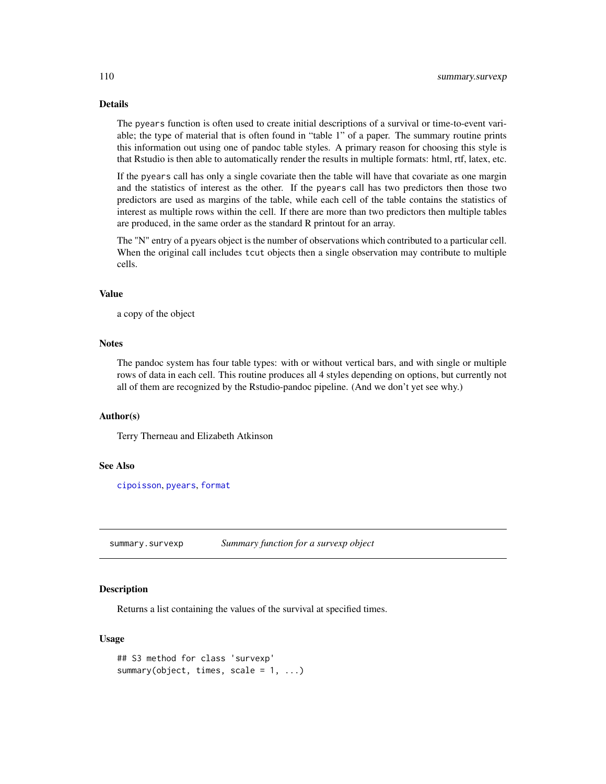# Details

The pyears function is often used to create initial descriptions of a survival or time-to-event variable; the type of material that is often found in "table 1" of a paper. The summary routine prints this information out using one of pandoc table styles. A primary reason for choosing this style is that Rstudio is then able to automatically render the results in multiple formats: html, rtf, latex, etc.

If the pyears call has only a single covariate then the table will have that covariate as one margin and the statistics of interest as the other. If the pyears call has two predictors then those two predictors are used as margins of the table, while each cell of the table contains the statistics of interest as multiple rows within the cell. If there are more than two predictors then multiple tables are produced, in the same order as the standard R printout for an array.

The "N" entry of a pyears object is the number of observations which contributed to a particular cell. When the original call includes tcut objects then a single observation may contribute to multiple cells.

## Value

a copy of the object

# **Notes**

The pandoc system has four table types: with or without vertical bars, and with single or multiple rows of data in each cell. This routine produces all 4 styles depending on options, but currently not all of them are recognized by the Rstudio-pandoc pipeline. (And we don't yet see why.)

## Author(s)

Terry Therneau and Elizabeth Atkinson

# See Also

[cipoisson](#page-18-0), [pyears](#page-84-0), [format](#page-0-0)

<span id="page-109-0"></span>summary.survexp *Summary function for a survexp object*

# **Description**

Returns a list containing the values of the survival at specified times.

#### Usage

```
## S3 method for class 'survexp'
summary(object, times, scale = 1, ...)
```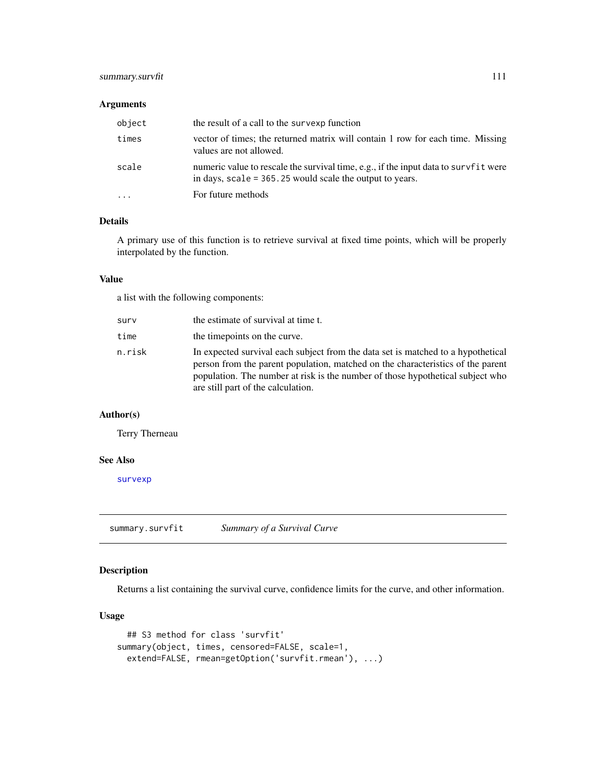# summary.survfit 111

## Arguments

| object                  | the result of a call to the survexp function                                                                                                       |
|-------------------------|----------------------------------------------------------------------------------------------------------------------------------------------------|
| times                   | vector of times; the returned matrix will contain 1 row for each time. Missing<br>values are not allowed.                                          |
| scale                   | numeric value to rescale the survival time, e.g., if the input data to survf it were<br>in days, $scale = 365.25$ would scale the output to years. |
| $\cdot$ $\cdot$ $\cdot$ | For future methods                                                                                                                                 |

# Details

A primary use of this function is to retrieve survival at fixed time points, which will be properly interpolated by the function.

# Value

a list with the following components:

| surv   | the estimate of survival at time t.                                                                                                                                                                                                                                                         |
|--------|---------------------------------------------------------------------------------------------------------------------------------------------------------------------------------------------------------------------------------------------------------------------------------------------|
| time   | the time points on the curve.                                                                                                                                                                                                                                                               |
| n.risk | In expected survival each subject from the data set is matched to a hypothetical<br>person from the parent population, matched on the characteristics of the parent<br>population. The number at risk is the number of those hypothetical subject who<br>are still part of the calculation. |

# Author(s)

Terry Therneau

#### See Also

[survexp](#page-121-0)

<span id="page-110-0"></span>summary.survfit *Summary of a Survival Curve*

# Description

Returns a list containing the survival curve, confidence limits for the curve, and other information.

## Usage

```
## S3 method for class 'survfit'
summary(object, times, censored=FALSE, scale=1,
 extend=FALSE, rmean=getOption('survfit.rmean'), ...)
```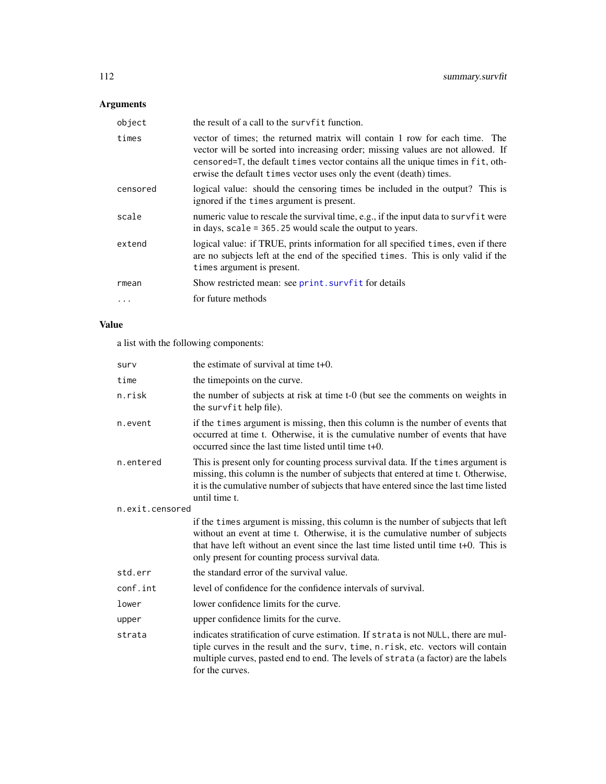# Arguments

| object   | the result of a call to the survfit function.                                                                                                                                                                                                                                                                          |
|----------|------------------------------------------------------------------------------------------------------------------------------------------------------------------------------------------------------------------------------------------------------------------------------------------------------------------------|
| times    | vector of times; the returned matrix will contain 1 row for each time. The<br>vector will be sorted into increasing order; missing values are not allowed. If<br>censored=T, the default times vector contains all the unique times in fit, oth-<br>erwise the default times vector uses only the event (death) times. |
| censored | logical value: should the censoring times be included in the output? This is<br>ignored if the times argument is present.                                                                                                                                                                                              |
| scale    | numeric value to rescale the survival time, e.g., if the input data to survf it were<br>in days, $scale = 365.25$ would scale the output to years.                                                                                                                                                                     |
| extend   | logical value: if TRUE, prints information for all specified times, even if there<br>are no subjects left at the end of the specified times. This is only valid if the<br>times argument is present.                                                                                                                   |
| rmean    | Show restricted mean: see print. survfit for details                                                                                                                                                                                                                                                                   |
| $\cdots$ | for future methods                                                                                                                                                                                                                                                                                                     |

# Value

a list with the following components:

| surv            | the estimate of survival at time $t+0$ .                                                                                                                                                                                                                                                                      |
|-----------------|---------------------------------------------------------------------------------------------------------------------------------------------------------------------------------------------------------------------------------------------------------------------------------------------------------------|
| time            | the timepoints on the curve.                                                                                                                                                                                                                                                                                  |
| n.risk          | the number of subjects at risk at time t-0 (but see the comments on weights in<br>the survfit help file).                                                                                                                                                                                                     |
| n.event         | if the times argument is missing, then this column is the number of events that<br>occurred at time t. Otherwise, it is the cumulative number of events that have<br>occurred since the last time listed until time t+0.                                                                                      |
| n.entered       | This is present only for counting process survival data. If the times argument is<br>missing, this column is the number of subjects that entered at time t. Otherwise,<br>it is the cumulative number of subjects that have entered since the last time listed<br>until time t.                               |
| n.exit.censored |                                                                                                                                                                                                                                                                                                               |
|                 | if the times argument is missing, this column is the number of subjects that left<br>without an event at time t. Otherwise, it is the cumulative number of subjects<br>that have left without an event since the last time listed until time t+0. This is<br>only present for counting process survival data. |
| std.err         | the standard error of the survival value.                                                                                                                                                                                                                                                                     |
| conf.int        | level of confidence for the confidence intervals of survival.                                                                                                                                                                                                                                                 |
| lower           | lower confidence limits for the curve.                                                                                                                                                                                                                                                                        |
| upper           | upper confidence limits for the curve.                                                                                                                                                                                                                                                                        |
| strata          | indicates stratification of curve estimation. If strata is not NULL, there are mul-<br>tiple curves in the result and the surv, time, n.risk, etc. vectors will contain<br>multiple curves, pasted end to end. The levels of strata (a factor) are the labels<br>for the curves.                              |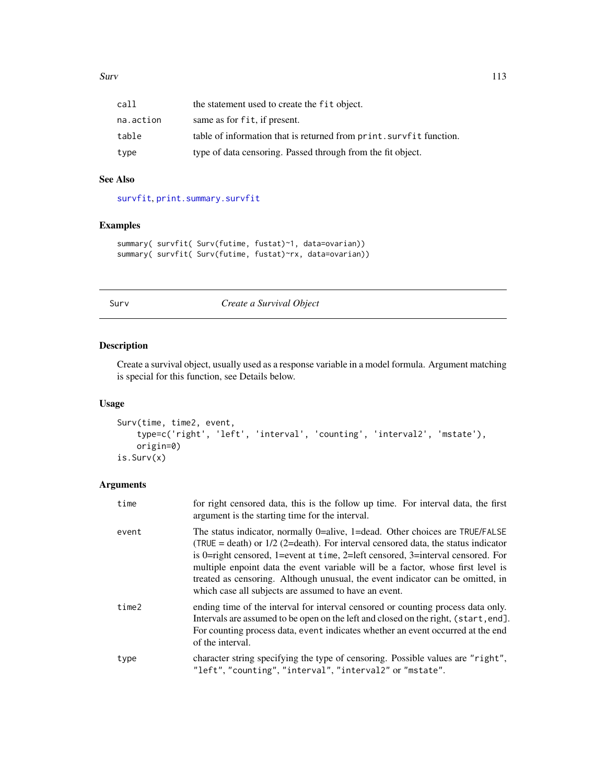| call      | the statement used to create the fit object.                        |
|-----------|---------------------------------------------------------------------|
| na.action | same as for fit, if present.                                        |
| table     | table of information that is returned from print. survfit function. |
| type      | type of data censoring. Passed through from the fit object.         |

# See Also

[survfit](#page-126-0), [print.summary.survfit](#page-80-0)

# Examples

```
summary( survfit( Surv(futime, fustat)~1, data=ovarian))
summary( survfit( Surv(futime, fustat)~rx, data=ovarian))
```
# <span id="page-112-0"></span>Surv *Create a Survival Object*

# Description

Create a survival object, usually used as a response variable in a model formula. Argument matching is special for this function, see Details below.

## Usage

```
Surv(time, time2, event,
    type=c('right', 'left', 'interval', 'counting', 'interval2', 'mstate'),
    origin=0)
is.Surv(x)
```

| time  | for right censored data, this is the follow up time. For interval data, the first<br>argument is the starting time for the interval.                                                                                                                                                                                                                                                                                                                                                 |
|-------|--------------------------------------------------------------------------------------------------------------------------------------------------------------------------------------------------------------------------------------------------------------------------------------------------------------------------------------------------------------------------------------------------------------------------------------------------------------------------------------|
| event | The status indicator, normally 0=alive, 1=dead. Other choices are TRUE/FALSE<br>(TRUE = death) or $1/2$ (2=death). For interval censored data, the status indicator<br>is 0=right censored, 1=event at time, 2=left censored, 3=interval censored. For<br>multiple enpoint data the event variable will be a factor, whose first level is<br>treated as censoring. Although unusual, the event indicator can be omitted, in<br>which case all subjects are assumed to have an event. |
| time2 | ending time of the interval for interval censored or counting process data only.<br>Intervals are assumed to be open on the left and closed on the right, (start, end).<br>For counting process data, event indicates whether an event occurred at the end<br>of the interval.                                                                                                                                                                                                       |
| type  | character string specifying the type of censoring. Possible values are "right",<br>"left", "counting", "interval", "interval2" or "mstate".                                                                                                                                                                                                                                                                                                                                          |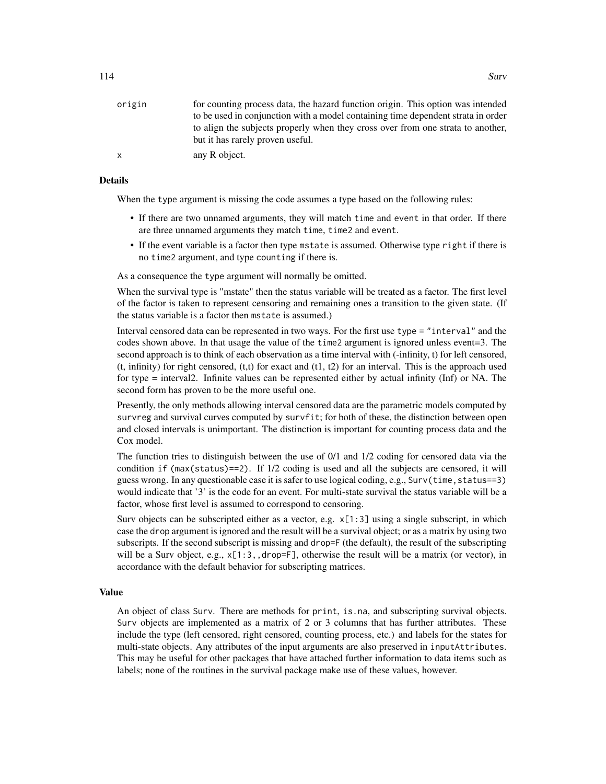| origin | for counting process data, the hazard function origin. This option was intended  |
|--------|----------------------------------------------------------------------------------|
|        | to be used in conjunction with a model containing time dependent strata in order |
|        | to align the subjects properly when they cross over from one strata to another,  |
|        | but it has rarely proven useful.                                                 |
| x      | any R object.                                                                    |

#### Details

When the type argument is missing the code assumes a type based on the following rules:

- If there are two unnamed arguments, they will match time and event in that order. If there are three unnamed arguments they match time, time2 and event.
- If the event variable is a factor then type mstate is assumed. Otherwise type right if there is no time2 argument, and type counting if there is.

As a consequence the type argument will normally be omitted.

When the survival type is "mstate" then the status variable will be treated as a factor. The first level of the factor is taken to represent censoring and remaining ones a transition to the given state. (If the status variable is a factor then mstate is assumed.)

Interval censored data can be represented in two ways. For the first use type = "interval" and the codes shown above. In that usage the value of the time2 argument is ignored unless event=3. The second approach is to think of each observation as a time interval with (-infinity, t) for left censored,  $(t, \text{infinity})$  for right censored,  $(t,t)$  for exact and  $(t1, t2)$  for an interval. This is the approach used for type = interval2. Infinite values can be represented either by actual infinity (Inf) or NA. The second form has proven to be the more useful one.

Presently, the only methods allowing interval censored data are the parametric models computed by survreg and survival curves computed by survfit; for both of these, the distinction between open and closed intervals is unimportant. The distinction is important for counting process data and the Cox model.

The function tries to distinguish between the use of 0/1 and 1/2 coding for censored data via the condition if (max(status)==2). If 1/2 coding is used and all the subjects are censored, it will guess wrong. In any questionable case it is safer to use logical coding, e.g., Surv(time, status==3) would indicate that '3' is the code for an event. For multi-state survival the status variable will be a factor, whose first level is assumed to correspond to censoring.

Surv objects can be subscripted either as a vector, e.g.  $x[1:3]$  using a single subscript, in which case the drop argument is ignored and the result will be a survival object; or as a matrix by using two subscripts. If the second subscript is missing and drop=F (the default), the result of the subscripting will be a Surv object, e.g.,  $x[1:3]$ , drop=F], otherwise the result will be a matrix (or vector), in accordance with the default behavior for subscripting matrices.

#### Value

An object of class Surv. There are methods for print, is.na, and subscripting survival objects. Surv objects are implemented as a matrix of 2 or 3 columns that has further attributes. These include the type (left censored, right censored, counting process, etc.) and labels for the states for multi-state objects. Any attributes of the input arguments are also preserved in inputAttributes. This may be useful for other packages that have attached further information to data items such as labels; none of the routines in the survival package make use of these values, however.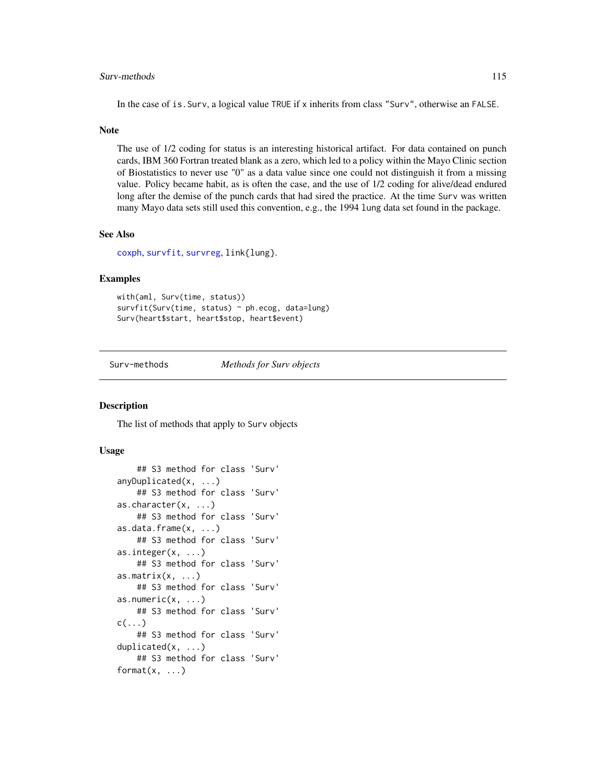# Surv-methods 115

In the case of is.Surv, a logical value TRUE if x inherits from class "Surv", otherwise an FALSE.

#### Note

The use of 1/2 coding for status is an interesting historical artifact. For data contained on punch cards, IBM 360 Fortran treated blank as a zero, which led to a policy within the Mayo Clinic section of Biostatistics to never use "0" as a data value since one could not distinguish it from a missing value. Policy became habit, as is often the case, and the use of 1/2 coding for alive/dead endured long after the demise of the punch cards that had sired the practice. At the time Surv was written many Mayo data sets still used this convention, e.g., the 1994 lung data set found in the package.

## See Also

[coxph](#page-29-0), [survfit](#page-126-0), [survreg](#page-141-0), link{lung}.

#### Examples

```
with(aml, Surv(time, status))
survfit(Surv(time, status) ~ ph.ecog, data=lung)
Surv(heart$start, heart$stop, heart$event)
```
Surv-methods *Methods for Surv objects*

#### Description

The list of methods that apply to Surv objects

#### Usage

```
## S3 method for class 'Surv'
anyDuplicated(x, ...)
    ## S3 method for class 'Surv'
as.character(x, ...)
    ## S3 method for class 'Surv'
as.data.frame(x, ...)
    ## S3 method for class 'Surv'
as.integer(x, ...)
    ## S3 method for class 'Surv'
as.matrix(x, ...)## S3 method for class 'Surv'
as.numeric(x, \ldots)## S3 method for class 'Surv'
c(\ldots)## S3 method for class 'Surv'
duplicated(x, ...)
    ## S3 method for class 'Surv'
format(x, \ldots)
```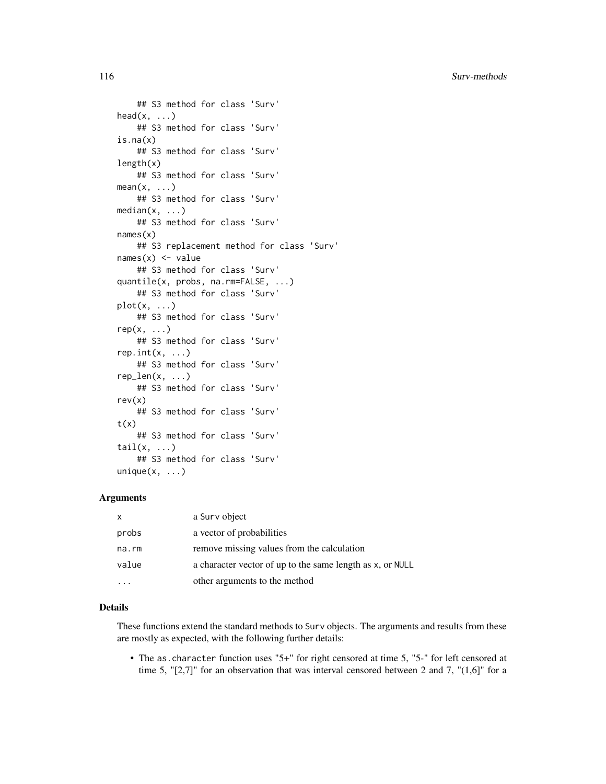116 Surv-methods

```
## S3 method for class 'Surv'
head(x, \ldots)## S3 method for class 'Surv'
is.na(x)
    ## S3 method for class 'Surv'
length(x)
   ## S3 method for class 'Surv'
mean(x, \ldots)## S3 method for class 'Surv'
median(x, ...)
    ## S3 method for class 'Surv'
names(x)
    ## S3 replacement method for class 'Surv'
names(x) <- value
    ## S3 method for class 'Surv'
quantile(x, probs, na.rm=FALSE, ...)
    ## S3 method for class 'Surv'
plot(x, \ldots)## S3 method for class 'Surv'
rep(x, \ldots)## S3 method for class 'Surv'
rep.int(x, \ldots)## S3 method for class 'Surv'
rep\_len(x, \ldots)## S3 method for class 'Surv'
rev(x)
    ## S3 method for class 'Surv'
t(x)## S3 method for class 'Surv'
tail(x, \ldots)## S3 method for class 'Surv'
unique(x, \ldots)
```
# Arguments

| X     | a Surv object                                             |
|-------|-----------------------------------------------------------|
| probs | a vector of probabilities                                 |
| na.rm | remove missing values from the calculation                |
| value | a character vector of up to the same length as x, or NULL |
|       | other arguments to the method                             |

# Details

These functions extend the standard methods to Surv objects. The arguments and results from these are mostly as expected, with the following further details:

• The as.character function uses "5+" for right censored at time 5, "5-" for left censored at time 5, " $[2,7]$ " for an observation that was interval censored between 2 and 7, " $(1,6]$ " for a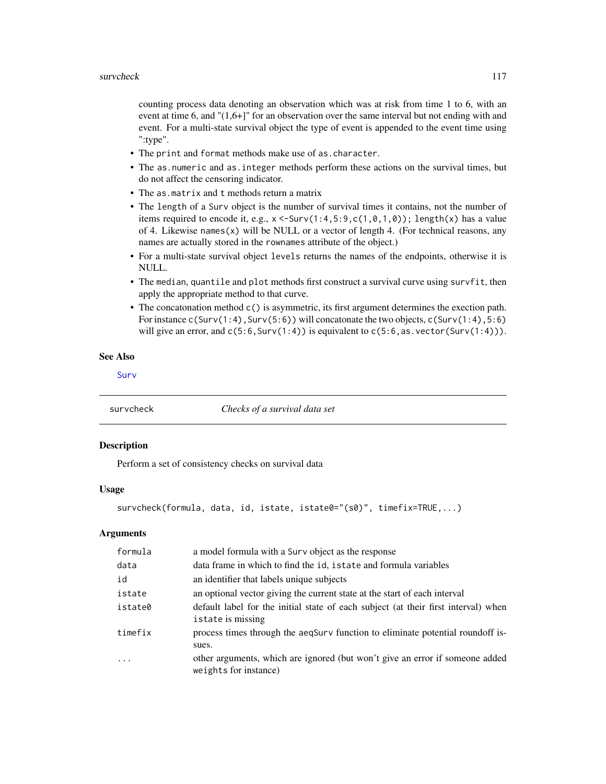counting process data denoting an observation which was at risk from time 1 to 6, with an event at time 6, and "(1,6+]" for an observation over the same interval but not ending with and event. For a multi-state survival object the type of event is appended to the event time using ":type".

- The print and format methods make use of as.character.
- The as.numeric and as.integer methods perform these actions on the survival times, but do not affect the censoring indicator.
- The as.matrix and t methods return a matrix
- The length of a Surv object is the number of survival times it contains, not the number of items required to encode it, e.g.,  $x \le$ -Surv $(1:4,5:9,c(1,0,1,0))$ ; length $(x)$  has a value of 4. Likewise names $(x)$  will be NULL or a vector of length 4. (For technical reasons, any names are actually stored in the rownames attribute of the object.)
- For a multi-state survival object levels returns the names of the endpoints, otherwise it is NULL.
- The median, quantile and plot methods first construct a survival curve using survfit, then apply the appropriate method to that curve.
- The concatonation method  $c()$  is asymmetric, its first argument determines the exection path. For instance c(Surv(1:4), Surv(5:6)) will concatonate the two objects, c(Surv(1:4), 5:6) will give an error, and  $c(5:6, \text{Surv}(1:4))$  is equivalent to  $c(5:6, \text{as.vector}(\text{Surv}(1:4))).$

#### See Also

[Surv](#page-112-0)

survcheck *Checks of a survival data set*

#### Description

Perform a set of consistency checks on survival data

# Usage

```
survcheck(formula, data, id, istate, istate0="(s0)", timefix=TRUE,...)
```

| formula | a model formula with a Surv object as the response                                                    |
|---------|-------------------------------------------------------------------------------------------------------|
| data    | data frame in which to find the id, is tate and formula variables                                     |
| id      | an identifier that labels unique subjects                                                             |
| istate  | an optional vector giving the current state at the start of each interval                             |
| istate0 | default label for the initial state of each subject (at their first interval) when                    |
|         | istate is missing                                                                                     |
| timefix | process times through the aeqSurv function to eliminate potential roundoff is-                        |
|         | sues.                                                                                                 |
| $\cdot$ | other arguments, which are ignored (but won't give an error if someone added<br>weights for instance) |
|         |                                                                                                       |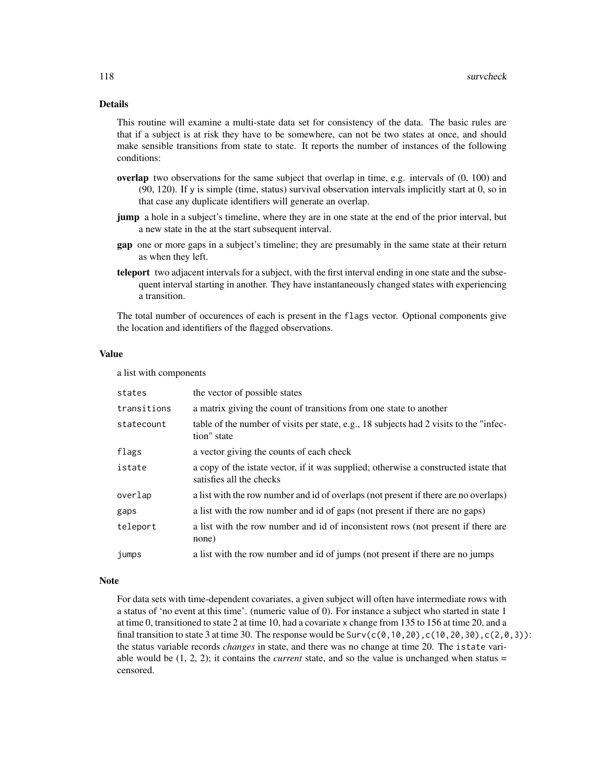# Details

This routine will examine a multi-state data set for consistency of the data. The basic rules are that if a subject is at risk they have to be somewhere, can not be two states at once, and should make sensible transitions from state to state. It reports the number of instances of the following conditions:

- overlap two observations for the same subject that overlap in time, e.g. intervals of (0, 100) and (90, 120). If y is simple (time, status) survival observation intervals implicitly start at 0, so in that case any duplicate identifiers will generate an overlap.
- jump a hole in a subject's timeline, where they are in one state at the end of the prior interval, but a new state in the at the start subsequent interval.
- gap one or more gaps in a subject's timeline; they are presumably in the same state at their return as when they left.
- teleport two adjacent intervals for a subject, with the first interval ending in one state and the subsequent interval starting in another. They have instantaneously changed states with experiencing a transition.

The total number of occurences of each is present in the flags vector. Optional components give the location and identifiers of the flagged observations.

#### Value

a list with components

| states      | the vector of possible states                                                                                    |
|-------------|------------------------------------------------------------------------------------------------------------------|
| transitions | a matrix giving the count of transitions from one state to another                                               |
| statecount  | table of the number of visits per state, e.g., 18 subjects had 2 visits to the "infec-<br>tion" state            |
| flags       | a vector giving the counts of each check                                                                         |
| istate      | a copy of the istate vector, if it was supplied; otherwise a constructed istate that<br>satisfies all the checks |
| overlap     | a list with the row number and id of overlaps (not present if there are no overlaps)                             |
| gaps        | a list with the row number and id of gaps (not present if there are no gaps)                                     |
| teleport    | a list with the row number and id of inconsistent rows (not present if there are<br>none)                        |
| jumps       | a list with the row number and id of jumps (not present if there are no jumps                                    |

#### Note

For data sets with time-dependent covariates, a given subject will often have intermediate rows with a status of 'no event at this time'. (numeric value of 0). For instance a subject who started in state 1 at time 0, transitioned to state 2 at time 10, had a covariate x change from 135 to 156 at time 20, and a final transition to state 3 at time 30. The response would be  $Surv(c(0,10,20),c(10,20,30),c(2,0,3))$ : the status variable records *changes* in state, and there was no change at time 20. The istate variable would be  $(1, 2, 2)$ ; it contains the *current* state, and so the value is unchanged when status = censored.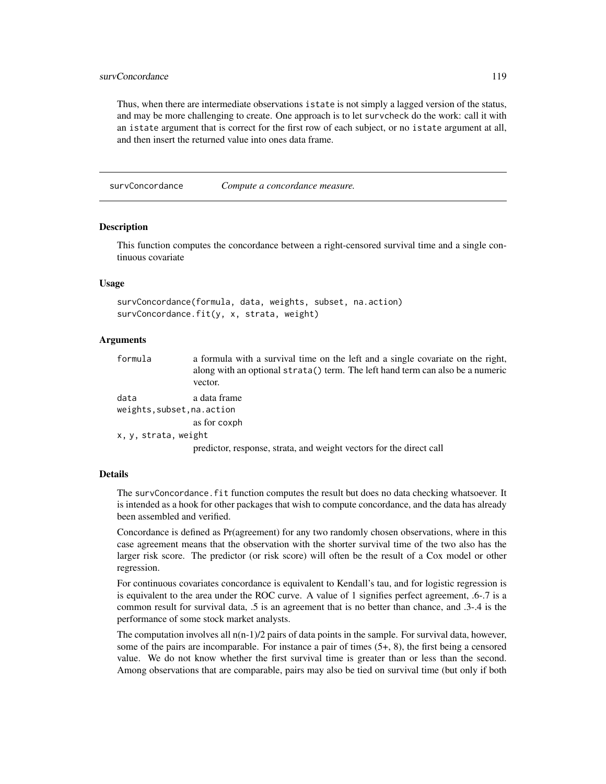# survConcordance 119

Thus, when there are intermediate observations istate is not simply a lagged version of the status, and may be more challenging to create. One approach is to let survcheck do the work: call it with an istate argument that is correct for the first row of each subject, or no istate argument at all, and then insert the returned value into ones data frame.

survConcordance *Compute a concordance measure.*

#### **Description**

This function computes the concordance between a right-censored survival time and a single continuous covariate

# Usage

```
survConcordance(formula, data, weights, subset, na.action)
survConcordance.fit(y, x, strata, weight)
```
#### Arguments

| formula                     | a formula with a survival time on the left and a single covariate on the right,<br>along with an optional strata() term. The left hand term can also be a numeric<br>vector. |
|-----------------------------|------------------------------------------------------------------------------------------------------------------------------------------------------------------------------|
| data                        | a data frame                                                                                                                                                                 |
| weights, subset, na. action |                                                                                                                                                                              |
|                             | as for coxph                                                                                                                                                                 |

x, y, strata, weight

predictor, response, strata, and weight vectors for the direct call

## Details

The survConcordance.fit function computes the result but does no data checking whatsoever. It is intended as a hook for other packages that wish to compute concordance, and the data has already been assembled and verified.

Concordance is defined as Pr(agreement) for any two randomly chosen observations, where in this case agreement means that the observation with the shorter survival time of the two also has the larger risk score. The predictor (or risk score) will often be the result of a Cox model or other regression.

For continuous covariates concordance is equivalent to Kendall's tau, and for logistic regression is is equivalent to the area under the ROC curve. A value of 1 signifies perfect agreement, .6-.7 is a common result for survival data, .5 is an agreement that is no better than chance, and .3-.4 is the performance of some stock market analysts.

The computation involves all  $n(n-1)/2$  pairs of data points in the sample. For survival data, however, some of the pairs are incomparable. For instance a pair of times  $(5+, 8)$ , the first being a censored value. We do not know whether the first survival time is greater than or less than the second. Among observations that are comparable, pairs may also be tied on survival time (but only if both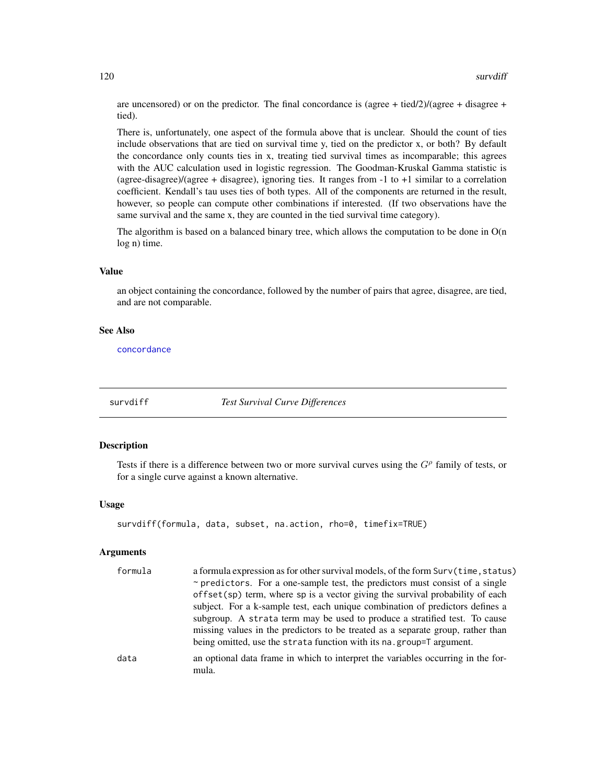are uncensored) or on the predictor. The final concordance is (agree + tied/2)/(agree + disagree + tied).

There is, unfortunately, one aspect of the formula above that is unclear. Should the count of ties include observations that are tied on survival time y, tied on the predictor x, or both? By default the concordance only counts ties in x, treating tied survival times as incomparable; this agrees with the AUC calculation used in logistic regression. The Goodman-Kruskal Gamma statistic is (agree-disagree)/(agree + disagree), ignoring ties. It ranges from -1 to +1 similar to a correlation coefficient. Kendall's tau uses ties of both types. All of the components are returned in the result, however, so people can compute other combinations if interested. (If two observations have the same survival and the same x, they are counted in the tied survival time category).

The algorithm is based on a balanced binary tree, which allows the computation to be done in  $O(n)$ log n) time.

#### Value

an object containing the concordance, followed by the number of pairs that agree, disagree, are tied, and are not comparable.

#### See Also

[concordance](#page-23-0)

<span id="page-119-0"></span>

survdiff *Test Survival Curve Differences*

# Description

Tests if there is a difference between two or more survival curves using the  $G<sup>\rho</sup>$  family of tests, or for a single curve against a known alternative.

#### Usage

```
survdiff(formula, data, subset, na.action, rho=0, timefix=TRUE)
```

| formula | a formula expression as for other survival models, of the form Surv(time, status)         |
|---------|-------------------------------------------------------------------------------------------|
|         | $\sim$ predictors. For a one-sample test, the predictors must consist of a single         |
|         | offset $(sp)$ term, where sp is a vector giving the survival probability of each          |
|         | subject. For a k-sample test, each unique combination of predictors defines a             |
|         | subgroup. A strata term may be used to produce a stratified test. To cause                |
|         | missing values in the predictors to be treated as a separate group, rather than           |
|         | being omitted, use the strata function with its na.group=T argument.                      |
| data    | an optional data frame in which to interpret the variables occurring in the for-<br>mula. |
|         |                                                                                           |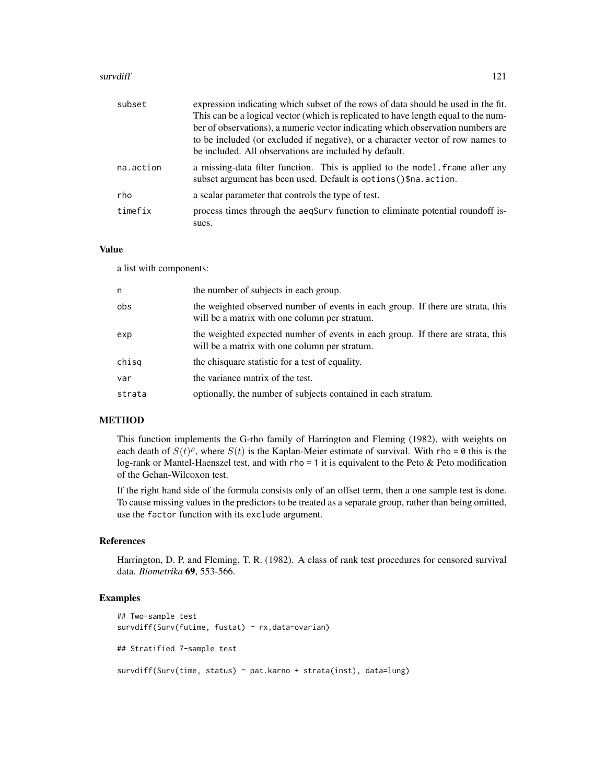#### survdiff and the state of the state of the state of the state of the state of the state of the state of the state of the state of the state of the state of the state of the state of the state of the state of the state of t

| subset    | expression indicating which subset of the rows of data should be used in the fit.                                                                   |
|-----------|-----------------------------------------------------------------------------------------------------------------------------------------------------|
|           | This can be a logical vector (which is replicated to have length equal to the num-                                                                  |
|           | ber of observations), a numeric vector indicating which observation numbers are                                                                     |
|           | to be included (or excluded if negative), or a character vector of row names to<br>be included. All observations are included by default.           |
| na.action | a missing-data filter function. This is applied to the model. frame after any<br>subset argument has been used. Default is options () \$na. action. |
| rho       | a scalar parameter that controls the type of test.                                                                                                  |
| timefix   | process times through the aeqSurv function to eliminate potential roundoff is-<br>sues.                                                             |

# Value

a list with components:

| n      | the number of subjects in each group.                                                                                            |
|--------|----------------------------------------------------------------------------------------------------------------------------------|
| obs    | the weighted observed number of events in each group. If there are strata, this<br>will be a matrix with one column per stratum. |
| exp    | the weighted expected number of events in each group. If there are strata, this<br>will be a matrix with one column per stratum. |
| chisq  | the chisquare statistic for a test of equality.                                                                                  |
| var    | the variance matrix of the test.                                                                                                 |
| strata | optionally, the number of subjects contained in each stratum.                                                                    |

# METHOD

This function implements the G-rho family of Harrington and Fleming (1982), with weights on each death of  $S(t)$ <sup> $\rho$ </sup>, where  $S(t)$  is the Kaplan-Meier estimate of survival. With rho = 0 this is the log-rank or Mantel-Haenszel test, and with rho = 1 it is equivalent to the Peto & Peto modification of the Gehan-Wilcoxon test.

If the right hand side of the formula consists only of an offset term, then a one sample test is done. To cause missing values in the predictors to be treated as a separate group, rather than being omitted, use the factor function with its exclude argument.

#### References

Harrington, D. P. and Fleming, T. R. (1982). A class of rank test procedures for censored survival data. *Biometrika* 69, 553-566.

#### Examples

```
## Two-sample test
survdiff(Surv(futime, fustat) ~ rx,data=ovarian)
## Stratified 7-sample test
survdiff(Surv(time, status) ~ pat.karno + strata(inst), data=lung)
```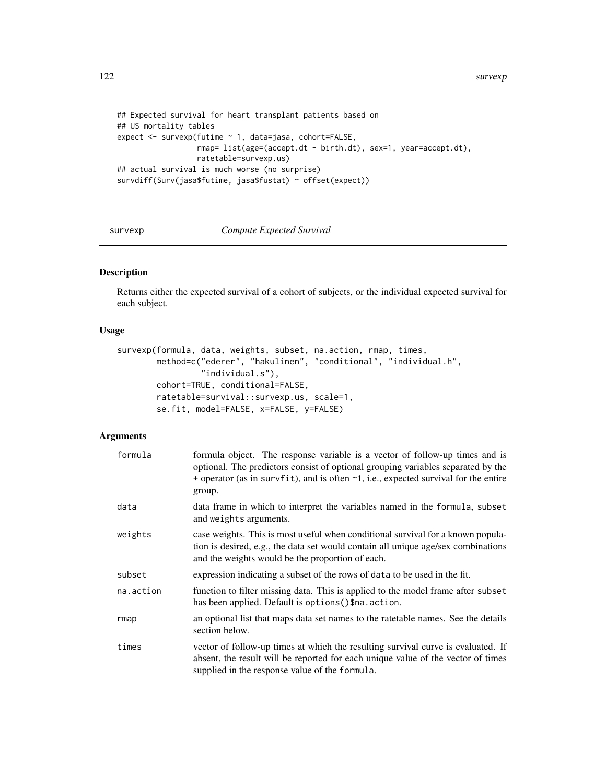```
## Expected survival for heart transplant patients based on
## US mortality tables
expect <- survexp(futime ~ 1, data=jasa, cohort=FALSE,
                  rmap= list(age=(accept.dt - birth.dt), sex=1, year=accept.dt),
                  ratetable=survexp.us)
## actual survival is much worse (no surprise)
survdiff(Surv(jasa$futime, jasa$fustat) ~ offset(expect))
```
#### <span id="page-121-0"></span>survexp *Compute Expected Survival*

# Description

Returns either the expected survival of a cohort of subjects, or the individual expected survival for each subject.

# Usage

```
survexp(formula, data, weights, subset, na.action, rmap, times,
       method=c("ederer", "hakulinen", "conditional", "individual.h",
                 "individual.s"),
       cohort=TRUE, conditional=FALSE,
       ratetable=survival::survexp.us, scale=1,
       se.fit, model=FALSE, x=FALSE, y=FALSE)
```

| formula   | formula object. The response variable is a vector of follow-up times and is<br>optional. The predictors consist of optional grouping variables separated by the<br>+ operator (as in survfit), and is often $\sim$ 1, i.e., expected survival for the entire<br>group. |
|-----------|------------------------------------------------------------------------------------------------------------------------------------------------------------------------------------------------------------------------------------------------------------------------|
| data      | data frame in which to interpret the variables named in the formula, subset<br>and weights arguments.                                                                                                                                                                  |
| weights   | case weights. This is most useful when conditional survival for a known popula-<br>tion is desired, e.g., the data set would contain all unique age/sex combinations<br>and the weights would be the proportion of each.                                               |
| subset    | expression indicating a subset of the rows of data to be used in the fit.                                                                                                                                                                                              |
| na.action | function to filter missing data. This is applied to the model frame after subset<br>has been applied. Default is options () \$na. action.                                                                                                                              |
| rmap      | an optional list that maps data set names to the rate table names. See the details<br>section below.                                                                                                                                                                   |
| times     | vector of follow-up times at which the resulting survival curve is evaluated. If<br>absent, the result will be reported for each unique value of the vector of times<br>supplied in the response value of the formula.                                                 |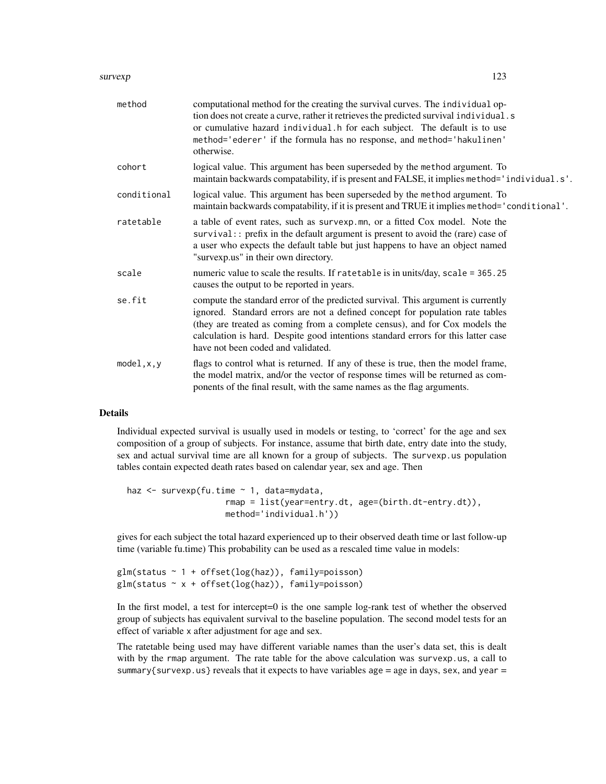#### survexp 223

| method      | computational method for the creating the survival curves. The individual op-<br>tion does not create a curve, rather it retrieves the predicted survival individual.s<br>or cumulative hazard individual. h for each subject. The default is to use<br>method='ederer' if the formula has no response, and method='hakulinen'<br>otherwise.                                |
|-------------|-----------------------------------------------------------------------------------------------------------------------------------------------------------------------------------------------------------------------------------------------------------------------------------------------------------------------------------------------------------------------------|
| cohort      | logical value. This argument has been superseded by the method argument. To<br>maintain backwards compatability, if is present and FALSE, it implies method='individual.s'.                                                                                                                                                                                                 |
| conditional | logical value. This argument has been superseded by the method argument. To<br>maintain backwards compatability, if it is present and TRUE it implies method='conditional'.                                                                                                                                                                                                 |
| ratetable   | a table of event rates, such as survexp.mn, or a fitted Cox model. Note the<br>survival:: prefix in the default argument is present to avoid the (rare) case of<br>a user who expects the default table but just happens to have an object named<br>"survexp.us" in their own directory.                                                                                    |
| scale       | numeric value to scale the results. If ratetable is in units/day, scale = 365.25<br>causes the output to be reported in years.                                                                                                                                                                                                                                              |
| se.fit      | compute the standard error of the predicted survival. This argument is currently<br>ignored. Standard errors are not a defined concept for population rate tables<br>(they are treated as coming from a complete census), and for Cox models the<br>calculation is hard. Despite good intentions standard errors for this latter case<br>have not been coded and validated. |
| model, x, y | flags to control what is returned. If any of these is true, then the model frame,<br>the model matrix, and/or the vector of response times will be returned as com-<br>ponents of the final result, with the same names as the flag arguments.                                                                                                                              |

# Details

Individual expected survival is usually used in models or testing, to 'correct' for the age and sex composition of a group of subjects. For instance, assume that birth date, entry date into the study, sex and actual survival time are all known for a group of subjects. The survexp.us population tables contain expected death rates based on calendar year, sex and age. Then

```
haz <- survexp(fu.time ~ 1, data=mydata,
                    rmap = list(year=entry.dt, age=(birth.dt-entry.dt)),
                    method='individual.h'))
```
gives for each subject the total hazard experienced up to their observed death time or last follow-up time (variable fu.time) This probability can be used as a rescaled time value in models:

```
glm(status ~ 1 + offset(log(haz)), family=poisson)glm(status ~ x + offset(log(haz)), family=poisson)
```
In the first model, a test for intercept=0 is the one sample log-rank test of whether the observed group of subjects has equivalent survival to the baseline population. The second model tests for an effect of variable x after adjustment for age and sex.

The ratetable being used may have different variable names than the user's data set, this is dealt with by the rmap argument. The rate table for the above calculation was survexp.us, a call to summary{survexp.us} reveals that it expects to have variables age = age in days, sex, and year =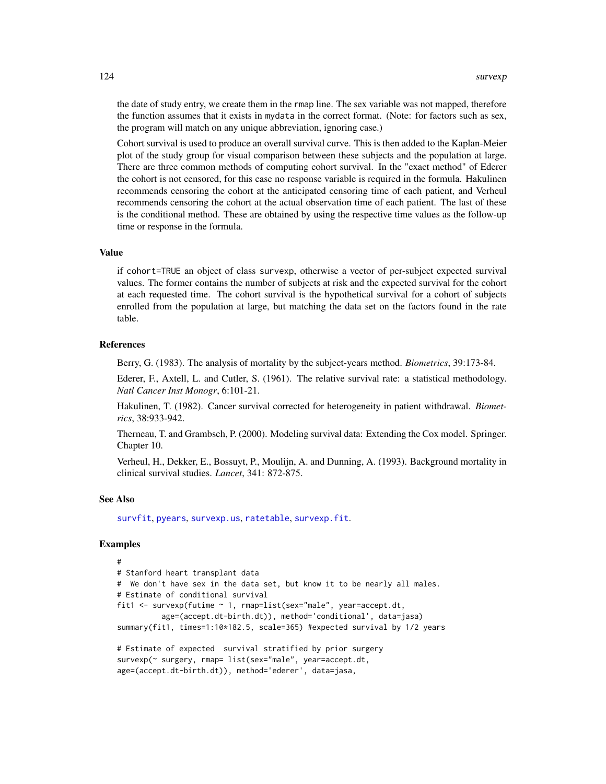the date of study entry, we create them in the rmap line. The sex variable was not mapped, therefore the function assumes that it exists in mydata in the correct format. (Note: for factors such as sex, the program will match on any unique abbreviation, ignoring case.)

Cohort survival is used to produce an overall survival curve. This is then added to the Kaplan-Meier plot of the study group for visual comparison between these subjects and the population at large. There are three common methods of computing cohort survival. In the "exact method" of Ederer the cohort is not censored, for this case no response variable is required in the formula. Hakulinen recommends censoring the cohort at the anticipated censoring time of each patient, and Verheul recommends censoring the cohort at the actual observation time of each patient. The last of these is the conditional method. These are obtained by using the respective time values as the follow-up time or response in the formula.

# Value

if cohort=TRUE an object of class survexp, otherwise a vector of per-subject expected survival values. The former contains the number of subjects at risk and the expected survival for the cohort at each requested time. The cohort survival is the hypothetical survival for a cohort of subjects enrolled from the population at large, but matching the data set on the factors found in the rate table.

#### References

Berry, G. (1983). The analysis of mortality by the subject-years method. *Biometrics*, 39:173-84.

Ederer, F., Axtell, L. and Cutler, S. (1961). The relative survival rate: a statistical methodology. *Natl Cancer Inst Monogr*, 6:101-21.

Hakulinen, T. (1982). Cancer survival corrected for heterogeneity in patient withdrawal. *Biometrics*, 38:933-942.

Therneau, T. and Grambsch, P. (2000). Modeling survival data: Extending the Cox model. Springer. Chapter 10.

Verheul, H., Dekker, E., Bossuyt, P., Moulijn, A. and Dunning, A. (1993). Background mortality in clinical survival studies. *Lancet*, 341: 872-875.

#### See Also

[survfit](#page-126-0), [pyears](#page-84-0), [survexp.us](#page-90-0), [ratetable](#page-88-0), [survexp.fit](#page-124-0).

### Examples

```
#
# Stanford heart transplant data
# We don't have sex in the data set, but know it to be nearly all males.
# Estimate of conditional survival
fit1 <- survexp(futime ~ 1, rmap=list(sex="male", year=accept.dt,
          age=(accept.dt-birth.dt)), method='conditional', data=jasa)
summary(fit1, times=1:10*182.5, scale=365) #expected survival by 1/2 years
# Estimate of expected survival stratified by prior surgery
survexp(~ surgery, rmap= list(sex="male", year=accept.dt,
age=(accept.dt-birth.dt)), method='ederer', data=jasa,
```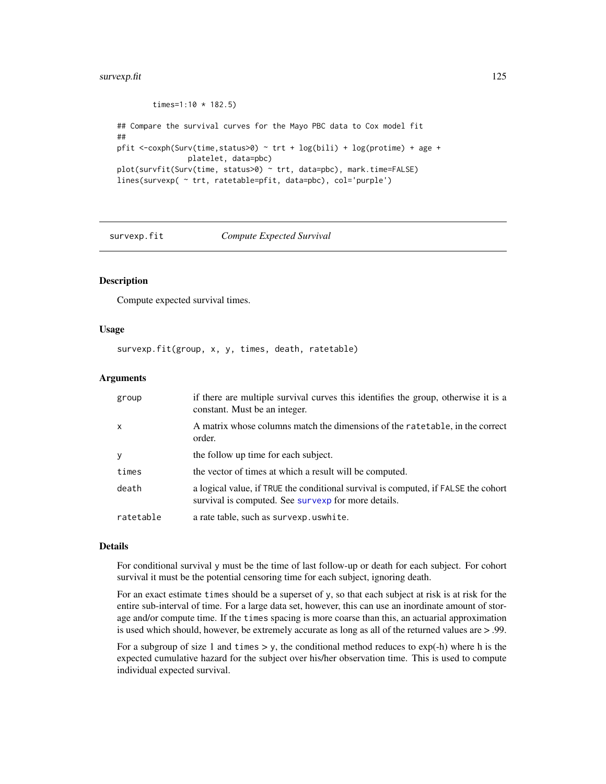#### survexp.fit 125

```
times=1:10 * 182.5)
## Compare the survival curves for the Mayo PBC data to Cox model fit
##
pfit <-coxph(Surv(time,status>0) ~ trt + log(bili) + log(protime) + age +
                platelet, data=pbc)
plot(survfit(Surv(time, status>0) ~ trt, data=pbc), mark.time=FALSE)
lines(survexp( ~ trt, ratetable=pfit, data=pbc), col='purple')
```
<span id="page-124-0"></span>

#### survexp.fit *Compute Expected Survival*

## Description

Compute expected survival times.

#### Usage

survexp.fit(group, x, y, times, death, ratetable)

#### Arguments

| group                     | if there are multiple survival curves this identifies the group, otherwise it is a<br>constant. Must be an integer.                       |
|---------------------------|-------------------------------------------------------------------------------------------------------------------------------------------|
| $\boldsymbol{\mathsf{x}}$ | A matrix whose columns match the dimensions of the ratetable, in the correct<br>order.                                                    |
| y                         | the follow up time for each subject.                                                                                                      |
| times                     | the vector of times at which a result will be computed.                                                                                   |
| death                     | a logical value, if TRUE the conditional survival is computed, if FALSE the cohort<br>survival is computed. See survexp for more details. |
| ratetable                 | a rate table, such as survexp. uswhite.                                                                                                   |

#### Details

For conditional survival y must be the time of last follow-up or death for each subject. For cohort survival it must be the potential censoring time for each subject, ignoring death.

For an exact estimate times should be a superset of y, so that each subject at risk is at risk for the entire sub-interval of time. For a large data set, however, this can use an inordinate amount of storage and/or compute time. If the times spacing is more coarse than this, an actuarial approximation is used which should, however, be extremely accurate as long as all of the returned values are > .99.

For a subgroup of size 1 and times  $> y$ , the conditional method reduces to  $exp(-h)$  where h is the expected cumulative hazard for the subject over his/her observation time. This is used to compute individual expected survival.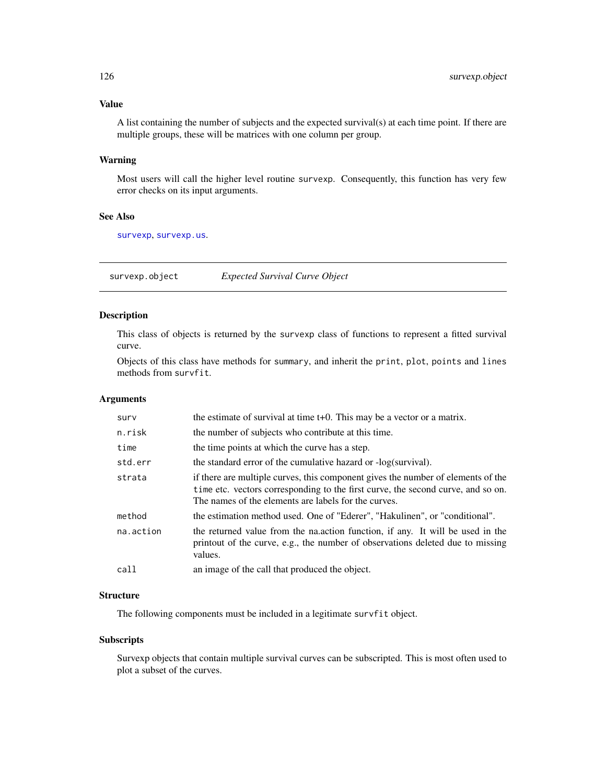# Value

A list containing the number of subjects and the expected survival(s) at each time point. If there are multiple groups, these will be matrices with one column per group.

# Warning

Most users will call the higher level routine survexp. Consequently, this function has very few error checks on its input arguments.

# See Also

[survexp](#page-121-0), [survexp.us](#page-90-0).

survexp.object *Expected Survival Curve Object*

# Description

This class of objects is returned by the survexp class of functions to represent a fitted survival curve.

Objects of this class have methods for summary, and inherit the print, plot, points and lines methods from survfit.

#### Arguments

| surv      | the estimate of survival at time $t+0$ . This may be a vector or a matrix.                                                                                                                                                   |
|-----------|------------------------------------------------------------------------------------------------------------------------------------------------------------------------------------------------------------------------------|
| n.risk    | the number of subjects who contribute at this time.                                                                                                                                                                          |
| time      | the time points at which the curve has a step.                                                                                                                                                                               |
| std.err   | the standard error of the cumulative hazard or -log(survival).                                                                                                                                                               |
| strata    | if there are multiple curves, this component gives the number of elements of the<br>time etc. vectors corresponding to the first curve, the second curve, and so on.<br>The names of the elements are labels for the curves. |
| method    | the estimation method used. One of "Ederer", "Hakulinen", or "conditional".                                                                                                                                                  |
| na.action | the returned value from the nation function, if any. It will be used in the<br>printout of the curve, e.g., the number of observations deleted due to missing<br>values.                                                     |
| call      | an image of the call that produced the object.                                                                                                                                                                               |
|           |                                                                                                                                                                                                                              |

## **Structure**

The following components must be included in a legitimate survfit object.

#### Subscripts

Survexp objects that contain multiple survival curves can be subscripted. This is most often used to plot a subset of the curves.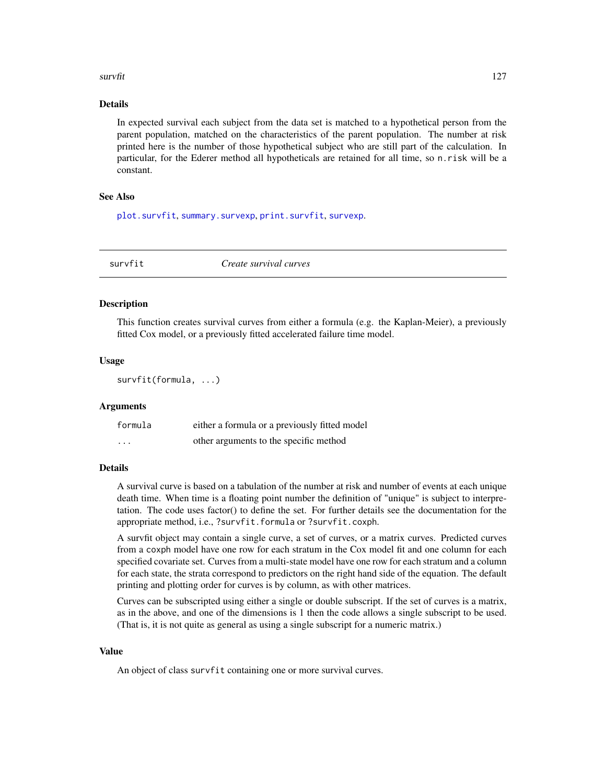#### survfit that the contract of the contract of the contract of the contract of the contract of the contract of the contract of the contract of the contract of the contract of the contract of the contract of the contract of t

# Details

In expected survival each subject from the data set is matched to a hypothetical person from the parent population, matched on the characteristics of the parent population. The number at risk printed here is the number of those hypothetical subject who are still part of the calculation. In particular, for the Ederer method all hypotheticals are retained for all time, so n.risk will be a constant.

# See Also

[plot.survfit](#page-71-0), [summary.survexp](#page-109-0), [print.survfit](#page-81-0), [survexp](#page-121-0).

<span id="page-126-0"></span>survfit *Create survival curves*

#### Description

This function creates survival curves from either a formula (e.g. the Kaplan-Meier), a previously fitted Cox model, or a previously fitted accelerated failure time model.

#### Usage

```
survfit(formula, ...)
```
#### Arguments

| formula  | either a formula or a previously fitted model |
|----------|-----------------------------------------------|
| $\cdots$ | other arguments to the specific method        |

# Details

A survival curve is based on a tabulation of the number at risk and number of events at each unique death time. When time is a floating point number the definition of "unique" is subject to interpretation. The code uses factor() to define the set. For further details see the documentation for the appropriate method, i.e., ?survfit.formula or ?survfit.coxph.

A survfit object may contain a single curve, a set of curves, or a matrix curves. Predicted curves from a coxph model have one row for each stratum in the Cox model fit and one column for each specified covariate set. Curves from a multi-state model have one row for each stratum and a column for each state, the strata correspond to predictors on the right hand side of the equation. The default printing and plotting order for curves is by column, as with other matrices.

Curves can be subscripted using either a single or double subscript. If the set of curves is a matrix, as in the above, and one of the dimensions is 1 then the code allows a single subscript to be used. (That is, it is not quite as general as using a single subscript for a numeric matrix.)

#### Value

An object of class survfit containing one or more survival curves.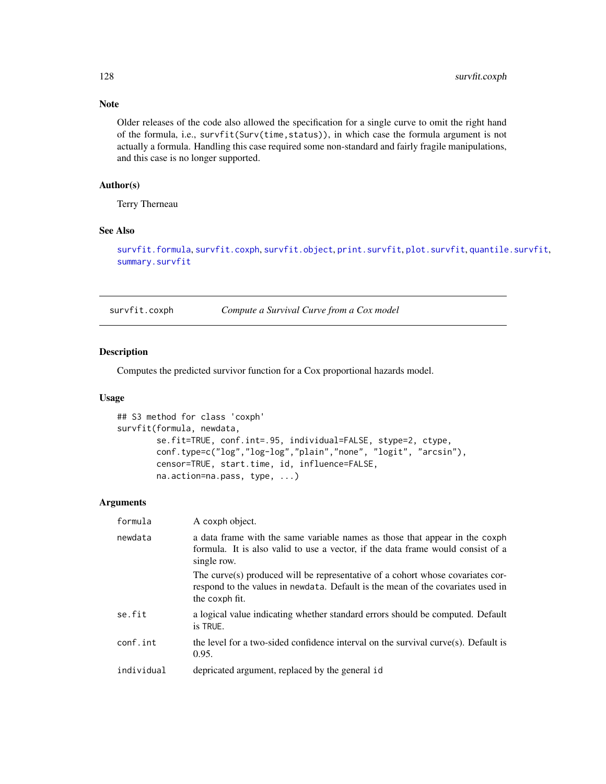# Note

Older releases of the code also allowed the specification for a single curve to omit the right hand of the formula, i.e., survfit(Surv(time,status)), in which case the formula argument is not actually a formula. Handling this case required some non-standard and fairly fragile manipulations, and this case is no longer supported.

# Author(s)

Terry Therneau

# See Also

[survfit.formula](#page-130-0), [survfit.coxph](#page-127-0), [survfit.object](#page-135-0), [print.survfit](#page-81-0), [plot.survfit](#page-71-0), [quantile.survfit](#page-87-0), [summary.survfit](#page-110-0)

<span id="page-127-0"></span>survfit.coxph *Compute a Survival Curve from a Cox model*

#### Description

Computes the predicted survivor function for a Cox proportional hazards model.

# Usage

```
## S3 method for class 'coxph'
survfit(formula, newdata,
        se.fit=TRUE, conf.int=.95, individual=FALSE, stype=2, ctype,
       conf.type=c("log","log-log","plain","none", "logit", "arcsin"),
       censor=TRUE, start.time, id, influence=FALSE,
       na.action=na.pass, type, ...)
```

| formula    | A coxph object.                                                                                                                                                                     |
|------------|-------------------------------------------------------------------------------------------------------------------------------------------------------------------------------------|
| newdata    | a data frame with the same variable names as those that appear in the coxph<br>formula. It is also valid to use a vector, if the data frame would consist of a<br>single row.       |
|            | The curve(s) produced will be representative of a cohort whose covariates cor-<br>respond to the values in newdata. Default is the mean of the covariates used in<br>the coxph fit. |
| se.fit     | a logical value indicating whether standard errors should be computed. Default<br>is TRUE.                                                                                          |
| conf.int   | the level for a two-sided confidence interval on the survival curve(s). Default is<br>0.95.                                                                                         |
| individual | depricated argument, replaced by the general id                                                                                                                                     |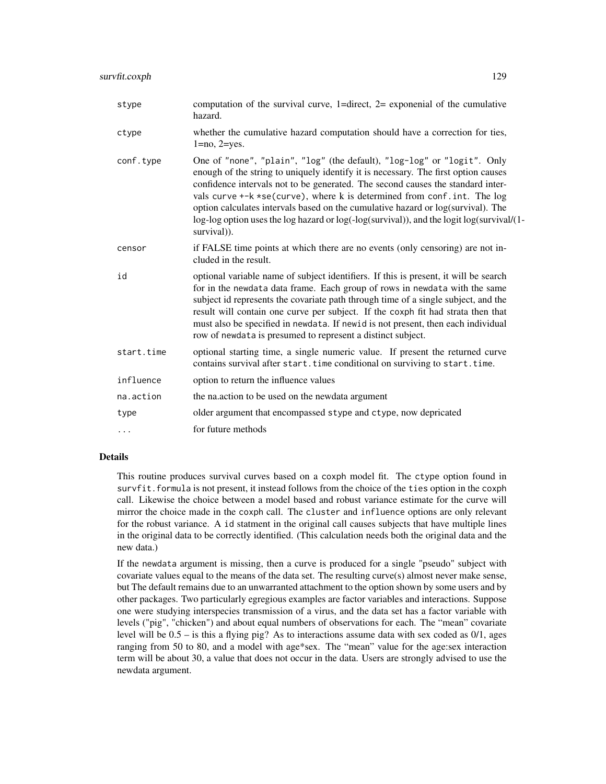| stype      | computation of the survival curve, 1=direct, $2=$ exponenial of the cumulative<br>hazard.                                                                                                                                                                                                                                                                                                                                                                                                                                   |
|------------|-----------------------------------------------------------------------------------------------------------------------------------------------------------------------------------------------------------------------------------------------------------------------------------------------------------------------------------------------------------------------------------------------------------------------------------------------------------------------------------------------------------------------------|
| ctype      | whether the cumulative hazard computation should have a correction for ties,<br>$1 = no$ , $2 = yes$ .                                                                                                                                                                                                                                                                                                                                                                                                                      |
| conf.type  | One of "none", "plain", "log" (the default), "log-log" or "logit". Only<br>enough of the string to uniquely identify it is necessary. The first option causes<br>confidence intervals not to be generated. The second causes the standard inter-<br>vals curve +-k *se(curve), where k is determined from conf. int. The log<br>option calculates intervals based on the cumulative hazard or log(survival). The<br>log-log option uses the log hazard or log(-log(survival)), and the logit log(survival/(1-<br>survival). |
| censor     | if FALSE time points at which there are no events (only censoring) are not in-<br>cluded in the result.                                                                                                                                                                                                                                                                                                                                                                                                                     |
| id         | optional variable name of subject identifiers. If this is present, it will be search<br>for in the newdata data frame. Each group of rows in newdata with the same<br>subject id represents the covariate path through time of a single subject, and the<br>result will contain one curve per subject. If the coxph fit had strata then that<br>must also be specified in newdata. If newid is not present, then each individual<br>row of newdata is presumed to represent a distinct subject.                             |
| start.time | optional starting time, a single numeric value. If present the returned curve<br>contains survival after start. time conditional on surviving to start. time.                                                                                                                                                                                                                                                                                                                                                               |
| influence  | option to return the influence values                                                                                                                                                                                                                                                                                                                                                                                                                                                                                       |
| na.action  | the na.action to be used on the newdata argument                                                                                                                                                                                                                                                                                                                                                                                                                                                                            |
| type       | older argument that encompassed stype and ctype, now depricated                                                                                                                                                                                                                                                                                                                                                                                                                                                             |
| .          | for future methods                                                                                                                                                                                                                                                                                                                                                                                                                                                                                                          |

# Details

This routine produces survival curves based on a coxph model fit. The ctype option found in survfit.formula is not present, it instead follows from the choice of the ties option in the coxph call. Likewise the choice between a model based and robust variance estimate for the curve will mirror the choice made in the coxph call. The cluster and influence options are only relevant for the robust variance. A id statment in the original call causes subjects that have multiple lines in the original data to be correctly identified. (This calculation needs both the original data and the new data.)

If the newdata argument is missing, then a curve is produced for a single "pseudo" subject with covariate values equal to the means of the data set. The resulting curve(s) almost never make sense, but The default remains due to an unwarranted attachment to the option shown by some users and by other packages. Two particularly egregious examples are factor variables and interactions. Suppose one were studying interspecies transmission of a virus, and the data set has a factor variable with levels ("pig", "chicken") and about equal numbers of observations for each. The "mean" covariate level will be  $0.5 -$  is this a flying pig? As to interactions assume data with sex coded as  $0/1$ , ages ranging from 50 to 80, and a model with age\*sex. The "mean" value for the age:sex interaction term will be about 30, a value that does not occur in the data. Users are strongly advised to use the newdata argument.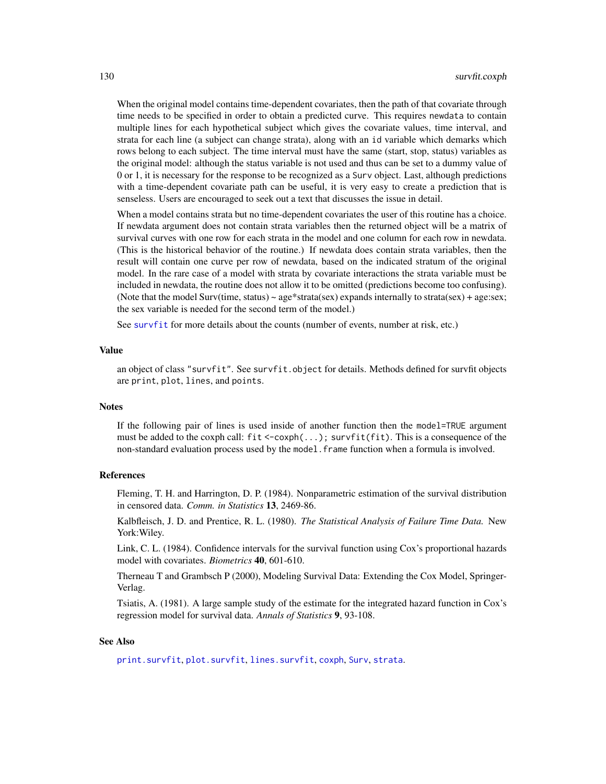When the original model contains time-dependent covariates, then the path of that covariate through time needs to be specified in order to obtain a predicted curve. This requires newdata to contain multiple lines for each hypothetical subject which gives the covariate values, time interval, and strata for each line (a subject can change strata), along with an id variable which demarks which rows belong to each subject. The time interval must have the same (start, stop, status) variables as the original model: although the status variable is not used and thus can be set to a dummy value of 0 or 1, it is necessary for the response to be recognized as a Surv object. Last, although predictions with a time-dependent covariate path can be useful, it is very easy to create a prediction that is senseless. Users are encouraged to seek out a text that discusses the issue in detail.

When a model contains strata but no time-dependent covariates the user of this routine has a choice. If newdata argument does not contain strata variables then the returned object will be a matrix of survival curves with one row for each strata in the model and one column for each row in newdata. (This is the historical behavior of the routine.) If newdata does contain strata variables, then the result will contain one curve per row of newdata, based on the indicated stratum of the original model. In the rare case of a model with strata by covariate interactions the strata variable must be included in newdata, the routine does not allow it to be omitted (predictions become too confusing). (Note that the model Surv(time, status)  $\sim$  age\*strata(sex) expands internally to strata(sex) + age:sex; the sex variable is needed for the second term of the model.)

See [survfit](#page-126-0) for more details about the counts (number of events, number at risk, etc.)

#### Value

an object of class "survfit". See survfit.object for details. Methods defined for survfit objects are print, plot, lines, and points.

#### **Notes**

If the following pair of lines is used inside of another function then the model=TRUE argument must be added to the coxph call:  $fit < -cosh(...);$  survfit(fit). This is a consequence of the non-standard evaluation process used by the model.frame function when a formula is involved.

#### References

Fleming, T. H. and Harrington, D. P. (1984). Nonparametric estimation of the survival distribution in censored data. *Comm. in Statistics* 13, 2469-86.

Kalbfleisch, J. D. and Prentice, R. L. (1980). *The Statistical Analysis of Failure Time Data.* New York:Wiley.

Link, C. L. (1984). Confidence intervals for the survival function using Cox's proportional hazards model with covariates. *Biometrics* 40, 601-610.

Therneau T and Grambsch P (2000), Modeling Survival Data: Extending the Cox Model, Springer-Verlag.

Tsiatis, A. (1981). A large sample study of the estimate for the integrated hazard function in Cox's regression model for survival data. *Annals of Statistics* 9, 93-108.

#### See Also

[print.survfit](#page-81-0), [plot.survfit](#page-71-0), [lines.survfit](#page-51-0), [coxph](#page-29-0), [Surv](#page-112-0), [strata](#page-104-0).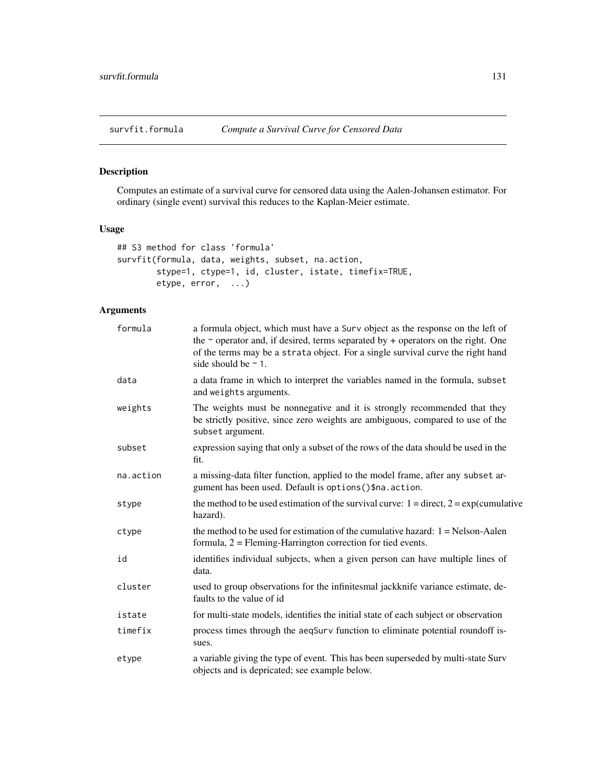<span id="page-130-0"></span>

# Description

Computes an estimate of a survival curve for censored data using the Aalen-Johansen estimator. For ordinary (single event) survival this reduces to the Kaplan-Meier estimate.

# Usage

```
## S3 method for class 'formula'
survfit(formula, data, weights, subset, na.action,
        stype=1, ctype=1, id, cluster, istate, timefix=TRUE,
        etype, error, ...)
```

| formula   | a formula object, which must have a Surv object as the response on the left of<br>the $\sim$ operator and, if desired, terms separated by + operators on the right. One<br>of the terms may be a strata object. For a single survival curve the right hand<br>side should be $\sim$ 1. |
|-----------|----------------------------------------------------------------------------------------------------------------------------------------------------------------------------------------------------------------------------------------------------------------------------------------|
| data      | a data frame in which to interpret the variables named in the formula, subset<br>and weights arguments.                                                                                                                                                                                |
| weights   | The weights must be nonnegative and it is strongly recommended that they<br>be strictly positive, since zero weights are ambiguous, compared to use of the<br>subset argument.                                                                                                         |
| subset    | expression saying that only a subset of the rows of the data should be used in the<br>fit.                                                                                                                                                                                             |
| na.action | a missing-data filter function, applied to the model frame, after any subset ar-<br>gument has been used. Default is options () \$na. action.                                                                                                                                          |
| stype     | the method to be used estimation of the survival curve: $1 =$ direct, $2 =$ exp(cumulative<br>hazard).                                                                                                                                                                                 |
| ctype     | the method to be used for estimation of the cumulative hazard: $1 =$ Nelson-Aalen<br>formula, 2 = Fleming-Harrington correction for tied events.                                                                                                                                       |
| id        | identifies individual subjects, when a given person can have multiple lines of<br>data.                                                                                                                                                                                                |
| cluster   | used to group observations for the infinitesmal jackknife variance estimate, de-<br>faults to the value of id                                                                                                                                                                          |
| istate    | for multi-state models, identifies the initial state of each subject or observation                                                                                                                                                                                                    |
| timefix   | process times through the aeqSurv function to eliminate potential roundoff is-<br>sues.                                                                                                                                                                                                |
| etype     | a variable giving the type of event. This has been superseded by multi-state Surv<br>objects and is depricated; see example below.                                                                                                                                                     |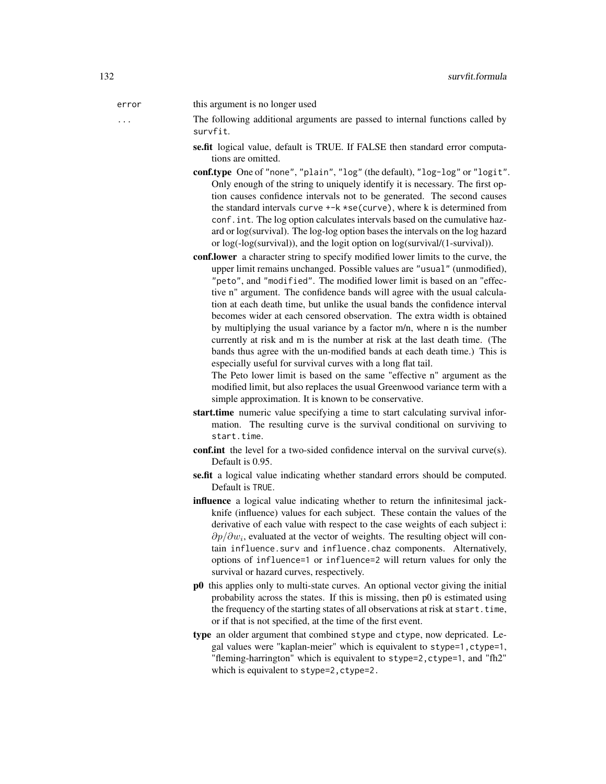error this argument is no longer used

... The following additional arguments are passed to internal functions called by survfit.

- se.fit logical value, default is TRUE. If FALSE then standard error computations are omitted.
- conf.type One of "none", "plain", "log" (the default), "log-log" or "logit". Only enough of the string to uniquely identify it is necessary. The first option causes confidence intervals not to be generated. The second causes the standard intervals curve  $+-k$  \*se(curve), where k is determined from conf.int. The log option calculates intervals based on the cumulative hazard or log(survival). The log-log option bases the intervals on the log hazard or log(-log(survival)), and the logit option on log(survival/(1-survival)).
- conf.lower a character string to specify modified lower limits to the curve, the upper limit remains unchanged. Possible values are "usual" (unmodified), "peto", and "modified". The modified lower limit is based on an "effective n" argument. The confidence bands will agree with the usual calculation at each death time, but unlike the usual bands the confidence interval becomes wider at each censored observation. The extra width is obtained by multiplying the usual variance by a factor m/n, where n is the number currently at risk and m is the number at risk at the last death time. (The bands thus agree with the un-modified bands at each death time.) This is especially useful for survival curves with a long flat tail.

The Peto lower limit is based on the same "effective n" argument as the modified limit, but also replaces the usual Greenwood variance term with a simple approximation. It is known to be conservative.

- start.time numeric value specifying a time to start calculating survival information. The resulting curve is the survival conditional on surviving to start.time.
- conf.int the level for a two-sided confidence interval on the survival curve(s). Default is 0.95.
- se.fit a logical value indicating whether standard errors should be computed. Default is TRUE.
- influence a logical value indicating whether to return the infinitesimal jackknife (influence) values for each subject. These contain the values of the derivative of each value with respect to the case weights of each subject i:  $\partial p/\partial w_i$ , evaluated at the vector of weights. The resulting object will contain influence.surv and influence.chaz components. Alternatively, options of influence=1 or influence=2 will return values for only the survival or hazard curves, respectively.
- p0 this applies only to multi-state curves. An optional vector giving the initial probability across the states. If this is missing, then p0 is estimated using the frequency of the starting states of all observations at risk at start.time, or if that is not specified, at the time of the first event.
- type an older argument that combined stype and ctype, now depricated. Legal values were "kaplan-meier" which is equivalent to stype=1,ctype=1, "fleming-harrington" which is equivalent to stype=2,ctype=1, and "fh2" which is equivalent to stype=2, ctype=2.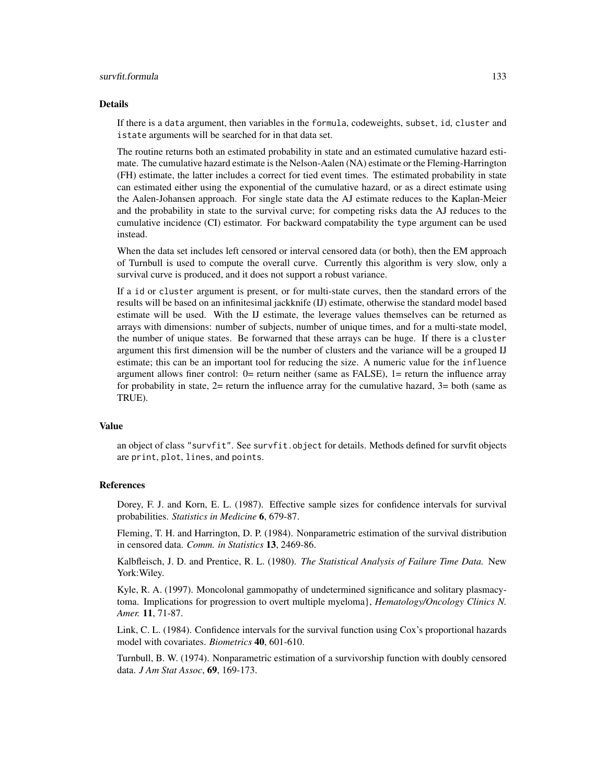#### survfit.formula 133

#### Details

If there is a data argument, then variables in the formula, codeweights, subset, id, cluster and istate arguments will be searched for in that data set.

The routine returns both an estimated probability in state and an estimated cumulative hazard estimate. The cumulative hazard estimate is the Nelson-Aalen (NA) estimate or the Fleming-Harrington (FH) estimate, the latter includes a correct for tied event times. The estimated probability in state can estimated either using the exponential of the cumulative hazard, or as a direct estimate using the Aalen-Johansen approach. For single state data the AJ estimate reduces to the Kaplan-Meier and the probability in state to the survival curve; for competing risks data the AJ reduces to the cumulative incidence (CI) estimator. For backward compatability the type argument can be used instead.

When the data set includes left censored or interval censored data (or both), then the EM approach of Turnbull is used to compute the overall curve. Currently this algorithm is very slow, only a survival curve is produced, and it does not support a robust variance.

If a id or cluster argument is present, or for multi-state curves, then the standard errors of the results will be based on an infinitesimal jackknife (IJ) estimate, otherwise the standard model based estimate will be used. With the IJ estimate, the leverage values themselves can be returned as arrays with dimensions: number of subjects, number of unique times, and for a multi-state model, the number of unique states. Be forwarned that these arrays can be huge. If there is a cluster argument this first dimension will be the number of clusters and the variance will be a grouped IJ estimate; this can be an important tool for reducing the size. A numeric value for the influence argument allows finer control:  $0=$  return neither (same as FALSE),  $1=$  return the influence array for probability in state,  $2=$  return the influence array for the cumulative hazard,  $3=$  both (same as TRUE).

#### Value

an object of class "survfit". See survfit.object for details. Methods defined for survfit objects are print, plot, lines, and points.

## References

Dorey, F. J. and Korn, E. L. (1987). Effective sample sizes for confidence intervals for survival probabilities. *Statistics in Medicine* 6, 679-87.

Fleming, T. H. and Harrington, D. P. (1984). Nonparametric estimation of the survival distribution in censored data. *Comm. in Statistics* 13, 2469-86.

Kalbfleisch, J. D. and Prentice, R. L. (1980). *The Statistical Analysis of Failure Time Data.* New York:Wiley.

Kyle, R. A. (1997). Moncolonal gammopathy of undetermined significance and solitary plasmacytoma. Implications for progression to overt multiple myeloma}, *Hematology/Oncology Clinics N. Amer.* 11, 71-87.

Link, C. L. (1984). Confidence intervals for the survival function using Cox's proportional hazards model with covariates. *Biometrics* 40, 601-610.

Turnbull, B. W. (1974). Nonparametric estimation of a survivorship function with doubly censored data. *J Am Stat Assoc*, 69, 169-173.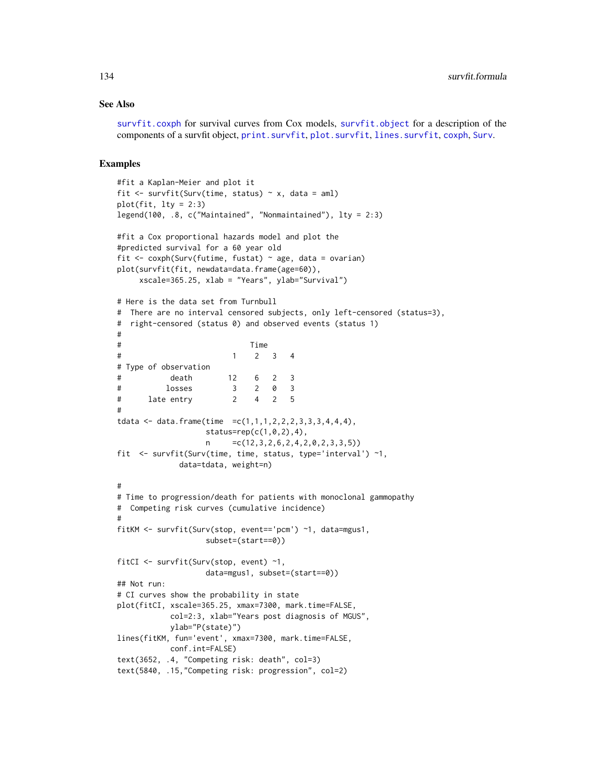### See Also

[survfit.coxph](#page-127-0) for survival curves from Cox models, [survfit.object](#page-135-0) for a description of the components of a survfit object, [print.survfit](#page-81-0), [plot.survfit](#page-71-0), [lines.survfit](#page-51-0), [coxph](#page-29-0), [Surv](#page-112-0).

#### Examples

```
#fit a Kaplan-Meier and plot it
fit \le survfit(Surv(time, status) \sim x, data = aml)
plot(fit, lty = 2:3)legend(100, .8, c("Maintained", "Nonmaintained"), lty = 2:3)
#fit a Cox proportional hazards model and plot the
#predicted survival for a 60 year old
fit \leq coxph(Surv(futime, fustat) \sim age, data = ovarian)
plot(survfit(fit, newdata=data.frame(age=60)),
    xscale=365.25, xlab = "Years", ylab="Survival")
# Here is the data set from Turnbull
# There are no interval censored subjects, only left-censored (status=3),
# right-censored (status 0) and observed events (status 1)
#
# Time
# 1 2 3 4
# Type of observation
# death 12 6 2 3
# losses 3 2 0 3
# late entry 2 4 2 5
#
tdata <- data.frame(time =c(1,1,1,2,2,2,3,3,3,4,4,4),
                  status=rep(c(1,0,2),4),
                  n = c(12,3,2,6,2,4,2,0,2,3,3,5))fit <- survfit(Surv(time, time, status, type='interval') ~1,
             data=tdata, weight=n)
#
# Time to progression/death for patients with monoclonal gammopathy
# Competing risk curves (cumulative incidence)
#
fitKM <- survfit(Surv(stop, event=='pcm') ~1, data=mgus1,
                  subset=(start==0))
fitCI <- survfit(Surv(stop, event) ~1,
                  data=mgus1, subset=(start==0))
## Not run:
# CI curves show the probability in state
plot(fitCI, xscale=365.25, xmax=7300, mark.time=FALSE,
           col=2:3, xlab="Years post diagnosis of MGUS",
           ylab="P(state)")
lines(fitKM, fun='event', xmax=7300, mark.time=FALSE,
           conf.int=FALSE)
text(3652, .4, "Competing risk: death", col=3)
text(5840, .15,"Competing risk: progression", col=2)
```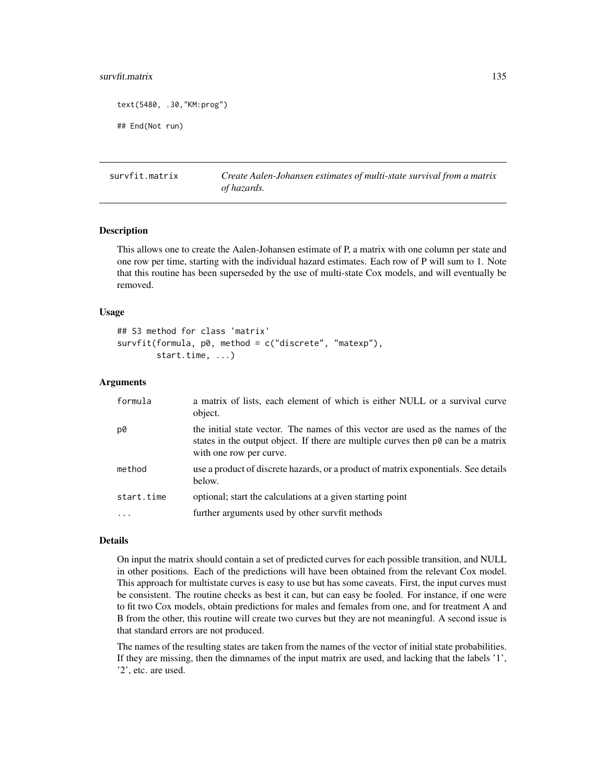#### survfit.matrix 135

text(5480, .30,"KM:prog")

## End(Not run)

survfit.matrix *Create Aalen-Johansen estimates of multi-state survival from a matrix of hazards.*

## Description

This allows one to create the Aalen-Johansen estimate of P, a matrix with one column per state and one row per time, starting with the individual hazard estimates. Each row of P will sum to 1. Note that this routine has been superseded by the use of multi-state Cox models, and will eventually be removed.

#### Usage

```
## S3 method for class 'matrix'
survfit(formula, p0, method = c("discrete", "matexp"),
        start.time, ...)
```
## Arguments

| formula    | a matrix of lists, each element of which is either NULL or a survival curve<br>object.                                                                                                                 |
|------------|--------------------------------------------------------------------------------------------------------------------------------------------------------------------------------------------------------|
| p0         | the initial state vector. The names of this vector are used as the names of the<br>states in the output object. If there are multiple curves then $p\theta$ can be a matrix<br>with one row per curve. |
| method     | use a product of discrete hazards, or a product of matrix exponentials. See details<br>below.                                                                                                          |
| start.time | optional; start the calculations at a given starting point                                                                                                                                             |
|            | further arguments used by other survfit methods                                                                                                                                                        |

#### Details

On input the matrix should contain a set of predicted curves for each possible transition, and NULL in other positions. Each of the predictions will have been obtained from the relevant Cox model. This approach for multistate curves is easy to use but has some caveats. First, the input curves must be consistent. The routine checks as best it can, but can easy be fooled. For instance, if one were to fit two Cox models, obtain predictions for males and females from one, and for treatment A and B from the other, this routine will create two curves but they are not meaningful. A second issue is that standard errors are not produced.

The names of the resulting states are taken from the names of the vector of initial state probabilities. If they are missing, then the dimnames of the input matrix are used, and lacking that the labels '1', '2', etc. are used.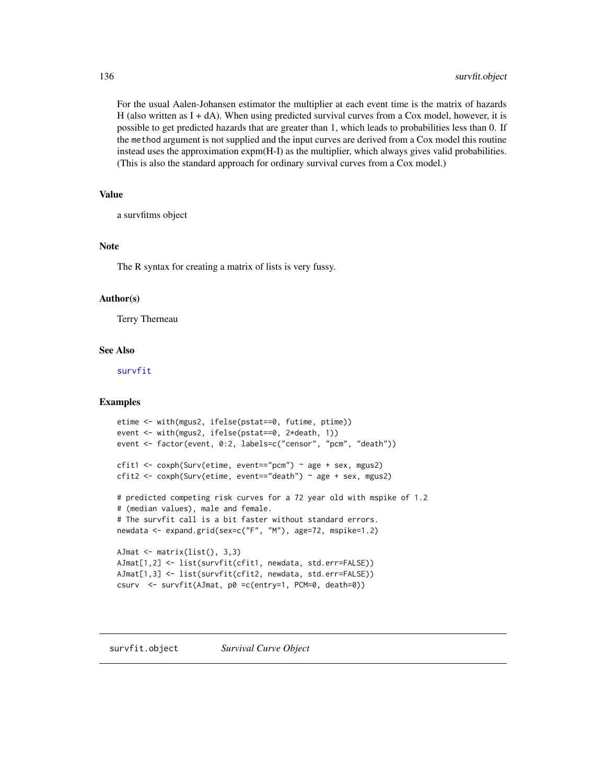For the usual Aalen-Johansen estimator the multiplier at each event time is the matrix of hazards H (also written as  $I + dA$ ). When using predicted survival curves from a Cox model, however, it is possible to get predicted hazards that are greater than 1, which leads to probabilities less than 0. If the method argument is not supplied and the input curves are derived from a Cox model this routine instead uses the approximation expm(H-I) as the multiplier, which always gives valid probabilities. (This is also the standard approach for ordinary survival curves from a Cox model.)

# Value

a survfitms object

# Note

The R syntax for creating a matrix of lists is very fussy.

#### Author(s)

Terry Therneau

#### See Also

[survfit](#page-126-0)

## Examples

```
etime <- with(mgus2, ifelse(pstat==0, futime, ptime))
event <- with(mgus2, ifelse(pstat==0, 2*death, 1))
event <- factor(event, 0:2, labels=c("censor", "pcm", "death"))
cfit1 <- coxph(Surv(etime, event=="pcm") \sim age + sex, mgus2)
cfit2 <- coxph(Surv(etime, event=="death") ~ age + sex, mgus2)
# predicted competing risk curves for a 72 year old with mspike of 1.2
# (median values), male and female.
# The survfit call is a bit faster without standard errors.
newdata <- expand.grid(sex=c("F", "M"), age=72, mspike=1.2)
AJmat <- matrix(list(), 3,3)
AJmat[1,2] <- list(survfit(cfit1, newdata, std.err=FALSE))
AJmat[1,3] <- list(survfit(cfit2, newdata, std.err=FALSE))
csurv <- survfit(AJmat, p0 =c(entry=1, PCM=0, death=0))
```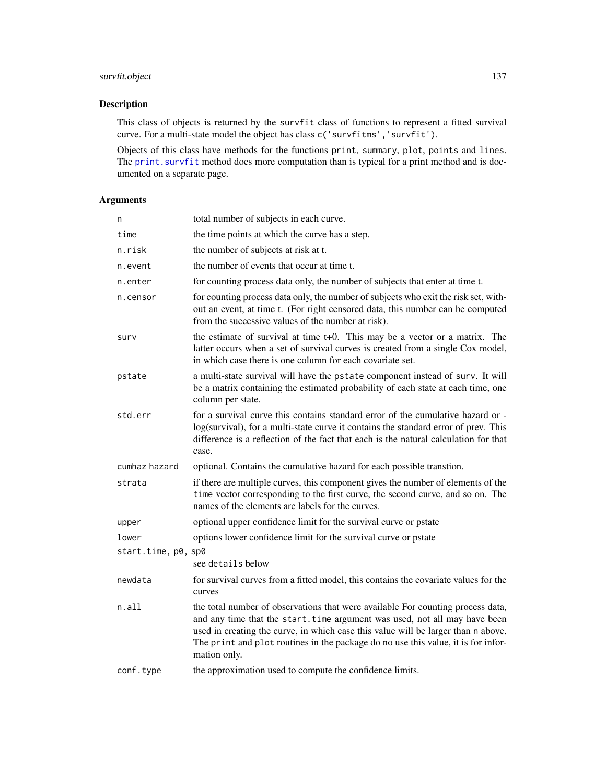# survfit.object 137

# Description

This class of objects is returned by the survfit class of functions to represent a fitted survival curve. For a multi-state model the object has class c('survfitms','survfit').

Objects of this class have methods for the functions print, summary, plot, points and lines. The print. survfit method does more computation than is typical for a print method and is documented on a separate page.

| n                   | total number of subjects in each curve.                                                                                                                                                                                                                                                                                                                 |
|---------------------|---------------------------------------------------------------------------------------------------------------------------------------------------------------------------------------------------------------------------------------------------------------------------------------------------------------------------------------------------------|
| time                | the time points at which the curve has a step.                                                                                                                                                                                                                                                                                                          |
| n.risk              | the number of subjects at risk at t.                                                                                                                                                                                                                                                                                                                    |
| n.event             | the number of events that occur at time t.                                                                                                                                                                                                                                                                                                              |
| n.enter             | for counting process data only, the number of subjects that enter at time t.                                                                                                                                                                                                                                                                            |
| n.censor            | for counting process data only, the number of subjects who exit the risk set, with-<br>out an event, at time t. (For right censored data, this number can be computed<br>from the successive values of the number at risk).                                                                                                                             |
| surv                | the estimate of survival at time $t+0$ . This may be a vector or a matrix. The<br>latter occurs when a set of survival curves is created from a single Cox model,<br>in which case there is one column for each covariate set.                                                                                                                          |
| pstate              | a multi-state survival will have the pstate component instead of surv. It will<br>be a matrix containing the estimated probability of each state at each time, one<br>column per state.                                                                                                                                                                 |
| std.err             | for a survival curve this contains standard error of the cumulative hazard or -<br>log(survival), for a multi-state curve it contains the standard error of prev. This<br>difference is a reflection of the fact that each is the natural calculation for that<br>case.                                                                                 |
| cumhaz hazard       | optional. Contains the cumulative hazard for each possible transtion.                                                                                                                                                                                                                                                                                   |
| strata              | if there are multiple curves, this component gives the number of elements of the<br>time vector corresponding to the first curve, the second curve, and so on. The<br>names of the elements are labels for the curves.                                                                                                                                  |
| upper               | optional upper confidence limit for the survival curve or pstate                                                                                                                                                                                                                                                                                        |
| lower               | options lower confidence limit for the survival curve or pstate                                                                                                                                                                                                                                                                                         |
| start.time, p0, sp0 |                                                                                                                                                                                                                                                                                                                                                         |
|                     | see details below                                                                                                                                                                                                                                                                                                                                       |
| newdata             | for survival curves from a fitted model, this contains the covariate values for the<br>curves                                                                                                                                                                                                                                                           |
| n.a11               | the total number of observations that were available For counting process data,<br>and any time that the start. time argument was used, not all may have been<br>used in creating the curve, in which case this value will be larger than n above.<br>The print and plot routines in the package do no use this value, it is for infor-<br>mation only. |
| conf.type           | the approximation used to compute the confidence limits.                                                                                                                                                                                                                                                                                                |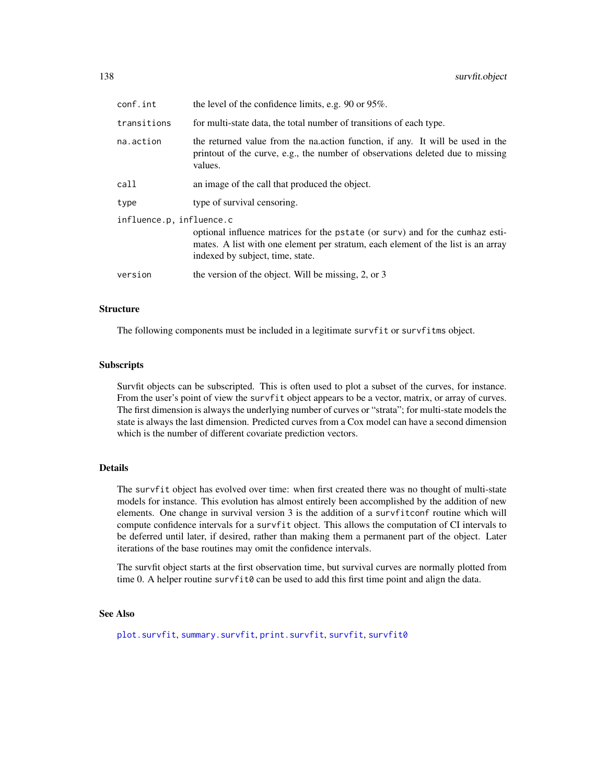| conf.int                 | the level of the confidence limits, e.g. $90$ or $95\%$ .                                                                                                                                             |
|--------------------------|-------------------------------------------------------------------------------------------------------------------------------------------------------------------------------------------------------|
| transitions              | for multi-state data, the total number of transitions of each type.                                                                                                                                   |
| na.action                | the returned value from the nation function, if any. It will be used in the<br>printout of the curve, e.g., the number of observations deleted due to missing<br>values.                              |
| call                     | an image of the call that produced the object.                                                                                                                                                        |
| type                     | type of survival censoring.                                                                                                                                                                           |
| influence.p, influence.c | optional influence matrices for the pstate (or surv) and for the cumhaz esti-<br>mates. A list with one element per stratum, each element of the list is an array<br>indexed by subject, time, state. |
| version                  | the version of the object. Will be missing, 2, or 3                                                                                                                                                   |
|                          |                                                                                                                                                                                                       |

# Structure

The following components must be included in a legitimate survfit or survfitms object.

#### **Subscripts**

Survfit objects can be subscripted. This is often used to plot a subset of the curves, for instance. From the user's point of view the survfit object appears to be a vector, matrix, or array of curves. The first dimension is always the underlying number of curves or "strata"; for multi-state models the state is always the last dimension. Predicted curves from a Cox model can have a second dimension which is the number of different covariate prediction vectors.

# Details

The survfit object has evolved over time: when first created there was no thought of multi-state models for instance. This evolution has almost entirely been accomplished by the addition of new elements. One change in survival version 3 is the addition of a survfitconf routine which will compute confidence intervals for a survfit object. This allows the computation of CI intervals to be deferred until later, if desired, rather than making them a permanent part of the object. Later iterations of the base routines may omit the confidence intervals.

The survfit object starts at the first observation time, but survival curves are normally plotted from time 0. A helper routine survfit  $\theta$  can be used to add this first time point and align the data.

#### See Also

[plot.survfit](#page-71-0), [summary.survfit](#page-110-0), [print.survfit](#page-81-0), [survfit](#page-126-0), [survfit0](#page-138-0)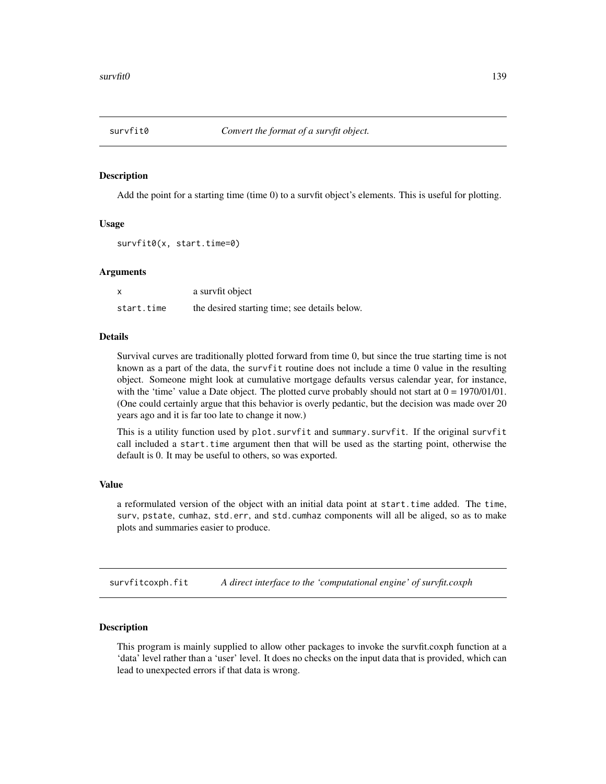<span id="page-138-0"></span>

#### **Description**

Add the point for a starting time (time 0) to a survfit object's elements. This is useful for plotting.

#### Usage

```
survfit0(x, start.time=0)
```
# Arguments

| X          | a survfit object                              |
|------------|-----------------------------------------------|
| start.time | the desired starting time; see details below. |

#### Details

Survival curves are traditionally plotted forward from time 0, but since the true starting time is not known as a part of the data, the survfit routine does not include a time 0 value in the resulting object. Someone might look at cumulative mortgage defaults versus calendar year, for instance, with the 'time' value a Date object. The plotted curve probably should not start at  $0 = 1970/01/01$ . (One could certainly argue that this behavior is overly pedantic, but the decision was made over 20 years ago and it is far too late to change it now.)

This is a utility function used by plot.survfit and summary.survfit. If the original survfit call included a start.time argument then that will be used as the starting point, otherwise the default is 0. It may be useful to others, so was exported.

# Value

a reformulated version of the object with an initial data point at start.time added. The time, surv, pstate, cumhaz, std.err, and std.cumhaz components will all be aliged, so as to make plots and summaries easier to produce.

survfitcoxph.fit *A direct interface to the 'computational engine' of survfit.coxph*

#### **Description**

This program is mainly supplied to allow other packages to invoke the survfit.coxph function at a 'data' level rather than a 'user' level. It does no checks on the input data that is provided, which can lead to unexpected errors if that data is wrong.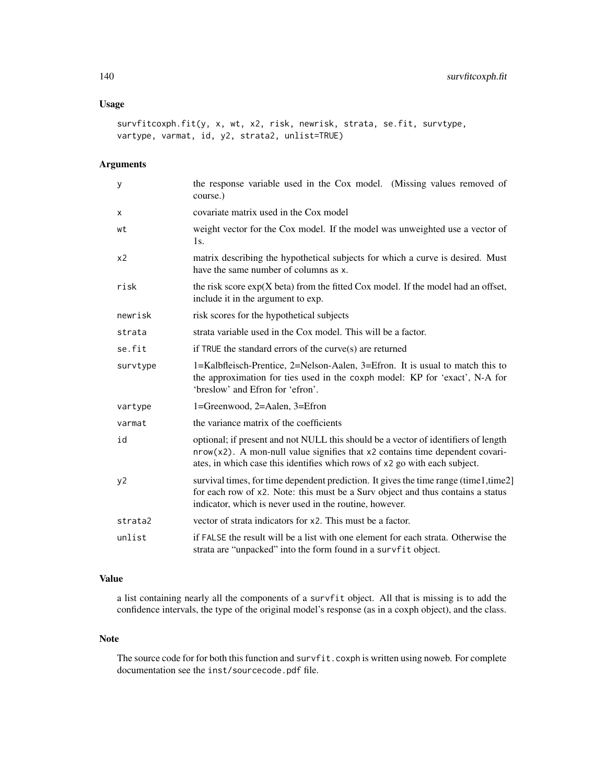# Usage

```
survfitcoxph.fit(y, x, wt, x2, risk, newrisk, strata, se.fit, survtype,
vartype, varmat, id, y2, strata2, unlist=TRUE)
```
# Arguments

| У              | the response variable used in the Cox model. (Missing values removed of<br>course.)                                                                                                                                                                   |
|----------------|-------------------------------------------------------------------------------------------------------------------------------------------------------------------------------------------------------------------------------------------------------|
| х              | covariate matrix used in the Cox model                                                                                                                                                                                                                |
| wt             | weight vector for the Cox model. If the model was unweighted use a vector of<br>1s.                                                                                                                                                                   |
| x <sub>2</sub> | matrix describing the hypothetical subjects for which a curve is desired. Must<br>have the same number of columns as x.                                                                                                                               |
| risk           | the risk score $exp(X \text{ beta})$ from the fitted Cox model. If the model had an offset,<br>include it in the argument to exp.                                                                                                                     |
| newrisk        | risk scores for the hypothetical subjects                                                                                                                                                                                                             |
| strata         | strata variable used in the Cox model. This will be a factor.                                                                                                                                                                                         |
| se.fit         | if TRUE the standard errors of the curve(s) are returned                                                                                                                                                                                              |
| survtype       | 1=Kalbfleisch-Prentice, 2=Nelson-Aalen, 3=Efron. It is usual to match this to<br>the approximation for ties used in the coxph model: KP for 'exact', N-A for<br>'breslow' and Efron for 'efron'.                                                      |
| vartype        | 1=Greenwood, 2=Aalen, 3=Efron                                                                                                                                                                                                                         |
| varmat         | the variance matrix of the coefficients                                                                                                                                                                                                               |
| id             | optional; if present and not NULL this should be a vector of identifiers of length<br>$nrow(x2)$ . A mon-null value signifies that $x2$ contains time dependent covari-<br>ates, in which case this identifies which rows of x2 go with each subject. |
| y2             | survival times, for time dependent prediction. It gives the time range (time1,time2]<br>for each row of x2. Note: this must be a Surv object and thus contains a status<br>indicator, which is never used in the routine, however.                    |
| strata2        | vector of strata indicators for x2. This must be a factor.                                                                                                                                                                                            |
| unlist         | if FALSE the result will be a list with one element for each strata. Otherwise the<br>strata are "unpacked" into the form found in a survfit object.                                                                                                  |

# Value

a list containing nearly all the components of a survfit object. All that is missing is to add the confidence intervals, the type of the original model's response (as in a coxph object), and the class.

#### Note

The source code for for both this function and survfit.coxph is written using noweb. For complete documentation see the inst/sourcecode.pdf file.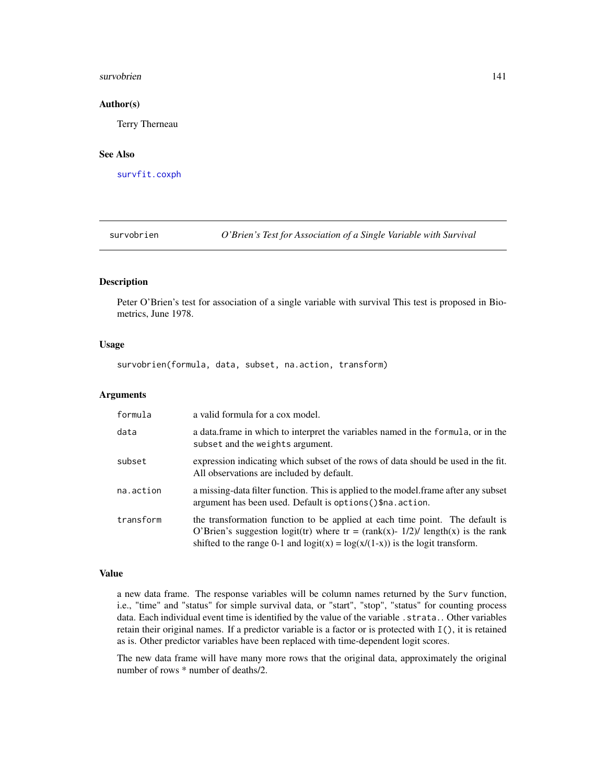#### survobrien 141

#### Author(s)

Terry Therneau

# See Also

[survfit.coxph](#page-127-0)

survobrien *O'Brien's Test for Association of a Single Variable with Survival*

#### Description

Peter O'Brien's test for association of a single variable with survival This test is proposed in Biometrics, June 1978.

# Usage

survobrien(formula, data, subset, na.action, transform)

#### Arguments

| formula   | a valid formula for a cox model.                                                                                                                                                                                                                      |
|-----------|-------------------------------------------------------------------------------------------------------------------------------------------------------------------------------------------------------------------------------------------------------|
| data      | a data frame in which to interpret the variables named in the formula, or in the<br>subset and the weights argument.                                                                                                                                  |
| subset    | expression indicating which subset of the rows of data should be used in the fit.<br>All observations are included by default.                                                                                                                        |
| na.action | a missing-data filter function. This is applied to the model frame after any subset<br>argument has been used. Default is options () \$na. action.                                                                                                    |
| transform | the transformation function to be applied at each time point. The default is<br>O'Brien's suggestion logit(tr) where tr = $(rank(x) - 1/2)/2$ length(x) is the rank<br>shifted to the range 0-1 and $logit(x) = log(x/(1-x))$ is the logit transform. |

# Value

a new data frame. The response variables will be column names returned by the Surv function, i.e., "time" and "status" for simple survival data, or "start", "stop", "status" for counting process data. Each individual event time is identified by the value of the variable . strata.. Other variables retain their original names. If a predictor variable is a factor or is protected with I(), it is retained as is. Other predictor variables have been replaced with time-dependent logit scores.

The new data frame will have many more rows that the original data, approximately the original number of rows \* number of deaths/2.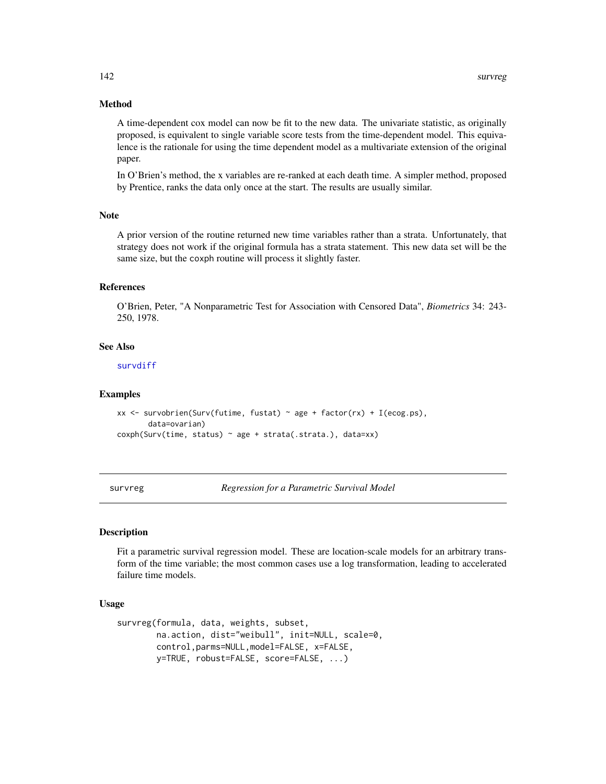# Method

A time-dependent cox model can now be fit to the new data. The univariate statistic, as originally proposed, is equivalent to single variable score tests from the time-dependent model. This equivalence is the rationale for using the time dependent model as a multivariate extension of the original paper.

In O'Brien's method, the x variables are re-ranked at each death time. A simpler method, proposed by Prentice, ranks the data only once at the start. The results are usually similar.

#### Note

A prior version of the routine returned new time variables rather than a strata. Unfortunately, that strategy does not work if the original formula has a strata statement. This new data set will be the same size, but the coxph routine will process it slightly faster.

# References

O'Brien, Peter, "A Nonparametric Test for Association with Censored Data", *Biometrics* 34: 243- 250, 1978.

#### See Also

[survdiff](#page-119-0)

#### Examples

```
xx <- survobrien(Surv(futime, fustat) ~ age + factor(rx) + I(ecog.ps),
      data=ovarian)
coxph(Surv(time, status) ~ age + strata(.strata.), data=xx)
```
<span id="page-141-0"></span>survreg *Regression for a Parametric Survival Model*

#### Description

Fit a parametric survival regression model. These are location-scale models for an arbitrary transform of the time variable; the most common cases use a log transformation, leading to accelerated failure time models.

#### Usage

```
survreg(formula, data, weights, subset,
       na.action, dist="weibull", init=NULL, scale=0,
       control,parms=NULL,model=FALSE, x=FALSE,
       y=TRUE, robust=FALSE, score=FALSE, ...)
```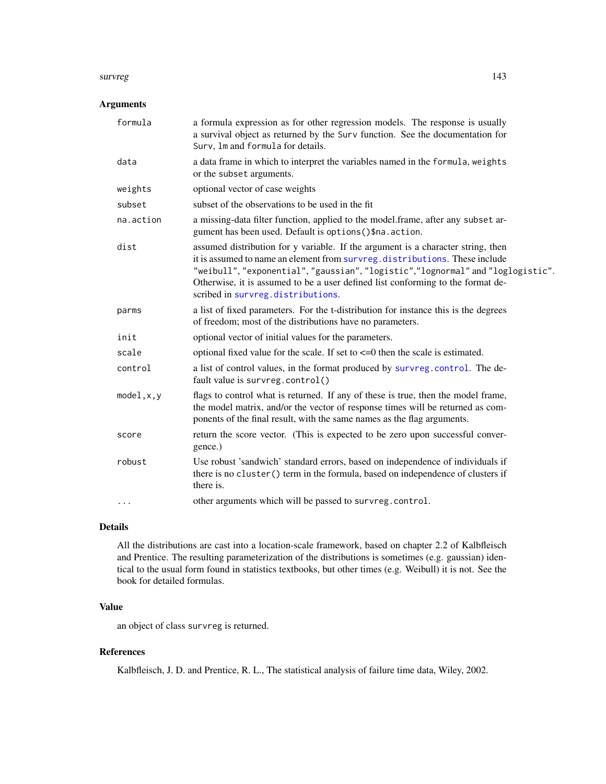#### survreg and the state of the state of the state of the state of the state of the state of the state of the state of the state of the state of the state of the state of the state of the state of the state of the state of th

# Arguments

| a formula expression as for other regression models. The response is usually<br>a survival object as returned by the Surv function. See the documentation for<br>Surv, 1m and formula for details.                                                                                                                                                                         |
|----------------------------------------------------------------------------------------------------------------------------------------------------------------------------------------------------------------------------------------------------------------------------------------------------------------------------------------------------------------------------|
| a data frame in which to interpret the variables named in the formula, weights<br>or the subset arguments.                                                                                                                                                                                                                                                                 |
| optional vector of case weights                                                                                                                                                                                                                                                                                                                                            |
| subset of the observations to be used in the fit                                                                                                                                                                                                                                                                                                                           |
| a missing-data filter function, applied to the model.frame, after any subset ar-<br>gument has been used. Default is options () \$na. action.                                                                                                                                                                                                                              |
| assumed distribution for y variable. If the argument is a character string, then<br>it is assumed to name an element from survreg.distributions. These include<br>"weibull", "exponential", "gaussian", "logistic", "lognormal" and "loglogistic".<br>Otherwise, it is assumed to be a user defined list conforming to the format de-<br>scribed in survreg.distributions. |
| a list of fixed parameters. For the t-distribution for instance this is the degrees<br>of freedom; most of the distributions have no parameters.                                                                                                                                                                                                                           |
| optional vector of initial values for the parameters.                                                                                                                                                                                                                                                                                                                      |
| optional fixed value for the scale. If set to $\leq$ =0 then the scale is estimated.                                                                                                                                                                                                                                                                                       |
| a list of control values, in the format produced by survreg.control. The de-<br>fault value is survreg.control()                                                                                                                                                                                                                                                           |
| flags to control what is returned. If any of these is true, then the model frame,<br>the model matrix, and/or the vector of response times will be returned as com-<br>ponents of the final result, with the same names as the flag arguments.                                                                                                                             |
| return the score vector. (This is expected to be zero upon successful conver-<br>gence.)                                                                                                                                                                                                                                                                                   |
| Use robust 'sandwich' standard errors, based on independence of individuals if<br>there is no cluster () term in the formula, based on independence of clusters if<br>there is.                                                                                                                                                                                            |
| other arguments which will be passed to survreg.control.                                                                                                                                                                                                                                                                                                                   |
|                                                                                                                                                                                                                                                                                                                                                                            |

# Details

All the distributions are cast into a location-scale framework, based on chapter 2.2 of Kalbfleisch and Prentice. The resulting parameterization of the distributions is sometimes (e.g. gaussian) identical to the usual form found in statistics textbooks, but other times (e.g. Weibull) it is not. See the book for detailed formulas.

# Value

an object of class survreg is returned.

# References

Kalbfleisch, J. D. and Prentice, R. L., The statistical analysis of failure time data, Wiley, 2002.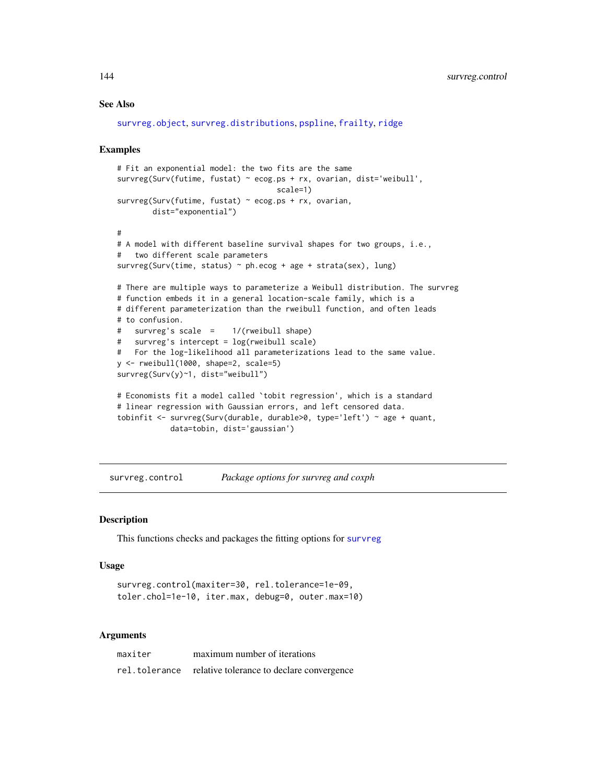# See Also

```
survreg.object, survreg.distributions, pspline, frailty, ridge
```
#### Examples

```
# Fit an exponential model: the two fits are the same
survreg(Surv(futime, fustat) ~ ecog.ps + rx, ovarian, dist='weibull',
                                    scale=1)
survreg(Surv(futime, fustat) ~ ecog.ps + rx, ovarian,
        dist="exponential")
#
# A model with different baseline survival shapes for two groups, i.e.,
# two different scale parameters
survreg(Surv(time, status) ~ ph.ecog + age + strata(sex), lung)
# There are multiple ways to parameterize a Weibull distribution. The survreg
# function embeds it in a general location-scale family, which is a
# different parameterization than the rweibull function, and often leads
# to confusion.
# survreg's scale = 1/(rweibull shape)
# survreg's intercept = log(rweibull scale)
# For the log-likelihood all parameterizations lead to the same value.
y <- rweibull(1000, shape=2, scale=5)
survreg(Surv(y)~1, dist="weibull")
# Economists fit a model called `tobit regression', which is a standard
# linear regression with Gaussian errors, and left censored data.
tobinfit \le survreg(Surv(durable, durable>0, type='left') \sim age + quant,
            data=tobin, dist='gaussian')
```
<span id="page-143-0"></span>survreg.control *Package options for survreg and coxph*

#### Description

This functions checks and packages the fitting options for [survreg](#page-141-0)

## Usage

```
survreg.control(maxiter=30, rel.tolerance=1e-09,
toler.chol=1e-10, iter.max, debug=0, outer.max=10)
```

| maxiter | maximum number of iterations                            |
|---------|---------------------------------------------------------|
|         | rel.tolerance relative tolerance to declare convergence |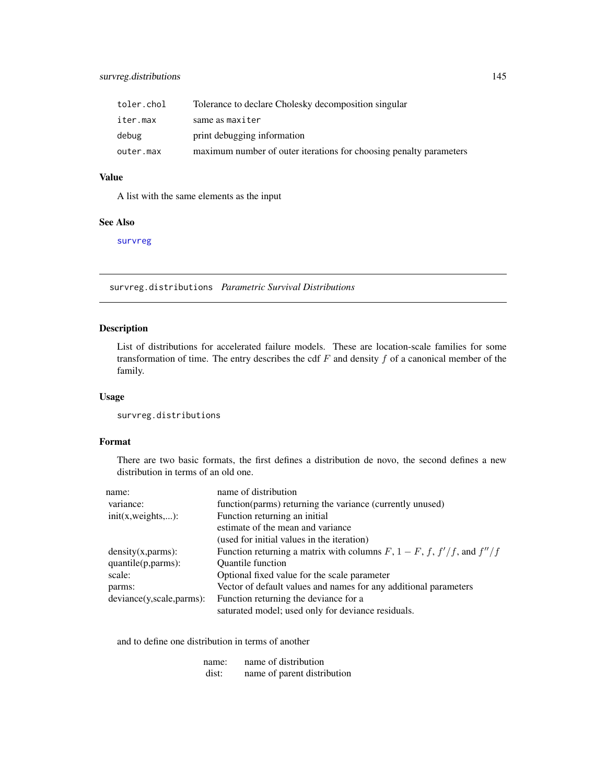<span id="page-144-1"></span>

| toler.chol | Tolerance to declare Cholesky decomposition singular               |
|------------|--------------------------------------------------------------------|
| iter.max   | same as maxiter                                                    |
| debug      | print debugging information                                        |
| outer.max  | maximum number of outer iterations for choosing penalty parameters |

# Value

A list with the same elements as the input

# See Also

[survreg](#page-141-0)

<span id="page-144-0"></span>survreg.distributions *Parametric Survival Distributions*

# Description

List of distributions for accelerated failure models. These are location-scale families for some transformation of time. The entry describes the cdf  $F$  and density  $f$  of a canonical member of the family.

# Usage

survreg.distributions

# Format

There are two basic formats, the first defines a distribution de novo, the second defines a new distribution in terms of an old one.

| Function returning a matrix with columns $F$ , $1 - F$ , $f$ , $f'/f$ , and $f''/f$ |
|-------------------------------------------------------------------------------------|
|                                                                                     |
|                                                                                     |
|                                                                                     |
|                                                                                     |
|                                                                                     |
|                                                                                     |

and to define one distribution in terms of another

| name: | name of distribution        |
|-------|-----------------------------|
| dist: | name of parent distribution |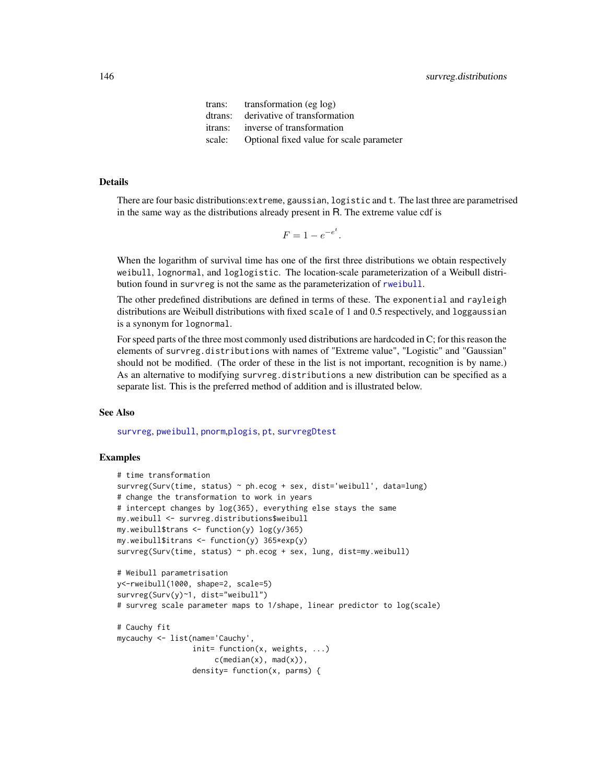<span id="page-145-0"></span>trans: transformation (eg log) dtrans: derivative of transformation itrans: inverse of transformation scale: Optional fixed value for scale parameter

#### Details

There are four basic distributions:extreme, gaussian, logistic and t. The last three are parametrised in the same way as the distributions already present in R. The extreme value cdf is

.

$$
F = 1 - e^{-e^t}
$$

When the logarithm of survival time has one of the first three distributions we obtain respectively weibull, lognormal, and loglogistic. The location-scale parameterization of a Weibull distribution found in survreg is not the same as the parameterization of [rweibull](#page-0-0).

The other predefined distributions are defined in terms of these. The exponential and rayleigh distributions are Weibull distributions with fixed scale of 1 and 0.5 respectively, and loggaussian is a synonym for lognormal.

For speed parts of the three most commonly used distributions are hardcoded in C; for this reason the elements of survreg.distributions with names of "Extreme value", "Logistic" and "Gaussian" should not be modified. (The order of these in the list is not important, recognition is by name.) As an alternative to modifying survreg.distributions a new distribution can be specified as a separate list. This is the preferred method of addition and is illustrated below.

### See Also

[survreg](#page-141-0), [pweibull](#page-0-0), [pnorm](#page-0-0),[plogis](#page-0-0), [pt](#page-0-0), [survregDtest](#page-147-0)

```
# time transformation
survreg(Surv(time, status) ~ ph.ecog + sex, dist='weibull', data=lung)
# change the transformation to work in years
# intercept changes by log(365), everything else stays the same
my.weibull <- survreg.distributions$weibull
my.weibull$trans \le function(y) log(y/365)
my.weibull$itrans < -function(y) 365*exp(y)survreg(Surv(time, status) \sim ph.ecog + sex, lung, dist=my.weibull)
# Weibull parametrisation
y<-rweibull(1000, shape=2, scale=5)
survreg(Surv(y)~1, dist="weibull")
# survreg scale parameter maps to 1/shape, linear predictor to log(scale)
# Cauchy fit
mycauchy <- list(name='Cauchy',
                 init= function(x, weights, ...)
                     c(median(x), mad(x)),density= function(x, parms) {
```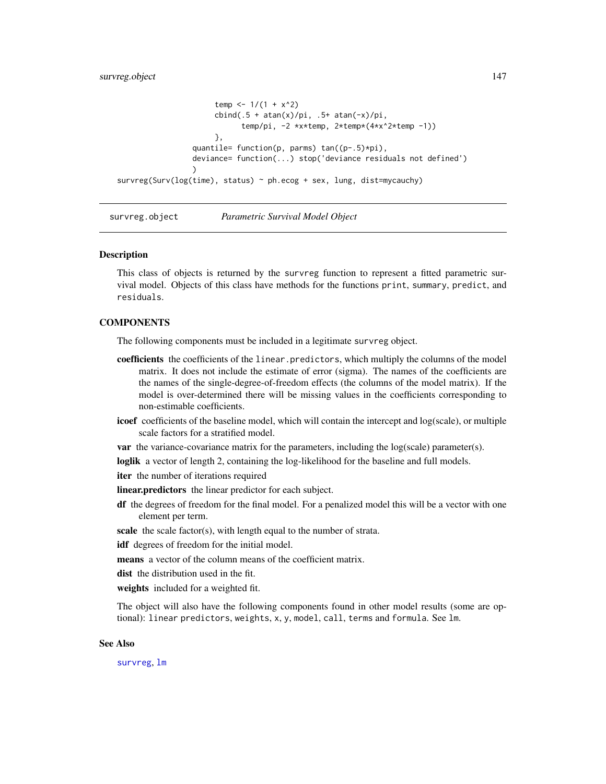```
temp <- 1/(1 + x^2)cbind(.5 + atan(x)/pi, .5+ atan(-x)/pi, )temp/pi, -2 *x*temp, 2*temp*(4*x^2*temp -1))
                      },
                 quantile= function(p, parms) tan((p-.5)*pi),
                 deviance= function(...) stop('deviance residuals not defined')
                 )
survreg(Surv(log(time), status) ~ ph.ecog + sex, lung, dist=mycauchy)
```
survreg.object *Parametric Survival Model Object*

#### Description

This class of objects is returned by the survreg function to represent a fitted parametric survival model. Objects of this class have methods for the functions print, summary, predict, and residuals.

# **COMPONENTS**

The following components must be included in a legitimate survreg object.

- coefficients the coefficients of the linear.predictors, which multiply the columns of the model matrix. It does not include the estimate of error (sigma). The names of the coefficients are the names of the single-degree-of-freedom effects (the columns of the model matrix). If the model is over-determined there will be missing values in the coefficients corresponding to non-estimable coefficients.
- icoef coefficients of the baseline model, which will contain the intercept and log(scale), or multiple scale factors for a stratified model.
- var the variance-covariance matrix for the parameters, including the log(scale) parameter(s).

loglik a vector of length 2, containing the log-likelihood for the baseline and full models.

iter the number of iterations required

**linear.predictors** the linear predictor for each subject.

df the degrees of freedom for the final model. For a penalized model this will be a vector with one element per term.

scale the scale factor(s), with length equal to the number of strata.

idf degrees of freedom for the initial model.

means a vector of the column means of the coefficient matrix.

dist the distribution used in the fit.

weights included for a weighted fit.

The object will also have the following components found in other model results (some are optional): linear predictors, weights, x, y, model, call, terms and formula. See lm.

#### See Also

[survreg](#page-141-0), [lm](#page-0-0)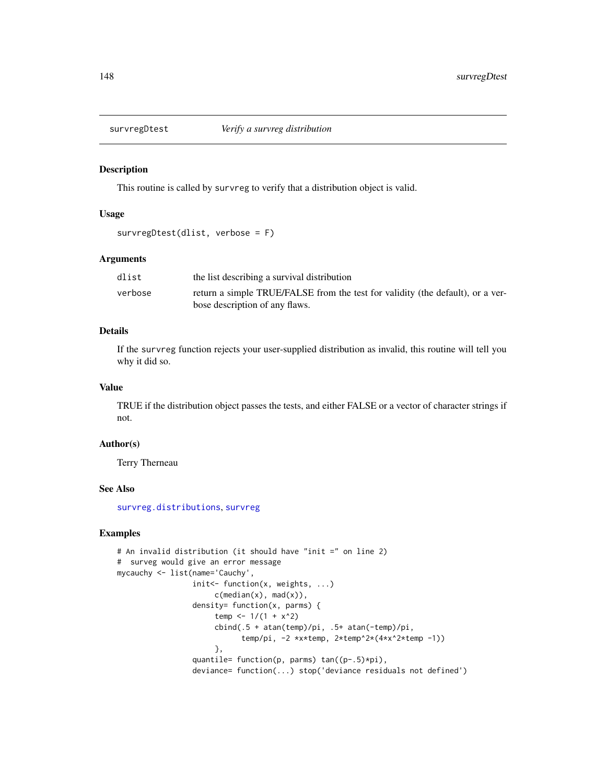<span id="page-147-1"></span><span id="page-147-0"></span>

#### Description

This routine is called by survreg to verify that a distribution object is valid.

#### Usage

```
survregDtest(dlist, verbose = F)
```
### Arguments

| dlist   | the list describing a survival distribution                                    |
|---------|--------------------------------------------------------------------------------|
| verbose | return a simple TRUE/FALSE from the test for validity (the default), or a ver- |
|         | bose description of any flaws.                                                 |

#### Details

If the survreg function rejects your user-supplied distribution as invalid, this routine will tell you why it did so.

#### Value

TRUE if the distribution object passes the tests, and either FALSE or a vector of character strings if not.

#### Author(s)

Terry Therneau

# See Also

[survreg.distributions](#page-144-0), [survreg](#page-141-0)

```
# An invalid distribution (it should have "init =" on line 2)
# surveg would give an error message
mycauchy <- list(name='Cauchy',
                 init<- function(x, weights, ...)
                      c(median(x), mad(x)),density= function(x, parms) {
                      temp <- 1/(1 + x^2)cbind(.5 + atan(temp)/pi, .5+ atan(-temp)/pi,
                            temp/pi, -2 *x*temp, 2*temp^2*(4*x^2*temp -1))
                      },
                 quantile= function(p, parms) tan((p-.5)*pi),
                 deviance= function(...) stop('deviance residuals not defined')
```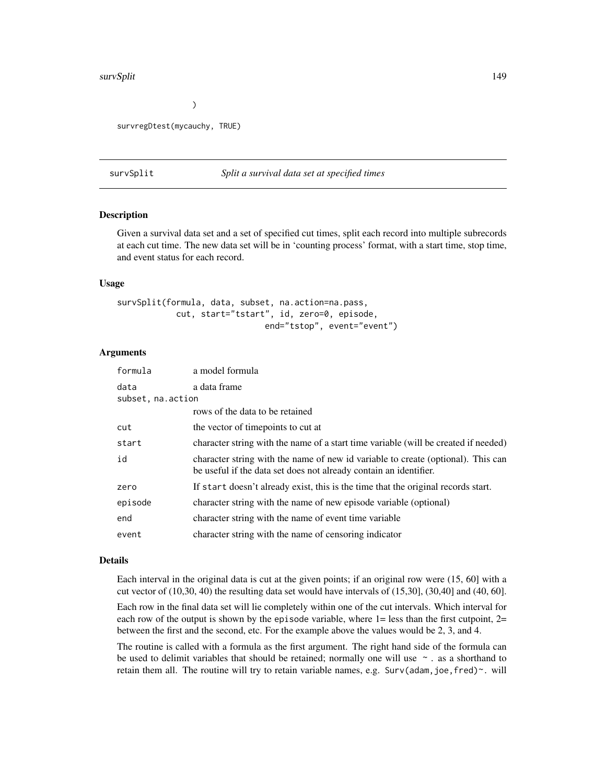#### <span id="page-148-0"></span>survSplit 149

 $\mathcal{L}$ 

survregDtest(mycauchy, TRUE)

#### survSplit *Split a survival data set at specified times*

#### Description

Given a survival data set and a set of specified cut times, split each record into multiple subrecords at each cut time. The new data set will be in 'counting process' format, with a start time, stop time, and event status for each record.

#### Usage

```
survSplit(formula, data, subset, na.action=na.pass,
           cut, start="tstart", id, zero=0, episode,
                              end="tstop", event="event")
```
#### Arguments

| formula           | a model formula                                                                                                                                       |
|-------------------|-------------------------------------------------------------------------------------------------------------------------------------------------------|
| data              | a data frame                                                                                                                                          |
| subset, na.action |                                                                                                                                                       |
|                   | rows of the data to be retained                                                                                                                       |
| cut               | the vector of timepoints to cut at                                                                                                                    |
| start             | character string with the name of a start time variable (will be created if needed)                                                                   |
| id                | character string with the name of new id variable to create (optional). This can<br>be useful if the data set does not already contain an identifier. |
| zero              | If start doesn't already exist, this is the time that the original records start.                                                                     |
| episode           | character string with the name of new episode variable (optional)                                                                                     |
| end               | character string with the name of event time variable                                                                                                 |
| event             | character string with the name of censoring indicator                                                                                                 |

#### Details

Each interval in the original data is cut at the given points; if an original row were (15, 60] with a cut vector of (10,30, 40) the resulting data set would have intervals of (15,30], (30,40] and (40, 60].

Each row in the final data set will lie completely within one of the cut intervals. Which interval for each row of the output is shown by the episode variable, where  $1 =$  less than the first cutpoint,  $2 =$ between the first and the second, etc. For the example above the values would be 2, 3, and 4.

The routine is called with a formula as the first argument. The right hand side of the formula can be used to delimit variables that should be retained; normally one will use  $\sim$  . as a shorthand to retain them all. The routine will try to retain variable names, e.g. Surv(adam, joe, fred) $\sim$ . will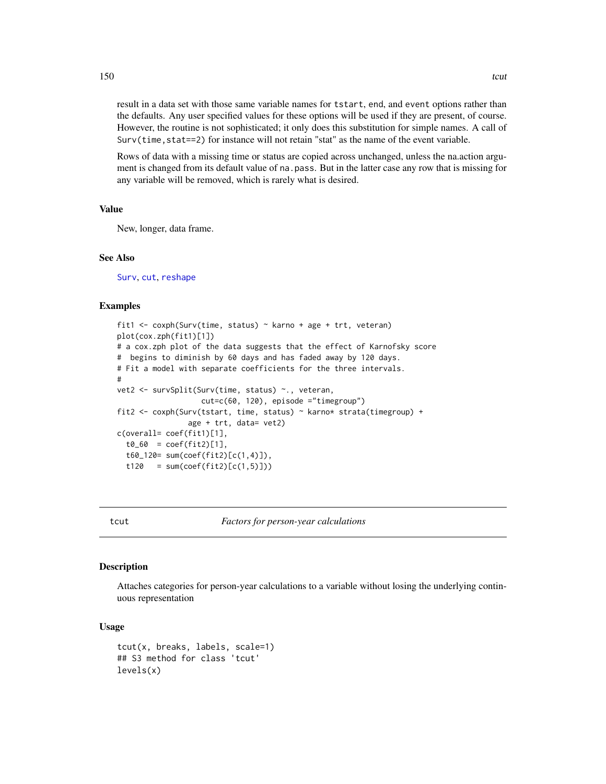result in a data set with those same variable names for tstart, end, and event options rather than

the defaults. Any user specified values for these options will be used if they are present, of course. However, the routine is not sophisticated; it only does this substitution for simple names. A call of  $Surv(time, state=2)$  for instance will not retain "stat" as the name of the event variable.

Rows of data with a missing time or status are copied across unchanged, unless the na.action argument is changed from its default value of na.pass. But in the latter case any row that is missing for any variable will be removed, which is rarely what is desired.

#### Value

New, longer, data frame.

# See Also

[Surv](#page-112-0), [cut](#page-0-0), [reshape](#page-0-0)

#### Examples

```
fit1 <- coxph(Surv(time, status) ~ karno + age + trt, veteran)
plot(cox.zph(fit1)[1])
# a cox.zph plot of the data suggests that the effect of Karnofsky score
# begins to diminish by 60 days and has faded away by 120 days.
# Fit a model with separate coefficients for the three intervals.
#
vet2 <- survSplit(Surv(time, status) ~., veteran,
                   cut=c(60, 120), episode ="timegroup")
fit2 <- coxph(Surv(tstart, time, status) ~ karno* strata(timegroup) +
                age + trt, data= vet2)
c(overall= coef(fit1)[1],
 t0_60 = \text{coef}(\text{fit2})[1],t60_120= sum(coef(fit2)[c(1,4)]),
 t120 = sum(coef(fit2)[c(1,5)]
```
tcut *Factors for person-year calculations*

#### Description

Attaches categories for person-year calculations to a variable without losing the underlying continuous representation

#### Usage

```
tcut(x, breaks, labels, scale=1)
## S3 method for class 'tcut'
levels(x)
```
<span id="page-149-0"></span>150 tout the contract of the contract of the contract of the contract of the contract of the contract of the contract of the contract of the contract of the contract of the contract of the contract of the contract of the c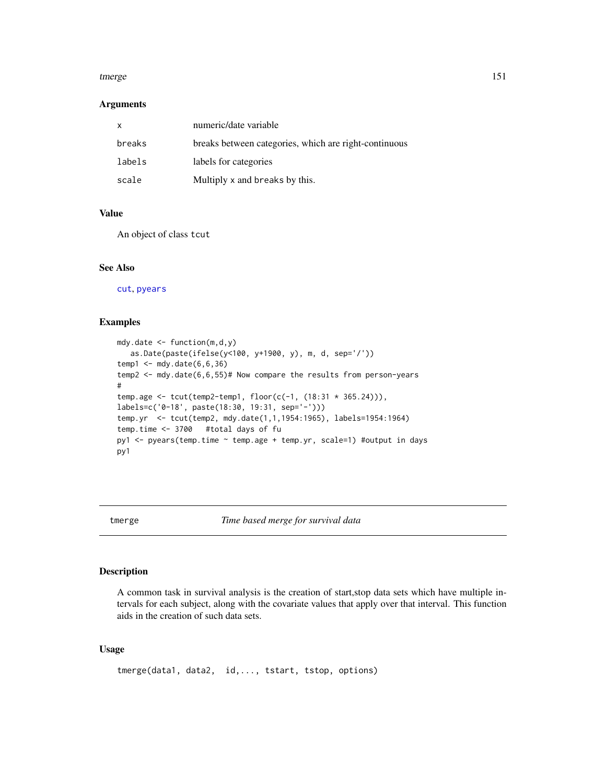#### <span id="page-150-0"></span>tmerge 151

#### **Arguments**

| X      | numeric/date variable                                 |
|--------|-------------------------------------------------------|
| breaks | breaks between categories, which are right-continuous |
| labels | labels for categories                                 |
| scale  | Multiply x and breaks by this.                        |

# Value

An object of class tcut

# See Also

[cut](#page-0-0), [pyears](#page-84-0)

# Examples

```
mdy.date <- function(m,d,y)
  as.Date(paste(ifelse(y<100, y+1900, y), m, d, sep='/'))
temp1 <- mdy.date(6,6,36)
temp2 <- mdy.date(6,6,55)# Now compare the results from person-years
#
temp.age <- tcut(temp2-temp1, floor(c(-1, (18:31 * 365.24))),
labels=c('0-18', paste(18:30, 19:31, sep='-')))
temp.yr <- tcut(temp2, mdy.date(1,1,1954:1965), labels=1954:1964)
temp.time <- 3700 #total days of fu
py1 <- pyears(temp.time ~ temp.age + temp.yr, scale=1) #output in days
py1
```
tmerge *Time based merge for survival data*

# Description

A common task in survival analysis is the creation of start,stop data sets which have multiple intervals for each subject, along with the covariate values that apply over that interval. This function aids in the creation of such data sets.

# Usage

```
tmerge(data1, data2, id,..., tstart, tstop, options)
```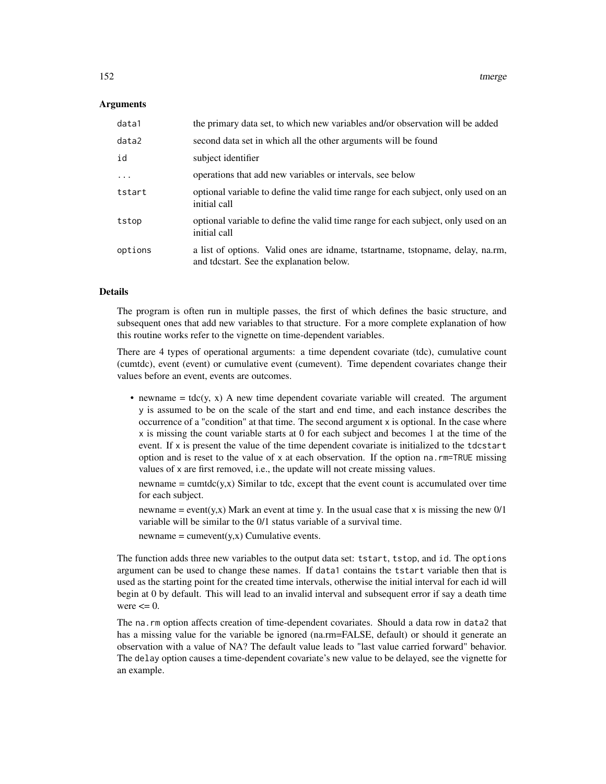#### **Arguments**

| data1    | the primary data set, to which new variables and/or observation will be added                                              |
|----------|----------------------------------------------------------------------------------------------------------------------------|
| data2    | second data set in which all the other arguments will be found                                                             |
| id       | subject identifier                                                                                                         |
| $\ddots$ | operations that add new variables or intervals, see below                                                                  |
| tstart   | optional variable to define the valid time range for each subject, only used on an<br>initial call                         |
| tstop    | optional variable to define the valid time range for each subject, only used on an<br>initial call                         |
| options  | a list of options. Valid ones are idname, tstartname, tstopname, delay, na.rm,<br>and tdcstart. See the explanation below. |

#### Details

The program is often run in multiple passes, the first of which defines the basic structure, and subsequent ones that add new variables to that structure. For a more complete explanation of how this routine works refer to the vignette on time-dependent variables.

There are 4 types of operational arguments: a time dependent covariate (tdc), cumulative count (cumtdc), event (event) or cumulative event (cumevent). Time dependent covariates change their values before an event, events are outcomes.

• newname  $=$  tdc(y, x) A new time dependent covariate variable will created. The argument y is assumed to be on the scale of the start and end time, and each instance describes the occurrence of a "condition" at that time. The second argument x is optional. In the case where x is missing the count variable starts at 0 for each subject and becomes 1 at the time of the event. If x is present the value of the time dependent covariate is initialized to the tdcstart option and is reset to the value of x at each observation. If the option na.  $rm=TRUE$  missing values of x are first removed, i.e., the update will not create missing values.

 $newname = cumtdc(y, x)$  Similar to tdc, except that the event count is accumulated over time for each subject.

newname = event(y,x) Mark an event at time y. In the usual case that x is missing the new  $0/1$ variable will be similar to the 0/1 status variable of a survival time.

 $newname = cumevent(v, x)$  Cumulative events.

The function adds three new variables to the output data set: tstart, tstop, and id. The options argument can be used to change these names. If data1 contains the tstart variable then that is used as the starting point for the created time intervals, otherwise the initial interval for each id will begin at 0 by default. This will lead to an invalid interval and subsequent error if say a death time were  $\leq 0$ .

The na.rm option affects creation of time-dependent covariates. Should a data row in data2 that has a missing value for the variable be ignored (na.rm=FALSE, default) or should it generate an observation with a value of NA? The default value leads to "last value carried forward" behavior. The delay option causes a time-dependent covariate's new value to be delayed, see the vignette for an example.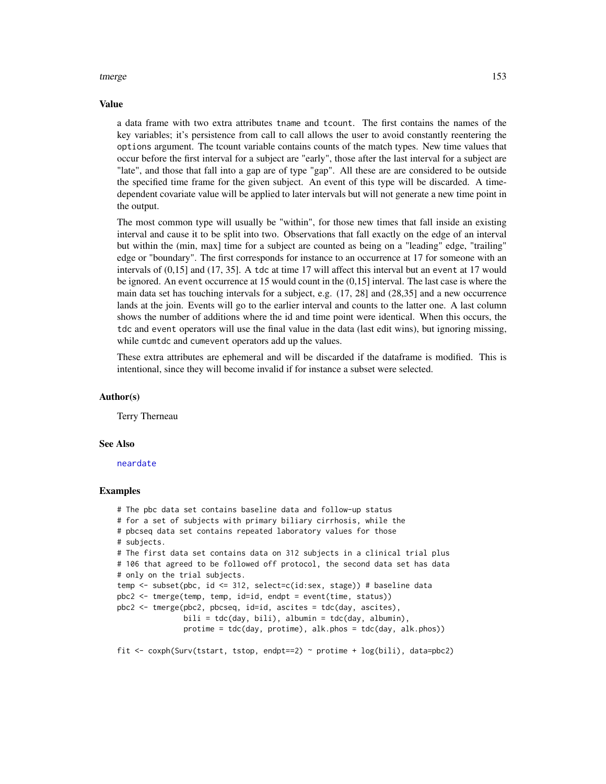#### <span id="page-152-0"></span>tmerge 153

#### Value

a data frame with two extra attributes tname and tcount. The first contains the names of the key variables; it's persistence from call to call allows the user to avoid constantly reentering the options argument. The tcount variable contains counts of the match types. New time values that occur before the first interval for a subject are "early", those after the last interval for a subject are "late", and those that fall into a gap are of type "gap". All these are are considered to be outside the specified time frame for the given subject. An event of this type will be discarded. A timedependent covariate value will be applied to later intervals but will not generate a new time point in the output.

The most common type will usually be "within", for those new times that fall inside an existing interval and cause it to be split into two. Observations that fall exactly on the edge of an interval but within the (min, max] time for a subject are counted as being on a "leading" edge, "trailing" edge or "boundary". The first corresponds for instance to an occurrence at 17 for someone with an intervals of (0,15] and (17, 35]. A tdc at time 17 will affect this interval but an event at 17 would be ignored. An event occurrence at 15 would count in the (0,15] interval. The last case is where the main data set has touching intervals for a subject, e.g. (17, 28] and (28,35] and a new occurrence lands at the join. Events will go to the earlier interval and counts to the latter one. A last column shows the number of additions where the id and time point were identical. When this occurs, the tdc and event operators will use the final value in the data (last edit wins), but ignoring missing, while cumtdc and cumevent operators add up the values.

These extra attributes are ephemeral and will be discarded if the dataframe is modified. This is intentional, since they will become invalid if for instance a subset were selected.

#### Author(s)

Terry Therneau

#### See Also

[neardate](#page-63-0)

```
# The pbc data set contains baseline data and follow-up status
# for a set of subjects with primary biliary cirrhosis, while the
# pbcseq data set contains repeated laboratory values for those
# subjects.
# The first data set contains data on 312 subjects in a clinical trial plus
# 106 that agreed to be followed off protocol, the second data set has data
# only on the trial subjects.
temp <- subset(pbc, id <= 312, select=c(id:sex, stage)) # baseline data
pbc2 <- tmerge(temp, temp, id=id, endpt = event(time, status))
pbc2 <- tmerge(pbc2, pbcseq, id=id, ascites = tdc(day, ascites),
               bili = tdc(day, bili), albumin = tdc(day, albumin),protime = tdc(day, protime), alk.phos = tdc(day, alk.phos))
fit \leq coxph(Surv(tstart, tstop, endpt==2) \sim protime + log(bili), data=pbc2)
```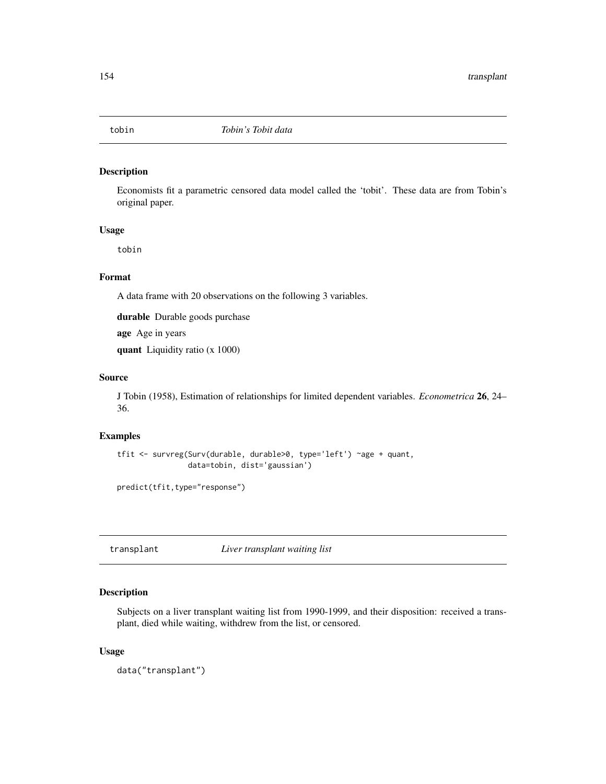<span id="page-153-0"></span>

# Description

Economists fit a parametric censored data model called the 'tobit'. These data are from Tobin's original paper.

#### Usage

tobin

# Format

A data frame with 20 observations on the following 3 variables.

durable Durable goods purchase

age Age in years

quant Liquidity ratio (x 1000)

#### Source

J Tobin (1958), Estimation of relationships for limited dependent variables. *Econometrica* 26, 24– 36.

# Examples

```
tfit <- survreg(Surv(durable, durable>0, type='left') ~age + quant,
                data=tobin, dist='gaussian')
```
predict(tfit,type="response")

transplant *Liver transplant waiting list*

# Description

Subjects on a liver transplant waiting list from 1990-1999, and their disposition: received a transplant, died while waiting, withdrew from the list, or censored.

#### Usage

data("transplant")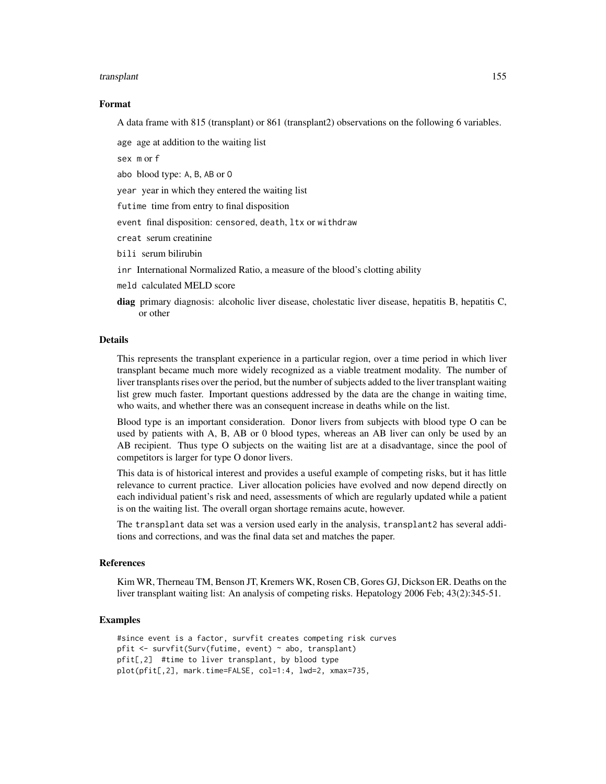#### transplant 155

#### Format

A data frame with 815 (transplant) or 861 (transplant2) observations on the following 6 variables.

age age at addition to the waiting list

sex m or f

abo blood type: A, B, AB or O

year year in which they entered the waiting list

futime time from entry to final disposition

event final disposition: censored, death, ltx or withdraw

creat serum creatinine

bili serum bilirubin

inr International Normalized Ratio, a measure of the blood's clotting ability

- meld calculated MELD score
- diag primary diagnosis: alcoholic liver disease, cholestatic liver disease, hepatitis B, hepatitis C, or other

#### Details

This represents the transplant experience in a particular region, over a time period in which liver transplant became much more widely recognized as a viable treatment modality. The number of liver transplants rises over the period, but the number of subjects added to the liver transplant waiting list grew much faster. Important questions addressed by the data are the change in waiting time, who waits, and whether there was an consequent increase in deaths while on the list.

Blood type is an important consideration. Donor livers from subjects with blood type O can be used by patients with A, B, AB or 0 blood types, whereas an AB liver can only be used by an AB recipient. Thus type O subjects on the waiting list are at a disadvantage, since the pool of competitors is larger for type O donor livers.

This data is of historical interest and provides a useful example of competing risks, but it has little relevance to current practice. Liver allocation policies have evolved and now depend directly on each individual patient's risk and need, assessments of which are regularly updated while a patient is on the waiting list. The overall organ shortage remains acute, however.

The transplant data set was a version used early in the analysis, transplant2 has several additions and corrections, and was the final data set and matches the paper.

#### References

Kim WR, Therneau TM, Benson JT, Kremers WK, Rosen CB, Gores GJ, Dickson ER. Deaths on the liver transplant waiting list: An analysis of competing risks. Hepatology 2006 Feb; 43(2):345-51.

```
#since event is a factor, survfit creates competing risk curves
pfit <- survfit(Surv(futime, event) ~ abo, transplant)
pfit[,2] #time to liver transplant, by blood type
plot(pfit[,2], mark.time=FALSE, col=1:4, lwd=2, xmax=735,
```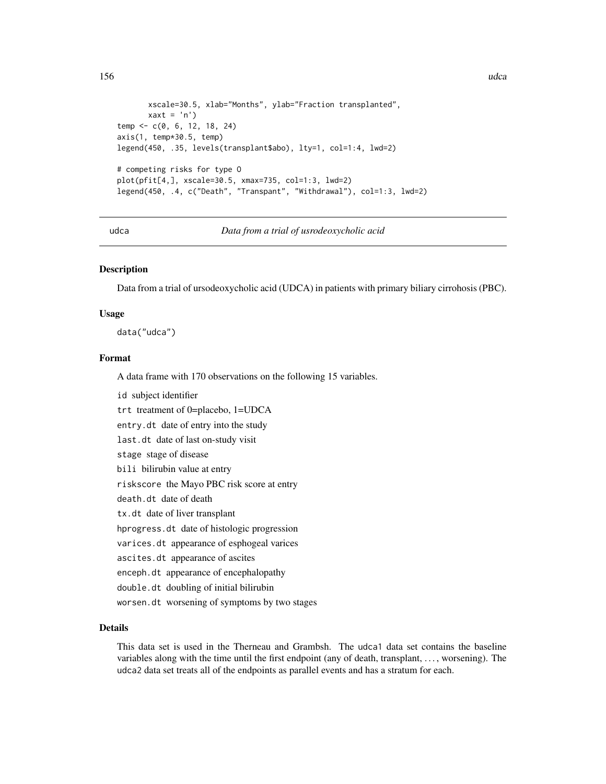```
xscale=30.5, xlab="Months", ylab="Fraction transplanted",
      xaxt = 'n')temp <- c(0, 6, 12, 18, 24)
axis(1, temp*30.5, temp)
legend(450, .35, levels(transplant$abo), lty=1, col=1:4, lwd=2)
# competing risks for type O
plot(pfit[4,], xscale=30.5, xmax=735, col=1:3, lwd=2)
legend(450, .4, c("Death", "Transpant", "Withdrawal"), col=1:3, lwd=2)
```
udca *Data from a trial of usrodeoxycholic acid*

#### **Description**

Data from a trial of ursodeoxycholic acid (UDCA) in patients with primary biliary cirrohosis (PBC).

#### Usage

data("udca")

# Format

A data frame with 170 observations on the following 15 variables.

id subject identifier

trt treatment of 0=placebo, 1=UDCA

entry.dt date of entry into the study

last.dt date of last on-study visit

stage stage of disease

bili bilirubin value at entry

riskscore the Mayo PBC risk score at entry

death.dt date of death

tx.dt date of liver transplant

hprogress.dt date of histologic progression

varices.dt appearance of esphogeal varices

ascites.dt appearance of ascites

enceph.dt appearance of encephalopathy

double.dt doubling of initial bilirubin

worsen.dt worsening of symptoms by two stages

# Details

This data set is used in the Therneau and Grambsh. The udca1 data set contains the baseline variables along with the time until the first endpoint (any of death, transplant, . . . , worsening). The udca2 data set treats all of the endpoints as parallel events and has a stratum for each.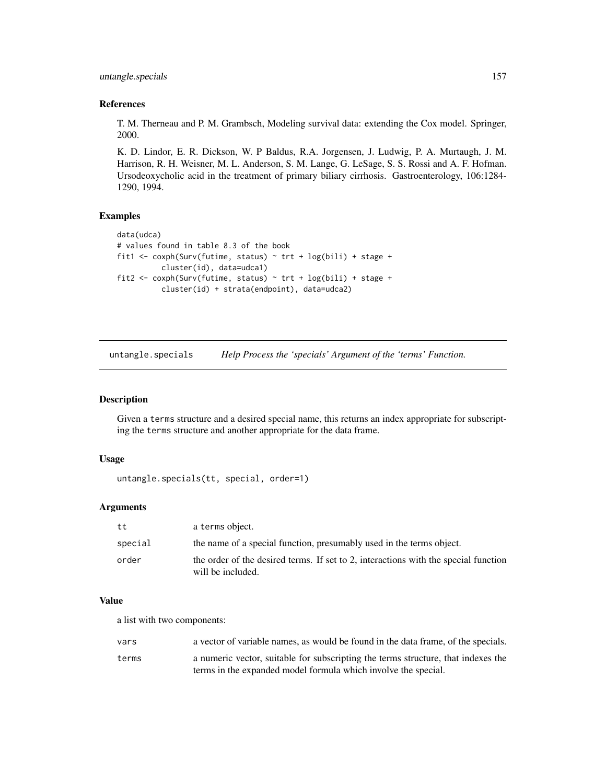<span id="page-156-0"></span>untangle.specials 157

# References

T. M. Therneau and P. M. Grambsch, Modeling survival data: extending the Cox model. Springer, 2000.

K. D. Lindor, E. R. Dickson, W. P Baldus, R.A. Jorgensen, J. Ludwig, P. A. Murtaugh, J. M. Harrison, R. H. Weisner, M. L. Anderson, S. M. Lange, G. LeSage, S. S. Rossi and A. F. Hofman. Ursodeoxycholic acid in the treatment of primary biliary cirrhosis. Gastroenterology, 106:1284- 1290, 1994.

### Examples

```
data(udca)
# values found in table 8.3 of the book
fit1 <- coxph(Surv(futime, status) ~ trt + log(bili) + stage +
          cluster(id), data=udca1)
fit2 <- coxph(Surv(futime, status) ~ trt + log(bili) + stage +
          cluster(id) + strata(endpoint), data=udca2)
```
untangle.specials *Help Process the 'specials' Argument of the 'terms' Function.*

### Description

Given a terms structure and a desired special name, this returns an index appropriate for subscripting the terms structure and another appropriate for the data frame.

#### Usage

```
untangle.specials(tt, special, order=1)
```
# Arguments

| tt      | a terms object.                                                                                          |
|---------|----------------------------------------------------------------------------------------------------------|
| special | the name of a special function, presumably used in the terms object.                                     |
| order   | the order of the desired terms. If set to 2, interactions with the special function<br>will be included. |

#### Value

a list with two components:

| vars  | a vector of variable names, as would be found in the data frame, of the specials. |
|-------|-----------------------------------------------------------------------------------|
| terms | a numeric vector, suitable for subscripting the terms structure, that indexes the |
|       | terms in the expanded model formula which involve the special.                    |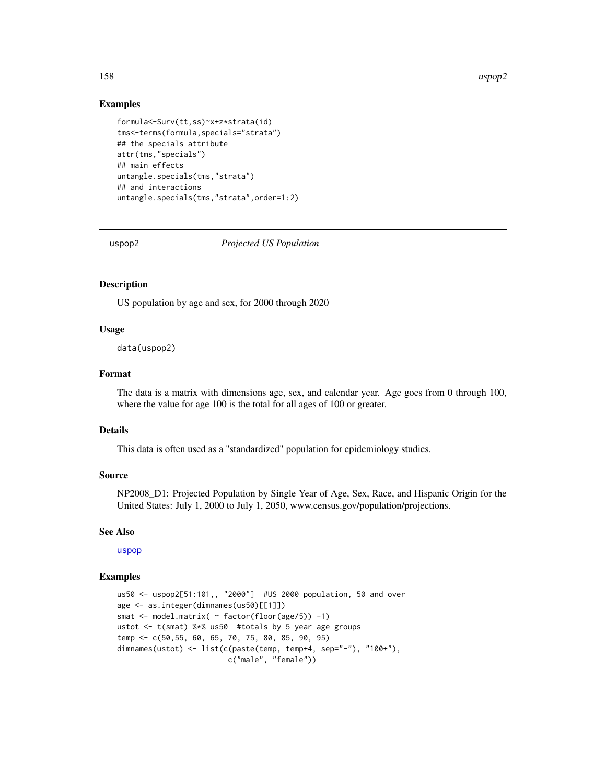#### <span id="page-157-0"></span>158 uspop2

#### Examples

```
formula<-Surv(tt,ss)~x+z*strata(id)
tms<-terms(formula,specials="strata")
## the specials attribute
attr(tms,"specials")
## main effects
untangle.specials(tms,"strata")
## and interactions
untangle.specials(tms,"strata",order=1:2)
```
uspop2 *Projected US Population*

# Description

US population by age and sex, for 2000 through 2020

#### Usage

data(uspop2)

#### Format

The data is a matrix with dimensions age, sex, and calendar year. Age goes from 0 through 100, where the value for age 100 is the total for all ages of 100 or greater.

# Details

This data is often used as a "standardized" population for epidemiology studies.

#### Source

NP2008\_D1: Projected Population by Single Year of Age, Sex, Race, and Hispanic Origin for the United States: July 1, 2000 to July 1, 2050, www.census.gov/population/projections.

#### See Also

[uspop](#page-0-0)

```
us50 <- uspop2[51:101,, "2000"] #US 2000 population, 50 and over
age <- as.integer(dimnames(us50)[[1]])
smat <- model.matrix( ~ factor(floor(age/5)) -1)
ustot <- t(smat) %*% us50 #totals by 5 year age groups
temp <- c(50,55, 60, 65, 70, 75, 80, 85, 90, 95)
dimnames(ustot) <- list(c(paste(temp, temp+4, sep="-"), "100+"),
                        c("male", "female"))
```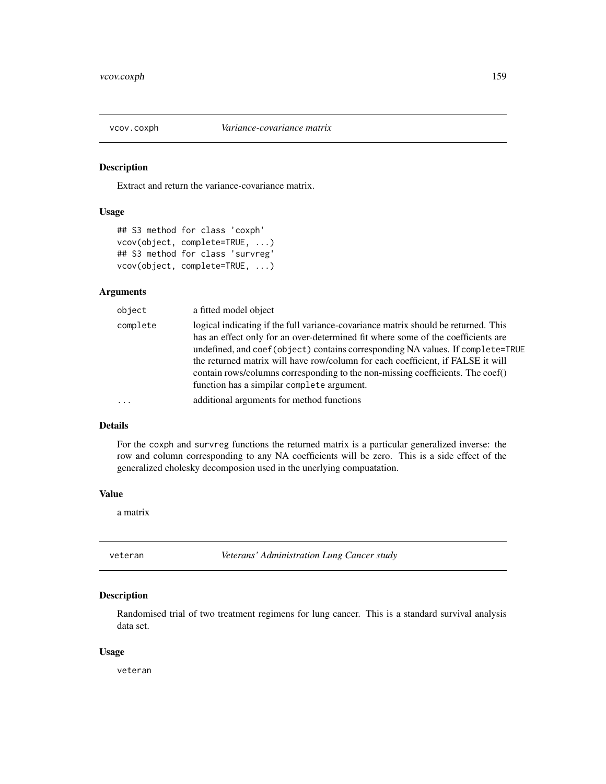<span id="page-158-0"></span>

#### Description

Extract and return the variance-covariance matrix.

# Usage

```
## S3 method for class 'coxph'
vcov(object, complete=TRUE, ...)
## S3 method for class 'survreg'
vcov(object, complete=TRUE, ...)
```
# Arguments

| complete<br>logical indicating if the full variance-covariance matrix should be returned. This<br>has an effect only for an over-determined fit where some of the coefficients are<br>the returned matrix will have row/column for each coefficient, if FALSE it will<br>contain rows/columns corresponding to the non-missing coefficients. The coef()<br>function has a simplar complete argument.<br>additional arguments for method functions<br>$\ddots$ . | object | a fitted model object                                                           |
|-----------------------------------------------------------------------------------------------------------------------------------------------------------------------------------------------------------------------------------------------------------------------------------------------------------------------------------------------------------------------------------------------------------------------------------------------------------------|--------|---------------------------------------------------------------------------------|
|                                                                                                                                                                                                                                                                                                                                                                                                                                                                 |        | undefined, and coef (object) contains corresponding NA values. If complete=TRUE |
|                                                                                                                                                                                                                                                                                                                                                                                                                                                                 |        |                                                                                 |

### Details

For the coxph and survreg functions the returned matrix is a particular generalized inverse: the row and column corresponding to any NA coefficients will be zero. This is a side effect of the generalized cholesky decomposion used in the unerlying compuatation.

#### Value

a matrix

veteran *Veterans' Administration Lung Cancer study*

# Description

Randomised trial of two treatment regimens for lung cancer. This is a standard survival analysis data set.

#### Usage

veteran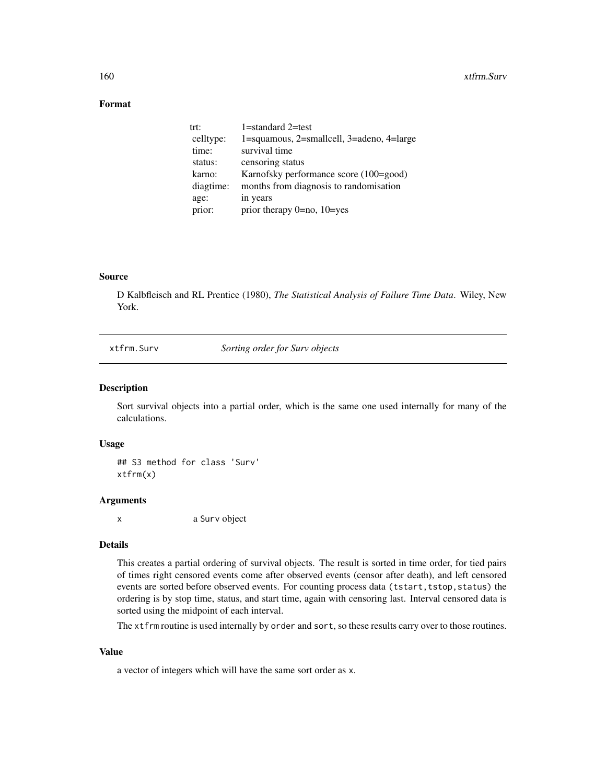# <span id="page-159-0"></span>Format

| trt:      | 1=standard 2=test                         |
|-----------|-------------------------------------------|
| celltype: | 1=squamous, 2=smallcell, 3=adeno, 4=large |
| time:     | survival time                             |
| status:   | censoring status                          |
| karno:    | Karnofsky performance score (100=good)    |
| diagtime: | months from diagnosis to randomisation    |
| age:      | in years                                  |
| prior:    | prior therapy $0 = no$ , $10 = yes$       |

# Source

D Kalbfleisch and RL Prentice (1980), *The Statistical Analysis of Failure Time Data*. Wiley, New York.

xtfrm.Surv *Sorting order for Surv objects*

### Description

Sort survival objects into a partial order, which is the same one used internally for many of the calculations.

#### Usage

## S3 method for class 'Surv' xtfrm(x)

## Arguments

x a Surv object

# Details

This creates a partial ordering of survival objects. The result is sorted in time order, for tied pairs of times right censored events come after observed events (censor after death), and left censored events are sorted before observed events. For counting process data (tstart, tstop, status) the ordering is by stop time, status, and start time, again with censoring last. Interval censored data is sorted using the midpoint of each interval.

The xtfrm routine is used internally by order and sort, so these results carry over to those routines.

# Value

a vector of integers which will have the same sort order as x.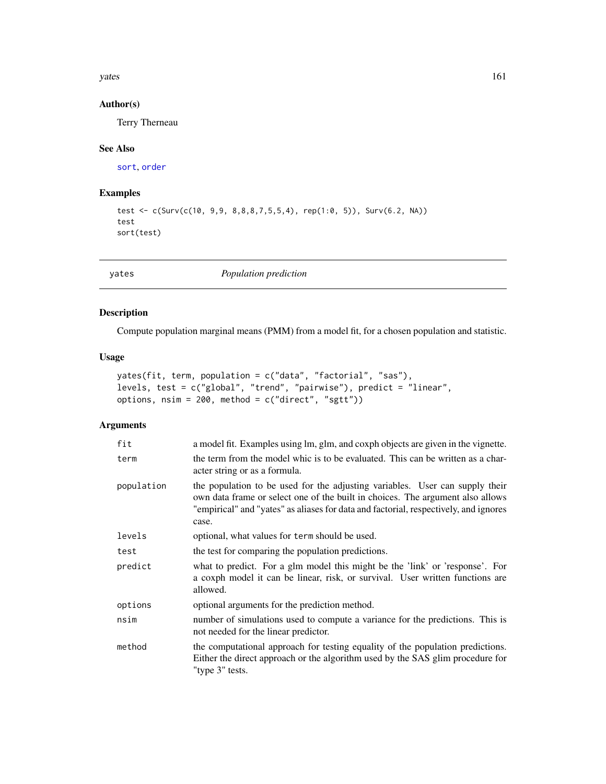<span id="page-160-1"></span>yates and the state of the state of the state of the state of the state of the state of the state of the state of the state of the state of the state of the state of the state of the state of the state of the state of the

# Author(s)

Terry Therneau

# See Also

[sort](#page-0-0), [order](#page-0-0)

# Examples

```
test <- c(Surv(c(10, 9,9, 8,8,8,7,5,5,4), rep(1:0, 5)), Surv(6.2, NA))
test
sort(test)
```
<span id="page-160-0"></span>yates *Population prediction*

# Description

Compute population marginal means (PMM) from a model fit, for a chosen population and statistic.

# Usage

```
yates(fit, term, population = c("data", "factorial", "sas"),
levels, test = c("global", "trend", "pairwise"), predict = "linear",
options, nsim = 200, method = c("direct", "sgtt"))
```
# Arguments

| fit        | a model fit. Examples using lm, glm, and coxph objects are given in the vignette.                                                                                                                                                                               |
|------------|-----------------------------------------------------------------------------------------------------------------------------------------------------------------------------------------------------------------------------------------------------------------|
| term       | the term from the model whic is to be evaluated. This can be written as a char-<br>acter string or as a formula.                                                                                                                                                |
| population | the population to be used for the adjusting variables. User can supply their<br>own data frame or select one of the built in choices. The argument also allows<br>"empirical" and "yates" as aliases for data and factorial, respectively, and ignores<br>case. |
| levels     | optional, what values for term should be used.                                                                                                                                                                                                                  |
| test       | the test for comparing the population predictions.                                                                                                                                                                                                              |
| predict    | what to predict. For a glm model this might be the 'link' or 'response'. For<br>a coxph model it can be linear, risk, or survival. User written functions are<br>allowed.                                                                                       |
| options    | optional arguments for the prediction method.                                                                                                                                                                                                                   |
| nsim       | number of simulations used to compute a variance for the predictions. This is<br>not needed for the linear predictor.                                                                                                                                           |
| method     | the computational approach for testing equality of the population predictions.<br>Either the direct approach or the algorithm used by the SAS glim procedure for<br>"type 3" tests.                                                                             |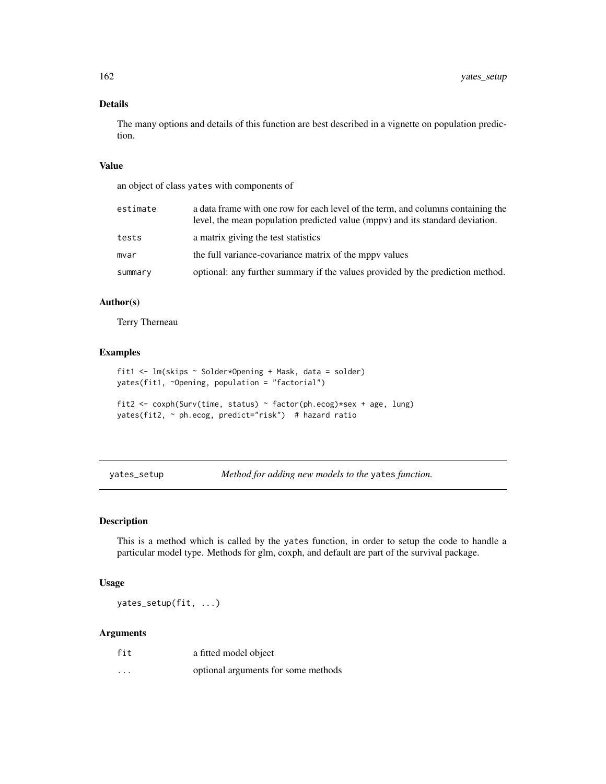# Details

The many options and details of this function are best described in a vignette on population prediction.

# Value

an object of class yates with components of

| estimate | a data frame with one row for each level of the term, and columns containing the<br>level, the mean population predicted value (mppy) and its standard deviation. |
|----------|-------------------------------------------------------------------------------------------------------------------------------------------------------------------|
| tests    | a matrix giving the test statistics                                                                                                                               |
| mvar     | the full variance-covariance matrix of the mppy values                                                                                                            |
| summary  | optional: any further summary if the values provided by the prediction method.                                                                                    |

# Author(s)

Terry Therneau

#### Examples

```
fit1 <- lm(skips ~ Solder*Opening + Mask, data = solder)
yates(fit1, ~Opening, population = "factorial")
fit2 <- coxph(Surv(time, status) ~ factor(ph.ecog)*sex + age, lung)
yates(fit2, ~ ph.ecog, predict="risk") # hazard ratio
```
yates\_setup *Method for adding new models to the* yates *function.*

# Description

This is a method which is called by the yates function, in order to setup the code to handle a particular model type. Methods for glm, coxph, and default are part of the survival package.

# Usage

yates\_setup(fit, ...)

### Arguments

| fit      | a fitted model object               |
|----------|-------------------------------------|
| $\cdots$ | optional arguments for some methods |

<span id="page-161-0"></span>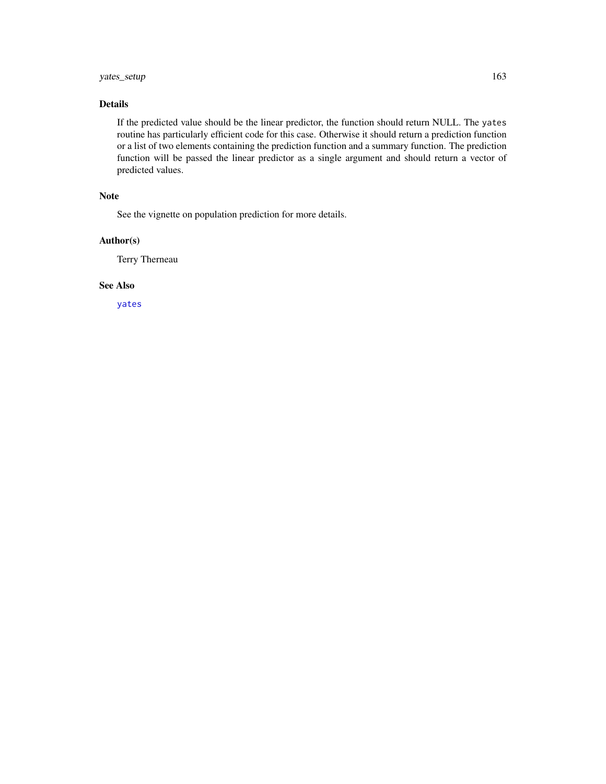# <span id="page-162-0"></span>yates\_setup 163

# Details

If the predicted value should be the linear predictor, the function should return NULL. The yates routine has particularly efficient code for this case. Otherwise it should return a prediction function or a list of two elements containing the prediction function and a summary function. The prediction function will be passed the linear predictor as a single argument and should return a vector of predicted values.

# Note

See the vignette on population prediction for more details.

# Author(s)

Terry Therneau

# See Also

[yates](#page-160-0)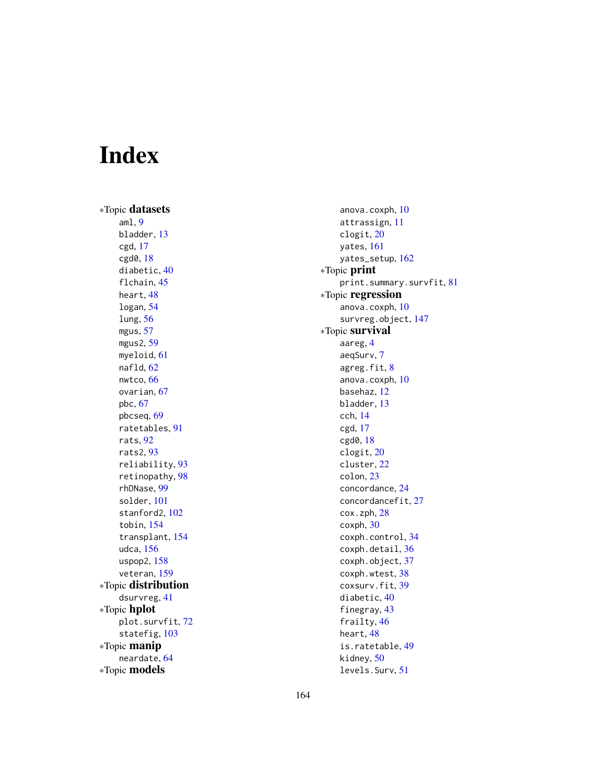# Index

∗Topic datasets aml, [9](#page-8-0) bladder, [13](#page-12-0) cgd, [17](#page-16-0) cgd0, [18](#page-17-0) diabetic, [40](#page-39-0) flchain, [45](#page-44-0) heart, [48](#page-47-0) logan, [54](#page-53-0) lung, [56](#page-55-0) mgus, [57](#page-56-0) mgus2, [59](#page-58-0) myeloid, [61](#page-60-0) nafld, [62](#page-61-0) nwtco, [66](#page-65-0) ovarian, [67](#page-66-0) pbc, [67](#page-66-0) pbcseq, [69](#page-68-0) ratetables, [91](#page-90-0) rats, [92](#page-91-0) rats2, [93](#page-92-0) reliability, [93](#page-92-0) retinopathy, [98](#page-97-0) rhDNase, [99](#page-98-0) solder, [101](#page-100-0) stanford2, [102](#page-101-0) tobin, [154](#page-153-0) transplant, [154](#page-153-0) udca, [156](#page-155-0) uspop2, [158](#page-157-0) veteran, [159](#page-158-0) ∗Topic distribution dsurvreg, [41](#page-40-0) ∗Topic hplot plot.survfit, [72](#page-71-0) statefig, [103](#page-102-0) ∗Topic manip neardate, [64](#page-63-1) ∗Topic models

anova.coxph, [10](#page-9-0) attrassign, [11](#page-10-0) clogit, [20](#page-19-0) yates, [161](#page-160-1) yates\_setup, [162](#page-161-0) ∗Topic print print.summary.survfit, [81](#page-80-0) ∗Topic regression anova.coxph, [10](#page-9-0) survreg.object, [147](#page-146-0) ∗Topic survival aareg, [4](#page-3-0) aeqSurv, [7](#page-6-0) agreg.fit, [8](#page-7-0) anova.coxph, [10](#page-9-0) basehaz, [12](#page-11-0) bladder, [13](#page-12-0) cch, [14](#page-13-0) cgd, [17](#page-16-0) cgd0, [18](#page-17-0) clogit, [20](#page-19-0) cluster, [22](#page-21-0) colon, [23](#page-22-0) concordance, [24](#page-23-0) concordancefit, [27](#page-26-0) cox.zph, [28](#page-27-0) coxph, [30](#page-29-0) coxph.control, [34](#page-33-0) coxph.detail, [36](#page-35-0) coxph.object, [37](#page-36-0) coxph.wtest, [38](#page-37-0) coxsurv.fit, [39](#page-38-0) diabetic, [40](#page-39-0) finegray, [43](#page-42-0) frailty, [46](#page-45-0) heart, [48](#page-47-0) is.ratetable, [49](#page-48-0) kidney, [50](#page-49-0) levels.Surv, [51](#page-50-0)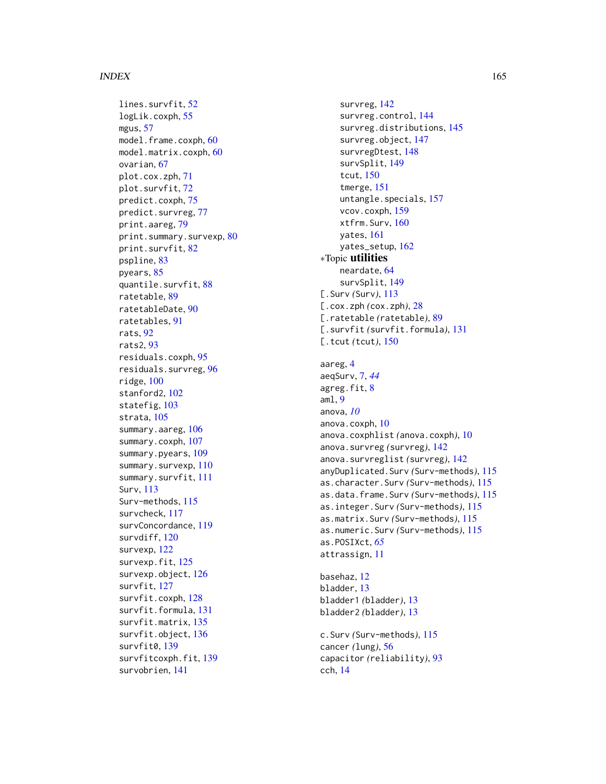#### INDEX 165

lines.survfit, [52](#page-51-0) logLik.coxph , [55](#page-54-0) mgus , [57](#page-56-0) model.frame.coxph, [60](#page-59-0) model.matrix.coxph, [60](#page-59-0) ovarian, [67](#page-66-0) plot.cox.zph , [71](#page-70-0) plot.survfit , [72](#page-71-0) predict.coxph , [75](#page-74-0) predict.survreg , [77](#page-76-0) print.aareg , [79](#page-78-0) print.summary.survexp, [80](#page-79-0) print.survfit, $82$ pspline , [83](#page-82-0) pyears, [85](#page-84-1) quantile.survfit , [88](#page-87-0) ratetable , [89](#page-88-0) ratetableDate , [90](#page-89-0) ratetables , [91](#page-90-0) rats , [92](#page-91-0) rats2 , [93](#page-92-0) residuals.coxph , [95](#page-94-0) residuals.survreg , [96](#page-95-0) ridge , [100](#page-99-0) stanford2 , [102](#page-101-0) statefig, [103](#page-102-0) strata , [105](#page-104-0) summary.aareg, [106](#page-105-0) summary.coxph , [107](#page-106-0) summary.pyears, [109](#page-108-0) summary.survexp , [110](#page-109-0) summary.survfit , [111](#page-110-0) Surv , [113](#page-112-1) Surv-methods , [115](#page-114-0) survcheck , [117](#page-116-0) survConcordance , [119](#page-118-0) survdiff, [120](#page-119-0) survexp, [122](#page-121-0) survexp.fit, [125](#page-124-0) survexp.object , [126](#page-125-0) survfit , [127](#page-126-0) survfit.coxph , [128](#page-127-0) survfit.formula , [131](#page-130-0) survfit.matrix , [135](#page-134-0) survfit.object , [136](#page-135-0) survfit0 , [139](#page-138-0) survfitcoxph.fit , [139](#page-138-0) survobrien , [141](#page-140-0)

survreg, [142](#page-141-1) survreg.control, [144](#page-143-0) survreg.distributions , [145](#page-144-1) survreg.object, [147](#page-146-0) survregDtest, [148](#page-147-1) survSplit , [149](#page-148-0) tcut , [150](#page-149-0) tmerge , [151](#page-150-0) untangle.specials , [157](#page-156-0) vcov.coxph , [159](#page-158-0) xtfrm.Surv, [160](#page-159-0) yates , [161](#page-160-1) yates\_setup , [162](#page-161-0) ∗Topic utilities neardate , [64](#page-63-1) survSplit , [149](#page-148-0) [.Surv (Surv),  $113$ [.cox.zph *(*cox.zph *)* , [28](#page-27-0) [.ratetable *(*ratetable *)* , [89](#page-88-0) [.survfit *(*survfit.formula *)* , [131](#page-130-0) [.tcut (tcut), [150](#page-149-0) aareg , [4](#page-3-0) aeqSurv , [7](#page-6-0) , *[44](#page-43-0)* agreg.fit, [8](#page-7-0) aml , [9](#page-8-0) anova , *[10](#page-9-0)* anova.coxph , [10](#page-9-0) anova.coxphlist *(*anova.coxph *)* , [10](#page-9-0) anova.survreg *(*survreg *)* , [142](#page-141-1) anova.survreglist *(*survreg *)* , [142](#page-141-1) anyDuplicated.Surv *(*Surv-methods *)* , [115](#page-114-0) as.character.Surv *(*Surv-methods *)* , [115](#page-114-0) as.data.frame.Surv *(*Surv-methods *)* , [115](#page-114-0) as.integer.Surv *(*Surv-methods *)* , [115](#page-114-0) as.matrix.Surv *(*Surv-methods *)* , [115](#page-114-0)

as.numeric.Surv *(*Surv-methods *)* , [115](#page-114-0) as.POSIXct , *[65](#page-64-0)* attrassign , [11](#page-10-0)

basehaz , [12](#page-11-0) bladder , [13](#page-12-0) bladder1 *(*bladder *)* , [13](#page-12-0) bladder2 *(*bladder *)* , [13](#page-12-0) c.Surv *(*Surv-methods *)* , [115](#page-114-0) cancer *(*lung *)* , [56](#page-55-0)

```
capacitor
(reliability
)
, 93
cch
, 14
```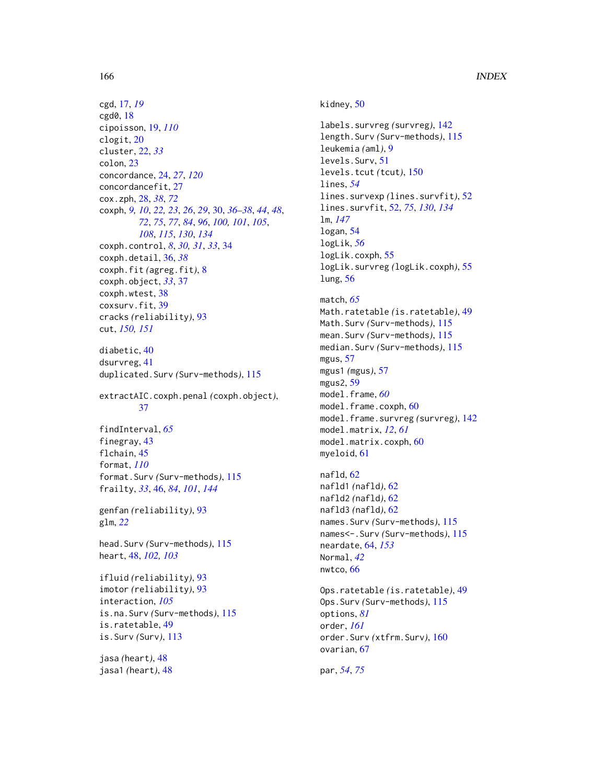cgd, [17,](#page-16-0) *[19](#page-18-0)* cgd0, [18](#page-17-0) cipoisson, [19,](#page-18-0) *[110](#page-109-0)* clogit, [20](#page-19-0) cluster, [22,](#page-21-0) *[33](#page-32-0)* colon, [23](#page-22-0) concordance, [24,](#page-23-0) *[27](#page-26-0)*, *[120](#page-119-0)* concordancefit, [27](#page-26-0) cox.zph, [28,](#page-27-0) *[38](#page-37-0)*, *[72](#page-71-0)* coxph, *[9,](#page-8-0) [10](#page-9-0)*, *[22,](#page-21-0) [23](#page-22-0)*, *[26](#page-25-0)*, *[29](#page-28-0)*, [30,](#page-29-0) *[36–](#page-35-0)[38](#page-37-0)*, *[44](#page-43-0)*, *[48](#page-47-0)*, *[72](#page-71-0)*, *[75](#page-74-0)*, *[77](#page-76-0)*, *[84](#page-83-0)*, *[96](#page-95-0)*, *[100,](#page-99-0) [101](#page-100-0)*, *[105](#page-104-0)*, *[108](#page-107-0)*, *[115](#page-114-0)*, *[130](#page-129-0)*, *[134](#page-133-0)* coxph.control, *[8](#page-7-0)*, *[30,](#page-29-0) [31](#page-30-0)*, *[33](#page-32-0)*, [34](#page-33-0) coxph.detail, [36,](#page-35-0) *[38](#page-37-0)* coxph.fit *(*agreg.fit*)*, [8](#page-7-0) coxph.object, *[33](#page-32-0)*, [37](#page-36-0) coxph.wtest, [38](#page-37-0) coxsurv.fit, [39](#page-38-0) cracks *(*reliability*)*, [93](#page-92-0) cut, *[150,](#page-149-0) [151](#page-150-0)*

diabetic, [40](#page-39-0) dsurvreg, [41](#page-40-0) duplicated.Surv *(*Surv-methods*)*, [115](#page-114-0)

extractAIC.coxph.penal *(*coxph.object*)*, [37](#page-36-0)

findInterval, *[65](#page-64-0)* finegray, [43](#page-42-0) flchain, [45](#page-44-0) format, *[110](#page-109-0)* format.Surv *(*Surv-methods*)*, [115](#page-114-0) frailty, *[33](#page-32-0)*, [46,](#page-45-0) *[84](#page-83-0)*, *[101](#page-100-0)*, *[144](#page-143-0)*

genfan *(*reliability*)*, [93](#page-92-0) glm, *[22](#page-21-0)*

head.Surv *(*Surv-methods*)*, [115](#page-114-0) heart, [48,](#page-47-0) *[102,](#page-101-0) [103](#page-102-0)*

ifluid *(*reliability*)*, [93](#page-92-0) imotor *(*reliability*)*, [93](#page-92-0) interaction, *[105](#page-104-0)* is.na.Surv *(*Surv-methods*)*, [115](#page-114-0) is.ratetable, [49](#page-48-0) is.Surv *(*Surv*)*, [113](#page-112-1)

jasa *(*heart*)*, [48](#page-47-0) jasa1 *(*heart*)*, [48](#page-47-0)

# kidney, [50](#page-49-0)

labels.survreg *(*survreg*)*, [142](#page-141-1) length.Surv *(*Surv-methods*)*, [115](#page-114-0) leukemia *(*aml*)*, [9](#page-8-0) levels.Surv, [51](#page-50-0) levels.tcut *(*tcut*)*, [150](#page-149-0) lines, *[54](#page-53-0)* lines.survexp *(*lines.survfit*)*, [52](#page-51-0) lines.survfit, [52,](#page-51-0) *[75](#page-74-0)*, *[130](#page-129-0)*, *[134](#page-133-0)* lm, *[147](#page-146-0)* logan, [54](#page-53-0) logLik, *[56](#page-55-0)* logLik.coxph, [55](#page-54-0) logLik.survreg *(*logLik.coxph*)*, [55](#page-54-0) lung, [56](#page-55-0)

#### match, *[65](#page-64-0)*

Math.ratetable *(*is.ratetable*)*, [49](#page-48-0) Math.Surv *(*Surv-methods*)*, [115](#page-114-0) mean.Surv *(*Surv-methods*)*, [115](#page-114-0) median.Surv *(*Surv-methods*)*, [115](#page-114-0) mgus, [57](#page-56-0) mgus1 *(*mgus*)*, [57](#page-56-0) mgus2, [59](#page-58-0) model.frame, *[60](#page-59-0)* model.frame.coxph, [60](#page-59-0) model.frame.survreg *(*survreg*)*, [142](#page-141-1) model.matrix, *[12](#page-11-0)*, *[61](#page-60-0)* model.matrix.coxph, [60](#page-59-0) myeloid, [61](#page-60-0)

nafld, [62](#page-61-0) nafld1 *(*nafld*)*, [62](#page-61-0) nafld2 *(*nafld*)*, [62](#page-61-0) nafld3 *(*nafld*)*, [62](#page-61-0) names.Surv *(*Surv-methods*)*, [115](#page-114-0) names<-.Surv *(*Surv-methods*)*, [115](#page-114-0) neardate, [64,](#page-63-1) *[153](#page-152-0)* Normal, *[42](#page-41-0)* nwtco, [66](#page-65-0)

Ops.ratetable *(*is.ratetable*)*, [49](#page-48-0) Ops.Surv *(*Surv-methods*)*, [115](#page-114-0) options, *[81](#page-80-0)* order, *[161](#page-160-1)* order.Surv *(*xtfrm.Surv*)*, [160](#page-159-0) ovarian, [67](#page-66-0)

par, *[54](#page-53-0)*, *[75](#page-74-0)*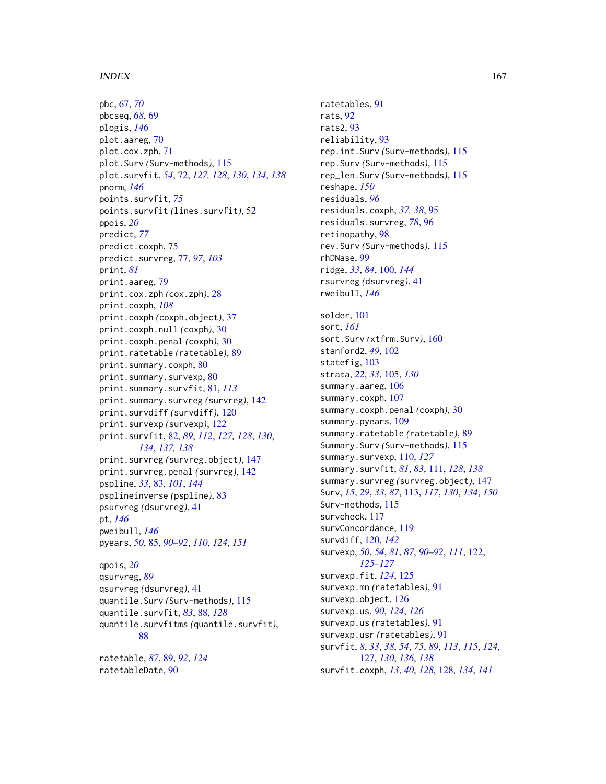#### INDEX  $167$

pbc, [67,](#page-66-0) *[70](#page-69-0)* pbcseq, *[68](#page-67-0)*, [69](#page-68-0) plogis, *[146](#page-145-0)* plot.aareg, [70](#page-69-0) plot.cox.zph, [71](#page-70-0) plot.Surv *(*Surv-methods*)*, [115](#page-114-0) plot.survfit, *[54](#page-53-0)*, [72,](#page-71-0) *[127,](#page-126-0) [128](#page-127-0)*, *[130](#page-129-0)*, *[134](#page-133-0)*, *[138](#page-137-0)* pnorm, *[146](#page-145-0)* points.survfit, *[75](#page-74-0)* points.survfit *(*lines.survfit*)*, [52](#page-51-0) ppois, *[20](#page-19-0)* predict, *[77](#page-76-0)* predict.coxph, [75](#page-74-0) predict.survreg, [77,](#page-76-0) *[97](#page-96-0)*, *[103](#page-102-0)* print, *[81](#page-80-0)* print.aareg, [79](#page-78-0) print.cox.zph *(*cox.zph*)*, [28](#page-27-0) print.coxph, *[108](#page-107-0)* print.coxph *(*coxph.object*)*, [37](#page-36-0) print.coxph.null *(*coxph*)*, [30](#page-29-0) print.coxph.penal *(*coxph*)*, [30](#page-29-0) print.ratetable *(*ratetable*)*, [89](#page-88-0) print.summary.coxph, [80](#page-79-0) print.summary.survexp, [80](#page-79-0) print.summary.survfit, [81,](#page-80-0) *[113](#page-112-1)* print.summary.survreg *(*survreg*)*, [142](#page-141-1) print.survdiff *(*survdiff*)*, [120](#page-119-0) print.survexp *(*survexp*)*, [122](#page-121-0) print.survfit, [82,](#page-81-0) *[89](#page-88-0)*, *[112](#page-111-0)*, *[127,](#page-126-0) [128](#page-127-0)*, *[130](#page-129-0)*, *[134](#page-133-0)*, *[137,](#page-136-0) [138](#page-137-0)* print.survreg *(*survreg.object*)*, [147](#page-146-0) print.survreg.penal *(*survreg*)*, [142](#page-141-1) pspline, *[33](#page-32-0)*, [83,](#page-82-0) *[101](#page-100-0)*, *[144](#page-143-0)* psplineinverse *(*pspline*)*, [83](#page-82-0) psurvreg *(*dsurvreg*)*, [41](#page-40-0) pt, *[146](#page-145-0)* pweibull, *[146](#page-145-0)* pyears, *[50](#page-49-0)*, [85,](#page-84-1) *[90](#page-89-0)[–92](#page-91-0)*, *[110](#page-109-0)*, *[124](#page-123-0)*, *[151](#page-150-0)* qpois, *[20](#page-19-0)* qsurvreg, *[89](#page-88-0)* qsurvreg *(*dsurvreg*)*, [41](#page-40-0) quantile.Surv *(*Surv-methods*)*, [115](#page-114-0) quantile.survfit, *[83](#page-82-0)*, [88,](#page-87-0) *[128](#page-127-0)*

quantile.survfitms *(*quantile.survfit*)*, [88](#page-87-0)

ratetable, *[87](#page-86-0)*, [89,](#page-88-0) *[92](#page-91-0)*, *[124](#page-123-0)* ratetableDate, [90](#page-89-0)

ratetables, [91](#page-90-0) rats, [92](#page-91-0) rats2, [93](#page-92-0) reliability, [93](#page-92-0) rep.int.Surv *(*Surv-methods*)*, [115](#page-114-0) rep.Surv *(*Surv-methods*)*, [115](#page-114-0) rep\_len.Surv *(*Surv-methods*)*, [115](#page-114-0) reshape, *[150](#page-149-0)* residuals, *[96](#page-95-0)* residuals.coxph, *[37,](#page-36-0) [38](#page-37-0)*, [95](#page-94-0) residuals.survreg, *[78](#page-77-0)*, [96](#page-95-0) retinopathy, [98](#page-97-0) rev.Surv *(*Surv-methods*)*, [115](#page-114-0) rhDNase, [99](#page-98-0) ridge, *[33](#page-32-0)*, *[84](#page-83-0)*, [100,](#page-99-0) *[144](#page-143-0)* rsurvreg *(*dsurvreg*)*, [41](#page-40-0) rweibull, *[146](#page-145-0)* solder, [101](#page-100-0) sort, *[161](#page-160-1)* sort.Surv *(*xtfrm.Surv*)*, [160](#page-159-0) stanford2, *[49](#page-48-0)*, [102](#page-101-0) statefig, [103](#page-102-0) strata, *[22](#page-21-0)*, *[33](#page-32-0)*, [105,](#page-104-0) *[130](#page-129-0)* summary.aareg, [106](#page-105-0) summary.coxph, [107](#page-106-0) summary.coxph.penal *(*coxph*)*, [30](#page-29-0) summary.pyears, [109](#page-108-0) summary.ratetable *(*ratetable*)*, [89](#page-88-0) Summary.Surv *(*Surv-methods*)*, [115](#page-114-0) summary.survexp, [110,](#page-109-0) *[127](#page-126-0)* summary.survfit, *[81](#page-80-0)*, *[83](#page-82-0)*, [111,](#page-110-0) *[128](#page-127-0)*, *[138](#page-137-0)* summary.survreg *(*survreg.object*)*, [147](#page-146-0) Surv, *[15](#page-14-0)*, *[29](#page-28-0)*, *[33](#page-32-0)*, *[87](#page-86-0)*, [113,](#page-112-1) *[117](#page-116-0)*, *[130](#page-129-0)*, *[134](#page-133-0)*, *[150](#page-149-0)* Surv-methods, [115](#page-114-0) survcheck, [117](#page-116-0) survConcordance, [119](#page-118-0) survdiff, [120,](#page-119-0) *[142](#page-141-1)* survexp, *[50](#page-49-0)*, *[54](#page-53-0)*, *[81](#page-80-0)*, *[87](#page-86-0)*, *[90](#page-89-0)[–92](#page-91-0)*, *[111](#page-110-0)*, [122,](#page-121-0) *[125](#page-124-0)[–127](#page-126-0)* survexp.fit, *[124](#page-123-0)*, [125](#page-124-0) survexp.mn *(*ratetables*)*, [91](#page-90-0) survexp.object, [126](#page-125-0) survexp.us, *[90](#page-89-0)*, *[124](#page-123-0)*, *[126](#page-125-0)* survexp.us *(*ratetables*)*, [91](#page-90-0) survexp.usr *(*ratetables*)*, [91](#page-90-0) survfit, *[8](#page-7-0)*, *[33](#page-32-0)*, *[38](#page-37-0)*, *[54](#page-53-0)*, *[75](#page-74-0)*, *[89](#page-88-0)*, *[113](#page-112-1)*, *[115](#page-114-0)*, *[124](#page-123-0)*, [127,](#page-126-0) *[130](#page-129-0)*, *[136](#page-135-0)*, *[138](#page-137-0)* survfit.coxph, *[13](#page-12-0)*, *[40](#page-39-0)*, *[128](#page-127-0)*, [128,](#page-127-0) *[134](#page-133-0)*, *[141](#page-140-0)*